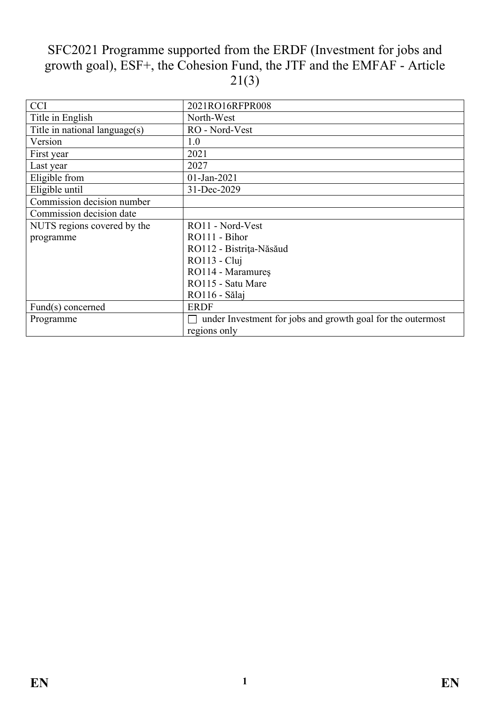# SFC2021 Programme supported from the ERDF (Investment for jobs and growth goal), ESF+, the Cohesion Fund, the JTF and the EMFAF - Article  $21(3)$

| <b>CCI</b>                    | 2021RO16RFPR008                                             |
|-------------------------------|-------------------------------------------------------------|
| Title in English              | North-West                                                  |
| Title in national language(s) | RO - Nord-Vest                                              |
| Version                       | 1.0                                                         |
| First year                    | 2021                                                        |
| Last year                     | 2027                                                        |
| Eligible from                 | 01-Jan-2021                                                 |
| Eligible until                | 31-Dec-2029                                                 |
| Commission decision number    |                                                             |
| Commission decision date      |                                                             |
| NUTS regions covered by the   | RO11 - Nord-Vest                                            |
| programme                     | RO111 - Bihor                                               |
|                               | RO112 - Bistrița-Năsăud                                     |
|                               | RO113 - Cluj                                                |
|                               | RO114 - Maramureș                                           |
|                               | RO115 - Satu Mare                                           |
|                               | RO116 - Sălaj                                               |
| Fund(s) concerned             | <b>ERDF</b>                                                 |
| Programme                     | under Investment for jobs and growth goal for the outermost |
|                               | regions only                                                |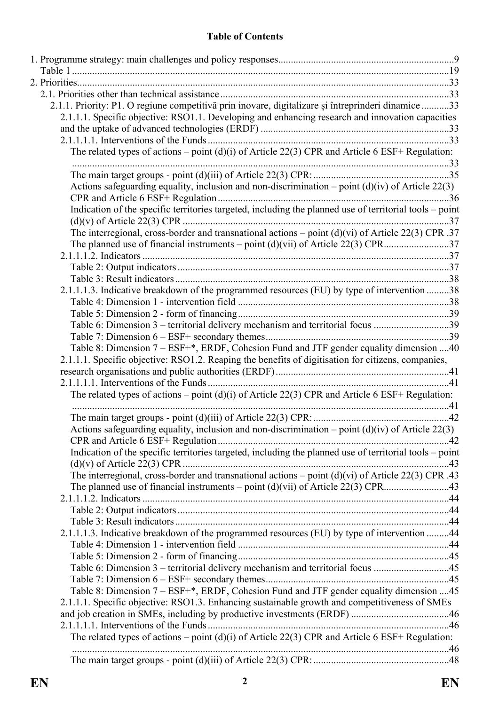## **Table of Contents**

| 2.1.1. Priority: P1. O regiune competitivă prin inovare, digitalizare și întreprinderi dinamice 33      |  |
|---------------------------------------------------------------------------------------------------------|--|
| 2.1.1.1. Specific objective: RSO1.1. Developing and enhancing research and innovation capacities        |  |
|                                                                                                         |  |
|                                                                                                         |  |
| The related types of actions – point $(d)(i)$ of Article 22(3) CPR and Article 6 ESF+ Regulation:       |  |
|                                                                                                         |  |
|                                                                                                         |  |
| Actions safeguarding equality, inclusion and non-discrimination – point $(d)(iv)$ of Article 22(3)      |  |
|                                                                                                         |  |
| Indication of the specific territories targeted, including the planned use of territorial tools - point |  |
|                                                                                                         |  |
| The interregional, cross-border and transnational actions – point $(d)(vi)$ of Article 22(3) CPR .37    |  |
|                                                                                                         |  |
|                                                                                                         |  |
|                                                                                                         |  |
|                                                                                                         |  |
| 2.1.1.1.3. Indicative breakdown of the programmed resources (EU) by type of intervention 38             |  |
|                                                                                                         |  |
|                                                                                                         |  |
| Table 6: Dimension 3 – territorial delivery mechanism and territorial focus 39                          |  |
|                                                                                                         |  |
| Table 8: Dimension 7 - ESF+*, ERDF, Cohesion Fund and JTF gender equality dimension 40                  |  |
| 2.1.1.1. Specific objective: RSO1.2. Reaping the benefits of digitisation for citizens, companies,      |  |
|                                                                                                         |  |
| The related types of actions – point (d)(i) of Article 22(3) CPR and Article 6 ESF+ Regulation:         |  |
|                                                                                                         |  |
|                                                                                                         |  |
| Actions safeguarding equality, inclusion and non-discrimination – point $(d)(iv)$ of Article 22(3)      |  |
|                                                                                                         |  |
| Indication of the specific territories targeted, including the planned use of territorial tools – point |  |
|                                                                                                         |  |
| The interregional, cross-border and transnational actions – point $(d)(vi)$ of Article 22(3) CPR .43    |  |
|                                                                                                         |  |
|                                                                                                         |  |
|                                                                                                         |  |
|                                                                                                         |  |
| 2.1.1.1.3. Indicative breakdown of the programmed resources (EU) by type of intervention 44             |  |
|                                                                                                         |  |
|                                                                                                         |  |
| Table 6: Dimension 3 – territorial delivery mechanism and territorial focus 45                          |  |
|                                                                                                         |  |
| Table 8: Dimension 7 - ESF+*, ERDF, Cohesion Fund and JTF gender equality dimension 45                  |  |
| 2.1.1.1. Specific objective: RSO1.3. Enhancing sustainable growth and competitiveness of SMEs           |  |
|                                                                                                         |  |
| The related types of actions – point $(d)(i)$ of Article 22(3) CPR and Article 6 ESF+ Regulation:       |  |
|                                                                                                         |  |
|                                                                                                         |  |
|                                                                                                         |  |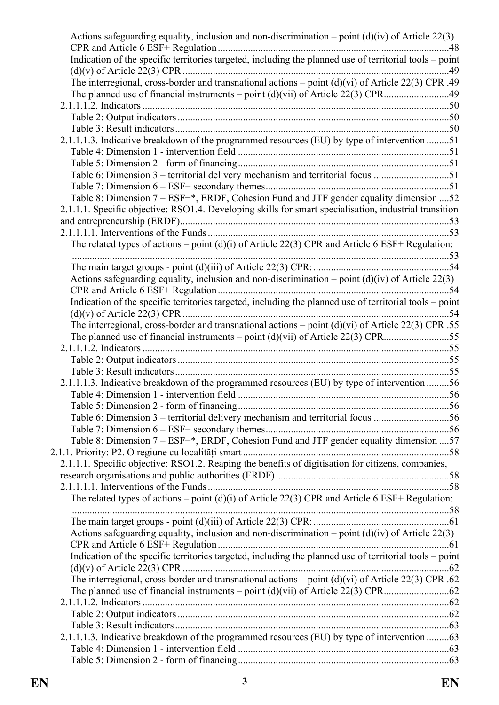| Actions safeguarding equality, inclusion and non-discrimination – point $(d)(iv)$ of Article 22(3)      |  |
|---------------------------------------------------------------------------------------------------------|--|
| Indication of the specific territories targeted, including the planned use of territorial tools - point |  |
|                                                                                                         |  |
| The interregional, cross-border and transnational actions - point (d)(vi) of Article 22(3) CPR .49      |  |
|                                                                                                         |  |
|                                                                                                         |  |
|                                                                                                         |  |
|                                                                                                         |  |
| 2.1.1.1.3. Indicative breakdown of the programmed resources (EU) by type of intervention 51             |  |
|                                                                                                         |  |
|                                                                                                         |  |
| Table 6: Dimension 3 – territorial delivery mechanism and territorial focus 51                          |  |
|                                                                                                         |  |
| Table 8: Dimension 7 - ESF+*, ERDF, Cohesion Fund and JTF gender equality dimension  52                 |  |
| 2.1.1.1. Specific objective: RSO1.4. Developing skills for smart specialisation, industrial transition  |  |
|                                                                                                         |  |
|                                                                                                         |  |
| The related types of actions – point (d)(i) of Article 22(3) CPR and Article 6 ESF+ Regulation:         |  |
|                                                                                                         |  |
| Actions safeguarding equality, inclusion and non-discrimination – point $(d)(iv)$ of Article 22(3)      |  |
|                                                                                                         |  |
| Indication of the specific territories targeted, including the planned use of territorial tools - point |  |
|                                                                                                         |  |
| The interregional, cross-border and transnational actions – point $(d)(vi)$ of Article 22(3) CPR .55    |  |
|                                                                                                         |  |
|                                                                                                         |  |
|                                                                                                         |  |
|                                                                                                         |  |
| 2.1.1.1.3. Indicative breakdown of the programmed resources (EU) by type of intervention 56             |  |
|                                                                                                         |  |
|                                                                                                         |  |
| Table 6: Dimension 3 – territorial delivery mechanism and territorial focus 56                          |  |
|                                                                                                         |  |
| Table 8: Dimension 7 - ESF+*, ERDF, Cohesion Fund and JTF gender equality dimension  57                 |  |
|                                                                                                         |  |
| 2.1.1.1. Specific objective: RSO1.2. Reaping the benefits of digitisation for citizens, companies,      |  |
|                                                                                                         |  |
|                                                                                                         |  |
| The related types of actions – point (d)(i) of Article 22(3) CPR and Article 6 ESF+ Regulation:         |  |
|                                                                                                         |  |
|                                                                                                         |  |
| Actions safeguarding equality, inclusion and non-discrimination – point $(d)(iv)$ of Article 22(3)      |  |
|                                                                                                         |  |
| Indication of the specific territories targeted, including the planned use of territorial tools - point |  |
|                                                                                                         |  |
| The interregional, cross-border and transnational actions – point $(d)(vi)$ of Article 22(3) CPR .62    |  |
|                                                                                                         |  |
|                                                                                                         |  |
|                                                                                                         |  |
|                                                                                                         |  |
| 2.1.1.1.3. Indicative breakdown of the programmed resources (EU) by type of intervention 63             |  |
|                                                                                                         |  |
|                                                                                                         |  |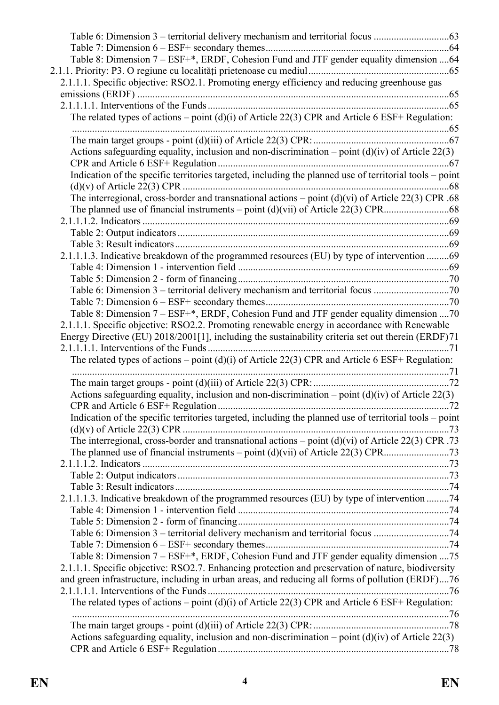| Table 6: Dimension 3 – territorial delivery mechanism and territorial focus                             |  |
|---------------------------------------------------------------------------------------------------------|--|
| Table 8: Dimension 7 - ESF+*, ERDF, Cohesion Fund and JTF gender equality dimension 64                  |  |
|                                                                                                         |  |
| 2.1.1.1. Specific objective: RSO2.1. Promoting energy efficiency and reducing greenhouse gas            |  |
|                                                                                                         |  |
|                                                                                                         |  |
| The related types of actions – point $(d)(i)$ of Article 22(3) CPR and Article 6 ESF+ Regulation:       |  |
|                                                                                                         |  |
|                                                                                                         |  |
| Actions safeguarding equality, inclusion and non-discrimination – point $(d)(iv)$ of Article 22(3)      |  |
|                                                                                                         |  |
| Indication of the specific territories targeted, including the planned use of territorial tools - point |  |
|                                                                                                         |  |
| The interregional, cross-border and transnational actions - point (d)(vi) of Article 22(3) CPR .68      |  |
|                                                                                                         |  |
|                                                                                                         |  |
|                                                                                                         |  |
|                                                                                                         |  |
| 2.1.1.1.3. Indicative breakdown of the programmed resources (EU) by type of intervention 69             |  |
|                                                                                                         |  |
|                                                                                                         |  |
| Table 6: Dimension 3 – territorial delivery mechanism and territorial focus 70                          |  |
|                                                                                                         |  |
| Table 8: Dimension 7 - ESF+*, ERDF, Cohesion Fund and JTF gender equality dimension  70                 |  |
| 2.1.1.1. Specific objective: RSO2.2. Promoting renewable energy in accordance with Renewable            |  |
| Energy Directive (EU) 2018/2001[1], including the sustainability criteria set out therein (ERDF)71      |  |
|                                                                                                         |  |
| The related types of actions – point (d)(i) of Article 22(3) CPR and Article 6 ESF+ Regulation:         |  |
|                                                                                                         |  |
|                                                                                                         |  |
| Actions safeguarding equality, inclusion and non-discrimination – point $(d)(iv)$ of Article 22(3)      |  |
| Indication of the specific territories targeted, including the planned use of territorial tools – point |  |
|                                                                                                         |  |
| The interregional, cross-border and transnational actions – point $(d)(vi)$ of Article 22(3) CPR .73    |  |
|                                                                                                         |  |
|                                                                                                         |  |
|                                                                                                         |  |
|                                                                                                         |  |
| 2.1.1.1.3. Indicative breakdown of the programmed resources (EU) by type of intervention 74             |  |
|                                                                                                         |  |
|                                                                                                         |  |
| Table 6: Dimension 3 – territorial delivery mechanism and territorial focus 74                          |  |
|                                                                                                         |  |
| Table 8: Dimension 7 – ESF+*, ERDF, Cohesion Fund and JTF gender equality dimension  75                 |  |
| 2.1.1.1. Specific objective: RSO2.7. Enhancing protection and preservation of nature, biodiversity      |  |
| and green infrastructure, including in urban areas, and reducing all forms of pollution (ERDF)76        |  |
|                                                                                                         |  |
| The related types of actions – point $(d)(i)$ of Article 22(3) CPR and Article 6 ESF+ Regulation:       |  |
|                                                                                                         |  |
|                                                                                                         |  |
| Actions safeguarding equality, inclusion and non-discrimination – point $(d)(iv)$ of Article 22(3)      |  |
|                                                                                                         |  |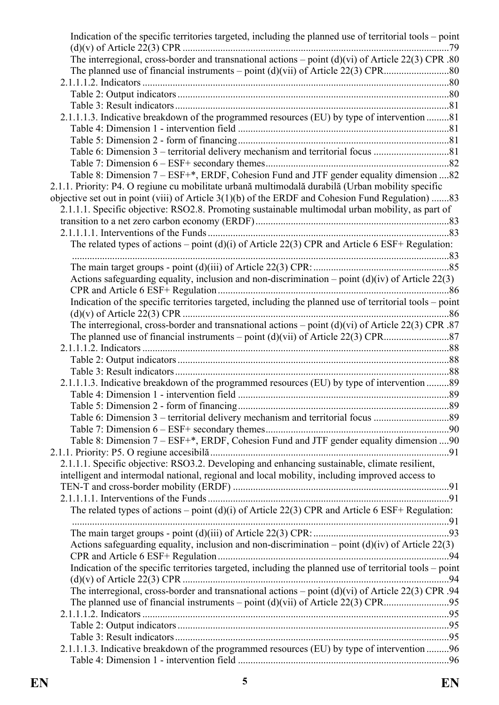| Indication of the specific territories targeted, including the planned use of territorial tools – point |  |
|---------------------------------------------------------------------------------------------------------|--|
|                                                                                                         |  |
| The interregional, cross-border and transnational actions – point $(d)(vi)$ of Article 22(3) CPR .80    |  |
|                                                                                                         |  |
|                                                                                                         |  |
|                                                                                                         |  |
|                                                                                                         |  |
| 2.1.1.1.3. Indicative breakdown of the programmed resources (EU) by type of intervention 81             |  |
|                                                                                                         |  |
|                                                                                                         |  |
|                                                                                                         |  |
|                                                                                                         |  |
| Table 8: Dimension 7 – ESF+*, ERDF, Cohesion Fund and JTF gender equality dimension 82                  |  |
| 2.1.1. Priority: P4. O regiune cu mobilitate urbană multimodală durabilă (Urban mobility specific       |  |
| objective set out in point (viii) of Article 3(1)(b) of the ERDF and Cohesion Fund Regulation) 83       |  |
| 2.1.1.1. Specific objective: RSO2.8. Promoting sustainable multimodal urban mobility, as part of        |  |
|                                                                                                         |  |
|                                                                                                         |  |
| The related types of actions – point (d)(i) of Article 22(3) CPR and Article 6 ESF+ Regulation:         |  |
|                                                                                                         |  |
|                                                                                                         |  |
| Actions safeguarding equality, inclusion and non-discrimination – point $(d)(iv)$ of Article 22(3)      |  |
|                                                                                                         |  |
| Indication of the specific territories targeted, including the planned use of territorial tools - point |  |
|                                                                                                         |  |
| The interregional, cross-border and transnational actions – point $(d)(vi)$ of Article 22(3) CPR .87    |  |
|                                                                                                         |  |
|                                                                                                         |  |
|                                                                                                         |  |
|                                                                                                         |  |
| 2.1.1.1.3. Indicative breakdown of the programmed resources (EU) by type of intervention 89             |  |
|                                                                                                         |  |
|                                                                                                         |  |
|                                                                                                         |  |
|                                                                                                         |  |
| Table 8: Dimension 7 – ESF+*, ERDF, Cohesion Fund and JTF gender equality dimension  90                 |  |
|                                                                                                         |  |
| 2.1.1.1. Specific objective: RSO3.2. Developing and enhancing sustainable, climate resilient,           |  |
| intelligent and intermodal national, regional and local mobility, including improved access to          |  |
|                                                                                                         |  |
|                                                                                                         |  |
| The related types of actions – point (d)(i) of Article 22(3) CPR and Article 6 ESF+ Regulation:         |  |
|                                                                                                         |  |
|                                                                                                         |  |
| Actions safeguarding equality, inclusion and non-discrimination – point $(d)(iv)$ of Article 22(3)      |  |
|                                                                                                         |  |
| Indication of the specific territories targeted, including the planned use of territorial tools – point |  |
|                                                                                                         |  |
| The interregional, cross-border and transnational actions – point $(d)(vi)$ of Article 22(3) CPR .94    |  |
|                                                                                                         |  |
|                                                                                                         |  |
|                                                                                                         |  |
|                                                                                                         |  |
| 2.1.1.1.3. Indicative breakdown of the programmed resources (EU) by type of intervention 96             |  |
|                                                                                                         |  |
|                                                                                                         |  |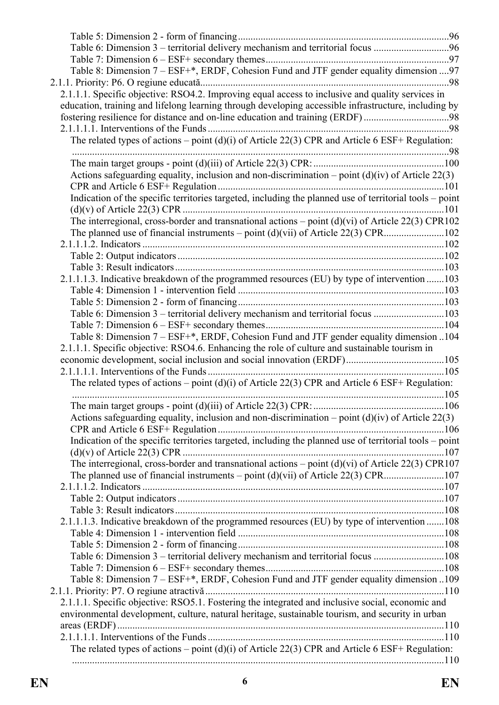| Table 6: Dimension 3 – territorial delivery mechanism and territorial focus 96                          |  |
|---------------------------------------------------------------------------------------------------------|--|
|                                                                                                         |  |
| Table 8: Dimension 7 – ESF+*, ERDF, Cohesion Fund and JTF gender equality dimension  97                 |  |
|                                                                                                         |  |
| 2.1.1.1. Specific objective: RSO4.2. Improving equal access to inclusive and quality services in        |  |
| education, training and lifelong learning through developing accessible infrastructure, including by    |  |
| fostering resilience for distance and on-line education and training (ERDF)98                           |  |
|                                                                                                         |  |
| The related types of actions – point (d)(i) of Article 22(3) CPR and Article 6 ESF+ Regulation:         |  |
|                                                                                                         |  |
|                                                                                                         |  |
| Actions safeguarding equality, inclusion and non-discrimination – point $(d)(iv)$ of Article 22(3)      |  |
|                                                                                                         |  |
| Indication of the specific territories targeted, including the planned use of territorial tools - point |  |
|                                                                                                         |  |
| The interregional, cross-border and transnational actions $-$ point (d)(vi) of Article 22(3) CPR102     |  |
|                                                                                                         |  |
|                                                                                                         |  |
|                                                                                                         |  |
|                                                                                                         |  |
| 2.1.1.1.3. Indicative breakdown of the programmed resources (EU) by type of intervention 103            |  |
|                                                                                                         |  |
|                                                                                                         |  |
| Table 6: Dimension 3 – territorial delivery mechanism and territorial focus 103                         |  |
|                                                                                                         |  |
| Table 8: Dimension 7 – ESF+*, ERDF, Cohesion Fund and JTF gender equality dimension 104                 |  |
| 2.1.1.1. Specific objective: RSO4.6. Enhancing the role of culture and sustainable tourism in           |  |
|                                                                                                         |  |
|                                                                                                         |  |
| The related types of actions – point (d)(i) of Article 22(3) CPR and Article 6 ESF+ Regulation:         |  |
|                                                                                                         |  |
|                                                                                                         |  |
| Actions safeguarding equality, inclusion and non-discrimination – point $(d)(iv)$ of Article 22(3)      |  |
|                                                                                                         |  |
| Indication of the specific territories targeted, including the planned use of territorial tools - point |  |
|                                                                                                         |  |
| The interregional, cross-border and transnational actions – point $(d)(vi)$ of Article 22(3) CPR107     |  |
|                                                                                                         |  |
|                                                                                                         |  |
|                                                                                                         |  |
|                                                                                                         |  |
| 2.1.1.1.3. Indicative breakdown of the programmed resources (EU) by type of intervention 108            |  |
|                                                                                                         |  |
|                                                                                                         |  |
| Table 6: Dimension 3 – territorial delivery mechanism and territorial focus 108                         |  |
|                                                                                                         |  |
| Table 8: Dimension 7 – ESF+*, ERDF, Cohesion Fund and JTF gender equality dimension 109                 |  |
|                                                                                                         |  |
| 2.1.1.1. Specific objective: RSO5.1. Fostering the integrated and inclusive social, economic and        |  |
| environmental development, culture, natural heritage, sustainable tourism, and security in urban        |  |
|                                                                                                         |  |
|                                                                                                         |  |
| The related types of actions – point (d)(i) of Article 22(3) CPR and Article 6 ESF+ Regulation:         |  |
|                                                                                                         |  |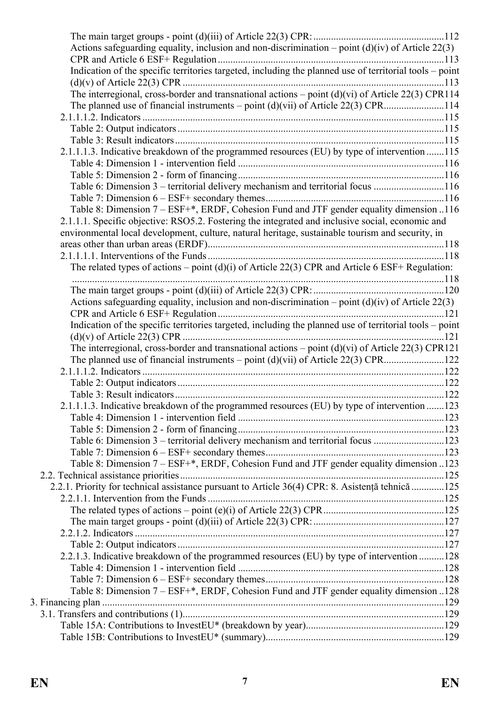| Actions safeguarding equality, inclusion and non-discrimination – point $(d)(iv)$ of Article 22(3)      |  |
|---------------------------------------------------------------------------------------------------------|--|
|                                                                                                         |  |
| Indication of the specific territories targeted, including the planned use of territorial tools - point |  |
|                                                                                                         |  |
| The interregional, cross-border and transnational actions – point $(d)(vi)$ of Article 22(3) CPR114     |  |
| The planned use of financial instruments – point $(d)(vi)$ of Article 22(3) CPR114                      |  |
|                                                                                                         |  |
|                                                                                                         |  |
|                                                                                                         |  |
| 2.1.1.1.3. Indicative breakdown of the programmed resources (EU) by type of intervention 115            |  |
|                                                                                                         |  |
|                                                                                                         |  |
| Table 6: Dimension 3 – territorial delivery mechanism and territorial focus 116                         |  |
|                                                                                                         |  |
| Table 8: Dimension 7 – ESF+*, ERDF, Cohesion Fund and JTF gender equality dimension 116                 |  |
| 2.1.1.1. Specific objective: RSO5.2. Fostering the integrated and inclusive social, economic and        |  |
| environmental local development, culture, natural heritage, sustainable tourism and security, in        |  |
|                                                                                                         |  |
|                                                                                                         |  |
| The related types of actions – point $(d)(i)$ of Article 22(3) CPR and Article 6 ESF+ Regulation:       |  |
|                                                                                                         |  |
|                                                                                                         |  |
| Actions safeguarding equality, inclusion and non-discrimination – point $(d)(iv)$ of Article 22(3)      |  |
|                                                                                                         |  |
| Indication of the specific territories targeted, including the planned use of territorial tools - point |  |
|                                                                                                         |  |
| The interregional, cross-border and transnational actions – point $(d)(vi)$ of Article 22(3) CPR121     |  |
|                                                                                                         |  |
|                                                                                                         |  |
|                                                                                                         |  |
|                                                                                                         |  |
| 2.1.1.1.3. Indicative breakdown of the programmed resources (EU) by type of intervention 123            |  |
|                                                                                                         |  |
|                                                                                                         |  |
|                                                                                                         |  |
| Table 6: Dimension 3 – territorial delivery mechanism and territorial focus 123                         |  |
|                                                                                                         |  |
| Table 8: Dimension 7 – ESF+*, ERDF, Cohesion Fund and JTF gender equality dimension 123                 |  |
|                                                                                                         |  |
| 2.2.1. Priority for technical assistance pursuant to Article 36(4) CPR: 8. Asistență tehnică 125        |  |
|                                                                                                         |  |
|                                                                                                         |  |
|                                                                                                         |  |
|                                                                                                         |  |
|                                                                                                         |  |
| 2.2.1.3. Indicative breakdown of the programmed resources (EU) by type of intervention 128              |  |
|                                                                                                         |  |
|                                                                                                         |  |
| Table 8: Dimension 7 – ESF+*, ERDF, Cohesion Fund and JTF gender equality dimension 128                 |  |
|                                                                                                         |  |
|                                                                                                         |  |
|                                                                                                         |  |
|                                                                                                         |  |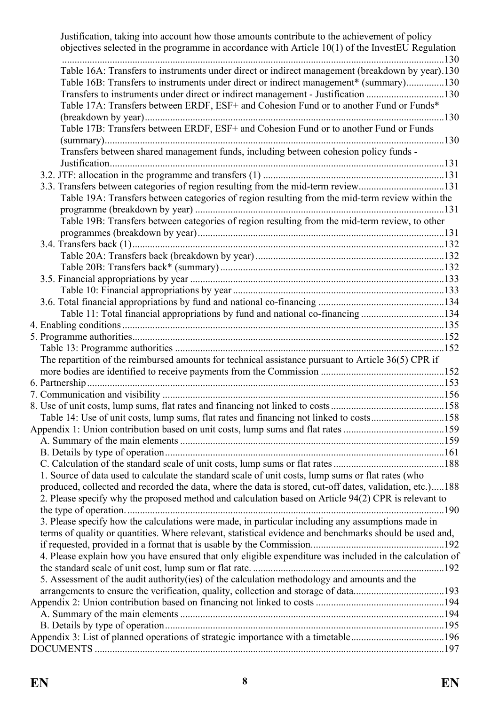| Justification, taking into account how those amounts contribute to the achievement of policy<br>objectives selected in the programme in accordance with Article $10(1)$ of the InvestEU Regulation              |  |
|-----------------------------------------------------------------------------------------------------------------------------------------------------------------------------------------------------------------|--|
| Table 16A: Transfers to instruments under direct or indirect management (breakdown by year).130<br>Table 16B: Transfers to instruments under direct or indirect management* (summary)130                        |  |
| Transfers to instruments under direct or indirect management - Justification 130<br>Table 17A: Transfers between ERDF, ESF+ and Cohesion Fund or to another Fund or Funds*                                      |  |
| Table 17B: Transfers between ERDF, ESF+ and Cohesion Fund or to another Fund or Funds                                                                                                                           |  |
| Transfers between shared management funds, including between cohesion policy funds -                                                                                                                            |  |
|                                                                                                                                                                                                                 |  |
| 3.3. Transfers between categories of region resulting from the mid-term review131                                                                                                                               |  |
| Table 19A: Transfers between categories of region resulting from the mid-term review within the                                                                                                                 |  |
|                                                                                                                                                                                                                 |  |
| Table 19B: Transfers between categories of region resulting from the mid-term review, to other                                                                                                                  |  |
|                                                                                                                                                                                                                 |  |
|                                                                                                                                                                                                                 |  |
|                                                                                                                                                                                                                 |  |
|                                                                                                                                                                                                                 |  |
|                                                                                                                                                                                                                 |  |
|                                                                                                                                                                                                                 |  |
|                                                                                                                                                                                                                 |  |
| Table 11: Total financial appropriations by fund and national co-financing134                                                                                                                                   |  |
|                                                                                                                                                                                                                 |  |
|                                                                                                                                                                                                                 |  |
|                                                                                                                                                                                                                 |  |
| The repartition of the reimbursed amounts for technical assistance pursuant to Article 36(5) CPR if                                                                                                             |  |
|                                                                                                                                                                                                                 |  |
|                                                                                                                                                                                                                 |  |
|                                                                                                                                                                                                                 |  |
|                                                                                                                                                                                                                 |  |
| Table 14: Use of unit costs, lump sums, flat rates and financing not linked to costs158                                                                                                                         |  |
| Appendix 1: Union contribution based on unit costs, lump sums and flat rates 159                                                                                                                                |  |
|                                                                                                                                                                                                                 |  |
|                                                                                                                                                                                                                 |  |
| 1. Source of data used to calculate the standard scale of unit costs, lump sums or flat rates (who                                                                                                              |  |
| produced, collected and recorded the data, where the data is stored, cut-off dates, validation, etc.)188<br>2. Please specify why the proposed method and calculation based on Article 94(2) CPR is relevant to |  |
| 3. Please specify how the calculations were made, in particular including any assumptions made in                                                                                                               |  |
| terms of quality or quantities. Where relevant, statistical evidence and benchmarks should be used and,                                                                                                         |  |
|                                                                                                                                                                                                                 |  |
| 4. Please explain how you have ensured that only eligible expenditure was included in the calculation of                                                                                                        |  |
|                                                                                                                                                                                                                 |  |
| 5. Assessment of the audit authority(ies) of the calculation methodology and amounts and the                                                                                                                    |  |
|                                                                                                                                                                                                                 |  |
|                                                                                                                                                                                                                 |  |
|                                                                                                                                                                                                                 |  |
|                                                                                                                                                                                                                 |  |
| Appendix 3: List of planned operations of strategic importance with a timetable196                                                                                                                              |  |
|                                                                                                                                                                                                                 |  |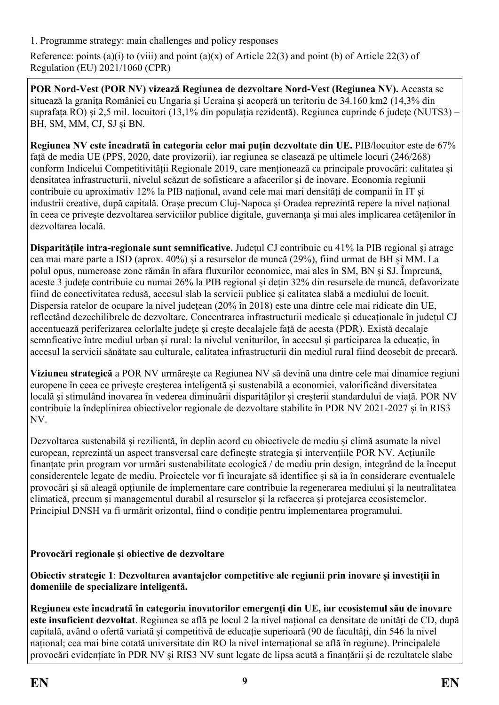<span id="page-8-0"></span>1. Programme strategy: main challenges and policy responses

Reference: points (a)(i) to (viii) and point (a)(x) of Article 22(3) and point (b) of Article 22(3) of Regulation (EU) 2021/1060 (CPR)

**POR Nord-Vest (POR NV) vizează Regiunea de dezvoltare Nord-Vest (Regiunea NV).** Aceasta se situează la granița României cu Ungaria și Ucraina și acoperă un teritoriu de 34.160 km2 (14,3% din suprafața RO) și 2,5 mil. locuitori (13,1% din populația rezidentă). Regiunea cuprinde 6 județe (NUTS3) – BH, SM, MM, CJ, SJ și BN.

**Regiunea NV este încadrată în categoria celor mai puțin dezvoltate din UE.** PIB/locuitor este de 67% față de media UE (PPS, 2020, date provizorii), iar regiunea se clasează pe ultimele locuri (246/268) conform Indicelui Competitivității Regionale 2019, care menționează ca principale provocări: calitatea și densitatea infrastructurii, nivelul scăzut de sofisticare a afacerilor și de inovare. Economia regiunii contribuie cu aproximativ 12% la PIB național, avand cele mai mari densități de companii în IT și industrii creative, după capitală. Orașe precum Cluj-Napoca și Oradea reprezintă repere la nivel național în ceea ce privește dezvoltarea serviciilor publice digitale, guvernanța și mai ales implicarea cetățenilor în dezvoltarea locală.

**Disparitățile intra-regionale sunt semnificative.** Județul CJ contribuie cu 41% la PIB regional și atrage cea mai mare parte a ISD (aprox. 40%) și a resurselor de muncă (29%), fiind urmat de BH și MM. La polul opus, numeroase zone rămân în afara fluxurilor economice, mai ales în SM, BN și SJ. Împreună, aceste 3 județe contribuie cu numai 26% la PIB regional și dețin 32% din resursele de muncă, defavorizate fiind de conectivitatea redusă, accesul slab la servicii publice și calitatea slabă a mediului de locuit. Dispersia ratelor de ocupare la nivel județean (20% în 2018) este una dintre cele mai ridicate din UE, reflectând dezechilibrele de dezvoltare. Concentrarea infrastructurii medicale și educaționale în județul CJ accentuează periferizarea celorlalte județe și crește decalajele față de acesta (PDR). Există decalaje semnficative între mediul urban și rural: la nivelul veniturilor, în accesul și participarea la educație, în accesul la servicii sănătate sau culturale, calitatea infrastructurii din mediul rural fiind deosebit de precară.

**Viziunea strategică** a POR NV urmărește ca Regiunea NV să devină una dintre cele mai dinamice regiuni europene în ceea ce privește creșterea inteligentă și sustenabilă a economiei, valorificând diversitatea locală și stimulând inovarea în vederea diminuării disparităților și creșterii standardului de viață. POR NV contribuie la îndeplinirea obiectivelor regionale de dezvoltare stabilite în PDR NV 2021-2027 și în RIS3 NV.

Dezvoltarea sustenabilă și rezilientă, în deplin acord cu obiectivele de mediu și climă asumate la nivel european, reprezintă un aspect transversal care definește strategia și intervențiile POR NV. Acțiunile finanțate prin program vor urmări sustenabilitate ecologică / de mediu prin design, integrând de la început considerentele legate de mediu. Proiectele vor fi încurajate să identifice și să ia în considerare eventualele provocări și să aleagă opțiunile de implementare care contribuie la regenerarea mediului și la neutralitatea climatică, precum și managementul durabil al resurselor și la refacerea și protejarea ecosistemelor. Principiul DNSH va fi urmărit orizontal, fiind o condiție pentru implementarea programului.

### **Provocări regionale și obiective de dezvoltare**

**Obiectiv strategic 1**: **Dezvoltarea avantajelor competitive ale regiunii prin inovare și investiții în domeniile de specializare inteligentă.**

**Regiunea este încadrată în categoria inovatorilor emergenți din UE, iar ecosistemul său de inovare este insuficient dezvoltat**. Regiunea se află pe locul 2 la nivel național ca densitate de unități de CD, după capitală, având o ofertă variată și competitivă de educație superioară (90 de facultăți, din 546 la nivel național; cea mai bine cotată universitate din RO la nivel internațional se află în regiune). Principalele provocări evidențiate în PDR NV și RIS3 NV sunt legate de lipsa acută a finanțării și de rezultatele slabe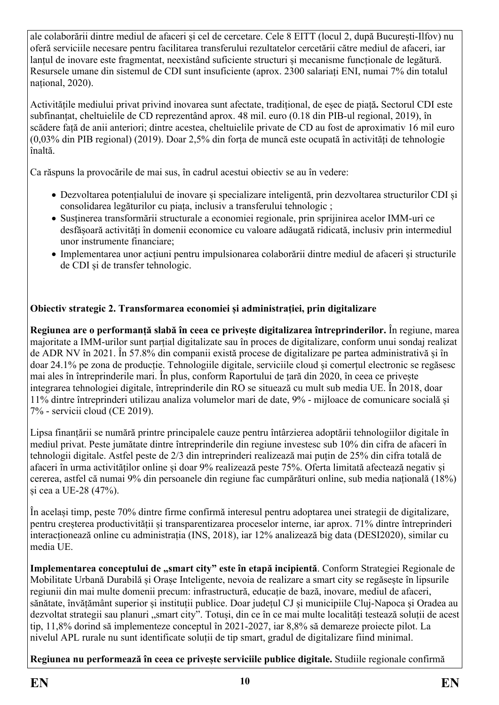ale colaborării dintre mediul de afaceri și cel de cercetare. Cele 8 EITT (locul 2, după București-Ilfov) nu oferă serviciile necesare pentru facilitarea transferului rezultatelor cercetării către mediul de afaceri, iar lanțul de inovare este fragmentat, neexistând suficiente structuri și mecanisme funcționale de legătură. Resursele umane din sistemul de CDI sunt insuficiente (aprox. 2300 salariați ENI, numai 7% din totalul national, 2020).

Activitățile mediului privat privind inovarea sunt afectate, tradițional, de eșec de piață**.** Sectorul CDI este subfinanțat, cheltuielile de CD reprezentând aprox. 48 mil. euro (0.18 din PIB-ul regional, 2019), în scădere față de anii anteriori; dintre acestea, cheltuielile private de CD au fost de aproximativ 16 mil euro (0,03% din PIB regional) (2019). Doar 2,5% din forța de muncă este ocupată în activități de tehnologie înaltă.

Ca răspuns la provocările de mai sus, în cadrul acestui obiectiv se au în vedere:

- Dezvoltarea potențialului de inovare și specializare inteligentă, prin dezvoltarea structurilor CDI și consolidarea legăturilor cu piața, inclusiv a transferului tehnologic ;
- Susținerea transformării structurale a economiei regionale, prin sprijinirea acelor IMM-uri ce desfășoară activități în domenii economice cu valoare adăugată ridicată, inclusiv prin intermediul unor instrumente financiare;
- Implementarea unor acțiuni pentru impulsionarea colaborării dintre mediul de afaceri și structurile de CDI și de transfer tehnologic.

# **Obiectiv strategic 2. Transformarea economiei și administrației, prin digitalizare**

**Regiunea are o performanță slabă în ceea ce privește digitalizarea întreprinderilor.** În regiune, marea majoritate a IMM-urilor sunt parțial digitalizate sau în proces de digitalizare, conform unui sondaj realizat de ADR NV în 2021. În 57.8% din companii există procese de digitalizare pe partea administrativă și în doar 24.1% pe zona de producție. Tehnologiile digitale, serviciile cloud și comerțul electronic se regăsesc mai ales în întreprinderile mari. În plus, conform Raportului de țară din 2020, în ceea ce privește integrarea tehnologiei digitale, întreprinderile din RO se situează cu mult sub media UE. În 2018, doar 11% dintre întreprinderi utilizau analiza volumelor mari de date, 9% - mijloace de comunicare socială și 7% - servicii cloud (CE 2019).

Lipsa finanțării se numără printre principalele cauze pentru întârzierea adoptării tehnologiilor digitale în mediul privat. Peste jumătate dintre întreprinderile din regiune investesc sub 10% din cifra de afaceri în tehnologii digitale. Astfel peste de 2/3 din intreprinderi realizează mai puțin de 25% din cifra totală de afaceri în urma activităților online și doar 9% realizează peste 75%. Oferta limitată afectează negativ și cererea, astfel că numai 9% din persoanele din regiune fac cumpărături online, sub media națională (18%) și cea a UE-28 (47%).

În același timp, peste 70% dintre firme confirmă interesul pentru adoptarea unei strategii de digitalizare, pentru creșterea productivității și transparentizarea proceselor interne, iar aprox. 71% dintre întreprinderi interacționează online cu administrația (INS, 2018), iar 12% analizează big data (DESI2020), similar cu media UE.

**Implementarea conceptului de "smart city" este în etapă incipientă**. Conform Strategiei Regionale de Mobilitate Urbană Durabilă și Orașe Inteligente, nevoia de realizare a smart city se regăsește în lipsurile regiunii din mai multe domenii precum: infrastructură, educație de bază, inovare, mediul de afaceri, sănătate, învățământ superior și instituții publice. Doar județul CJ și municipiile Cluj-Napoca și Oradea au dezvoltat strategii sau planuri "smart city". Totuși, din ce în ce mai multe localități testează soluții de acest tip, 11,8% dorind să implementeze conceptul în 2021-2027, iar 8,8% să demareze proiecte pilot. La nivelul APL rurale nu sunt identificate soluții de tip smart, gradul de digitalizare fiind minimal.

**Regiunea nu performează în ceea ce privește serviciile publice digitale.** Studiile regionale confirmă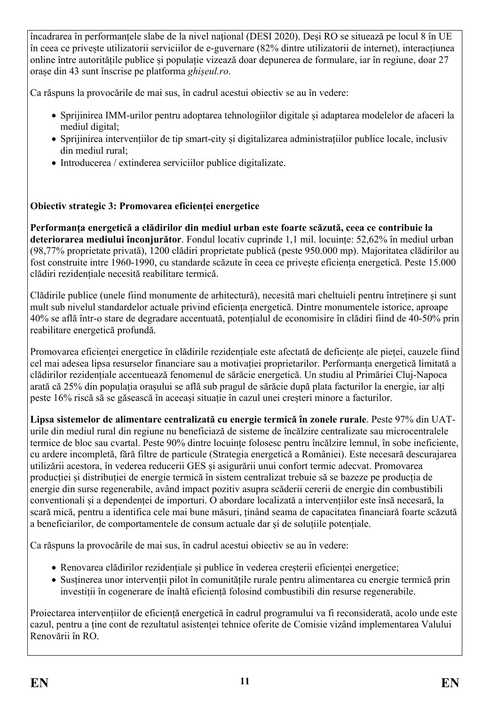încadrarea în performanțele slabe de la nivel național (DESI 2020). Deși RO se situează pe locul 8 în UE în ceea ce privește utilizatorii serviciilor de e-guvernare (82% dintre utilizatorii de internet), interacțiunea online între autoritățile publice și populație vizează doar depunerea de formulare, iar în regiune, doar 27 orașe din 43 sunt înscrise pe platforma *ghișeul.ro*.

Ca răspuns la provocările de mai sus, în cadrul acestui obiectiv se au în vedere:

- Sprijinirea IMM-urilor pentru adoptarea tehnologiilor digitale și adaptarea modelelor de afaceri la mediul digital;
- Sprijinirea intervențiilor de tip smart-city și digitalizarea administrațiilor publice locale, inclusiv din mediul rural;
- Introducerea / extinderea serviciilor publice digitalizate.

# **Obiectiv strategic 3: Promovarea eficienței energetice**

**Performanța energetică a clădirilor din mediul urban este foarte scăzută, ceea ce contribuie la deteriorarea mediului înconjurător**. Fondul locativ cuprinde 1,1 mil. locuințe: 52,62% în mediul urban (98,77% proprietate privată), 1200 clădiri proprietate publică (peste 950.000 mp). Majoritatea clădirilor au fost construite intre 1960-1990, cu standarde scăzute în ceea ce privește eficiența energetică. Peste 15.000 clădiri rezidențiale necesită reabilitare termică.

Clădirile publice (unele fiind monumente de arhitectură), necesită mari cheltuieli pentru întreținere și sunt mult sub nivelul standardelor actuale privind eficiența energetică. Dintre monumentele istorice, aproape 40% se află într-o stare de degradare accentuată, potențialul de economisire în clădiri fiind de 40-50% prin reabilitare energetică profundă.

Promovarea eficienței energetice în clădirile rezidențiale este afectată de deficiențe ale pieței, cauzele fiind cel mai adesea lipsa resurselor financiare sau a motivației proprietarilor. Performanța energetică limitată a clădirilor rezidențiale accentuează fenomenul de sărăcie energetică. Un studiu al Primăriei Cluj-Napoca arată că 25% din populația orașului se află sub pragul de sărăcie după plata facturilor la energie, iar alți peste 16% riscă să se găsească în aceeași situație în cazul unei creșteri minore a facturilor.

**Lipsa sistemelor de alimentare centralizată cu energie termică în zonele rurale**. Peste 97% din UATurile din mediul rural din regiune nu beneficiază de sisteme de încălzire centralizate sau microcentralele termice de bloc sau cvartal. Peste 90% dintre locuințe folosesc pentru încălzire lemnul, în sobe ineficiente, cu ardere incompletă, fără filtre de particule (Strategia energetică a României). Este necesară descurajarea utilizării acestora, în vederea reducerii GES și asigurării unui confort termic adecvat. Promovarea producției și distribuției de energie termică în sistem centralizat trebuie să se bazeze pe producția de energie din surse regenerabile, având impact pozitiv asupra scăderii cererii de energie din combustibili conventionali și a dependenței de importuri. O abordare localizată a intervențiilor este însă necesară, la scară mică, pentru a identifica cele mai bune măsuri, ținând seama de capacitatea financiară foarte scăzută a beneficiarilor, de comportamentele de consum actuale dar și de soluțiile potențiale.

Ca răspuns la provocările de mai sus, în cadrul acestui obiectiv se au în vedere:

- Renovarea clădirilor rezidențiale și publice în vederea creșterii eficienței energetice;
- Susținerea unor intervenții pilot în comunitățile rurale pentru alimentarea cu energie termică prin investiții în cogenerare de înaltă eficiență folosind combustibili din resurse regenerabile.

Proiectarea intervențiilor de eficiență energetică în cadrul programului va fi reconsiderată, acolo unde este cazul, pentru a ține cont de rezultatul asistenței tehnice oferite de Comisie vizând implementarea Valului Renovării în RO.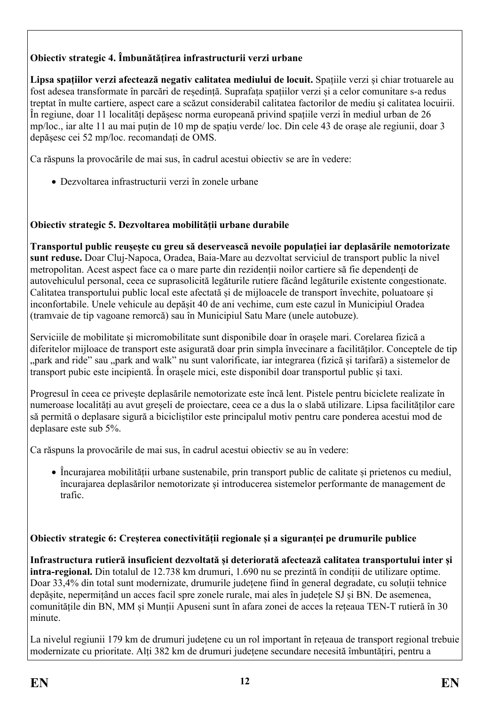# **Obiectiv strategic 4. Îmbunătățirea infrastructurii verzi urbane**

**Lipsa spațiilor verzi afectează negativ calitatea mediului de locuit.** Spațiile verzi și chiar trotuarele au fost adesea transformate în parcări de reședință. Suprafața spațiilor verzi și a celor comunitare s-a redus treptat în multe cartiere, aspect care a scăzut considerabil calitatea factorilor de mediu și calitatea locuirii. În regiune, doar 11 localități depășesc norma europeană privind spațiile verzi în mediul urban de 26 mp/loc., iar alte 11 au mai puțin de 10 mp de spațiu verde/ loc. Din cele 43 de orașe ale regiunii, doar 3 depășesc cei 52 mp/loc. recomandați de OMS.

Ca răspuns la provocările de mai sus, în cadrul acestui obiectiv se are în vedere:

Dezvoltarea infrastructurii verzi în zonele urbane

## **Obiectiv strategic 5. Dezvoltarea mobilității urbane durabile**

**Transportul public reușește cu greu să deservească nevoile populației iar deplasările nemotorizate sunt reduse.** Doar Cluj-Napoca, Oradea, Baia-Mare au dezvoltat serviciul de transport public la nivel metropolitan. Acest aspect face ca o mare parte din rezidenții noilor cartiere să fie dependenți de autovehiculul personal, ceea ce suprasolicită legăturile rutiere făcând legăturile existente congestionate. Calitatea transportului public local este afectată și de mijloacele de transport învechite, poluatoare și inconfortabile. Unele vehicule au depășit 40 de ani vechime, cum este cazul în Municipiul Oradea (tramvaie de tip vagoane remorcă) sau în Municipiul Satu Mare (unele autobuze).

Serviciile de mobilitate și micromobilitate sunt disponibile doar în orașele mari. Corelarea fizică a diferitelor mijloace de transport este asigurată doar prin simpla învecinare a facilităților. Conceptele de tip "park and ride" sau "park and walk" nu sunt valorificate, iar integrarea (fizică și tarifară) a sistemelor de transport pubic este incipientă. În orașele mici, este disponibil doar transportul public și taxi.

Progresul în ceea ce privește deplasările nemotorizate este încă lent. Pistele pentru biciclete realizate în numeroase localități au avut greșeli de proiectare, ceea ce a dus la o slabă utilizare. Lipsa facilităților care să permită o deplasare sigură a bicicliștilor este principalul motiv pentru care ponderea acestui mod de deplasare este sub 5%.

Ca răspuns la provocările de mai sus, în cadrul acestui obiectiv se au în vedere:

 Încurajarea mobilității urbane sustenabile, prin transport public de calitate și prietenos cu mediul, încurajarea deplasărilor nemotorizate și introducerea sistemelor performante de management de trafic.

### **Obiectiv strategic 6: Creșterea conectivității regionale și a siguranței pe drumurile publice**

**Infrastructura rutieră insuficient dezvoltată și deteriorată afectează calitatea transportului inter și intra-regional.** Din totalul de 12.738 km drumuri, 1.690 nu se prezintă în condiții de utilizare optime. Doar 33,4% din total sunt modernizate, drumurile județene fiind în general degradate, cu soluții tehnice depășite, nepermițând un acces facil spre zonele rurale, mai ales în județele SJ și BN. De asemenea, comunitățile din BN, MM și Munții Apuseni sunt în afara zonei de acces la rețeaua TEN-T rutieră în 30 minute.

La nivelul regiunii 179 km de drumuri județene cu un rol important în rețeaua de transport regional trebuie modernizate cu prioritate. Alți 382 km de drumuri județene secundare necesită îmbuntățiri, pentru a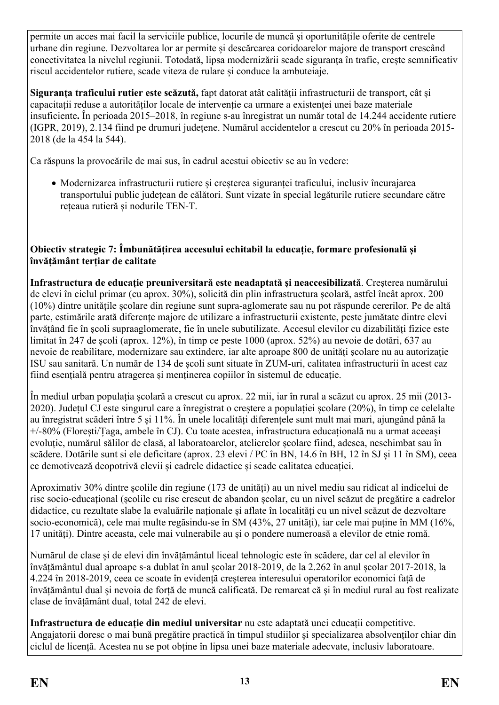permite un acces mai facil la serviciile publice, locurile de muncă și oportunitățile oferite de centrele urbane din regiune. Dezvoltarea lor ar permite și descărcarea coridoarelor majore de transport crescând conectivitatea la nivelul regiunii. Totodată, lipsa modernizării scade siguranța în trafic, crește semnificativ riscul accidentelor rutiere, scade viteza de rulare și conduce la ambuteiaje.

**Siguranța traficului rutier este scăzută,** fapt datorat atât calității infrastructurii de transport, cât și capacitații reduse a autorităților locale de intervenție ca urmare a existenței unei baze materiale insuficiente**.** În perioada 2015–2018, în regiune s-au înregistrat un număr total de 14.244 accidente rutiere (IGPR, 2019), 2.134 fiind pe drumuri județene. Numărul accidentelor a crescut cu 20% în perioada 2015- 2018 (de la 454 la 544).

Ca răspuns la provocările de mai sus, în cadrul acestui obiectiv se au în vedere:

 Modernizarea infrastructurii rutiere și creșterea siguranței traficului, inclusiv încurajarea transportului public județean de călători. Sunt vizate în special legăturile rutiere secundare către rețeaua rutieră și nodurile TEN-T.

#### **Obiectiv strategic 7: Îmbunătățirea accesului echitabil la educație, formare profesională și învățământ terțiar de calitate**

**Infrastructura de educație preuniversitară este neadaptată și neaccesibilizată**. Creșterea numărului de elevi în ciclul primar (cu aprox. 30%), solicită din plin infrastructura școlară, astfel încât aprox. 200 (10%) dintre unitățile școlare din regiune sunt supra-aglomerate sau nu pot răspunde cererilor. Pe de altă parte, estimările arată diferențe majore de utilizare a infrastructurii existente, peste jumătate dintre elevi învățând fie în școli supraaglomerate, fie în unele subutilizate. Accesul elevilor cu dizabilități fizice este limitat în 247 de școli (aprox. 12%), în timp ce peste 1000 (aprox. 52%) au nevoie de dotări, 637 au nevoie de reabilitare, modernizare sau extindere, iar alte aproape 800 de unități școlare nu au autorizație ISU sau sanitară. Un număr de 134 de școli sunt situate în ZUM-uri, calitatea infrastructurii în acest caz fiind esențială pentru atragerea și menținerea copiilor în sistemul de educație.

În mediul urban populația școlară a crescut cu aprox. 22 mii, iar în rural a scăzut cu aprox. 25 mii (2013- 2020). Județul CJ este singurul care a înregistrat o creștere a populației școlare (20%), în timp ce celelalte au înregistrat scăderi între 5 și 11%. În unele localități diferențele sunt mult mai mari, ajungând până la +/-80% (Florești/Țaga, ambele în CJ). Cu toate acestea, infrastructura educațională nu a urmat aceeași evoluție, numărul sălilor de clasă, al laboratoarelor, atelierelor școlare fiind, adesea, neschimbat sau în scădere. Dotările sunt si ele deficitare (aprox. 23 elevi / PC în BN, 14.6 în BH, 12 în SJ și 11 în SM), ceea ce demotivează deopotrivă elevii și cadrele didactice și scade calitatea educației.

Aproximativ 30% dintre școlile din regiune (173 de unități) au un nivel mediu sau ridicat al indicelui de risc socio-educațional (școlile cu risc crescut de abandon școlar, cu un nivel scăzut de pregătire a cadrelor didactice, cu rezultate slabe la evaluările naționale și aflate în localități cu un nivel scăzut de dezvoltare socio-economică), cele mai multe regăsindu-se în SM (43%, 27 unități), iar cele mai puține în MM (16%, 17 unități). Dintre aceasta, cele mai vulnerabile au și o pondere numeroasă a elevilor de etnie romă.

Numărul de clase și de elevi din învățământul liceal tehnologic este în scădere, dar cel al elevilor în învățământul dual aproape s-a dublat în anul școlar 2018-2019, de la 2.262 în anul școlar 2017-2018, la 4.224 în 2018-2019, ceea ce scoate în evidență creșterea interesului operatorilor economici față de învățământul dual și nevoia de forță de muncă calificată. De remarcat că și în mediul rural au fost realizate clase de învățământ dual, total 242 de elevi.

**Infrastructura de educație din mediul universitar** nu este adaptată unei educații competitive. Angajatorii doresc o mai bună pregătire practică în timpul studiilor şi specializarea absolvenților chiar din ciclul de licență. Acestea nu se pot obține în lipsa unei baze materiale adecvate, inclusiv laboratoare.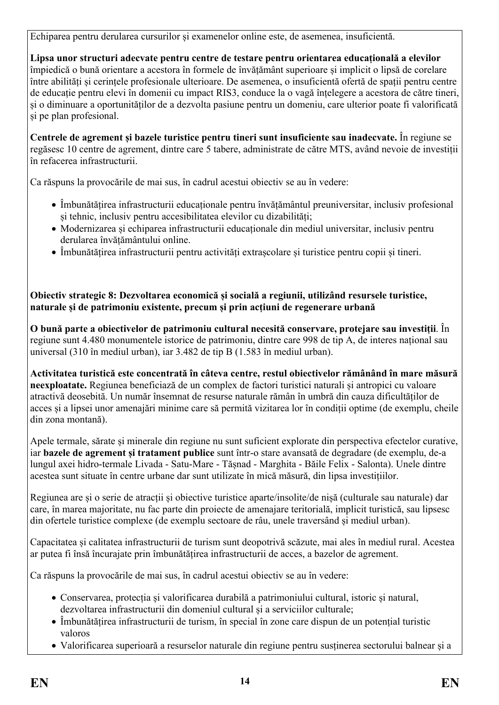Echiparea pentru derularea cursurilor și examenelor online este, de asemenea, insuficientă.

**Lipsa unor structuri adecvate pentru centre de testare pentru orientarea educațională a elevilor** împiedică o bună orientare a acestora în formele de învățământ superioare și implicit o lipsă de corelare între abilități și cerințele profesionale ulterioare. De asemenea, o insuficientă ofertă de spații pentru centre de educație pentru elevi în domenii cu impact RIS3, conduce la o vagă înțelegere a acestora de către tineri, și o diminuare a oportunităților de a dezvolta pasiune pentru un domeniu, care ulterior poate fi valorificată și pe plan profesional.

**Centrele de agrement și bazele turistice pentru tineri sunt insuficiente sau inadecvate.** În regiune se regăsesc 10 centre de agrement, dintre care 5 tabere, administrate de către MTS, având nevoie de investiții în refacerea infrastructurii.

Ca răspuns la provocările de mai sus, în cadrul acestui obiectiv se au în vedere:

- Îmbunătățirea infrastructurii educaționale pentru învățământul preuniversitar, inclusiv profesional și tehnic, inclusiv pentru accesibilitatea elevilor cu dizabilități;
- Modernizarea și echiparea infrastructurii educaționale din mediul universitar, inclusiv pentru derularea învățământului online.
- Îmbunătățirea infrastructurii pentru activități extrașcolare și turistice pentru copii și tineri.

**Obiectiv strategic 8: Dezvoltarea economică și socială a regiunii, utilizând resursele turistice, naturale și de patrimoniu existente, precum și prin acțiuni de regenerare urbană**

**O bună parte a obiectivelor de patrimoniu cultural necesită conservare, protejare sau investiții**. În regiune sunt 4.480 monumentele istorice de patrimoniu, dintre care 998 de tip A, de interes național sau universal (310 în mediul urban), iar 3.482 de tip B (1.583 în mediul urban).

**Activitatea turistică este concentrată în câteva centre, restul obiectivelor rămânând în mare măsură neexploatate.** Regiunea beneficiază de un complex de factori turistici naturali și antropici cu valoare atractivă deosebită. Un număr însemnat de resurse naturale rămân în umbră din cauza dificultăților de acces și a lipsei unor amenajări minime care să permită vizitarea lor în condiții optime (de exemplu, cheile din zona montană).

Apele termale, sărate și minerale din regiune nu sunt suficient explorate din perspectiva efectelor curative, iar **bazele de agrement și tratament publice** sunt într-o stare avansată de degradare (de exemplu, de-a lungul axei hidro-termale Livada - Satu-Mare - Tășnad - Marghita - Băile Felix - Salonta). Unele dintre acestea sunt situate în centre urbane dar sunt utilizate în mică măsură, din lipsa investițiilor.

Regiunea are și o serie de atracții și obiective turistice aparte/insolite/de nișă (culturale sau naturale) dar care, în marea majoritate, nu fac parte din proiecte de amenajare teritorială, implicit turistică, sau lipsesc din ofertele turistice complexe (de exemplu sectoare de râu, unele traversând și mediul urban).

Capacitatea și calitatea infrastructurii de turism sunt deopotrivă scăzute, mai ales în mediul rural. Acestea ar putea fi însă încurajate prin îmbunătățirea infrastructurii de acces, a bazelor de agrement.

Ca răspuns la provocările de mai sus, în cadrul acestui obiectiv se au în vedere:

- Conservarea, protecția și valorificarea durabilă a patrimoniului cultural, istoric și natural, dezvoltarea infrastructurii din domeniul cultural și a serviciilor culturale;
- Îmbunătățirea infrastructurii de turism, în special în zone care dispun de un potențial turistic valoros
- Valorificarea superioară a resurselor naturale din regiune pentru susținerea sectorului balnear și a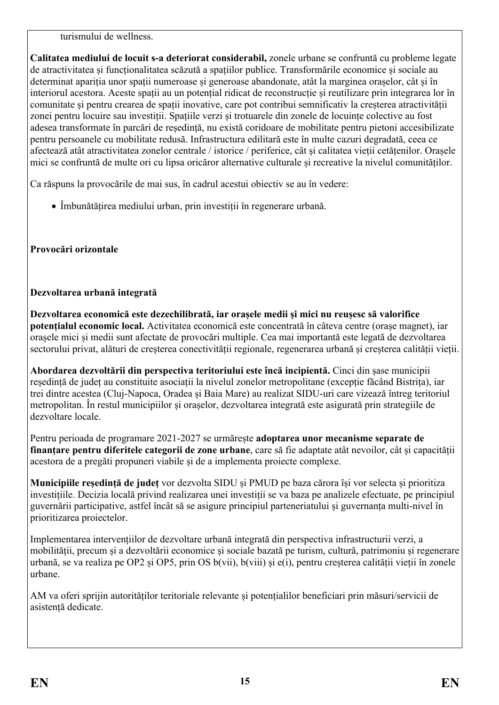turismului de wellness.

**Calitatea mediului de locuit s-a deteriorat considerabil,** zonele urbane se confruntă cu probleme legate de atractivitatea și funcționalitatea scăzută a spațiilor publice. Transformările economice și sociale au determinat apariția unor spații numeroase și generoase abandonate, atât la marginea orașelor, cât și în interiorul acestora. Aceste spații au un potențial ridicat de reconstrucție și reutilizare prin integrarea lor în comunitate și pentru crearea de spații inovative, care pot contribui semnificativ la creșterea atractivității zonei pentru locuire sau investiții. Spațiile verzi și trotuarele din zonele de locuințe colective au fost adesea transformate în parcări de reședință, nu există coridoare de mobilitate pentru pietoni accesibilizate pentru persoanele cu mobilitate redusă. Infrastructura edilitară este în multe cazuri degradată, ceea ce afectează atât atractivitatea zonelor centrale / istorice / periferice, cât și calitatea vieții cetățenilor. Orașele mici se confruntă de multe ori cu lipsa oricăror alternative culturale și recreative la nivelul comunităților.

Ca răspuns la provocările de mai sus, în cadrul acestui obiectiv se au în vedere:

Îmbunătățirea mediului urban, prin investiții în regenerare urbană.

# **Provocări orizontale**

# **Dezvoltarea urbană integrată**

**Dezvoltarea economică este dezechilibrată, iar orașele medii și mici nu reușesc să valorifice potențialul economic local.** Activitatea economică este concentrată în câteva centre (orașe magnet), iar orașele mici și medii sunt afectate de provocări multiple. Cea mai importantă este legată de dezvoltarea sectorului privat, alături de creșterea conectivității regionale, regenerarea urbană și creșterea calității vieții.

**Abordarea dezvoltării din perspectiva teritoriului este încă incipientă.** Cinci din șase municipii reședință de județ au constituite asociații la nivelul zonelor metropolitane (excepție făcând Bistrița), iar trei dintre acestea (Cluj-Napoca, Oradea și Baia Mare) au realizat SIDU-uri care vizează întreg teritoriul metropolitan. În restul municipiilor și orașelor, dezvoltarea integrată este asigurată prin strategiile de dezvoltare locale.

Pentru perioada de programare 2021-2027 se urmărește **adoptarea unor mecanisme separate de finanțare pentru diferitele categorii de zone urbane**, care să fie adaptate atât nevoilor, cât și capacității acestora de a pregăti propuneri viabile și de a implementa proiecte complexe.

**Municipiile reședință de județ** vor dezvolta SIDU și PMUD pe baza cărora își vor selecta și prioritiza investițiile. Decizia locală privind realizarea unei investiții se va baza pe analizele efectuate, pe principiul guvernării participative, astfel încât să se asigure principiul parteneriatului și guvernanța multi-nivel în prioritizarea proiectelor.

Implementarea intervențiilor de dezvoltare urbană integrată din perspectiva infrastructurii verzi, a mobilității, precum și a dezvoltării economice și sociale bazată pe turism, cultură, patrimoniu și regenerare urbană, se va realiza pe OP2 și OP5, prin OS b(vii), b(viii) și e(i), pentru creșterea calității vieții în zonele urbane.

AM va oferi sprijin autorităților teritoriale relevante și potențialilor beneficiari prin măsuri/servicii de asistență dedicate.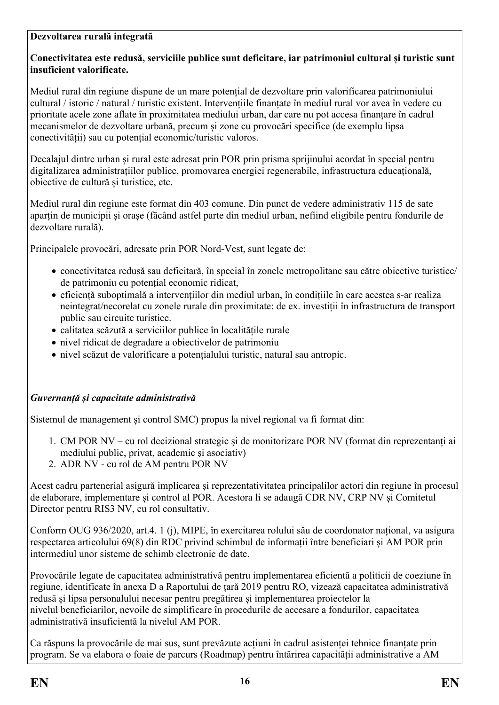### **Dezvoltarea rurală integrată**

### **Conectivitatea este redusă, serviciile publice sunt deficitare, iar patrimoniul cultural și turistic sunt insuficient valorificate.**

Mediul rural din regiune dispune de un mare potențial de dezvoltare prin valorificarea patrimoniului cultural / istoric / natural / turistic existent. Intervențiile finanțate în mediul rural vor avea în vedere cu prioritate acele zone aflate în proximitatea mediului urban, dar care nu pot accesa finanțare în cadrul mecanismelor de dezvoltare urbană, precum și zone cu provocări specifice (de exemplu lipsa conectivității) sau cu potențial economic/turistic valoros.

Decalajul dintre urban și rural este adresat prin POR prin prisma sprijinului acordat în special pentru digitalizarea administrațiilor publice, promovarea energiei regenerabile, infrastructura educațională, obiective de cultură și turistice, etc.

Mediul rural din regiune este format din 403 comune. Din punct de vedere administrativ 115 de sate aparțin de municipii și orașe (făcând astfel parte din mediul urban, nefiind eligibile pentru fondurile de dezvoltare rurală).

Principalele provocări, adresate prin POR Nord-Vest, sunt legate de:

- conectivitatea redusă sau deficitară, în special în zonele metropolitane sau către obiective turistice/ de patrimoniu cu potențial economic ridicat,
- eficiență suboptimală a intervențiilor din mediul urban, în condițiile în care acestea s-ar realiza neintegrat/necorelat cu zonele rurale din proximitate: de ex. investiții în infrastructura de transport public sau circuite turistice.
- calitatea scăzută a serviciilor publice în localitățile rurale
- nivel ridicat de degradare a obiectivelor de patrimoniu
- nivel scăzut de valorificare a potențialului turistic, natural sau antropic.

## *Guvernanță și capacitate administrativă*

Sistemul de management și control SMC) propus la nivel regional va fi format din:

- 1. CM POR NV cu rol decizional strategic și de monitorizare POR NV (format din reprezentanți ai mediului public, privat, academic și asociativ)
- 2. ADR NV cu rol de AM pentru POR NV

Acest cadru partenerial asigură implicarea și reprezentativitatea principalilor actori din regiune în procesul de elaborare, implementare și control al POR. Acestora li se adaugă CDR NV, CRP NV și Comitetul Director pentru RIS3 NV, cu rol consultativ.

Conform OUG 936/2020, art.4. 1 (j), MIPE, în exercitarea rolului său de coordonator național, va asigura respectarea articolului 69(8) din RDC privind schimbul de informații între beneficiari și AM POR prin intermediul unor sisteme de schimb electronic de date.

Provocările legate de capacitatea administrativă pentru implementarea eficientă a politicii de coeziune în regiune, identificate în anexa D a Raportului de tară 2019 pentru RO, vizează capacitatea administrativă redusă și lipsa personalului necesar pentru pregătirea și implementarea proiectelor la nivelul beneficiarilor, nevoile de simplificare în procedurile de accesare a fondurilor, capacitatea administrativă insuficientă la nivelul AM POR.

Ca răspuns la provocările de mai sus, sunt prevăzute acțiuni în cadrul asistenței tehnice finanțate prin program. Se va elabora o foaie de parcurs (Roadmap) pentru întărirea capacității administrative a AM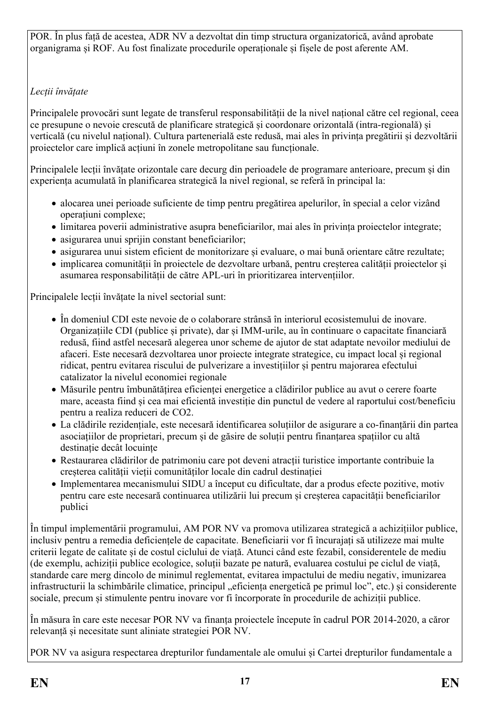POR. În plus față de acestea, ADR NV a dezvoltat din timp structura organizatorică, având aprobate organigrama și ROF. Au fost finalizate procedurile operaționale și fișele de post aferente AM.

# *Lecții învățate*

Principalele provocări sunt legate de transferul responsabilității de la nivel național către cel regional, ceea ce presupune o nevoie crescută de planificare strategică și coordonare orizontală (intra-regională) și verticală (cu nivelul național). Cultura partenerială este redusă, mai ales în privința pregătirii și dezvoltării proiectelor care implică acțiuni în zonele metropolitane sau funcționale.

Principalele lecții învățate orizontale care decurg din perioadele de programare anterioare, precum și din experiența acumulată în planificarea strategică la nivel regional, se referă în principal la:

- alocarea unei perioade suficiente de timp pentru pregătirea apelurilor, în special a celor vizând operațiuni complexe;
- limitarea poverii administrative asupra beneficiarilor, mai ales în privința proiectelor integrate;
- asigurarea unui sprijin constant beneficiarilor:
- asigurarea unui sistem eficient de monitorizare și evaluare, o mai bună orientare către rezultate;
- implicarea comunității în proiectele de dezvoltare urbană, pentru creșterea calității proiectelor și asumarea responsabilității de către APL-uri în prioritizarea intervențiilor.

Principalele lecții învățate la nivel sectorial sunt:

- În domeniul CDI este nevoie de o colaborare strânsă în interiorul ecosistemului de inovare. Organizațiile CDI (publice și private), dar și IMM-urile, au în continuare o capacitate financiară redusă, fiind astfel necesară alegerea unor scheme de ajutor de stat adaptate nevoilor mediului de afaceri. Este necesară dezvoltarea unor proiecte integrate strategice, cu impact local și regional ridicat, pentru evitarea riscului de pulverizare a investițiilor și pentru majorarea efectului catalizator la nivelul economiei regionale
- Măsurile pentru îmbunătățirea eficienței energetice a clădirilor publice au avut o cerere foarte mare, aceasta fiind și cea mai eficientă investiție din punctul de vedere al raportului cost/beneficiu pentru a realiza reduceri de CO2.
- La clădirile rezidențiale, este necesară identificarea soluțiilor de asigurare a co-finanțării din partea asociațiilor de proprietari, precum și de găsire de soluții pentru finanțarea spațiilor cu altă destinație decât locuințe
- Restaurarea clădirilor de patrimoniu care pot deveni atracții turistice importante contribuie la creșterea calității vieții comunităților locale din cadrul destinației
- Implementarea mecanismului SIDU a început cu dificultate, dar a produs efecte pozitive, motiv pentru care este necesară continuarea utilizării lui precum și creșterea capacității beneficiarilor publici

În timpul implementării programului, AM POR NV va promova utilizarea strategică a achizițiilor publice, inclusiv pentru a remedia deficiențele de capacitate. Beneficiarii vor fi încurajați să utilizeze mai multe criterii legate de calitate și de costul ciclului de viață. Atunci când este fezabil, considerentele de mediu (de exemplu, achiziții publice ecologice, soluții bazate pe natură, evaluarea costului pe ciclul de viață, standarde care merg dincolo de minimul reglementat, evitarea impactului de mediu negativ, imunizarea infrastructurii la schimbările climatice, principul "eficiența energetică pe primul loc", etc.) și considerente sociale, precum și stimulente pentru inovare vor fi încorporate în procedurile de achiziții publice.

În măsura în care este necesar POR NV va finanța proiectele începute în cadrul POR 2014-2020, a căror relevanță și necesitate sunt aliniate strategiei POR NV.

POR NV va asigura respectarea drepturilor fundamentale ale omului și Cartei drepturilor fundamentale a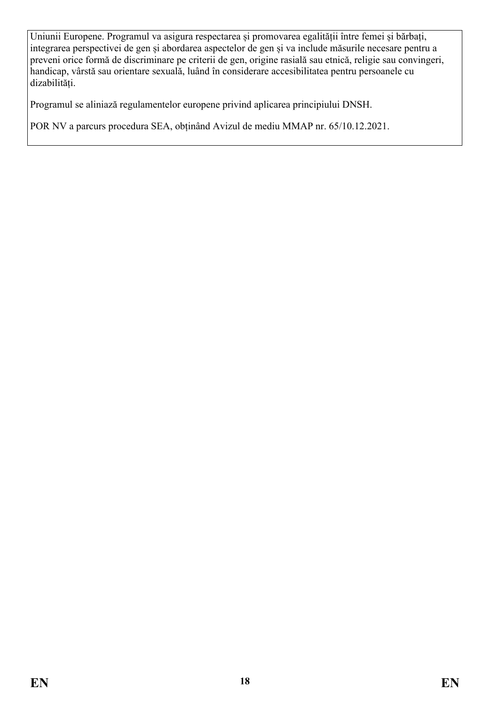Uniunii Europene. Programul va asigura respectarea și promovarea egalității între femei și bărbați, integrarea perspectivei de gen și abordarea aspectelor de gen și va include măsurile necesare pentru a preveni orice formă de discriminare pe criterii de gen, origine rasială sau etnică, religie sau convingeri, handicap, vârstă sau orientare sexuală, luând în considerare accesibilitatea pentru persoanele cu dizabilități.

Programul se aliniază regulamentelor europene privind aplicarea principiului DNSH.

POR NV a parcurs procedura SEA, obținând Avizul de mediu MMAP nr. 65/10.12.2021.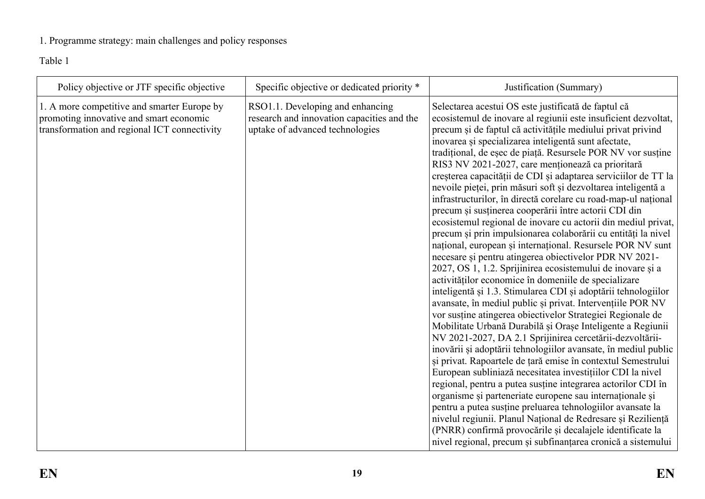# 1. Programme strategy: main challenges and policy responses

Table 1

<span id="page-18-0"></span>

| Policy objective or JTF specific objective                                                                                             | Specific objective or dedicated priority *                                                                        | Justification (Summary)                                                                                                                                                                                                                                                                                                                                                                                                                                                                                                                                                                                                                                                                                                                                                                                                                                                                                                                                                                                                                                                                                                                                                                                                                                                                                                                                                                                                                                                                                                                                                                                                                                                                                                                                                                         |
|----------------------------------------------------------------------------------------------------------------------------------------|-------------------------------------------------------------------------------------------------------------------|-------------------------------------------------------------------------------------------------------------------------------------------------------------------------------------------------------------------------------------------------------------------------------------------------------------------------------------------------------------------------------------------------------------------------------------------------------------------------------------------------------------------------------------------------------------------------------------------------------------------------------------------------------------------------------------------------------------------------------------------------------------------------------------------------------------------------------------------------------------------------------------------------------------------------------------------------------------------------------------------------------------------------------------------------------------------------------------------------------------------------------------------------------------------------------------------------------------------------------------------------------------------------------------------------------------------------------------------------------------------------------------------------------------------------------------------------------------------------------------------------------------------------------------------------------------------------------------------------------------------------------------------------------------------------------------------------------------------------------------------------------------------------------------------------|
| 1. A more competitive and smarter Europe by<br>promoting innovative and smart economic<br>transformation and regional ICT connectivity | RSO1.1. Developing and enhancing<br>research and innovation capacities and the<br>uptake of advanced technologies | Selectarea acestui OS este justificată de faptul că<br>ecosistemul de inovare al regiunii este insuficient dezvoltat,<br>precum și de faptul că activitățile mediului privat privind<br>inovarea și specializarea inteligentă sunt afectate,<br>tradițional, de eșec de piață. Resursele POR NV vor susține<br>RIS3 NV 2021-2027, care menționează ca prioritară<br>creșterea capacității de CDI și adaptarea serviciilor de TT la<br>nevoile pieței, prin măsuri soft și dezvoltarea inteligentă a<br>infrastructurilor, în directă corelare cu road-map-ul național<br>precum și susținerea cooperării între actorii CDI din<br>ecosistemul regional de inovare cu actorii din mediul privat,<br>precum și prin impulsionarea colaborării cu entități la nivel<br>național, european și internațional. Resursele POR NV sunt<br>necesare și pentru atingerea obiectivelor PDR NV 2021-<br>2027, OS 1, 1.2. Sprijinirea ecosistemului de inovare și a<br>activităților economice în domeniile de specializare<br>inteligentă și 1.3. Stimularea CDI și adoptării tehnologiilor<br>avansate, în mediul public și privat. Intervențiile POR NV<br>vor sustine atingerea obiectivelor Strategiei Regionale de<br>Mobilitate Urbană Durabilă și Orașe Inteligente a Regiunii<br>NV 2021-2027, DA 2.1 Sprijinirea cercetării-dezvoltării-<br>inovării și adoptării tehnologiilor avansate, în mediul public<br>și privat. Rapoartele de țară emise în contextul Semestrului<br>European subliniază necesitatea investițiilor CDI la nivel<br>regional, pentru a putea susține integrarea actorilor CDI în<br>organisme și parteneriate europene sau internaționale și<br>pentru a putea susține preluarea tehnologiilor avansate la<br>nivelul regiunii. Planul Național de Redresare și Reziliență |
|                                                                                                                                        |                                                                                                                   | (PNRR) confirmă provocările și decalajele identificate la<br>nivel regional, precum și subfinanțarea cronică a sistemului                                                                                                                                                                                                                                                                                                                                                                                                                                                                                                                                                                                                                                                                                                                                                                                                                                                                                                                                                                                                                                                                                                                                                                                                                                                                                                                                                                                                                                                                                                                                                                                                                                                                       |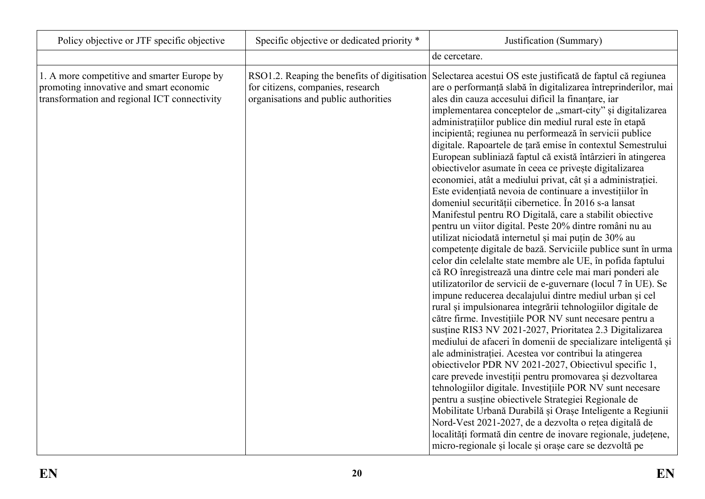| Policy objective or JTF specific objective                                                                                             | Specific objective or dedicated priority *                                | Justification (Summary)                                                                                                                                                                                                                                                                                                                                                                                                                                                                                                                                                                                                                                                                                                                                                                                                                                                                                                                                                                                                                                                                                                                                                                                                                                                                                                                                                                                                                                                                                                                                                                                                                                                                                                                                                                                                                                                                                                                                                                                                                                                                                               |
|----------------------------------------------------------------------------------------------------------------------------------------|---------------------------------------------------------------------------|-----------------------------------------------------------------------------------------------------------------------------------------------------------------------------------------------------------------------------------------------------------------------------------------------------------------------------------------------------------------------------------------------------------------------------------------------------------------------------------------------------------------------------------------------------------------------------------------------------------------------------------------------------------------------------------------------------------------------------------------------------------------------------------------------------------------------------------------------------------------------------------------------------------------------------------------------------------------------------------------------------------------------------------------------------------------------------------------------------------------------------------------------------------------------------------------------------------------------------------------------------------------------------------------------------------------------------------------------------------------------------------------------------------------------------------------------------------------------------------------------------------------------------------------------------------------------------------------------------------------------------------------------------------------------------------------------------------------------------------------------------------------------------------------------------------------------------------------------------------------------------------------------------------------------------------------------------------------------------------------------------------------------------------------------------------------------------------------------------------------------|
|                                                                                                                                        |                                                                           | de cercetare.                                                                                                                                                                                                                                                                                                                                                                                                                                                                                                                                                                                                                                                                                                                                                                                                                                                                                                                                                                                                                                                                                                                                                                                                                                                                                                                                                                                                                                                                                                                                                                                                                                                                                                                                                                                                                                                                                                                                                                                                                                                                                                         |
| 1. A more competitive and smarter Europe by<br>promoting innovative and smart economic<br>transformation and regional ICT connectivity | for citizens, companies, research<br>organisations and public authorities | RSO1.2. Reaping the benefits of digitisation Selectarea acestui OS este justificată de faptul că regiunea<br>are o performanță slabă în digitalizarea întreprinderilor, mai<br>ales din cauza accesului dificil la finanțare, iar<br>implementarea conceptelor de "smart-city" și digitalizarea<br>administrațiilor publice din mediul rural este în etapă<br>incipientă; regiunea nu performează în servicii publice<br>digitale. Rapoartele de țară emise în contextul Semestrului<br>European subliniază faptul că există întârzieri în atingerea<br>obiectivelor asumate în ceea ce privește digitalizarea<br>economiei, atât a mediului privat, cât și a administrației.<br>Este evidențiată nevoia de continuare a investițiilor în<br>domeniul securității cibernetice. În 2016 s-a lansat<br>Manifestul pentru RO Digitală, care a stabilit obiective<br>pentru un viitor digital. Peste 20% dintre români nu au<br>utilizat niciodată internetul și mai puțin de 30% au<br>competențe digitale de bază. Serviciile publice sunt în urma<br>celor din celelalte state membre ale UE, în pofida faptului<br>că RO înregistrează una dintre cele mai mari ponderi ale<br>utilizatorilor de servicii de e-guvernare (locul 7 în UE). Se<br>impune reducerea decalajului dintre mediul urban și cel<br>rural și impulsionarea integrării tehnologiilor digitale de<br>către firme. Investițiile POR NV sunt necesare pentru a<br>susține RIS3 NV 2021-2027, Prioritatea 2.3 Digitalizarea<br>mediului de afaceri în domenii de specializare inteligentă și<br>ale administrației. Acestea vor contribui la atingerea<br>obiectivelor PDR NV 2021-2027, Obiectivul specific 1,<br>care prevede investiții pentru promovarea și dezvoltarea<br>tehnologiilor digitale. Investițiile POR NV sunt necesare<br>pentru a susține obiectivele Strategiei Regionale de<br>Mobilitate Urbană Durabilă și Orașe Inteligente a Regiunii<br>Nord-Vest 2021-2027, de a dezvolta o rețea digitală de<br>localități formată din centre de inovare regionale, județene,<br>micro-regionale și locale și orașe care se dezvoltă pe |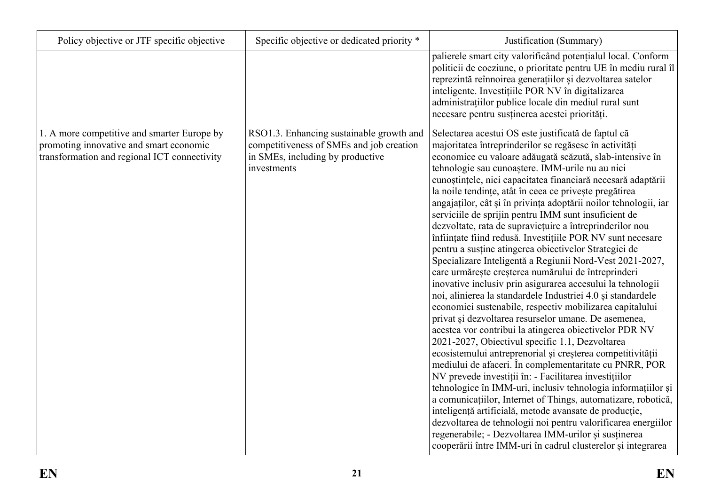| Policy objective or JTF specific objective                                                                                             | Specific objective or dedicated priority *                                                                                              | Justification (Summary)                                                                                                                                                                                                                                                                                                                                                                                                                                                                                                                                                                                                                                                                                                                                                                                                                                                                                                                                                                                                                                                                                                                                                                                                                                                                                                                                                                                                                                                                                                                                                                                                                                                                                                     |
|----------------------------------------------------------------------------------------------------------------------------------------|-----------------------------------------------------------------------------------------------------------------------------------------|-----------------------------------------------------------------------------------------------------------------------------------------------------------------------------------------------------------------------------------------------------------------------------------------------------------------------------------------------------------------------------------------------------------------------------------------------------------------------------------------------------------------------------------------------------------------------------------------------------------------------------------------------------------------------------------------------------------------------------------------------------------------------------------------------------------------------------------------------------------------------------------------------------------------------------------------------------------------------------------------------------------------------------------------------------------------------------------------------------------------------------------------------------------------------------------------------------------------------------------------------------------------------------------------------------------------------------------------------------------------------------------------------------------------------------------------------------------------------------------------------------------------------------------------------------------------------------------------------------------------------------------------------------------------------------------------------------------------------------|
|                                                                                                                                        |                                                                                                                                         | palierele smart city valorificând potențialul local. Conform<br>politicii de coeziune, o prioritate pentru UE în mediu rural îl<br>reprezintă reînnoirea generațiilor și dezvoltarea satelor<br>inteligente. Investițiile POR NV în digitalizarea<br>administratiilor publice locale din mediul rural sunt<br>necesare pentru susținerea acestei priorități.                                                                                                                                                                                                                                                                                                                                                                                                                                                                                                                                                                                                                                                                                                                                                                                                                                                                                                                                                                                                                                                                                                                                                                                                                                                                                                                                                                |
| 1. A more competitive and smarter Europe by<br>promoting innovative and smart economic<br>transformation and regional ICT connectivity | RSO1.3. Enhancing sustainable growth and<br>competitiveness of SMEs and job creation<br>in SMEs, including by productive<br>investments | Selectarea acestui OS este justificată de faptul că<br>majoritatea întreprinderilor se regăsesc în activități<br>economice cu valoare adăugată scăzută, slab-intensive în<br>tehnologie sau cunoaștere. IMM-urile nu au nici<br>cunoștințele, nici capacitatea financiară necesară adaptării<br>la noile tendințe, atât în ceea ce privește pregătirea<br>angajaților, cât și în privința adoptării noilor tehnologii, iar<br>serviciile de sprijin pentru IMM sunt insuficient de<br>dezvoltate, rata de supraviețuire a întreprinderilor nou<br>înființate fiind redusă. Investițiile POR NV sunt necesare<br>pentru a susține atingerea obiectivelor Strategiei de<br>Specializare Inteligentă a Regiunii Nord-Vest 2021-2027,<br>care urmărește creșterea numărului de întreprinderi<br>inovative inclusiv prin asigurarea accesului la tehnologii<br>noi, alinierea la standardele Industriei 4.0 și standardele<br>economiei sustenabile, respectiv mobilizarea capitalului<br>privat și dezvoltarea resurselor umane. De asemenea,<br>acestea vor contribui la atingerea obiectivelor PDR NV<br>2021-2027, Obiectivul specific 1.1, Dezvoltarea<br>ecosistemului antreprenorial și creșterea competitivității<br>mediului de afaceri. În complementaritate cu PNRR, POR<br>NV prevede investiții în: - Facilitarea investițiilor<br>tehnologice în IMM-uri, inclusiv tehnologia informațiilor și<br>a comunicațiilor, Internet of Things, automatizare, robotică,<br>inteligență artificială, metode avansate de producție,<br>dezvoltarea de tehnologii noi pentru valorificarea energiilor<br>regenerabile; - Dezvoltarea IMM-urilor și susținerea<br>cooperării între IMM-uri în cadrul clusterelor și integrarea |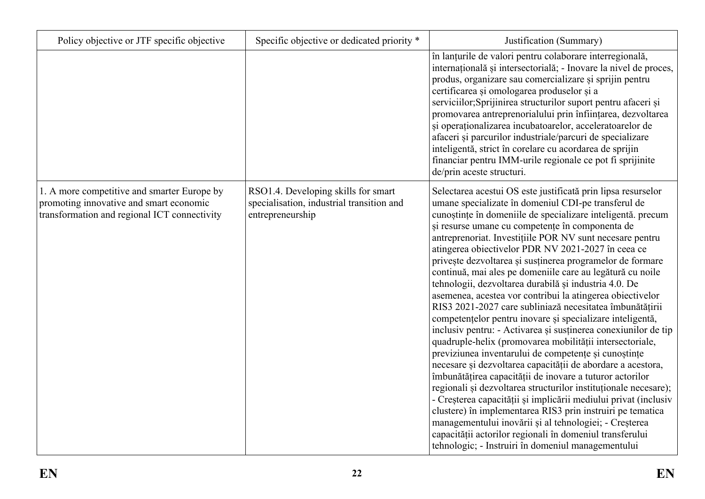| Policy objective or JTF specific objective                                                                                             | Specific objective or dedicated priority *                                                           | Justification (Summary)                                                                                                                                                                                                                                                                                                                                                                                                                                                                                                                                                                                                                                                                                                                                                                                                                                                                                                                                                                                                                                                                                                                                                                                                                                                                                                                                                                                                           |
|----------------------------------------------------------------------------------------------------------------------------------------|------------------------------------------------------------------------------------------------------|-----------------------------------------------------------------------------------------------------------------------------------------------------------------------------------------------------------------------------------------------------------------------------------------------------------------------------------------------------------------------------------------------------------------------------------------------------------------------------------------------------------------------------------------------------------------------------------------------------------------------------------------------------------------------------------------------------------------------------------------------------------------------------------------------------------------------------------------------------------------------------------------------------------------------------------------------------------------------------------------------------------------------------------------------------------------------------------------------------------------------------------------------------------------------------------------------------------------------------------------------------------------------------------------------------------------------------------------------------------------------------------------------------------------------------------|
|                                                                                                                                        |                                                                                                      | în lanțurile de valori pentru colaborare interregională,<br>internațională și intersectorială; - Inovare la nivel de proces,<br>produs, organizare sau comercializare și sprijin pentru<br>certificarea și omologarea produselor și a<br>serviciilor;Sprijinirea structurilor suport pentru afaceri și<br>promovarea antreprenorialului prin înființarea, dezvoltarea<br>și operaționalizarea incubatoarelor, acceleratoarelor de<br>afaceri și parcurilor industriale/parcuri de specializare<br>inteligentă, strict în corelare cu acordarea de sprijin<br>financiar pentru IMM-urile regionale ce pot fi sprijinite<br>de/prin aceste structuri.                                                                                                                                                                                                                                                                                                                                                                                                                                                                                                                                                                                                                                                                                                                                                                               |
| 1. A more competitive and smarter Europe by<br>promoting innovative and smart economic<br>transformation and regional ICT connectivity | RSO1.4. Developing skills for smart<br>specialisation, industrial transition and<br>entrepreneurship | Selectarea acestui OS este justificată prin lipsa resurselor<br>umane specializate în domeniul CDI-pe transferul de<br>cunoștințe în domeniile de specializare inteligentă. precum<br>și resurse umane cu competențe în componenta de<br>antreprenoriat. Investițiile POR NV sunt necesare pentru<br>atingerea objectivelor PDR NV 2021-2027 în ceea ce<br>privește dezvoltarea și susținerea programelor de formare<br>continuă, mai ales pe domeniile care au legătură cu noile<br>tehnologii, dezvoltarea durabilă și industria 4.0. De<br>asemenea, acestea vor contribui la atingerea obiectivelor<br>RIS3 2021-2027 care subliniază necesitatea îmbunătățirii<br>competențelor pentru inovare și specializare inteligentă,<br>inclusiv pentru: - Activarea și susținerea conexiunilor de tip<br>quadruple-helix (promovarea mobilității intersectoriale,<br>previziunea inventarului de competențe și cunoștințe<br>necesare și dezvoltarea capacității de abordare a acestora,<br>îmbunătățirea capacității de inovare a tuturor actorilor<br>regionali și dezvoltarea structurilor instituționale necesare);<br>- Creșterea capacității și implicării mediului privat (inclusiv<br>clustere) în implementarea RIS3 prin instruiri pe tematica<br>managementului inovării și al tehnologiei; - Creșterea<br>capacității actorilor regionali în domeniul transferului<br>tehnologic; - Instruiri în domeniul managementului |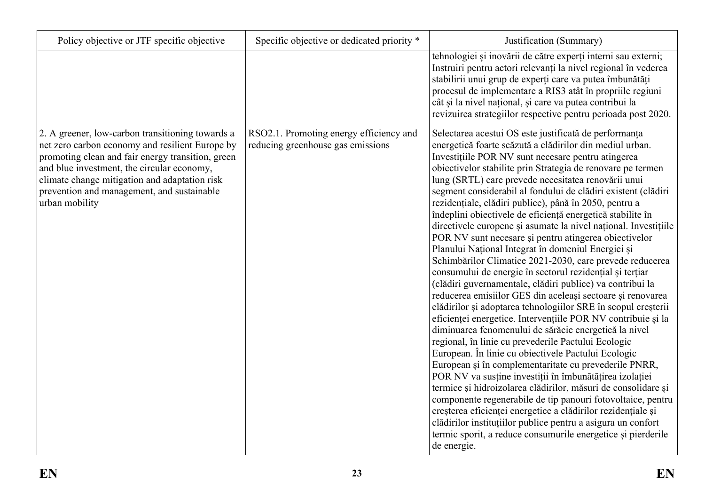| Policy objective or JTF specific objective                                                                                                                                                                                                                                                                              | Specific objective or dedicated priority *                                   | Justification (Summary)                                                                                                                                                                                                                                                                                                                                                                                                                                                                                                                                                                                                                                                                                                                                                                                                                                                                                                                                                                                                                                                                                                                                                                                                                                                                                                                                                                                                                                                                                                                                                                                                                                                                                |
|-------------------------------------------------------------------------------------------------------------------------------------------------------------------------------------------------------------------------------------------------------------------------------------------------------------------------|------------------------------------------------------------------------------|--------------------------------------------------------------------------------------------------------------------------------------------------------------------------------------------------------------------------------------------------------------------------------------------------------------------------------------------------------------------------------------------------------------------------------------------------------------------------------------------------------------------------------------------------------------------------------------------------------------------------------------------------------------------------------------------------------------------------------------------------------------------------------------------------------------------------------------------------------------------------------------------------------------------------------------------------------------------------------------------------------------------------------------------------------------------------------------------------------------------------------------------------------------------------------------------------------------------------------------------------------------------------------------------------------------------------------------------------------------------------------------------------------------------------------------------------------------------------------------------------------------------------------------------------------------------------------------------------------------------------------------------------------------------------------------------------------|
|                                                                                                                                                                                                                                                                                                                         |                                                                              | tehnologiei și inovării de către experți interni sau externi;<br>Instruiri pentru actori relevanți la nivel regional în vederea<br>stabilirii unui grup de experți care va putea îmbunătăți<br>procesul de implementare a RIS3 atât în propriile regiuni<br>cât și la nivel național, și care va putea contribui la<br>revizuirea strategiilor respective pentru perioada post 2020.                                                                                                                                                                                                                                                                                                                                                                                                                                                                                                                                                                                                                                                                                                                                                                                                                                                                                                                                                                                                                                                                                                                                                                                                                                                                                                                   |
| 2. A greener, low-carbon transitioning towards a<br>net zero carbon economy and resilient Europe by<br>promoting clean and fair energy transition, green<br>and blue investment, the circular economy,<br>climate change mitigation and adaptation risk<br>prevention and management, and sustainable<br>urban mobility | RSO2.1. Promoting energy efficiency and<br>reducing greenhouse gas emissions | Selectarea acestui OS este justificată de performanța<br>energetică foarte scăzută a clădirilor din mediul urban.<br>Investițiile POR NV sunt necesare pentru atingerea<br>obiectivelor stabilite prin Strategia de renovare pe termen<br>lung (SRTL) care prevede necesitatea renovării unui<br>segment considerabil al fondului de clădiri existent (clădiri<br>rezidențiale, clădiri publice), până în 2050, pentru a<br>îndeplini obiectivele de eficiență energetică stabilite în<br>directivele europene și asumate la nivel național. Investițiile<br>POR NV sunt necesare și pentru atingerea obiectivelor<br>Planului Național Integrat în domeniul Energiei și<br>Schimbărilor Climatice 2021-2030, care prevede reducerea<br>consumului de energie în sectorul rezidențial și terțiar<br>(clădiri guvernamentale, clădiri publice) va contribui la<br>reducerea emisiilor GES din aceleași sectoare și renovarea<br>clădirilor și adoptarea tehnologiilor SRE în scopul creșterii<br>eficienței energetice. Intervențiile POR NV contribuie și la<br>diminuarea fenomenului de sărăcie energetică la nivel<br>regional, în linie cu prevederile Pactului Ecologic<br>European. În linie cu obiectivele Pactului Ecologic<br>European și în complementaritate cu prevederile PNRR,<br>POR NV va susține investiții în îmbunătățirea izolației<br>termice și hidroizolarea clădirilor, măsuri de consolidare și<br>componente regenerabile de tip panouri fotovoltaice, pentru<br>creșterea eficienței energetice a clădirilor rezidențiale și<br>clădirilor instituțiilor publice pentru a asigura un confort<br>termic sporit, a reduce consumurile energetice și pierderile<br>de energie. |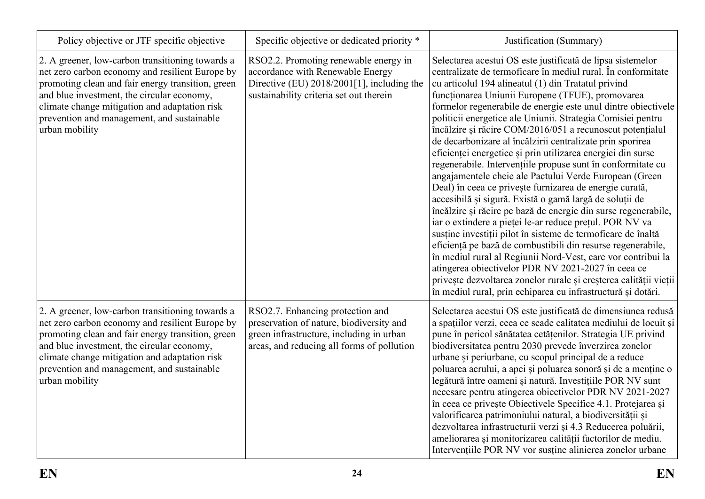| Policy objective or JTF specific objective                                                                                                                                                                                                                                                                              | Specific objective or dedicated priority *                                                                                                                             | Justification (Summary)                                                                                                                                                                                                                                                                                                                                                                                                                                                                                                                                                                                                                                                                                                                                                                                                                                                                                                                                                                                                                                                                                                                                                                                                                                                                                                              |
|-------------------------------------------------------------------------------------------------------------------------------------------------------------------------------------------------------------------------------------------------------------------------------------------------------------------------|------------------------------------------------------------------------------------------------------------------------------------------------------------------------|--------------------------------------------------------------------------------------------------------------------------------------------------------------------------------------------------------------------------------------------------------------------------------------------------------------------------------------------------------------------------------------------------------------------------------------------------------------------------------------------------------------------------------------------------------------------------------------------------------------------------------------------------------------------------------------------------------------------------------------------------------------------------------------------------------------------------------------------------------------------------------------------------------------------------------------------------------------------------------------------------------------------------------------------------------------------------------------------------------------------------------------------------------------------------------------------------------------------------------------------------------------------------------------------------------------------------------------|
| 2. A greener, low-carbon transitioning towards a<br>net zero carbon economy and resilient Europe by<br>promoting clean and fair energy transition, green<br>and blue investment, the circular economy,<br>climate change mitigation and adaptation risk<br>prevention and management, and sustainable<br>urban mobility | RSO2.2. Promoting renewable energy in<br>accordance with Renewable Energy<br>Directive (EU) $2018/2001[1]$ , including the<br>sustainability criteria set out therein  | Selectarea acestui OS este justificată de lipsa sistemelor<br>centralizate de termoficare în mediul rural. În conformitate<br>cu articolul 194 alineatul (1) din Tratatul privind<br>funcționarea Uniunii Europene (TFUE), promovarea<br>formelor regenerabile de energie este unul dintre obiectivele<br>politicii energetice ale Uniunii. Strategia Comisiei pentru<br>încălzire și răcire COM/2016/051 a recunoscut potențialul<br>de decarbonizare al încălzirii centralizate prin sporirea<br>eficienței energetice și prin utilizarea energiei din surse<br>regenerabile. Intervențiile propuse sunt în conformitate cu<br>angajamentele cheie ale Pactului Verde European (Green<br>Deal) în ceea ce privește furnizarea de energie curată,<br>accesibilă și sigură. Există o gamă largă de soluții de<br>încălzire și răcire pe bază de energie din surse regenerabile,<br>iar o extindere a pieței le-ar reduce prețul. POR NV va<br>susține investiții pilot în sisteme de termoficare de înaltă<br>eficiență pe bază de combustibili din resurse regenerabile,<br>în mediul rural al Regiunii Nord-Vest, care vor contribui la<br>atingerea obiectivelor PDR NV 2021-2027 în ceea ce<br>privește dezvoltarea zonelor rurale și creșterea calității vieții<br>în mediul rural, prin echiparea cu infrastructură și dotări. |
| 2. A greener, low-carbon transitioning towards a<br>net zero carbon economy and resilient Europe by<br>promoting clean and fair energy transition, green<br>and blue investment, the circular economy,<br>climate change mitigation and adaptation risk<br>prevention and management, and sustainable<br>urban mobility | RSO2.7. Enhancing protection and<br>preservation of nature, biodiversity and<br>green infrastructure, including in urban<br>areas, and reducing all forms of pollution | Selectarea acestui OS este justificată de dimensiunea redusă<br>a spațiilor verzi, ceea ce scade calitatea mediului de locuit și<br>pune în pericol sănătatea cetățenilor. Strategia UE privind<br>biodiversitatea pentru 2030 prevede înverzirea zonelor<br>urbane și periurbane, cu scopul principal de a reduce<br>poluarea aerului, a apei și poluarea sonoră și de a menține o<br>legătură între oameni și natură. Investițiile POR NV sunt<br>necesare pentru atingerea obiectivelor PDR NV 2021-2027<br>în ceea ce privește Obiectivele Specifice 4.1. Protejarea și<br>valorificarea patrimoniului natural, a biodiversității și<br>dezvoltarea infrastructurii verzi și 4.3 Reducerea poluării,<br>ameliorarea și monitorizarea calității factorilor de mediu.<br>Intervențiile POR NV vor susține alinierea zonelor urbane                                                                                                                                                                                                                                                                                                                                                                                                                                                                                                 |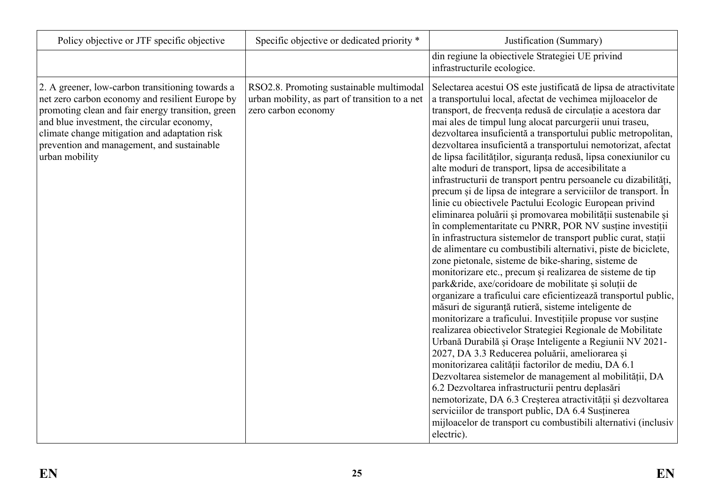| Policy objective or JTF specific objective                                                                                                                                                                                                                                                                              | Specific objective or dedicated priority *                                                                        | Justification (Summary)                                                                                                                                                                                                                                                                                                                                                                                                                                                                                                                                                                                                                                                                                                                                                                                                                                                                                                                                                                                                                                                                                                                                                                                                                                                                                                                                                                                                                                                                                                                                                                                                                                                                                                                                                                                                                                                                                          |
|-------------------------------------------------------------------------------------------------------------------------------------------------------------------------------------------------------------------------------------------------------------------------------------------------------------------------|-------------------------------------------------------------------------------------------------------------------|------------------------------------------------------------------------------------------------------------------------------------------------------------------------------------------------------------------------------------------------------------------------------------------------------------------------------------------------------------------------------------------------------------------------------------------------------------------------------------------------------------------------------------------------------------------------------------------------------------------------------------------------------------------------------------------------------------------------------------------------------------------------------------------------------------------------------------------------------------------------------------------------------------------------------------------------------------------------------------------------------------------------------------------------------------------------------------------------------------------------------------------------------------------------------------------------------------------------------------------------------------------------------------------------------------------------------------------------------------------------------------------------------------------------------------------------------------------------------------------------------------------------------------------------------------------------------------------------------------------------------------------------------------------------------------------------------------------------------------------------------------------------------------------------------------------------------------------------------------------------------------------------------------------|
|                                                                                                                                                                                                                                                                                                                         |                                                                                                                   | din regiune la obiectivele Strategiei UE privind<br>infrastructurile ecologice.                                                                                                                                                                                                                                                                                                                                                                                                                                                                                                                                                                                                                                                                                                                                                                                                                                                                                                                                                                                                                                                                                                                                                                                                                                                                                                                                                                                                                                                                                                                                                                                                                                                                                                                                                                                                                                  |
| 2. A greener, low-carbon transitioning towards a<br>net zero carbon economy and resilient Europe by<br>promoting clean and fair energy transition, green<br>and blue investment, the circular economy,<br>climate change mitigation and adaptation risk<br>prevention and management, and sustainable<br>urban mobility | RSO2.8. Promoting sustainable multimodal<br>urban mobility, as part of transition to a net<br>zero carbon economy | Selectarea acestui OS este justificată de lipsa de atractivitate<br>a transportului local, afectat de vechimea mijloacelor de<br>transport, de frecvența redusă de circulație a acestora dar<br>mai ales de timpul lung alocat parcurgerii unui traseu,<br>dezvoltarea insuficientă a transportului public metropolitan,<br>dezvoltarea insuficientă a transportului nemotorizat, afectat<br>de lipsa facilităților, siguranța redusă, lipsa conexiunilor cu<br>alte moduri de transport, lipsa de accesibilitate a<br>infrastructurii de transport pentru persoanele cu dizabilități,<br>precum și de lipsa de integrare a serviciilor de transport. În<br>linie cu obiectivele Pactului Ecologic European privind<br>eliminarea poluării și promovarea mobilității sustenabile și<br>în complementaritate cu PNRR, POR NV susține investiții<br>în infrastructura sistemelor de transport public curat, stații<br>de alimentare cu combustibili alternativi, piste de biciclete,<br>zone pietonale, sisteme de bike-sharing, sisteme de<br>monitorizare etc., precum și realizarea de sisteme de tip<br>park&ride, axe/coridoare de mobilitate și soluții de<br>organizare a traficului care eficientizează transportul public,<br>măsuri de siguranță rutieră, sisteme inteligente de<br>monitorizare a traficului. Investițiile propuse vor susține<br>realizarea obiectivelor Strategiei Regionale de Mobilitate<br>Urbană Durabilă și Orașe Inteligente a Regiunii NV 2021-<br>2027, DA 3.3 Reducerea poluării, ameliorarea și<br>monitorizarea calității factorilor de mediu, DA 6.1<br>Dezvoltarea sistemelor de management al mobilității, DA<br>6.2 Dezvoltarea infrastructurii pentru deplasări<br>nemotorizate, DA 6.3 Creșterea atractivității și dezvoltarea<br>serviciilor de transport public, DA 6.4 Susținerea<br>mijloacelor de transport cu combustibili alternativi (inclusiv<br>electric). |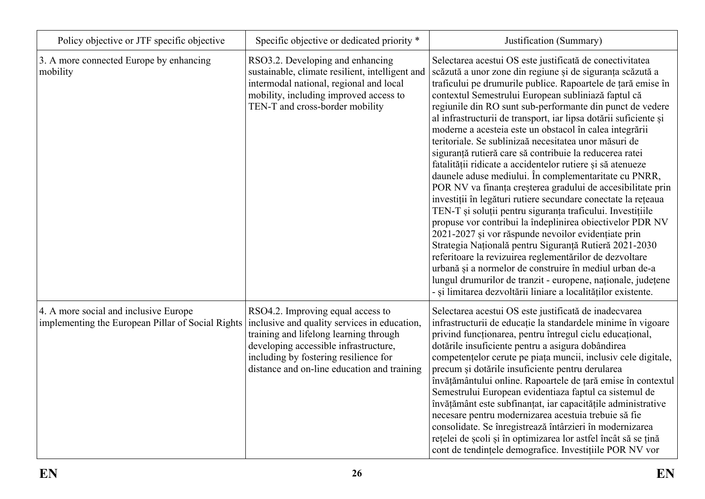| Policy objective or JTF specific objective                                                 | Specific objective or dedicated priority *                                                                                                                                                                                                                   | Justification (Summary)                                                                                                                                                                                                                                                                                                                                                                                                                                                                                                                                                                                                                                                                                                                                                                                                                                                                                                                                                                                                                                                                                                                                                                                                                                                                                                |
|--------------------------------------------------------------------------------------------|--------------------------------------------------------------------------------------------------------------------------------------------------------------------------------------------------------------------------------------------------------------|------------------------------------------------------------------------------------------------------------------------------------------------------------------------------------------------------------------------------------------------------------------------------------------------------------------------------------------------------------------------------------------------------------------------------------------------------------------------------------------------------------------------------------------------------------------------------------------------------------------------------------------------------------------------------------------------------------------------------------------------------------------------------------------------------------------------------------------------------------------------------------------------------------------------------------------------------------------------------------------------------------------------------------------------------------------------------------------------------------------------------------------------------------------------------------------------------------------------------------------------------------------------------------------------------------------------|
| 3. A more connected Europe by enhancing<br>mobility                                        | RSO3.2. Developing and enhancing<br>sustainable, climate resilient, intelligent and<br>intermodal national, regional and local<br>mobility, including improved access to<br>TEN-T and cross-border mobility                                                  | Selectarea acestui OS este justificată de conectivitatea<br>scăzută a unor zone din regiune și de siguranța scăzută a<br>traficului pe drumurile publice. Rapoartele de țară emise în<br>contextul Semestrului European subliniază faptul că<br>regiunile din RO sunt sub-performante din punct de vedere<br>al infrastructurii de transport, iar lipsa dotării suficiente și<br>moderne a acesteia este un obstacol în calea integrării<br>teritoriale. Se sublinizaă necesitatea unor măsuri de<br>siguranță rutieră care să contribuie la reducerea ratei<br>fatalității ridicate a accidentelor rutiere și să atenueze<br>daunele aduse mediului. În complementaritate cu PNRR,<br>POR NV va finanța creșterea gradului de accesibilitate prin<br>investiții în legături rutiere secundare conectate la rețeaua<br>TEN-T și soluții pentru siguranța traficului. Investițiile<br>propuse vor contribui la îndeplinirea obiectivelor PDR NV<br>2021-2027 și vor răspunde nevoilor evidențiate prin<br>Strategia Națională pentru Siguranță Rutieră 2021-2030<br>referitoare la revizuirea reglementărilor de dezvoltare<br>urbană și a normelor de construire în mediul urban de-a<br>lungul drumurilor de tranzit - europene, naționale, județene<br>- și limitarea dezvoltării liniare a localităților existente. |
| 4. A more social and inclusive Europe<br>implementing the European Pillar of Social Rights | RSO4.2. Improving equal access to<br>inclusive and quality services in education.<br>training and lifelong learning through<br>developing accessible infrastructure,<br>including by fostering resilience for<br>distance and on-line education and training | Selectarea acestui OS este justificată de inadecvarea<br>infrastructurii de educație la standardele minime în vigoare<br>privind functionarea, pentru întregul ciclu educațional,<br>dotările insuficiente pentru a asigura dobândirea<br>competențelor cerute pe piața muncii, inclusiv cele digitale,<br>precum și dotările insuficiente pentru derularea<br>învățământului online. Rapoartele de țară emise în contextul<br>Semestrului European evidentiaza faptul ca sistemul de<br>învățământ este subfinanțat, iar capacitățile administrative<br>necesare pentru modernizarea acestuia trebuie să fie<br>consolidate. Se înregistrează întârzieri în modernizarea<br>rețelei de școli și în optimizarea lor astfel încât să se țină<br>cont de tendințele demografice. Investițiile POR NV vor                                                                                                                                                                                                                                                                                                                                                                                                                                                                                                                 |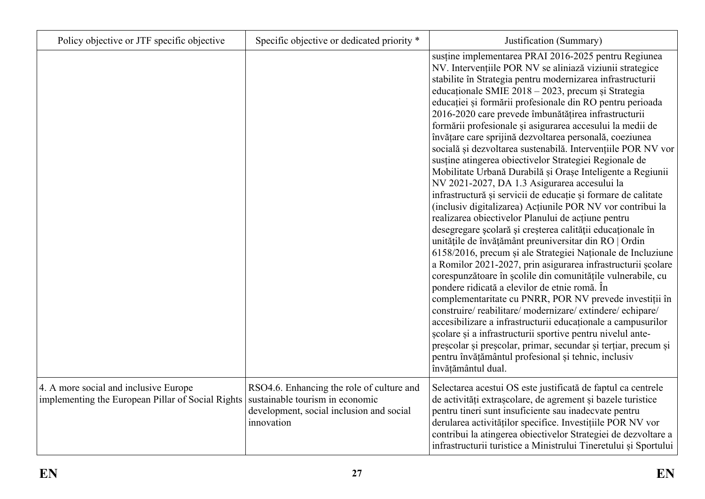| Policy objective or JTF specific objective                                                 | Specific objective or dedicated priority *                                                                                             | Justification (Summary)                                                                                                                                                                                                                                                                                                                                                                                                                                                                                                                                                                                                                                                                                                                                                                                                                                                                                                                                                                                                                                                                                                                                                                                                                                                                                                                                                                                                                                                                                                                                                                                                                                                                |
|--------------------------------------------------------------------------------------------|----------------------------------------------------------------------------------------------------------------------------------------|----------------------------------------------------------------------------------------------------------------------------------------------------------------------------------------------------------------------------------------------------------------------------------------------------------------------------------------------------------------------------------------------------------------------------------------------------------------------------------------------------------------------------------------------------------------------------------------------------------------------------------------------------------------------------------------------------------------------------------------------------------------------------------------------------------------------------------------------------------------------------------------------------------------------------------------------------------------------------------------------------------------------------------------------------------------------------------------------------------------------------------------------------------------------------------------------------------------------------------------------------------------------------------------------------------------------------------------------------------------------------------------------------------------------------------------------------------------------------------------------------------------------------------------------------------------------------------------------------------------------------------------------------------------------------------------|
|                                                                                            |                                                                                                                                        | sustine implementarea PRAI 2016-2025 pentru Regiunea<br>NV. Intervențiile POR NV se aliniază viziunii strategice<br>stabilite în Strategia pentru modernizarea infrastructurii<br>educaționale SMIE 2018 - 2023, precum și Strategia<br>educației și formării profesionale din RO pentru perioada<br>2016-2020 care prevede îmbunătățirea infrastructurii<br>formării profesionale și asigurarea accesului la medii de<br>învățare care sprijină dezvoltarea personală, coeziunea<br>socială și dezvoltarea sustenabilă. Intervențiile POR NV vor<br>sustine atingerea obiectivelor Strategiei Regionale de<br>Mobilitate Urbană Durabilă și Orașe Inteligente a Regiunii<br>NV 2021-2027, DA 1.3 Asigurarea accesului la<br>infrastructură și servicii de educație și formare de calitate<br>(inclusiv digitalizarea) Acțiunile POR NV vor contribui la<br>realizarea obiectivelor Planului de acțiune pentru<br>desegregare școlară și creșterea calității educaționale în<br>unitățile de învățământ preuniversitar din RO   Ordin<br>6158/2016, precum și ale Strategiei Naționale de Incluziune<br>a Romilor 2021-2027, prin asigurarea infrastructurii școlare<br>corespunzătoare în școlile din comunitățile vulnerabile, cu<br>pondere ridicată a elevilor de etnie romă. În<br>complementaritate cu PNRR, POR NV prevede investiții în<br>construire/reabilitare/modernizare/extindere/echipare/<br>accesibilizare a infrastructurii educaționale a campusurilor<br>școlare și a infrastructurii sportive pentru nivelul ante-<br>preșcolar și preșcolar, primar, secundar și terțiar, precum și<br>pentru învățământul profesional și tehnic, inclusiv<br>învățământul dual. |
| 4. A more social and inclusive Europe<br>implementing the European Pillar of Social Rights | RSO4.6. Enhancing the role of culture and<br>sustainable tourism in economic<br>development, social inclusion and social<br>innovation | Selectarea acestui OS este justificată de faptul ca centrele<br>de activități extrașeolare, de agrement și bazele turistice<br>pentru tineri sunt insuficiente sau inadecvate pentru<br>derularea activităților specifice. Investițiile POR NV vor<br>contribui la atingerea obiectivelor Strategiei de dezvoltare a<br>infrastructurii turistice a Ministrului Tineretului și Sportului                                                                                                                                                                                                                                                                                                                                                                                                                                                                                                                                                                                                                                                                                                                                                                                                                                                                                                                                                                                                                                                                                                                                                                                                                                                                                               |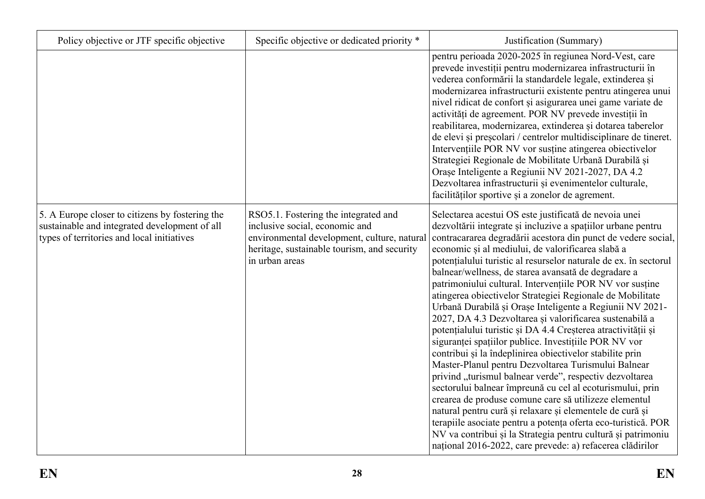| Policy objective or JTF specific objective                                                                                                     | Specific objective or dedicated priority *                                                                                                                                             | Justification (Summary)                                                                                                                                                                                                                                                                                                                                                                                                                                                                                                                                                                                                                                                                                                                                                                                                                                                                                                                                                                                                                                                                                                                                                                                                                                                                                       |
|------------------------------------------------------------------------------------------------------------------------------------------------|----------------------------------------------------------------------------------------------------------------------------------------------------------------------------------------|---------------------------------------------------------------------------------------------------------------------------------------------------------------------------------------------------------------------------------------------------------------------------------------------------------------------------------------------------------------------------------------------------------------------------------------------------------------------------------------------------------------------------------------------------------------------------------------------------------------------------------------------------------------------------------------------------------------------------------------------------------------------------------------------------------------------------------------------------------------------------------------------------------------------------------------------------------------------------------------------------------------------------------------------------------------------------------------------------------------------------------------------------------------------------------------------------------------------------------------------------------------------------------------------------------------|
|                                                                                                                                                |                                                                                                                                                                                        | pentru perioada 2020-2025 în regiunea Nord-Vest, care<br>prevede investiții pentru modernizarea infrastructurii în<br>vederea conformării la standardele legale, extinderea și<br>modernizarea infrastructurii existente pentru atingerea unui<br>nivel ridicat de confort și asigurarea unei game variate de<br>activități de agreement. POR NV prevede investiții în<br>reabilitarea, modernizarea, extinderea și dotarea taberelor<br>de elevi și preșeolari / centrelor multidisciplinare de tineret.<br>Intervențiile POR NV vor susține atingerea obiectivelor<br>Strategiei Regionale de Mobilitate Urbană Durabilă și<br>Orașe Inteligente a Regiunii NV 2021-2027, DA 4.2<br>Dezvoltarea infrastructurii și evenimentelor culturale,<br>facilităților sportive și a zonelor de agrement.                                                                                                                                                                                                                                                                                                                                                                                                                                                                                                             |
| 5. A Europe closer to citizens by fostering the<br>sustainable and integrated development of all<br>types of territories and local initiatives | RSO5.1. Fostering the integrated and<br>inclusive social, economic and<br>environmental development, culture, natural<br>heritage, sustainable tourism, and security<br>in urban areas | Selectarea acestui OS este justificată de nevoia unei<br>dezvoltării integrate și incluzive a spațiilor urbane pentru<br>contracararea degradării acestora din punct de vedere social,<br>economic și al mediului, de valorificarea slabă a<br>potențialului turistic al resurselor naturale de ex. în sectorul<br>balnear/wellness, de starea avansată de degradare a<br>patrimoniului cultural. Intervențiile POR NV vor susține<br>atingerea obiectivelor Strategiei Regionale de Mobilitate<br>Urbană Durabilă și Orașe Inteligente a Regiunii NV 2021-<br>2027, DA 4.3 Dezvoltarea și valorificarea sustenabilă a<br>potențialului turistic și DA 4.4 Creșterea atractivității și<br>siguranței spațiilor publice. Investițiile POR NV vor<br>contribui și la îndeplinirea obiectivelor stabilite prin<br>Master-Planul pentru Dezvoltarea Turismului Balnear<br>privind "turismul balnear verde", respectiv dezvoltarea<br>sectorului balnear împreună cu cel al ecoturismului, prin<br>crearea de produse comune care să utilizeze elementul<br>natural pentru cură și relaxare și elementele de cură și<br>terapiile asociate pentru a potența oferta eco-turistică. POR<br>NV va contribui și la Strategia pentru cultură și patrimoniu<br>național 2016-2022, care prevede: a) refacerea clădirilor |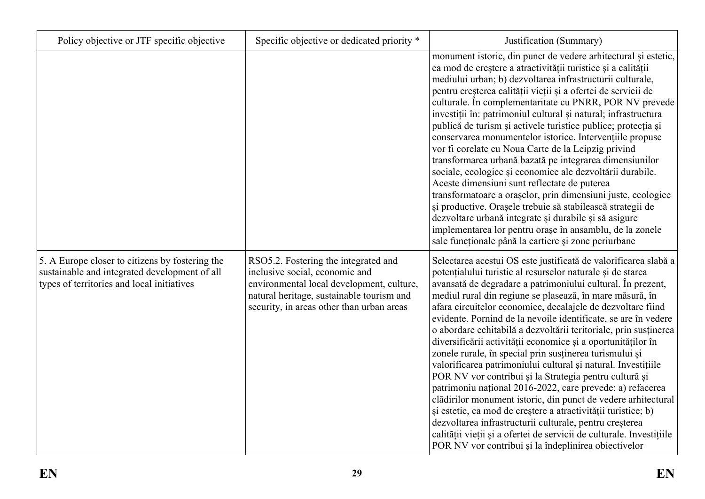| Policy objective or JTF specific objective                                                                                                     | Specific objective or dedicated priority *                                                                                                                                                                    | Justification (Summary)                                                                                                                                                                                                                                                                                                                                                                                                                                                                                                                                                                                                                                                                                                                                                                                                                                                                                                                                                                                                                                                                                       |
|------------------------------------------------------------------------------------------------------------------------------------------------|---------------------------------------------------------------------------------------------------------------------------------------------------------------------------------------------------------------|---------------------------------------------------------------------------------------------------------------------------------------------------------------------------------------------------------------------------------------------------------------------------------------------------------------------------------------------------------------------------------------------------------------------------------------------------------------------------------------------------------------------------------------------------------------------------------------------------------------------------------------------------------------------------------------------------------------------------------------------------------------------------------------------------------------------------------------------------------------------------------------------------------------------------------------------------------------------------------------------------------------------------------------------------------------------------------------------------------------|
|                                                                                                                                                |                                                                                                                                                                                                               | monument istoric, din punct de vedere arhitectural și estetic,<br>ca mod de creștere a atractivității turistice și a calității<br>mediului urban; b) dezvoltarea infrastructurii culturale,<br>pentru creșterea calității vieții și a ofertei de servicii de<br>culturale. În complementaritate cu PNRR, POR NV prevede<br>investiții în: patrimoniul cultural și natural; infrastructura<br>publică de turism și activele turistice publice; protecția și<br>conservarea monumentelor istorice. Intervențiile propuse<br>vor fi corelate cu Noua Carte de la Leipzig privind<br>transformarea urbană bazată pe integrarea dimensiunilor<br>sociale, ecologice și economice ale dezvoltării durabile.<br>Aceste dimensiuni sunt reflectate de puterea<br>transformatoare a orașelor, prin dimensiuni juste, ecologice<br>și productive. Orașele trebuie să stabilească strategii de<br>dezvoltare urbană integrate și durabile și să asigure<br>implementarea lor pentru orașe în ansamblu, de la zonele<br>sale funcționale până la cartiere și zone periurbane                                              |
| 5. A Europe closer to citizens by fostering the<br>sustainable and integrated development of all<br>types of territories and local initiatives | RSO5.2. Fostering the integrated and<br>inclusive social, economic and<br>environmental local development, culture,<br>natural heritage, sustainable tourism and<br>security, in areas other than urban areas | Selectarea acestui OS este justificată de valorificarea slabă a<br>potențialului turistic al resurselor naturale și de starea<br>avansată de degradare a patrimoniului cultural. În prezent,<br>mediul rural din regiune se plasează, în mare măsură, în<br>afara circuitelor economice, decalajele de dezvoltare fiind<br>evidente. Pornind de la nevoile identificate, se are în vedere<br>o abordare echitabilă a dezvoltării teritoriale, prin susținerea<br>diversificării activității economice și a oportunităților în<br>zonele rurale, în special prin susținerea turismului și<br>valorificarea patrimoniului cultural și natural. Investițiile<br>POR NV vor contribui și la Strategia pentru cultură și<br>patrimoniu național 2016-2022, care prevede: a) refacerea<br>clădirilor monument istoric, din punct de vedere arhitectural<br>și estetic, ca mod de creștere a atractivității turistice; b)<br>dezvoltarea infrastructurii culturale, pentru creșterea<br>calității vieții și a ofertei de servicii de culturale. Investițiile<br>POR NV vor contribui și la îndeplinirea obiectivelor |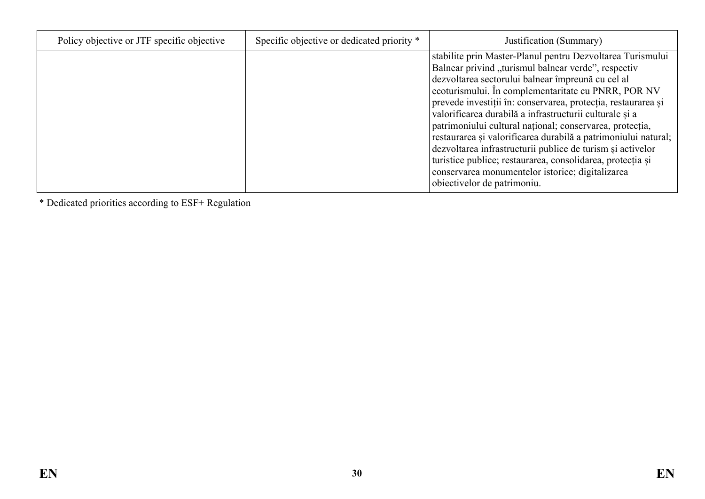| Policy objective or JTF specific objective | Specific objective or dedicated priority * | Justification (Summary)                                                                                                                                                                                                                                                                                                                                                                                                                                                                                                                                                                                                                                                                                |
|--------------------------------------------|--------------------------------------------|--------------------------------------------------------------------------------------------------------------------------------------------------------------------------------------------------------------------------------------------------------------------------------------------------------------------------------------------------------------------------------------------------------------------------------------------------------------------------------------------------------------------------------------------------------------------------------------------------------------------------------------------------------------------------------------------------------|
|                                            |                                            | stabilite prin Master-Planul pentru Dezvoltarea Turismului<br>Balnear privind "turismul balnear verde", respectiv<br>dezvoltarea sectorului balnear împreună cu cel al<br>ecoturismului. În complementaritate cu PNRR, POR NV<br>prevede investiții în: conservarea, protecția, restaurarea și<br>valorificarea durabilă a infrastructurii culturale și a<br>patrimoniului cultural național; conservarea, protecția,<br>restaurarea și valorificarea durabilă a patrimoniului natural;<br>dezvoltarea infrastructurii publice de turism și activelor<br>turistice publice; restaurarea, consolidarea, protecția și<br>conservarea monumentelor istorice; digitalizarea<br>obiectivelor de patrimoniu. |

\* Dedicated priorities according to ESF+ Regulation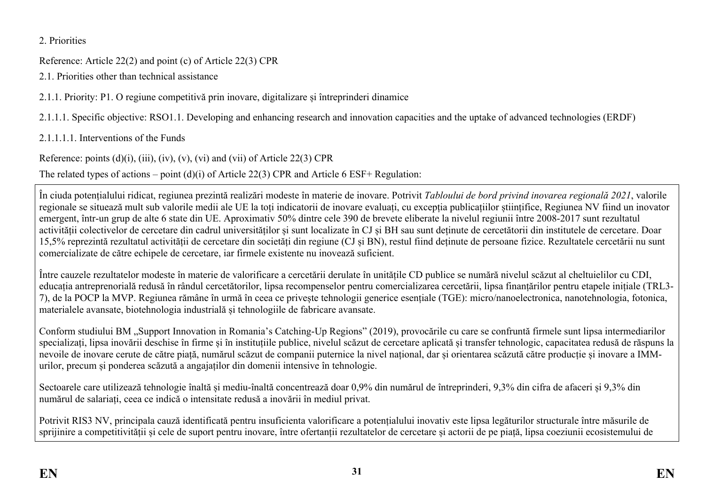2. Priorities

Reference: Article 22(2) and point (c) of Article 22(3) CPR

2.1. Priorities other than technical assistance

2.1.1. Priority: P1. O regiune competitivă prin inovare, digitalizare și întreprinderi dinamice

2.1.1.1. Specific objective: RSO1.1. Developing and enhancing research and innovation capacities and the uptake of advanced technologies (ERDF)

2.1.1.1.1. Interventions of the Funds

Reference: points  $(d)(i)$ ,  $(iii)$ ,  $(iv)$ ,  $(v)$ ,  $(vi)$  and  $(vii)$  of Article 22(3) CPR

The related types of actions – point (d)(i) of Article 22(3) CPR and Article 6 ESF+ Regulation:

În ciuda potențialului ridicat, regiunea prezintă realizări modeste în materie de inovare. Potrivit *Tabloului de bord privind inovarea regională 2021*, valorile regionale se situează mult sub valorile medii ale UE la toți indicatorii de inovare evaluați, cu excepția publicațiilor științifice, Regiunea NV fiind un inovator emergent, într-un grup de alte 6 state din UE. Aproximativ 50% dintre cele 390 de brevete eliberate la nivelul regiunii între 2008-2017 sunt rezultatul activității colectivelor de cercetare din cadrul universităților și sunt localizate în CJ și BH sau sunt deținute de cercetătorii din institutele de cercetare. Doar 15,5% reprezintă rezultatul activității de cercetare din societăți din regiune (CJ și BN), restul fiind deținute de persoane fizice. Rezultatele cercetării nu sunt comercializate de către echipele de cercetare, iar firmele existente nu inovează suficient.

<span id="page-30-2"></span><span id="page-30-1"></span><span id="page-30-0"></span>Între cauzele rezultatelor modeste în materie de valorificare a cercetării derulate în unitățile CD publice se numără nivelul scăzut al cheltuielilor cu CDI, educația antreprenorială redusă în rândul cercetătorilor, lipsa recompenselor pentru comercializarea cercetării, lipsa finanțărilor pentru etapele inițiale (TRL3- 7), de la POCP la MVP. Regiunea rămâne în urmă în ceea ce privește tehnologii generice esențiale (TGE): micro/nanoelectronica, nanotehnologia, fotonica, materialele avansate, biotehnologia industrială și tehnologiile de fabricare avansate.

<span id="page-30-4"></span><span id="page-30-3"></span>Conform studiului BM "Support Innovation in Romania's Catching-Up Regions" (2019), provocările cu care se confruntă firmele sunt lipsa intermediarilor specializați, lipsa inovării deschise în firme și în instituțiile publice, nivelul scăzut de cercetare aplicată și transfer tehnologic, capacitatea redusă de răspuns la nevoile de inovare cerute de către piață, numărul scăzut de companii puternice la nivel național, dar și orientarea scăzută către producție și inovare a IMMurilor, precum și ponderea scăzută a angajaților din domenii intensive în tehnologie.

<span id="page-30-5"></span>Sectoarele care utilizează tehnologie înaltă și mediu-înaltă concentrează doar 0.9% din numărul de întreprinderi, 9.3% din cifra de afaceri și 9.3% din numărul de salariați, ceea ce indică o intensitate redusă a inovării în mediul privat.

Potrivit RIS3 NV, principala cauză identificată pentru insuficienta valorificare a potențialului inovativ este lipsa legăturilor structurale între măsurile de sprijinire a competitivității și cele de suport pentru inovare, între ofertanții rezultatelor de cercetare și actorii de pe piață, lipsa coeziunii ecosistemului de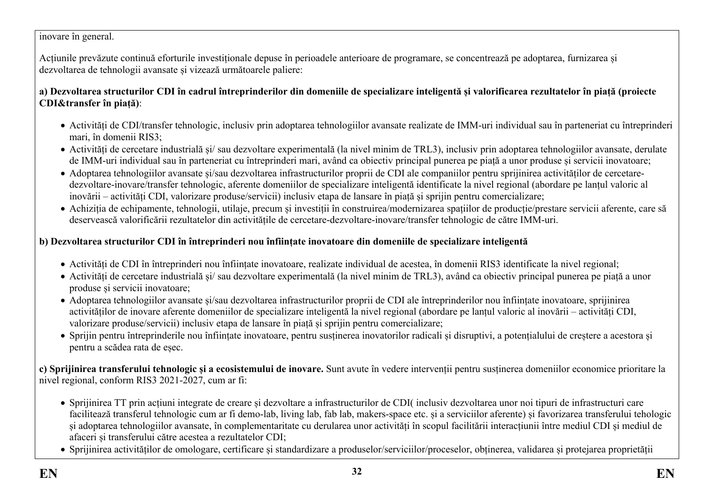#### inovare în general.

Acțiunile prevăzute continuă eforturile investiționale depuse în perioadele anterioare de programare, se concentrează pe adoptarea, furnizarea și dezvoltarea de tehnologii avansate și vizează următoarele paliere:

**a) Dezvoltarea structurilor CDI în cadrul întreprinderilor din domeniile de specializare inteligentă și valorificarea rezultatelor în piață (proiecte CDI&transfer în piață)**:

- Activități de CDI/transfer tehnologic, inclusiv prin adoptarea tehnologiilor avansate realizate de IMM-uri individual sau în parteneriat cu întreprinderi mari, în domenii RIS3;
- Activități de cercetare industrială și/ sau dezvoltare experimentală (la nivel minim de TRL3), inclusiv prin adoptarea tehnologiilor avansate, derulate de IMM-uri individual sau în parteneriat cu întreprinderi mari, având ca obiectiv principal punerea pe piață a unor produse și servicii inovatoare;
- Adoptarea tehnologiilor avansate și/sau dezvoltarea infrastructurilor proprii de CDI ale companiilor pentru sprijinirea activităților de cercetaredezvoltare-inovare/transfer tehnologic, aferente domeniilor de specializare inteligentă identificate la nivel regional (abordare pe lanțul valoric al inovării – activități CDI, valorizare produse/servicii) inclusiv etapa de lansare în piață și sprijin pentru comercializare;
- Achiziția de echipamente, tehnologii, utilaje, precum și investiții în construirea/modernizarea spațiilor de producție/prestare servicii aferente, care să deservească valorificării rezultatelor din activitățile de cercetare-dezvoltare-inovare/transfer tehnologic de către IMM-uri.

### **b) Dezvoltarea structurilor CDI în întreprinderi nou înființate inovatoare din domeniile de specializare inteligentă**

- Activități de CDI în întreprinderi nou înființate inovatoare, realizate individual de acestea, în domenii RIS3 identificate la nivel regional;
- Activități de cercetare industrială și/ sau dezvoltare experimentală (la nivel minim de TRL3), având ca obiectiv principal punerea pe piață a unor produse și servicii inovatoare;
- Adoptarea tehnologiilor avansate și/sau dezvoltarea infrastructurilor proprii de CDI ale întreprinderilor nou înființate inovatoare, sprijinirea activităților de inovare aferente domeniilor de specializare inteligentă la nivel regional (abordare pe lanțul valoric al inovării – activități CDI, valorizare produse/servicii) inclusiv etapa de lansare în piață și sprijin pentru comercializare;
- Sprijin pentru întreprinderile nou înființate inovatoare, pentru susținerea inovatorilor radicali și disruptivi, a potențialului de creștere a acestora și pentru a scădea rata de eșec.

**c) Sprijinirea transferului tehnologic și a ecosistemului de inovare.** Sunt avute în vedere intervenții pentru susținerea domeniilor economice prioritare la nivel regional, conform RIS3 2021-2027, cum ar fi:

- Sprijinirea TT prin acțiuni integrate de creare și dezvoltare a infrastructurilor de CDI( inclusiv dezvoltarea unor noi tipuri de infrastructuri care facilitează transferul tehnologic cum ar fi demo-lab, living lab, fab lab, makers-space etc. și a serviciilor aferente) și favorizarea transferului tehologic și adoptarea tehnologiilor avansate, în complementaritate cu derularea unor activități în scopul facilitării interacțiunii între mediul CDI și mediul de afaceri și transferului către acestea a rezultatelor CDI;
- Sprijinirea activităților de omologare, certificare și standardizare a produselor/serviciilor/proceselor, obținerea, validarea și protejarea proprietății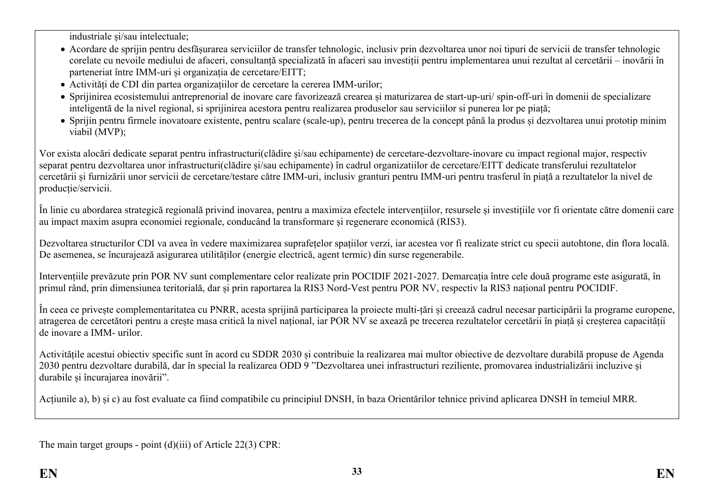industriale și/sau intelectuale;

- Acordare de sprijin pentru desfășurarea serviciilor de transfer tehnologic, inclusiv prin dezvoltarea unor noi tipuri de servicii de transfer tehnologic corelate cu nevoile mediului de afaceri, consultanță specializată în afaceri sau investiții pentru implementarea unui rezultat al cercetării – inovării în parteneriat între IMM-uri și organizația de cercetare/EITT;
- Activități de CDI din partea organizațiilor de cercetare la cererea IMM-urilor;
- Sprijinirea ecosistemului antreprenorial de inovare care favorizează crearea și maturizarea de start-up-uri/ spin-off-uri în domenii de specializare inteligentă de la nivel regional, si sprijinirea acestora pentru realizarea produselor sau serviciilor si punerea lor pe piață;
- Sprijin pentru firmele inovatoare existente, pentru scalare (scale-up), pentru trecerea de la concept până la produs și dezvoltarea unui prototip minim viabil (MVP);

Vor exista alocări dedicate separat pentru infrastructuri(clădire și/sau echipamente) de cercetare-dezvoltare-inovare cu impact regional major, respectiv separat pentru dezvoltarea unor infrastructuri(clădire și/sau echipamente) în cadrul organizatiilor de cercetare/EITT dedicate transferului rezultatelor cercetării și furnizării unor servicii de cercetare/testare către IMM-uri, inclusiv granturi pentru IMM-uri pentru trasferul în piață a rezultatelor la nivel de producție/servicii.

În linie cu abordarea strategică regională privind inovarea, pentru a maximiza efectele intervențiilor, resursele și investițiile vor fi orientate către domenii care au impact maxim asupra economiei regionale, conducând la transformare și regenerare economică (RIS3).

Dezvoltarea structurilor CDI va avea în vedere maximizarea suprafețelor spațiilor verzi, iar acestea vor fi realizate strict cu specii autohtone, din flora locală. De asemenea, se încurajează asigurarea utilităților (energie electrică, agent termic) din surse regenerabile.

Intervențiile prevăzute prin POR NV sunt complementare celor realizate prin POCIDIF 2021-2027. Demarcația între cele două programe este asigurată, în primul rând, prin dimensiunea teritorială, dar și prin raportarea la RIS3 Nord-Vest pentru POR NV, respectiv la RIS3 național pentru POCIDIF.

În ceea ce privește complementaritatea cu PNRR, acesta sprijină participarea la proiecte multi-țări și creează cadrul necesar participării la programe europene, atragerea de cercetători pentru a crește masa critică la nivel național, iar POR NV se axează pe trecerea rezultatelor cercetării în piață și creșterea capacității de inovare a IMM- urilor.

Activitățile acestui obiectiv specific sunt în acord cu SDDR 2030 și contribuie la realizarea mai multor obiective de dezvoltare durabilă propuse de Agenda 2030 pentru dezvoltare durabilă, dar în special la realizarea ODD 9 "Dezvoltarea unei infrastructuri reziliente, promovarea industrializării incluzive și durabile și încurajarea inovării".

Acțiunile a), b) și c) au fost evaluate ca fiind compatibile cu principiul DNSH, în baza Orientărilor tehnice privind aplicarea DNSH în temeiul MRR.

<span id="page-32-0"></span>The main target groups - point (d)(iii) of Article 22(3) CPR: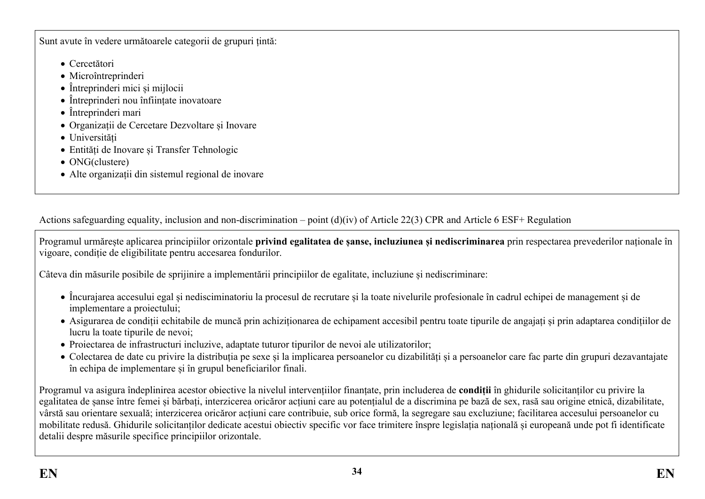Sunt avute în vedere următoarele categorii de grupuri țintă:

- Cercetători
- Microîntreprinderi
- Întreprinderi mici și mijlocii
- Întreprinderi nou înființate inovatoare
- Întreprinderi mari
- Organizații de Cercetare Dezvoltare și Inovare
- Universități
- Entități de Inovare și Transfer Tehnologic
- ONG(clustere)
- Alte organizații din sistemul regional de inovare

Actions safeguarding equality, inclusion and non-discrimination – point (d)(iv) of Article 22(3) CPR and Article 6 ESF+ Regulation

Programul urmărește aplicarea principiilor orizontale **privind egalitatea de șanse, incluziunea și nediscriminarea** prin respectarea prevederilor naționale în vigoare, condiție de eligibilitate pentru accesarea fondurilor.

Câteva din măsurile posibile de sprijinire a implementării principiilor de egalitate, incluziune și nediscriminare:

- Încurajarea accesului egal și nedisciminatoriu la procesul de recrutare și la toate nivelurile profesionale în cadrul echipei de management și de implementare a proiectului;
- Asigurarea de condiții echitabile de muncă prin achiziționarea de echipament accesibil pentru toate tipurile de angajați și prin adaptarea condițiilor de lucru la toate tipurile de nevoi;
- Proiectarea de infrastructuri incluzive, adaptate tuturor tipurilor de nevoi ale utilizatorilor;
- Colectarea de date cu privire la distribuția pe sexe și la implicarea persoanelor cu dizabilități și a persoanelor care fac parte din grupuri dezavantajate în echipa de implementare și în grupul beneficiarilor finali.

<span id="page-33-0"></span>Programul va asigura îndeplinirea acestor obiective la nivelul intervențiilor finanțate, prin includerea de **condiții** în ghidurile solicitanților cu privire la egalitatea de șanse între femei și bărbați, interzicerea oricăror acțiuni care au potențialul de a discrimina pe bază de sex, rasă sau origine etnică, dizabilitate, vârstă sau orientare sexuală; interzicerea oricăror acțiuni care contribuie, sub orice formă, la segregare sau excluziune; facilitarea accesului persoanelor cu mobilitate redusă. Ghidurile solicitanților dedicate acestui obiectiv specific vor face trimitere înspre legislația națională și europeană unde pot fi identificate detalii despre măsurile specifice principiilor orizontale.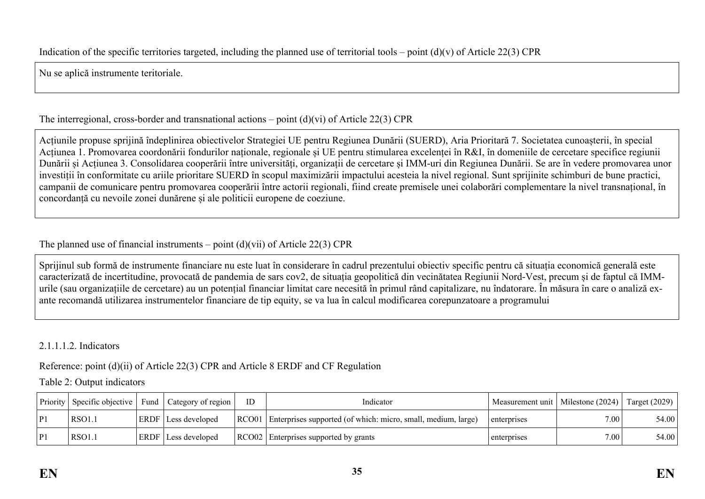Nu se aplică instrumente teritoriale.

## The interregional, cross-border and transnational actions – point  $(d)(vi)$  of Article 22(3) CPR

Acțiunile propuse sprijină îndeplinirea obiectivelor Strategiei UE pentru Regiunea Dunării (SUERD), Aria Prioritară 7. Societatea cunoașterii, în special Acțiunea 1. Promovarea coordonării fondurilor naționale, regionale și UE pentru stimularea excelenței în R&I, în domeniile de cercetare specifice regiunii Dunării și Acțiunea 3. Consolidarea cooperării între universități, organizații de cercetare și IMM-uri din Regiunea Dunării. Se are în vedere promovarea unor investiții în conformitate cu ariile prioritare SUERD în scopul maximizării impactului acesteia la nivel regional. Sunt sprijinite schimburi de bune practici, campanii de comunicare pentru promovarea cooperării între actorii regionali, fiind create premisele unei colaborări complementare la nivel transnațional, în concordanță cu nevoile zonei dunărene și ale politicii europene de coeziune.

## <span id="page-34-0"></span>The planned use of financial instruments – point  $(d)(vi)$  of Article 22(3) CPR

Sprijinul sub formă de instrumente financiare nu este luat în considerare în cadrul prezentului obiectiv specific pentru că situația economică generală este caracterizată de incertitudine, provocată de pandemia de sars cov2, de situația geopolitică din vecinătatea Regiunii Nord-Vest, precum și de faptul că IMMurile (sau organizațiile de cercetare) au un potențial financiar limitat care necesită în primul rând capitalizare, nu îndatorare. În măsura în care o analiză exante recomandă utilizarea instrumentelor financiare de tip equity, se va lua în calcul modificarea corepunzatoare a programului

## <span id="page-34-1"></span>2.1.1.1.2. Indicators

Reference: point (d)(ii) of Article 22(3) CPR and Article 8 ERDF and CF Regulation

#### Table 2: Output indicators

<span id="page-34-4"></span><span id="page-34-3"></span><span id="page-34-2"></span>

| Priority | Specific objective | ' Fund | Category of region         | ID | Indicator                                                           | Measurement unit   Milestone (2024) |                   | Target $(2029)$ |
|----------|--------------------|--------|----------------------------|----|---------------------------------------------------------------------|-------------------------------------|-------------------|-----------------|
| P1       | 'RSO1.1            |        | <b>ERDF</b> Less developed |    | RCO01 Enterprises supported (of which: micro, small, medium, large) | enterprises                         | 7.00 <sub>1</sub> | 54.00           |
| P        | RSO1.1             |        | <b>ERDF</b> Less developed |    | RCO02 Enterprises supported by grants                               | enterprises                         | 7.00 <sub>1</sub> | 54.00           |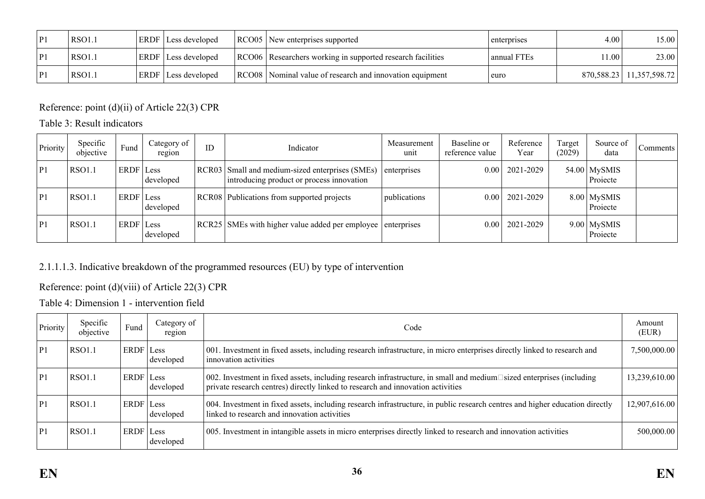| <b>RSO1.1</b> | <b>ERDF</b> Less developed | RCO05 New enterprises supported                            | enterprises | 4.00               | 15.00                      |
|---------------|----------------------------|------------------------------------------------------------|-------------|--------------------|----------------------------|
| <b>RSO1.1</b> | <b>ERDF</b> Less developed | RCO06 Researchers working in supported research facilities | annual FTEs | 11.00 <sub>1</sub> | 23.00                      |
| <b>RSO1.1</b> | <b>ERDF</b> Less developed | RCO08 Nominal value of research and innovation equipment   | euro        |                    | 870,588.23   11,357,598.72 |

Reference: point (d)(ii) of Article 22(3) CPR

Table 3: Result indicators

| Priority | Specific<br>objective | Fund      | Category of<br>region | ID | Indicator                                                                                    | Measurement<br>unit | Baseline or<br>reference value | Reference<br>Year | Target<br>(2029) | Source of<br>data          | Comments |
|----------|-----------------------|-----------|-----------------------|----|----------------------------------------------------------------------------------------------|---------------------|--------------------------------|-------------------|------------------|----------------------------|----------|
| P1       | <b>RSO1.1</b>         | ERDF Less | developed             |    | RCR03 Small and medium-sized enterprises (SMEs)<br>introducing product or process innovation | enterprises         | 0.00                           | 2021-2029         |                  | $54.00$ MySMIS<br>Projecte |          |
| P1       | RSO1.1                | ERDF Less | developed             |    | RCR08 Publications from supported projects                                                   | publications        | 0.00                           | 2021-2029         |                  | $8.00$ MySMIS<br>Projecte  |          |
| ⊩P1      | <b>RSO1.1</b>         | ERDF Less | developed             |    | RCR25 SMEs with higher value added per employee enterprises                                  |                     | 0.00                           | 2021-2029         |                  | $9.00$ MySMIS<br>Projecte  |          |

## 2.1.1.1.3. Indicative breakdown of the programmed resources (EU) by type of intervention

## Reference: point (d)(viii) of Article 22(3) CPR

Table 4: Dimension 1 - intervention field

<span id="page-35-2"></span><span id="page-35-1"></span><span id="page-35-0"></span>

| Priority | Specific<br>objective | Fund      | Category of<br>region | Code                                                                                                                                                                                                           | Amount<br>(EUR) |
|----------|-----------------------|-----------|-----------------------|----------------------------------------------------------------------------------------------------------------------------------------------------------------------------------------------------------------|-----------------|
| P1       | <b>RSO1.1</b>         | ERDF Less | developed             | 001. Investment in fixed assets, including research infrastructure, in micro enterprises directly linked to research and<br>innovation activities                                                              | 7,500,000.00    |
| P1       | <b>RSO1.1</b>         | ERDF Less | developed             | 002. Investment in fixed assets, including research infrastructure, in small and medium $\Box$ sized enterprises (including<br>private research centres) directly linked to research and innovation activities | 13,239,610.00   |
| P1       | <b>RSO1.1</b>         | ERDF Less | developed             | 004. Investment in fixed assets, including research infrastructure, in public research centres and higher education directly<br>linked to research and innovation activities                                   | 12,907,616.00   |
| P1       | <b>RSO1.1</b>         | ERDF Less | developed             | 005. Investment in intangible assets in micro enterprises directly linked to research and innovation activities                                                                                                | 500,000.00      |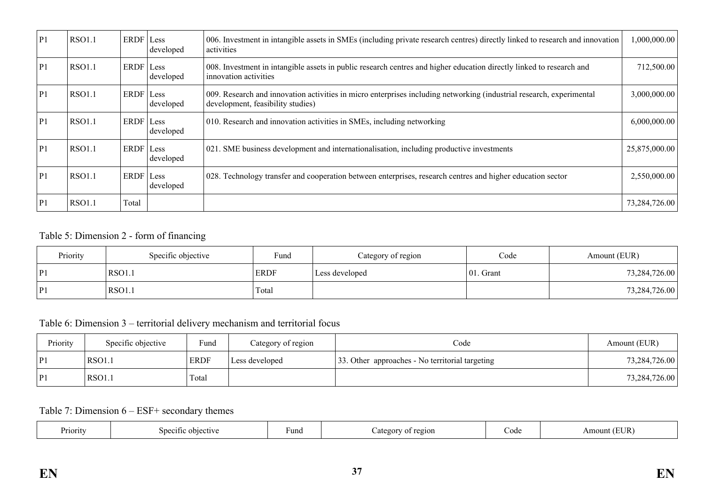| P1             | <b>RSO1.1</b> | ERDF Less | developed | 006. Investment in intangible assets in SMEs (including private research centres) directly linked to research and innovation<br>activities                | ,000,000.00   |
|----------------|---------------|-----------|-----------|-----------------------------------------------------------------------------------------------------------------------------------------------------------|---------------|
| P              | <b>RSO1.1</b> | ERDF Less | developed | 008. Investment in intangible assets in public research centres and higher education directly linked to research and<br>innovation activities             | 712,500.00    |
| P1             | <b>RSO1.1</b> | ERDF Less | developed | 009. Research and innovation activities in micro enterprises including networking (industrial research, experimental<br>development, feasibility studies) | 3,000,000.00  |
| P <sub>1</sub> | <b>RSO1.1</b> | ERDF Less | developed | 010. Research and innovation activities in SMEs, including networking                                                                                     | 6,000,000.00  |
| P              | <b>RSO1.1</b> | ERDF Less | developed | 021. SME business development and internationalisation, including productive investments                                                                  | 25,875,000.00 |
| P <sub>1</sub> | <b>RSO1.1</b> | ERDF Less | developed | 028. Technology transfer and cooperation between enterprises, research centres and higher education sector                                                | 2,550,000.00  |
| P <sub>1</sub> | <b>RSO1.1</b> | Total     |           |                                                                                                                                                           | 73,284,726.00 |

# Table 5: Dimension 2 - form of financing

| Priority | Specific objective | Fund        | Category of region | Code          | Amount (EUR)  |
|----------|--------------------|-------------|--------------------|---------------|---------------|
| P1       | RSO1.              | <b>ERDF</b> | Less developed     | 01<br>. Grant | 73,284,726.00 |
| P1       | RSO1.1             | Total       |                    |               | 73,284,726.00 |

Table 6: Dimension 3 – territorial delivery mechanism and territorial focus

| Priority | Specific objective | Fund        | Category of region | Code                                            | Amount (EUR)  |
|----------|--------------------|-------------|--------------------|-------------------------------------------------|---------------|
| P1       | <b>RSO1.1</b>      | <b>ERDF</b> | Less developed     | 33. Other approaches - No territorial targeting | 73,284,726.00 |
| P1       | <b>RSO1.1</b>      | Total       |                    |                                                 | 73,284,726.00 |

Table 7: Dimension 6 – ESF+ secondary themes

| TITID<br>Priority<br>Fund<br>Snootti<br>ົ້າ<br>objective<br>ategory<br>Code<br>$-9210$ h<br>$\Omega$<br>AIIIOU<br>LUN<br>. |
|----------------------------------------------------------------------------------------------------------------------------|
|----------------------------------------------------------------------------------------------------------------------------|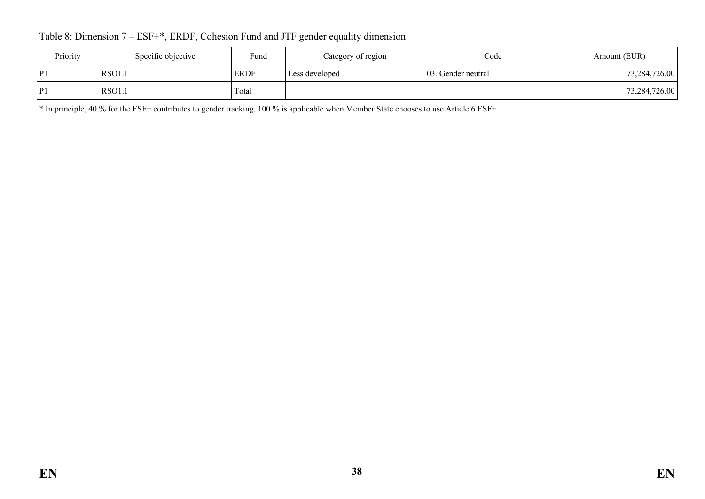Table 8: Dimension 7 – ESF+\*, ERDF, Cohesion Fund and JTF gender equality dimension

| Priority | Specific objective | Fund        | Category of region | Code                | Amount (EUR)  |
|----------|--------------------|-------------|--------------------|---------------------|---------------|
| P1       | <b>RSO1.1</b>      | <b>ERDF</b> | Less developed     | 103. Gender neutral | 73,284,726.00 |
| P1       | <b>RSO1.1</b>      | Total       |                    |                     | 73,284,726.00 |

\* In principle, 40 % for the ESF+ contributes to gender tracking. 100 % is applicable when Member State chooses to use Article 6 ESF+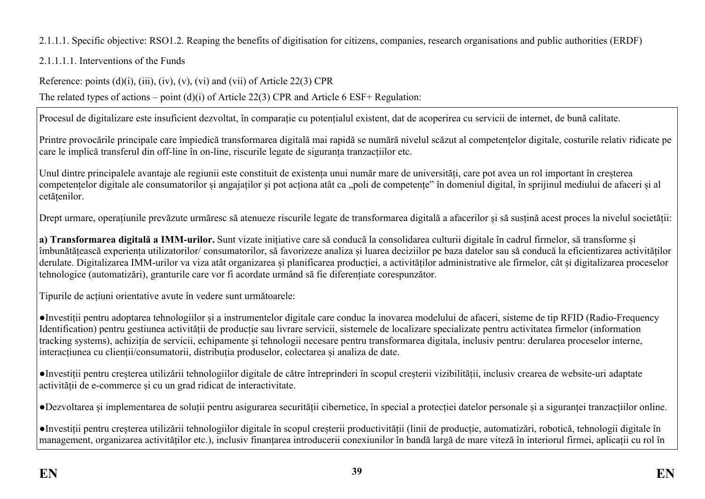# 2.1.1.1. Specific objective: RSO1.2. Reaping the benefits of digitisation for citizens, companies, research organisations and public authorities (ERDF)

2.1.1.1.1. Interventions of the Funds

Reference: points (d)(i), (iii), (iv), (v), (vi) and (vii) of Article 22(3) CPR

The related types of actions – point (d)(i) of Article 22(3) CPR and Article 6 ESF+ Regulation:

Procesul de digitalizare este insuficient dezvoltat, în comparație cu potențialul existent, dat de acoperirea cu servicii de internet, de bună calitate.

Printre provocările principale care împiedică transformarea digitală mai rapidă se numără nivelul scăzut al competențelor digitale, costurile relativ ridicate pe care le implică transferul din off-line în on-line, riscurile legate de siguranța tranzacțiilor etc.

Unul dintre principalele avantaje ale regiunii este constituit de existența unui număr mare de universități, care pot avea un rol important în creșterea competențelor digitale ale consumatorilor și angajaților și pot acționa atât ca "poli de competențe" în domeniul digital, în sprijinul mediului de afaceri și al cetățenilor.

Drept urmare, operațiunile prevăzute urmăresc să atenueze riscurile legate de transformarea digitală a afacerilor și să susțină acest proces la nivelul societății:

**a) Transformarea digitală a IMM-urilor.** Sunt vizate inițiative care să conducă la consolidarea culturii digitale în cadrul firmelor, să transforme și îmbunătățească experiența utilizatorilor/ consumatorilor, să favorizeze analiza și luarea deciziilor pe baza datelor sau să conducă la eficientizarea activităților derulate. Digitalizarea IMM-urilor va viza atât organizarea și planificarea producției, a activităților administrative ale firmelor, cât și digitalizarea proceselor tehnologice (automatizări), granturile care vor fi acordate urmând să fie diferențiate corespunzător.

Tipurile de acțiuni orientative avute în vedere sunt următoarele:

●Investiții pentru adoptarea tehnologiilor și a instrumentelor digitale care conduc la inovarea modelului de afaceri, sisteme de tip RFID (Radio-Frequency Identification) pentru gestiunea activității de producție sau livrare servicii, sistemele de localizare specializate pentru activitatea firmelor (information tracking systems), achiziția de servicii, echipamente și tehnologii necesare pentru transformarea digitala, inclusiv pentru: derularea proceselor interne, interacțiunea cu clienții/consumatorii, distribuția produselor, colectarea și analiza de date.

●Investiții pentru creșterea utilizării tehnologiilor digitale de către întreprinderi în scopul creșterii vizibilității, inclusiv crearea de website-uri adaptate activității de e-commerce și cu un grad ridicat de interactivitate.

●Dezvoltarea și implementarea de soluții pentru asigurarea securității cibernetice, în special a protecției datelor personale și a siguranței tranzacțiilor online.

●Investiții pentru creșterea utilizării tehnologiilor digitale în scopul creșterii productivității (linii de producție, automatizări, robotică, tehnologii digitale în management, organizarea activităților etc.), inclusiv finanțarea introducerii conexiunilor în bandă largă de mare viteză în interiorul firmei, aplicații cu rol în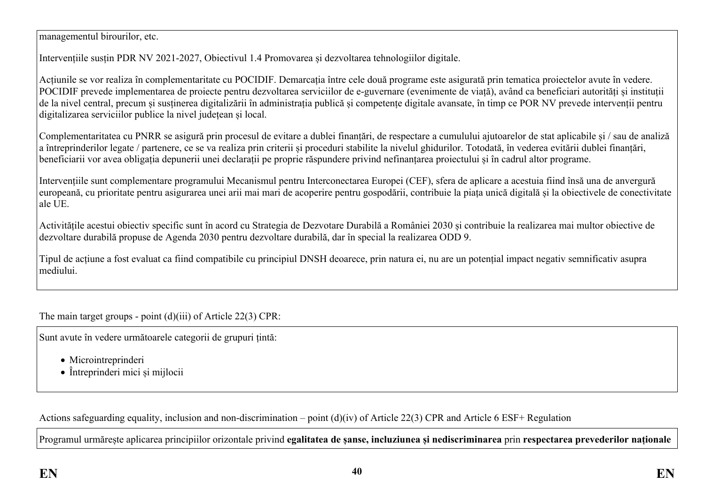managementul birourilor, etc.

Intervențiile susțin PDR NV 2021-2027, Obiectivul 1.4 Promovarea și dezvoltarea tehnologiilor digitale.

Acțiunile se vor realiza în complementaritate cu POCIDIF. Demarcația între cele două programe este asigurată prin tematica proiectelor avute în vedere. POCIDIF prevede implementarea de proiecte pentru dezvoltarea serviciilor de e-guvernare (evenimente de viață), având ca beneficiari autorități și instituții de la nivel central, precum și sustinerea digitalizării în administrația publică și competente digitale avansate, în timp ce POR NV prevede intervenții pentru digitalizarea serviciilor publice la nivel județean și local.

Complementaritatea cu PNRR se asigură prin procesul de evitare a dublei finanțări, de respectare a cumulului ajutoarelor de stat aplicabile și / sau de analiză a întreprinderilor legate / partenere, ce se va realiza prin criterii și proceduri stabilite la nivelul ghidurilor. Totodată, în vederea evitării dublei finanțări, beneficiarii vor avea obligația depunerii unei declarații pe proprie răspundere privind nefinanțarea proiectului și în cadrul altor programe.

Intervențiile sunt complementare programului Mecanismul pentru Interconectarea Europei (CEF), sfera de aplicare a acestuia fiind însă una de anvergură europeană, cu prioritate pentru asigurarea unei arii mai mari de acoperire pentru gospodării, contribuie la piața unică digitală și la obiectivele de conectivitate ale UE.

Activitățile acestui obiectiv specific sunt în acord cu Strategia de Dezvotare Durabilă a României 2030 și contribuie la realizarea mai multor obiective de dezvoltare durabilă propuse de Agenda 2030 pentru dezvoltare durabilă, dar în special la realizarea ODD 9.

Tipul de acțiune a fost evaluat ca fiind compatibile cu principiul DNSH deoarece, prin natura ei, nu are un potențial impact negativ semnificativ asupra mediului.

The main target groups - point (d)(iii) of Article 22(3) CPR:

Sunt avute în vedere următoarele categorii de grupuri țintă:

- Microintreprinderi
- Întreprinderi mici și mijlocii

Actions safeguarding equality, inclusion and non-discrimination – point (d)(iv) of Article 22(3) CPR and Article 6 ESF+ Regulation

Programul urmărește aplicarea principiilor orizontale privind **egalitatea de șanse, incluziunea și nediscriminarea** prin **respectarea prevederilor naționale**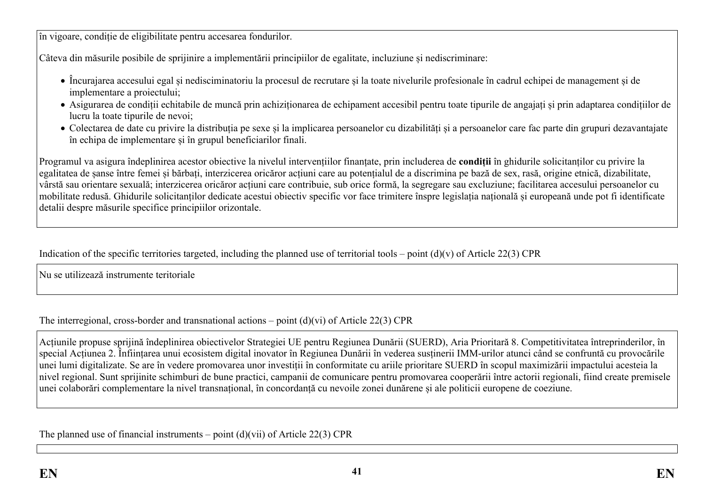în vigoare, condiție de eligibilitate pentru accesarea fondurilor.

Câteva din măsurile posibile de sprijinire a implementării principiilor de egalitate, incluziune și nediscriminare:

- Încurajarea accesului egal și nedisciminatoriu la procesul de recrutare și la toate nivelurile profesionale în cadrul echipei de management și de implementare a proiectului;
- Asigurarea de condiții echitabile de muncă prin achiziționarea de echipament accesibil pentru toate tipurile de angajați și prin adaptarea condițiilor de lucru la toate tipurile de nevoi;
- Colectarea de date cu privire la distribuția pe sexe și la implicarea persoanelor cu dizabilități și a persoanelor care fac parte din grupuri dezavantajate în echipa de implementare și în grupul beneficiarilor finali.

Programul va asigura îndeplinirea acestor obiective la nivelul intervențiilor finanțate, prin includerea de **condiții** în ghidurile solicitanților cu privire la egalitatea de șanse între femei și bărbați, interzicerea oricăror acțiuni care au potențialul de a discrimina pe bază de sex, rasă, origine etnică, dizabilitate, vârstă sau orientare sexuală; interzicerea oricăror acțiuni care contribuie, sub orice formă, la segregare sau excluziune; facilitarea accesului persoanelor cu mobilitate redusă. Ghidurile solicitanților dedicate acestui obiectiv specific vor face trimitere înspre legislația națională și europeană unde pot fi identificate detalii despre măsurile specifice principiilor orizontale.

Indication of the specific territories targeted, including the planned use of territorial tools – point  $(d)(v)$  of Article 22(3) CPR

Nu se utilizează instrumente teritoriale

The interregional, cross-border and transnational actions – point  $(d)(vi)$  of Article 22(3) CPR

Acțiunile propuse sprijină îndeplinirea obiectivelor Strategiei UE pentru Regiunea Dunării (SUERD), Aria Prioritară 8. Competitivitatea întreprinderilor, în special Acțiunea 2. Înființarea unui ecosistem digital inovator în Regiunea Dunării în vederea susținerii IMM-urilor atunci când se confruntă cu provocările unei lumi digitalizate. Se are în vedere promovarea unor investiții în conformitate cu ariile prioritare SUERD în scopul maximizării impactului acesteia la nivel regional. Sunt sprijinite schimburi de bune practici, campanii de comunicare pentru promovarea cooperării între actorii regionali, fiind create premisele unei colaborări complementare la nivel transnațional, în concordanță cu nevoile zonei dunărene și ale politicii europene de coeziune.

The planned use of financial instruments – point  $(d)(vi)$  of Article 22(3) CPR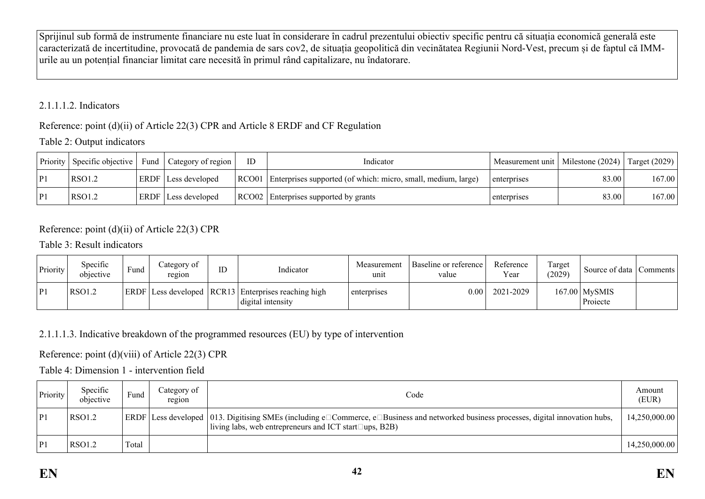Sprijinul sub formă de instrumente financiare nu este luat în considerare în cadrul prezentului obiectiv specific pentru că situația economică generală este caracterizată de incertitudine, provocată de pandemia de sars cov2, de situația geopolitică din vecinătatea Regiunii Nord-Vest, precum și de faptul că IMMurile au un potențial financiar limitat care necesită în primul rând capitalizare, nu îndatorare.

## 2.1.1.1.2. Indicators

# Reference: point (d)(ii) of Article 22(3) CPR and Article 8 ERDF and CF Regulation

# Table 2: Output indicators

| Priority | $\vert$ Specific objective $\vert$ | Fund   Category of region  | <b>ID</b> | Indicator                                                           | Measurement unit   Milestone (2024)   Target (2029) |       |        |
|----------|------------------------------------|----------------------------|-----------|---------------------------------------------------------------------|-----------------------------------------------------|-------|--------|
| P        | RSO1.2                             | ERDF   Less developed      |           | RCO01 Enterprises supported (of which: micro, small, medium, large) | enterprises                                         | 83.00 | 167.00 |
| P        | RSO1.2                             | <b>ERDF</b> Less developed |           | RCO02 Enterprises supported by grants                               | enterprises                                         | 83.00 | 167.00 |

# Reference: point (d)(ii) of Article 22(3) CPR

Table 3: Result indicators

| Priority       | Specific<br>objective | Fund | ategory of<br>region | ID | Indicator                                                                    | Measurement<br>unit | Baseline or reference<br>value | Reference<br>Year | Target<br>(2029) | Source of data   Comments   |  |
|----------------|-----------------------|------|----------------------|----|------------------------------------------------------------------------------|---------------------|--------------------------------|-------------------|------------------|-----------------------------|--|
| P <sub>1</sub> | <b>RSO1.2</b>         |      |                      |    | ERDF Less developed   RCR13   Enterprises reaching high<br>digital intensity | enterprises         | $0.00\,$                       | 2021-2029         |                  | $167.00$ MySMIS<br>Projecte |  |

# 2.1.1.1.3. Indicative breakdown of the programmed resources (EU) by type of intervention

# Reference: point (d)(viii) of Article 22(3) CPR

# Table 4: Dimension 1 - intervention field

| Priority | Specific<br>objective | Fund  | Category of<br>region | Code                                                                                                                                                                                                          | Amount<br>(EUR) |
|----------|-----------------------|-------|-----------------------|---------------------------------------------------------------------------------------------------------------------------------------------------------------------------------------------------------------|-----------------|
| P1       | RSO1.2                |       |                       | ERDF   Less developed   013. Digitising SMEs (including e□Commerce, e□Business and networked business processes, digital innovation hubs,<br>living labs, web entrepreneurs and ICT start $\square$ ups, B2B) | 14,250,000.00   |
| P1       | RSO1.2                | Total |                       |                                                                                                                                                                                                               | 14,250,000.00   |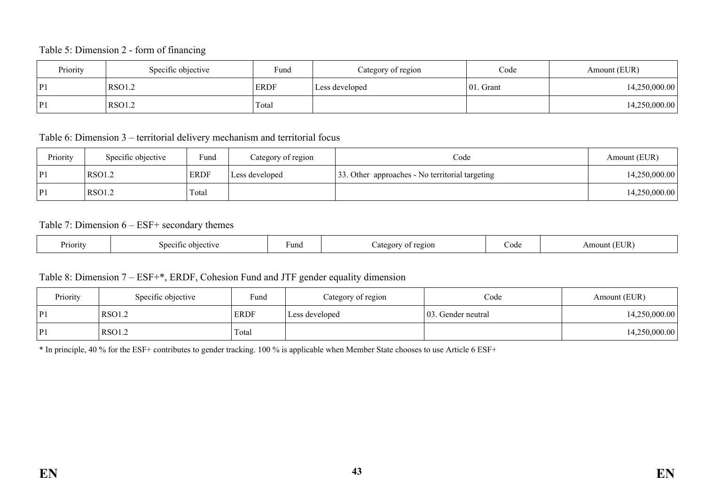#### Table 5: Dimension 2 - form of financing

| Priority | Specific objective | Fund        | Category of region | Code         | Amount (EUR)  |
|----------|--------------------|-------------|--------------------|--------------|---------------|
| P1       | RSO1.2             | <b>ERDF</b> | Less developed     | $ 01.$ Grant | 14,250,000.00 |
| P1       | RSO1.2             | Total       |                    |              | 14,250,000.00 |

Table 6: Dimension 3 – territorial delivery mechanism and territorial focus

| Priority | Specific objective | Fund        | Category of region | Code                                            | Amount (EUR)  |
|----------|--------------------|-------------|--------------------|-------------------------------------------------|---------------|
| P        | <b>RSO1.2</b>      | <b>ERDF</b> | Less developed     | 33. Other approaches - No territorial targeting | 14,250,000.00 |
| P1       | RSO1.2             | Total       |                    |                                                 | 14,250,000.00 |

#### Table 7: Dimension 6 – ESF+ secondary themes

| Priority | 71 t<br>sne<br>$\sim$ la s<br>etiva | Fund | 20101<br>≏oor<br>. . | code | EUR<br>mount |
|----------|-------------------------------------|------|----------------------|------|--------------|
|----------|-------------------------------------|------|----------------------|------|--------------|

### Table 8: Dimension 7 – ESF+\*, ERDF, Cohesion Fund and JTF gender equality dimension

| Priority | Specific objective | Fund        | Category of region | Code                | Amount (EUR)  |
|----------|--------------------|-------------|--------------------|---------------------|---------------|
| P1       | RSO1.2             | <b>ERDF</b> | Less developed     | 103. Gender neutral | 14,250,000.00 |
| P        | <b>RSO1.2</b>      | Total       |                    |                     | 14,250,000.00 |

\* In principle, 40 % for the ESF+ contributes to gender tracking. 100 % is applicable when Member State chooses to use Article 6 ESF+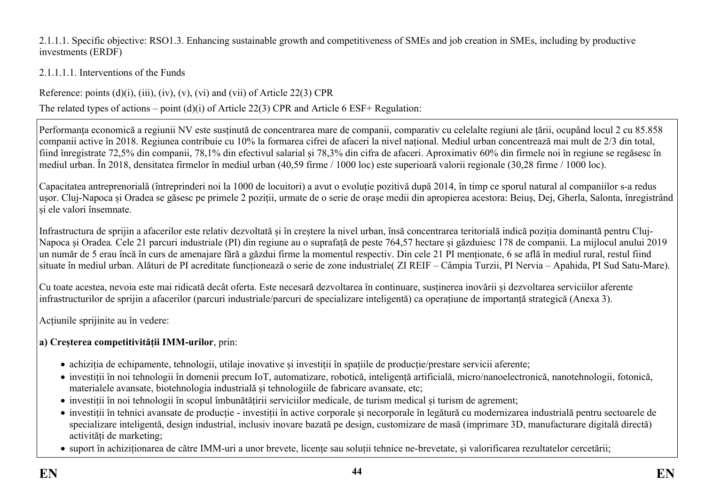### 2.1.1.1. Specific objective: RSO1.3. Enhancing sustainable growth and competitiveness of SMEs and job creation in SMEs, including by productive investments (ERDF)

# 2.1.1.1.1. Interventions of the Funds

Reference: points  $(d)(i)$ ,  $(iii)$ ,  $(iv)$ ,  $(v)$ ,  $(vi)$  and  $(vii)$  of Article 22(3) CPR

The related types of actions – point (d)(i) of Article 22(3) CPR and Article 6 ESF+ Regulation:

Performanța economică a regiunii NV este susținută de concentrarea mare de companii, comparativ cu celelalte regiuni ale țării, ocupând locul 2 cu 85.858 companii active în 2018. Regiunea contribuie cu 10% la formarea cifrei de afaceri la nivel național. Mediul urban concentrează mai mult de 2/3 din total, fiind înregistrate 72,5% din companii, 78,1% din efectivul salarial și 78,3% din cifra de afaceri. Aproximativ 60% din firmele noi în regiune se regăsesc în mediul urban. În 2018, densitatea firmelor în mediul urban (40,59 firme / 1000 loc) este superioară valorii regionale (30,28 firme / 1000 loc).

Capacitatea antreprenorială (întreprinderi noi la 1000 de locuitori) a avut o evoluție pozitivă după 2014, în timp ce sporul natural al companiilor s-a redus ușor. Cluj-Napoca și Oradea se găsesc pe primele 2 poziții, urmate de o serie de orașe medii din apropierea acestora: Beiuș, Dej, Gherla, Salonta, înregistrând și ele valori însemnate.

Infrastructura de sprijin a afacerilor este relativ dezvoltată și în creștere la nivel urban, însă concentrarea teritorială indică poziția dominantă pentru Cluj-Napoca și Oradea*.* Cele 21 parcuri industriale (PI) din regiune au o suprafață de peste 764,57 hectare și găzduiesc 178 de companii. La mijlocul anului 2019 un număr de 5 erau încă în curs de amenajare fără a găzdui firme la momentul respectiv. Din cele 21 PI menționate, 6 se află în mediul rural, restul fiind situate în mediul urban. Alături de PI acreditate funcționează o serie de zone industriale( ZI REIF – Câmpia Turzii, PI Nervia – Apahida, PI Sud Satu-Mare).

Cu toate acestea, nevoia este mai ridicată decât oferta. Este necesară dezvoltarea în continuare, susținerea inovării și dezvoltarea serviciilor aferente infrastructurilor de sprijin a afacerilor (parcuri industriale/parcuri de specializare inteligentă) ca operațiune de importanță strategică (Anexa 3).

Acțiunile sprijinite au în vedere:

# **a) Creșterea competitivității IMM-urilor**, prin:

- achiziția de echipamente, tehnologii, utilaje inovative și investiții în spațiile de producție/prestare servicii aferente;
- investiții în noi tehnologii în domenii precum IoT, automatizare, robotică, inteligență artificială, micro/nanoelectronică, nanotehnologii, fotonică, materialele avansate, biotehnologia industrială și tehnologiile de fabricare avansate, etc;
- investiții în noi tehnologii în scopul îmbunătățirii serviciilor medicale, de turism medical și turism de agrement;
- investiții în tehnici avansate de producție investiții în active corporale și necorporale în legătură cu modernizarea industrială pentru sectoarele de specializare inteligentă, design industrial, inclusiv inovare bazată pe design, customizare de masă (imprimare 3D, manufacturare digitală directă) activități de marketing;
- suport în achiziționarea de către IMM-uri a unor brevete, licențe sau soluții tehnice ne-brevetate, și valorificarea rezultatelor cercetării;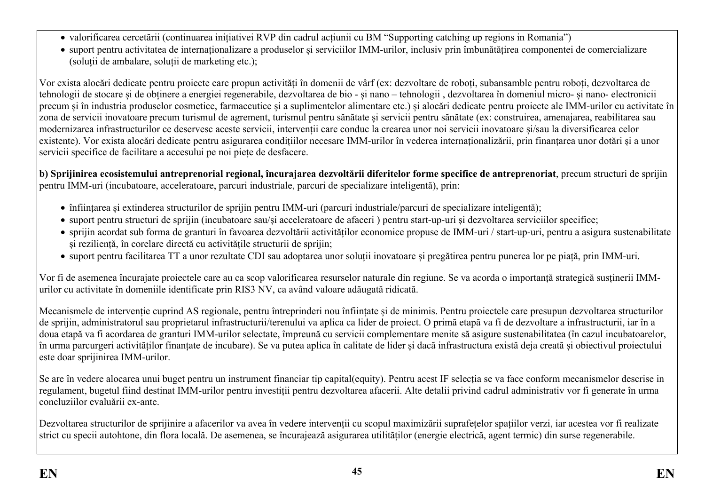- valorificarea cercetării (continuarea inițiativei RVP din cadrul acțiunii cu BM "Supporting catching up regions in Romania")
- suport pentru activitatea de internaționalizare a produselor și serviciilor IMM-urilor, inclusiv prin îmbunătățirea componentei de comercializare (soluții de ambalare, soluții de marketing etc.);

Vor exista alocări dedicate pentru proiecte care propun activități în domenii de vârf (ex: dezvoltare de roboți, subansamble pentru roboți, dezvoltarea de tehnologii de stocare și de obținere a energiei regenerabile, dezvoltarea de bio - și nano – tehnologii , dezvoltarea în domeniul micro- și nano- electronicii precum și în industria produselor cosmetice, farmaceutice și a suplimentelor alimentare etc.) și alocări dedicate pentru proiecte ale IMM-urilor cu activitate în zona de servicii inovatoare precum turismul de agrement, turismul pentru sănătate și servicii pentru sănătate (ex: construirea, amenajarea, reabilitarea sau modernizarea infrastructurilor ce deservesc aceste servicii, intervenții care conduc la crearea unor noi servicii inovatoare și/sau la diversificarea celor existente). Vor exista alocări dedicate pentru asigurarea condițiilor necesare IMM-urilor în vederea internaționalizării, prin finanțarea unor dotări și a unor servicii specifice de facilitare a accesului pe noi piețe de desfacere.

**b) Sprijinirea ecosistemului antreprenorial regional, încurajarea dezvoltării diferitelor forme specifice de antreprenoriat**, precum structuri de sprijin pentru IMM-uri (incubatoare, acceleratoare, parcuri industriale, parcuri de specializare inteligentă), prin:

- înființarea și extinderea structurilor de sprijin pentru IMM-uri (parcuri industriale/parcuri de specializare inteligentă);
- suport pentru structuri de sprijin (incubatoare sau/și acceleratoare de afaceri ) pentru start-up-uri și dezvoltarea serviciilor specifice;
- sprijin acordat sub forma de granturi în favoarea dezvoltării activităților economice propuse de IMM-uri / start-up-uri, pentru a asigura sustenabilitate și reziliență, în corelare directă cu activitățile structurii de sprijin;
- suport pentru facilitarea TT a unor rezultate CDI sau adoptarea unor soluții inovatoare și pregătirea pentru punerea lor pe piață, prin IMM-uri.

Vor fi de asemenea încurajate proiectele care au ca scop valorificarea resurselor naturale din regiune. Se va acorda o importanță strategică susținerii IMMurilor cu activitate în domeniile identificate prin RIS3 NV, ca având valoare adăugată ridicată.

Mecanismele de intervenție cuprind AS regionale, pentru întreprinderi nou înființate și de minimis. Pentru proiectele care presupun dezvoltarea structurilor de sprijin, administratorul sau proprietarul infrastructurii/terenului va aplica ca lider de proiect. O primă etapă va fi de dezvoltare a infrastructurii, iar în a doua etapă va fi acordarea de granturi IMM-urilor selectate, împreună cu servicii complementare menite să asigure sustenabilitatea (în cazul incubatoarelor, în urma parcurgeri activităților finanțate de incubare). Se va putea aplica în calitate de lider și dacă infrastructura există deja creată și obiectivul proiectului este doar sprijinirea IMM-urilor.

Se are în vedere alocarea unui buget pentru un instrument financiar tip capital(equity). Pentru acest IF selecția se va face conform mecanismelor descrise in regulament, bugetul fiind destinat IMM-urilor pentru investiții pentru dezvoltarea afacerii. Alte detalii privind cadrul administrativ vor fi generate în urma concluziilor evaluării ex-ante.

Dezvoltarea structurilor de sprijinire a afacerilor va avea în vedere intervenții cu scopul maximizării suprafețelor spațiilor verzi, iar acestea vor fi realizate strict cu specii autohtone, din flora locală. De asemenea, se încurajează asigurarea utilităților (energie electrică, agent termic) din surse regenerabile.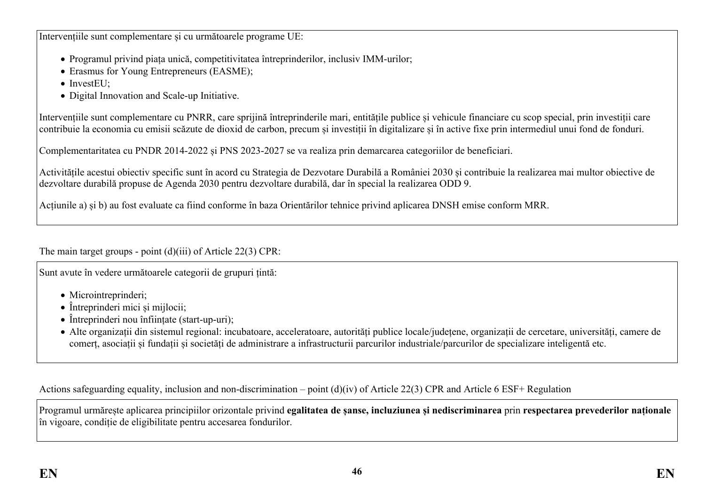Intervențiile sunt complementare și cu următoarele programe UE:

- Programul privind piața unică, competitivitatea întreprinderilor, inclusiv IMM-urilor;
- Erasmus for Young Entrepreneurs (EASME);
- $\bullet$  InvestEU $\cdot$
- Digital Innovation and Scale-up Initiative.

Intervențiile sunt complementare cu PNRR, care sprijină întreprinderile mari, entitățile publice și vehicule financiare cu scop special, prin investiții care contribuie la economia cu emisii scăzute de dioxid de carbon, precum și investiții în digitalizare și în active fixe prin intermediul unui fond de fonduri.

Complementaritatea cu PNDR 2014-2022 și PNS 2023-2027 se va realiza prin demarcarea categoriilor de beneficiari.

Activitățile acestui obiectiv specific sunt în acord cu Strategia de Dezvotare Durabilă a României 2030 și contribuie la realizarea mai multor obiective de dezvoltare durabilă propuse de Agenda 2030 pentru dezvoltare durabilă, dar în special la realizarea ODD 9.

Acțiunile a) și b) au fost evaluate ca fiind conforme în baza Orientărilor tehnice privind aplicarea DNSH emise conform MRR.

The main target groups - point (d)(iii) of Article 22(3) CPR:

Sunt avute în vedere următoarele categorii de grupuri țintă:

- Microintreprinderi:
- Întreprinderi mici și mijlocii:
- Întreprinderi nou înființate (start-up-uri);
- Alte organizații din sistemul regional: incubatoare, acceleratoare, autorități publice locale/județene, organizații de cercetare, universități, camere de comerț, asociații și fundații și societăți de administrare a infrastructurii parcurilor industriale/parcurilor de specializare inteligentă etc.

Actions safeguarding equality, inclusion and non-discrimination – point (d)(iv) of Article 22(3) CPR and Article 6 ESF+ Regulation

Programul urmărește aplicarea principiilor orizontale privind **egalitatea de șanse, incluziunea și nediscriminarea** prin **respectarea prevederilor naționale** în vigoare, condiție de eligibilitate pentru accesarea fondurilor.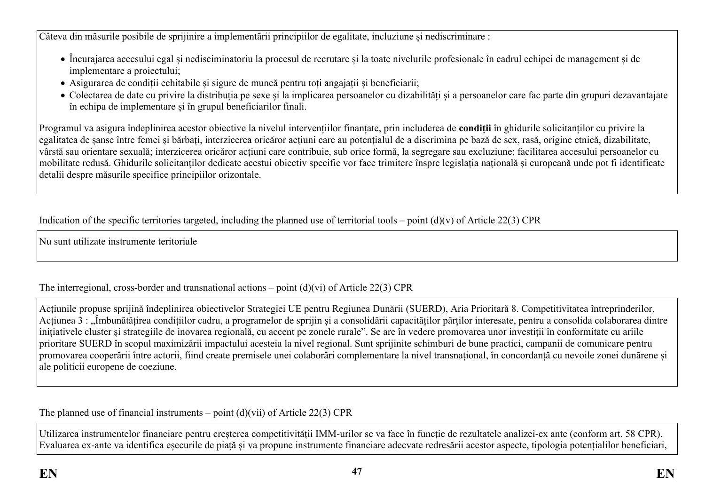Câteva din măsurile posibile de sprijinire a implementării principiilor de egalitate, incluziune și nediscriminare :

- Încurajarea accesului egal și nedisciminatoriu la procesul de recrutare și la toate nivelurile profesionale în cadrul echipei de management și de implementare a proiectului;
- Asigurarea de condiții echitabile și sigure de muncă pentru toți angajații și beneficiarii;
- Colectarea de date cu privire la distribuția pe sexe și la implicarea persoanelor cu dizabilități și a persoanelor care fac parte din grupuri dezavantajate în echipa de implementare și în grupul beneficiarilor finali.

Programul va asigura îndeplinirea acestor obiective la nivelul intervențiilor finanțate, prin includerea de **condiții** în ghidurile solicitanților cu privire la egalitatea de șanse între femei și bărbați, interzicerea oricăror acțiuni care au potențialul de a discrimina pe bază de sex, rasă, origine etnică, dizabilitate, vârstă sau orientare sexuală; interzicerea oricăror acțiuni care contribuie, sub orice formă, la segregare sau excluziune; facilitarea accesului persoanelor cu mobilitate redusă. Ghidurile solicitanților dedicate acestui obiectiv specific vor face trimitere înspre legislația națională și europeană unde pot fi identificate detalii despre măsurile specifice principiilor orizontale.

Indication of the specific territories targeted, including the planned use of territorial tools – point  $(d)(v)$  of Article 22(3) CPR

Nu sunt utilizate instrumente teritoriale

The interregional, cross-border and transnational actions – point (d)(vi) of Article 22(3) CPR

Acțiunile propuse sprijină îndeplinirea obiectivelor Strategiei UE pentru Regiunea Dunării (SUERD), Aria Prioritară 8. Competitivitatea întreprinderilor, Acțiunea 3 : Îmbunătățirea condițiilor cadru, a programelor de sprijin și a consolidării capacităților părților interesate, pentru a consolida colaborarea dintre inițiativele cluster și strategiile de inovarea regională, cu accent pe zonele rurale". Se are în vedere promovarea unor investiții în conformitate cu ariile prioritare SUERD în scopul maximizării impactului acesteia la nivel regional. Sunt sprijinite schimburi de bune practici, campanii de comunicare pentru promovarea cooperării între actorii, fiind create premisele unei colaborări complementare la nivel transnațional, în concordanță cu nevoile zonei dunărene și ale politicii europene de coeziune.

The planned use of financial instruments – point  $(d)(vii)$  of Article 22(3) CPR

Utilizarea instrumentelor financiare pentru creșterea competitivității IMM-urilor se va face în funcție de rezultatele analizei-ex ante (conform art. 58 CPR). Evaluarea ex-ante va identifica eșecurile de piață și va propune instrumente financiare adecvate redresării acestor aspecte, tipologia potențialilor beneficiari,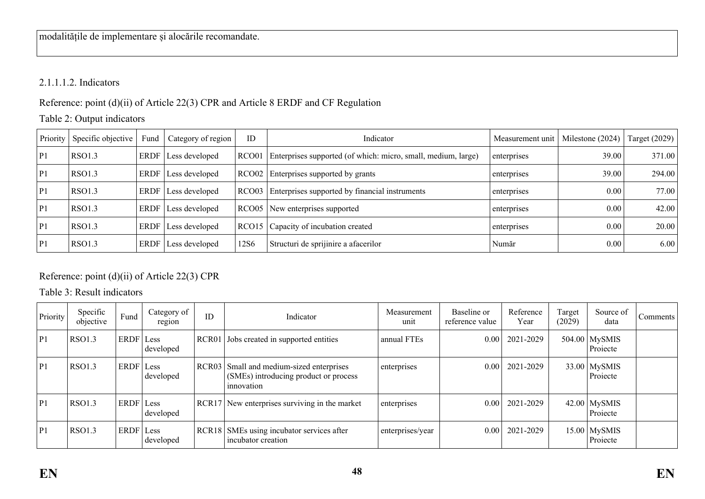# 2.1.1.1.2. Indicators

Reference: point (d)(ii) of Article 22(3) CPR and Article 8 ERDF and CF Regulation

# Table 2: Output indicators

| Priority | Specific objective | Fund        | Category of region | ID                | Indicator                                                     | Measurement unit | Milestone (2024) | Target (2029) |
|----------|--------------------|-------------|--------------------|-------------------|---------------------------------------------------------------|------------------|------------------|---------------|
| P1       | RSO1.3             | <b>ERDF</b> | Less developed     | RCO <sub>01</sub> | Enterprises supported (of which: micro, small, medium, large) | enterprises      | 39.00            | 371.00        |
| P1       | RSO1.3             | <b>ERDF</b> | Less developed     |                   | RCO02 Enterprises supported by grants                         | enterprises      | 39.00            | 294.00        |
| P1       | RSO1.3             | <b>ERDF</b> | Less developed     | RCO <sub>03</sub> | Enterprises supported by financial instruments                | enterprises      | 0.00             | 77.00         |
| P1       | RSO1.3             | <b>ERDF</b> | Less developed     |                   | RCO05 New enterprises supported                               | enterprises      | 0.00             | 42.00         |
| P1       | RSO1.3             | <b>ERDF</b> | Less developed     |                   | RCO15 Capacity of incubation created                          | enterprises      | 0.00             | 20.00         |
| P1       | RSO1.3             | <b>ERDF</b> | Less developed     | 12S6              | Structuri de sprijinire a afacerilor                          | Număr            | 0.00             | 6.00          |

# Reference: point (d)(ii) of Article 22(3) CPR

Table 3: Result indicators

| Priority | Specific<br>objective | Fund      | Category of<br>region | ID                | Indicator                                                                                 | Measurement<br>unit | Baseline or<br>reference value | Reference<br>Year | Target<br>(2029) | Source of<br>data           | Comments <sup>1</sup> |
|----------|-----------------------|-----------|-----------------------|-------------------|-------------------------------------------------------------------------------------------|---------------------|--------------------------------|-------------------|------------------|-----------------------------|-----------------------|
| P1       | <b>RSO1.3</b>         | ERDF Less | developed             |                   | RCR01 Jobs created in supported entities                                                  | annual FTEs         | 0.001                          | 2021-2029         |                  | $504.00$ MySMIS<br>Projecte |                       |
| P1       | <b>RSO1.3</b>         | ERDF Less | developed             | RCR <sub>03</sub> | Small and medium-sized enterprises<br>(SMEs) introducing product or process<br>innovation | enterprises         | 0.001                          | 2021-2029         |                  | $33.00$ MySMIS<br>Projecte  |                       |
| P1       | <b>RSO1.3</b>         | ERDF      | Less<br>developed     | RCR17             | New enterprises surviving in the market                                                   | enterprises         | 0.001                          | 2021-2029         |                  | $42.00$ MySMIS<br>Projecte  |                       |
| P 1      | <b>RSO1.3</b>         | ERDF Less | developed             |                   | RCR18 SMEs using incubator services after<br>incubator creation                           | enterprises/year    | 0.001                          | 2021-2029         |                  | $15.00$ MySMIS<br>Projecte  |                       |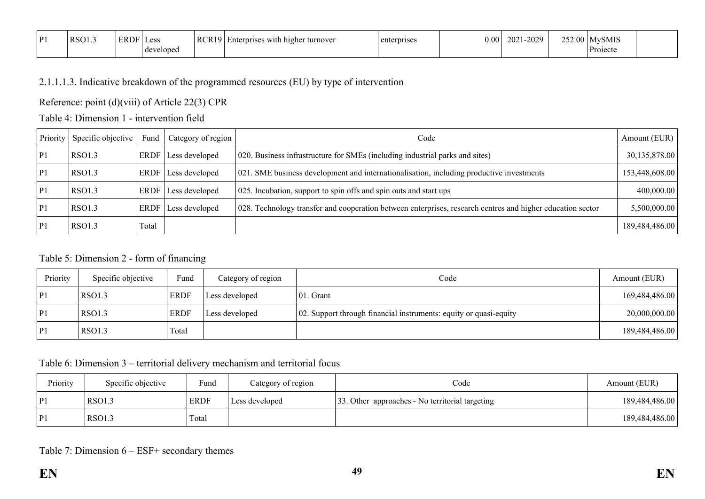| D1 | RSO1.3 | ERDF | Less      | RCR19 | i higher turnover<br>enterprisc<br>s with | erdrises<br>$\sim$ $\sim$ $+$ $\sim$ | $0.00\,$ | $-2029$<br>$2021 -$ | $\cap$ $\subset$ $\cap$ | <b>MvSMIS</b> |  |
|----|--------|------|-----------|-------|-------------------------------------------|--------------------------------------|----------|---------------------|-------------------------|---------------|--|
|    |        |      | developed |       |                                           |                                      |          |                     |                         | Project       |  |

### 2.1.1.1.3. Indicative breakdown of the programmed resources (EU) by type of intervention

Reference: point (d)(viii) of Article 22(3) CPR

Table 4: Dimension 1 - intervention field

| Priority       | Specific objective | Fund  | Category of region         | Code                                                                                                       | Amount (EUR)   |
|----------------|--------------------|-------|----------------------------|------------------------------------------------------------------------------------------------------------|----------------|
| P <sub>1</sub> | RSO1.3             |       | ERDF   Less developed      | 020. Business infrastructure for SMEs (including industrial parks and sites)                               | 30,135,878.00  |
| P1             | RSO1.3             |       | ERDF Less developed        | 021. SME business development and internationalisation, including productive investments                   | 153,448,608.00 |
| P1             | RSO1.3             |       | ERDF Less developed        | 025. Incubation, support to spin offs and spin outs and start ups                                          | 400,000.00     |
| P1             | RSO1.3             |       | <b>ERDF</b> Less developed | 028. Technology transfer and cooperation between enterprises, research centres and higher education sector | 5,500,000.00   |
| P1             | RSO1.3             | Total |                            |                                                                                                            | 189,484,486.00 |

### Table 5: Dimension 2 - form of financing

| Priority       | Specific objective | Fund        | Category of region | Code                                                              | Amount (EUR)   |
|----------------|--------------------|-------------|--------------------|-------------------------------------------------------------------|----------------|
| P1             | RSO1.3             | <b>ERDF</b> | Less developed     | 01. Grant                                                         | 169,484,486.00 |
| P <sub>1</sub> | RSO1.3             | <b>ERDF</b> | Less developed     | 02. Support through financial instruments: equity or quasi-equity | 20,000,000.00  |
| P              | RSO1.3             | Total       |                    |                                                                   | 189,484,486.00 |

### Table 6: Dimension 3 – territorial delivery mechanism and territorial focus

| Priority | Specific objective | Fund        | Category of region | Code                                            | Amount (EUR)   |
|----------|--------------------|-------------|--------------------|-------------------------------------------------|----------------|
| P1       | RSO1.3             | <b>ERDF</b> | Less developed     | 33. Other approaches - No territorial targeting | 189,484,486.00 |
| P1       | RSO1.3             | Total       |                    |                                                 | 189,484,486.00 |

### Table 7: Dimension 6 – ESF+ secondary themes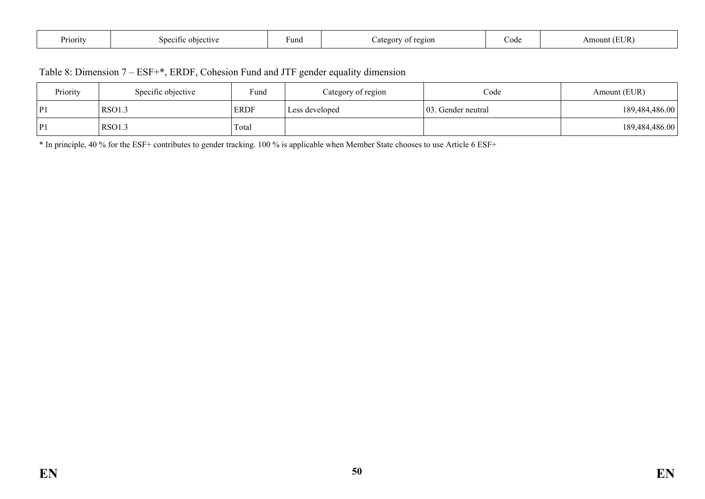| <b>D</b><br>Priority | $\cap$ dective<br>snecitic | ⊦und | ∠of regior<br>Lategor | Code | 5UR)<br>Amount ′ |
|----------------------|----------------------------|------|-----------------------|------|------------------|
|----------------------|----------------------------|------|-----------------------|------|------------------|

|  | Table 8: Dimension 7 – ESF+*, ERDF, Cohesion Fund and JTF gender equality dimension |  |
|--|-------------------------------------------------------------------------------------|--|
|--|-------------------------------------------------------------------------------------|--|

| Priority       | Specific objective | Fund        | Category of region | Code                | Amount (EUR)   |
|----------------|--------------------|-------------|--------------------|---------------------|----------------|
| D1             | RSO1.3             | <b>ERDF</b> | Less developed     | 103. Gender neutral | 189,484,486.00 |
| $\mathbf{p}_1$ | <b>RSO1.3</b>      | Total       |                    |                     | 189,484,486.00 |

\* In principle, 40 % for the ESF+ contributes to gender tracking. 100 % is applicable when Member State chooses to use Article 6 ESF+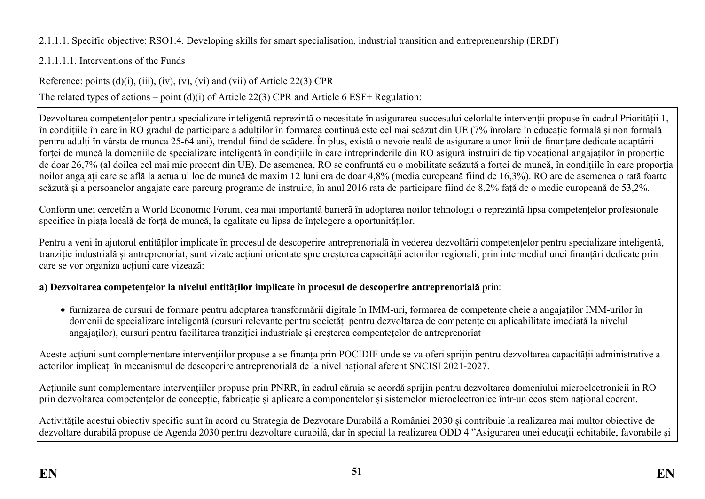# 2.1.1.1. Specific objective: RSO1.4. Developing skills for smart specialisation, industrial transition and entrepreneurship (ERDF)

# 2.1.1.1.1. Interventions of the Funds

Reference: points  $(d)(i)$ ,  $(iii)$ ,  $(iv)$ ,  $(v)$ ,  $(vi)$  and  $(vii)$  of Article 22(3) CPR The related types of actions – point (d)(i) of Article 22(3) CPR and Article 6 ESF+ Regulation:

Dezvoltarea competențelor pentru specializare inteligentă reprezintă o necesitate în asigurarea succesului celorlalte intervenții propuse în cadrul Priorității 1, în condițiile în care în RO gradul de participare a adulților în formarea continuă este cel mai scăzut din UE (7% înrolare în educație formală și non formală pentru adulți în vârsta de munca 25-64 ani), trendul fiind de scădere. În plus, există o nevoie reală de asigurare a unor linii de finanțare dedicate adaptării forței de muncă la domeniile de specializare inteligentă în condițiile în care întreprinderile din RO asigură instruiri de tip vocațional angajaților în proporție de doar 26,7% (al doilea cel mai mic procent din UE). De asemenea, RO se confruntă cu o mobilitate scăzută a forței de muncă, în condițiile în care proporția noilor angajați care se află la actualul loc de muncă de maxim 12 luni era de doar 4,8% (media europeană fiind de 16,3%). RO are de asemenea o rată foarte scăzută și a persoanelor angajate care parcurg programe de instruire, în anul 2016 rata de participare fiind de 8,2% față de o medie europeană de 53,2%.

Conform unei cercetări a World Economic Forum, cea mai importantă barieră în adoptarea noilor tehnologii o reprezintă lipsa competențelor profesionale specifice în piața locală de forță de muncă, la egalitate cu lipsa de înțelegere a oportunităților.

Pentru a veni în ajutorul entităților implicate în procesul de descoperire antreprenorială în vederea dezvoltării competențelor pentru specializare inteligentă, tranziție industrială și antreprenoriat, sunt vizate acțiuni orientate spre creșterea capacității actorilor regionali, prin intermediul unei finanțări dedicate prin care se vor organiza acțiuni care vizează:

# **a) Dezvoltarea competențelor la nivelul entităților implicate în procesul de descoperire antreprenorială** prin:

 furnizarea de cursuri de formare pentru adoptarea transformării digitale în IMM-uri, formarea de competențe cheie a angajaților IMM-urilor în domenii de specializare inteligentă (cursuri relevante pentru societăți pentru dezvoltarea de competențe cu aplicabilitate imediată la nivelul angajaților), cursuri pentru facilitarea tranziției industriale și creșterea compentețelor de antreprenoriat

Aceste acțiuni sunt complementare intervențiilor propuse a se finanța prin POCIDIF unde se va oferi sprijin pentru dezvoltarea capacității administrative a actorilor implicați în mecanismul de descoperire antreprenorială de la nivel național aferent SNCISI 2021-2027.

Acțiunile sunt complementare intervențiilor propuse prin PNRR, în cadrul căruia se acordă sprijin pentru dezvoltarea domeniului microelectronicii în RO prin dezvoltarea competențelor de concepție, fabricație și aplicare a componentelor și sistemelor microelectronice într-un ecosistem național coerent.

Activitățile acestui obiectiv specific sunt în acord cu Strategia de Dezvotare Durabilă a României 2030 și contribuie la realizarea mai multor obiective de dezvoltare durabilă propuse de Agenda 2030 pentru dezvoltare durabilă, dar în special la realizarea ODD 4 "Asigurarea unei educații echitabile, favorabile și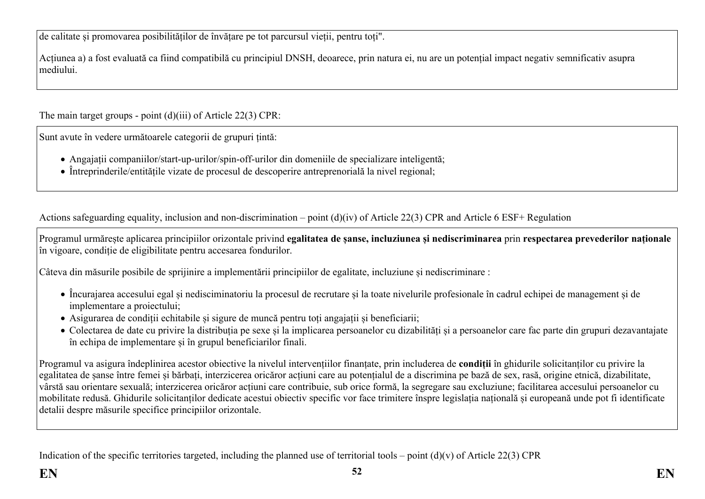de calitate și promovarea posibilităților de învățare pe tot parcursul vieții, pentru toți".

Acțiunea a) a fost evaluată ca fiind compatibilă cu principiul DNSH, deoarece, prin natura ei, nu are un potențial impact negativ semnificativ asupra mediului.

The main target groups - point (d)(iii) of Article 22(3) CPR:

Sunt avute în vedere următoarele categorii de grupuri țintă:

- Angajații companiilor/start-up-urilor/spin-off-urilor din domeniile de specializare inteligentă;
- Întreprinderile/entitățile vizate de procesul de descoperire antreprenorială la nivel regional;

Actions safeguarding equality, inclusion and non-discrimination – point (d)(iv) of Article 22(3) CPR and Article 6 ESF+ Regulation

Programul urmărește aplicarea principiilor orizontale privind **egalitatea de șanse, incluziunea și nediscriminarea** prin **respectarea prevederilor naționale** în vigoare, condiție de eligibilitate pentru accesarea fondurilor.

Câteva din măsurile posibile de sprijinire a implementării principiilor de egalitate, incluziune și nediscriminare :

- Încurajarea accesului egal și nedisciminatoriu la procesul de recrutare și la toate nivelurile profesionale în cadrul echipei de management și de implementare a proiectului;
- Asigurarea de condiții echitabile și sigure de muncă pentru toți angajații și beneficiarii;
- Colectarea de date cu privire la distribuția pe sexe și la implicarea persoanelor cu dizabilități și a persoanelor care fac parte din grupuri dezavantajate în echipa de implementare și în grupul beneficiarilor finali.

Programul va asigura îndeplinirea acestor obiective la nivelul intervențiilor finanțate, prin includerea de **condiții** în ghidurile solicitanților cu privire la egalitatea de șanse între femei și bărbați, interzicerea oricăror acțiuni care au potențialul de a discrimina pe bază de sex, rasă, origine etnică, dizabilitate, vârstă sau orientare sexuală; interzicerea oricăror acțiuni care contribuie, sub orice formă, la segregare sau excluziune; facilitarea accesului persoanelor cu mobilitate redusă. Ghidurile solicitanților dedicate acestui obiectiv specific vor face trimitere înspre legislația națională și europeană unde pot fi identificate detalii despre măsurile specifice principiilor orizontale.

Indication of the specific territories targeted, including the planned use of territorial tools – point  $(d)(v)$  of Article 22(3) CPR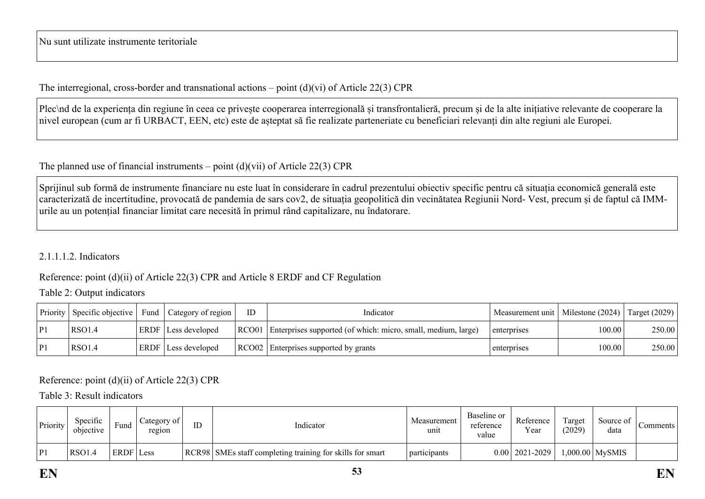Nu sunt utilizate instrumente teritoriale

The interregional, cross-border and transnational actions – point  $(d)(vi)$  of Article 22(3) CPR

Plec\nd de la experiența din regiune în ceea ce privește cooperarea interregională și transfrontalieră, precum și de la alte inițiative relevante de cooperare la nivel european (cum ar fi URBACT, EEN, etc) este de așteptat să fie realizate parteneriate cu beneficiari relevanți din alte regiuni ale Europei.

The planned use of financial instruments – point  $(d)(vi)$  of Article 22(3) CPR

Sprijinul sub formă de instrumente financiare nu este luat în considerare în cadrul prezentului obiectiv specific pentru că situația economică generală este caracterizată de incertitudine, provocată de pandemia de sars cov2, de situația geopolitică din vecinătatea Regiunii Nord- Vest, precum și de faptul că IMMurile au un potențial financiar limitat care necesită în primul rând capitalizare, nu îndatorare.

### 2.1.1.1.2. Indicators

Reference: point (d)(ii) of Article 22(3) CPR and Article 8 ERDF and CF Regulation

#### Table 2: Output indicators

| Priority | Specific objective | Fund | $\perp$ Category of region $\perp$ | ID | Indicator                                                           | Measurement unit   Milestone (2024)   Target (2029) |        |        |
|----------|--------------------|------|------------------------------------|----|---------------------------------------------------------------------|-----------------------------------------------------|--------|--------|
| P1       | RSO1.4             |      | <b>ERDF</b> Less developed         |    | RCO01 Enterprises supported (of which: micro, small, medium, large) | enterprises                                         | 100.00 | 250.00 |
| P1       | <b>RSO1.4</b>      |      | ERDF Less developed                |    | RCO02 Enterprises supported by grants                               | enterprises                                         | 100.00 | 250.00 |

Reference: point (d)(ii) of Article 22(3) CPR

Table 3: Result indicators

| Priority | Specific<br>objective | Funa             | $\angle$ ategory of $\vdash$<br>region | ID | Indicator                                                 | Measurement<br>unit | Baseline or<br>reference<br>value | Reference<br>Year  | Target<br>(2029) | Source of<br>data | Comments |
|----------|-----------------------|------------------|----------------------------------------|----|-----------------------------------------------------------|---------------------|-----------------------------------|--------------------|------------------|-------------------|----------|
| D1       | <b>RSO1.4</b>         | <b>ERDF</b> Less |                                        |    | RCR98 SMEs staff completing training for skills for smart | participants        |                                   | $0.00$   2021-2029 |                  | 1,000.00 MySMIS   |          |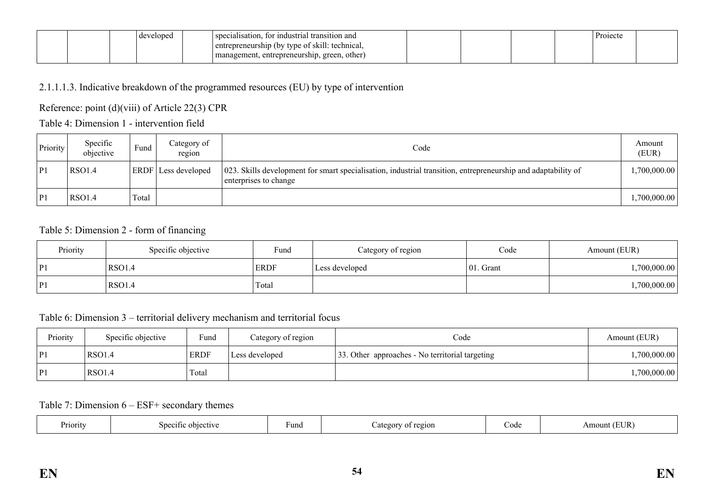|  | elopeo | r industrial transition and<br>specialisation.<br>tΩ |  |  | 'roiecte |  |
|--|--------|------------------------------------------------------|--|--|----------|--|
|  |        | <br>entrepreneurship (by type of skill: technical,   |  |  |          |  |
|  |        | , green, other)<br>management, entrepreneurship,     |  |  |          |  |

## 2.1.1.1.3. Indicative breakdown of the programmed resources (EU) by type of intervention

## Reference: point (d)(viii) of Article 22(3) CPR

### Table 4: Dimension 1 - intervention field

| Priority | Specific<br>objective | $Fund$ . | Category of<br>region      | Code                                                                                                                                   | Amount<br>(EUR) |
|----------|-----------------------|----------|----------------------------|----------------------------------------------------------------------------------------------------------------------------------------|-----------------|
| P1       | <b>RSO1.4</b>         |          | <b>ERDF</b> Less developed | 023. Skills development for smart specialisation, industrial transition, entrepreneurship and adaptability of<br>enterprises to change | .700,000.00     |
| P1       | <b>RSO1.4</b>         | Total    |                            |                                                                                                                                        | ,700,000.00     |

### Table 5: Dimension 2 - form of financing

| Priority | Specific objective | Fund        | Category of region | Code          | Amount (EUR) |
|----------|--------------------|-------------|--------------------|---------------|--------------|
| P1       | RSO <sub>1.4</sub> | <b>ERDF</b> | Less developed     | $ 01$ . Grant | ,700,000.00  |
| P        | RSO <sub>1.4</sub> | Total       |                    |               | 1,700,000.00 |

### Table 6: Dimension 3 – territorial delivery mechanism and territorial focus

| Priority       | Specific objective | Fund        | Category of region | Code                                            | Amount (EUR) |
|----------------|--------------------|-------------|--------------------|-------------------------------------------------|--------------|
| P1             | RSO1.4             | <b>ERDF</b> | Less developed     | 33. Other approaches - No territorial targeting | ,700,000.00  |
| P <sub>1</sub> | RSO1.4             | Total       |                    |                                                 | ,700,000.00  |

### Table 7: Dimension 6 – ESF+ secondary themes

| Priority | $\sim$<br>objective<br>Specific | Fund | region<br>`afeøor⊾<br>---<br>. . | Code | EUR`<br>Amount |
|----------|---------------------------------|------|----------------------------------|------|----------------|
|----------|---------------------------------|------|----------------------------------|------|----------------|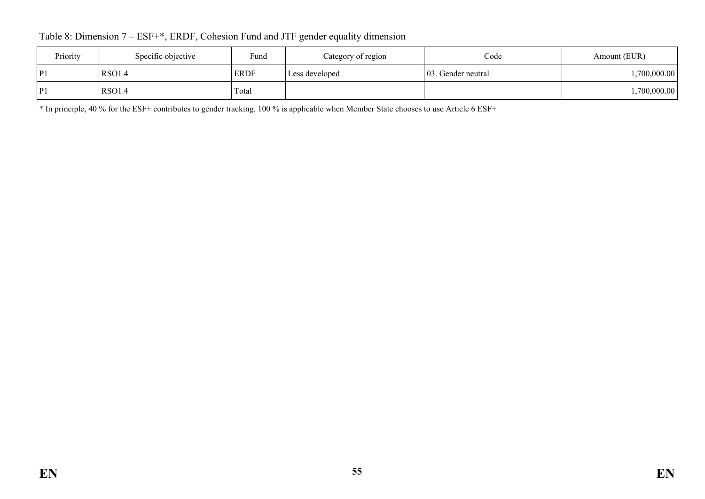Table 8: Dimension 7 – ESF+\*, ERDF, Cohesion Fund and JTF gender equality dimension

| Priority | Specific objective | Fund        | Category of region | Code                | Amount (EUR) |
|----------|--------------------|-------------|--------------------|---------------------|--------------|
| P1       | <b>RSO1.4</b>      | <b>ERDF</b> | Less developed     | 103. Gender neutral | ,700,000.00  |
| P1       | <b>RSO1.4</b>      | Total       |                    |                     | ,700,000.00  |

\* In principle, 40 % for the ESF+ contributes to gender tracking. 100 % is applicable when Member State chooses to use Article 6 ESF+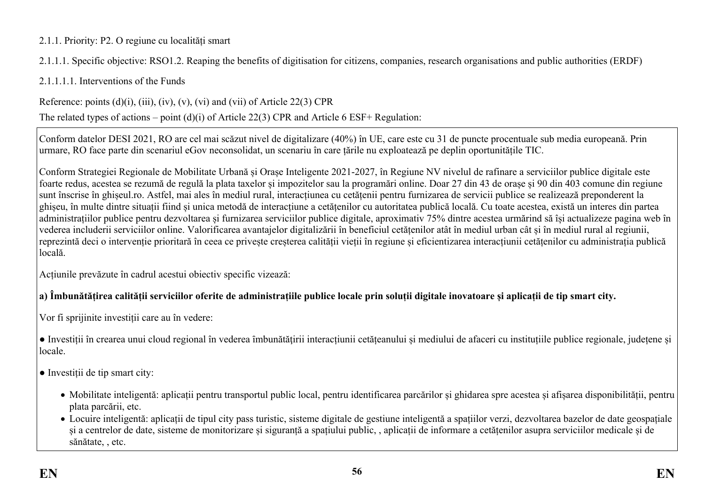## 2.1.1. Priority: P2. O regiune cu localități smart

2.1.1.1. Specific objective: RSO1.2. Reaping the benefits of digitisation for citizens, companies, research organisations and public authorities (ERDF)

2.1.1.1.1. Interventions of the Funds

Reference: points  $(d)(i)$ ,  $(iii)$ ,  $(iv)$ ,  $(v)$ ,  $(vi)$  and  $(vii)$  of Article 22(3) CPR

The related types of actions – point (d)(i) of Article 22(3) CPR and Article 6 ESF+ Regulation:

Conform datelor DESI 2021, RO are cel mai scăzut nivel de digitalizare (40%) în UE, care este cu 31 de puncte procentuale sub media europeană. Prin urmare, RO face parte din scenariul eGov neconsolidat, un scenariu în care țările nu exploatează pe deplin oportunitățile TIC.

Conform Strategiei Regionale de Mobilitate Urbană și Orașe Inteligente 2021-2027, în Regiune NV nivelul de rafinare a serviciilor publice digitale este foarte redus, acestea se rezumă de regulă la plata taxelor și impozitelor sau la programări online. Doar 27 din 43 de orașe și 90 din 403 comune din regiune sunt înscrise în ghișeul.ro. Astfel, mai ales în mediul rural, interacțiunea cu cetățenii pentru furnizarea de servicii publice se realizează preponderent la ghișeu, în multe dintre situații fiind și unica metodă de interacțiune a cetățenilor cu autoritatea publică locală. Cu toate acestea, există un interes din partea administrațiilor publice pentru dezvoltarea și furnizarea serviciilor publice digitale, aproximativ 75% dintre acestea urmărind să își actualizeze pagina web în vederea includerii serviciilor online. Valorificarea avantajelor digitalizării în beneficiul cetățenilor atât în mediul urban cât și în mediul rural al regiunii, reprezintă deci o intervenție prioritară în ceea ce privește creșterea calității vieții în regiune și eficientizarea interacțiunii cetățenilor cu administrația publică locală.

Acțiunile prevăzute în cadrul acestui obiectiv specific vizează:

# **a) Îmbunătățirea calității serviciilor oferite de administrațiile publice locale prin soluții digitale inovatoare și aplicații de tip smart city.**

Vor fi sprijinite investiții care au în vedere:

• Investiții în crearea unui cloud regional în vederea îmbunătățirii interacțiunii cetățeanului și mediului de afaceri cu instituțiile publice regionale, județene și locale.

● Investiții de tip smart city:

- Mobilitate inteligentă: aplicații pentru transportul public local, pentru identificarea parcărilor și ghidarea spre acestea și afișarea disponibilității, pentru plata parcării, etc.
- Locuire inteligentă: aplicații de tipul city pass turistic, sisteme digitale de gestiune inteligentă a spațiilor verzi, dezvoltarea bazelor de date geospațiale și a centrelor de date, sisteme de monitorizare și siguranță a spațiului public, , aplicații de informare a cetățenilor asupra serviciilor medicale și de sănătate, , etc.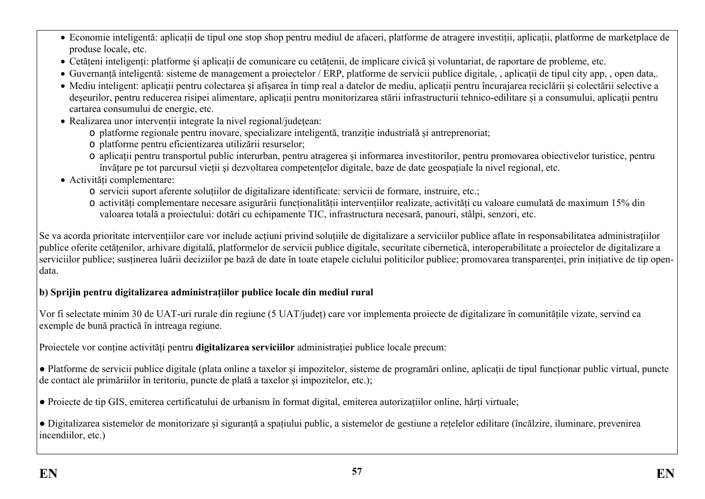- Economie inteligentă: aplicații de tipul one stop shop pentru mediul de afaceri, platforme de atragere investiții, aplicații, platforme de marketplace de produse locale, etc.
- Cetățeni inteligenți: platforme și aplicații de comunicare cu cetățenii, de implicare civică și voluntariat, de raportare de probleme, etc.
- Guvernanță inteligentă: sisteme de management a proiectelor / ERP, platforme de servicii publice digitale, , aplicații de tipul city app, , open data,.
- Mediu inteligent: aplicații pentru colectarea și afișarea în timp real a datelor de mediu, aplicații pentru încurajarea reciclării și colectării selective a deseurilor, pentru reducerea risipei alimentare, aplicații pentru monitorizarea stării infrastructurii tehnico-edilitare și a consumului, aplicații pentru cartarea consumului de energie, etc.
- Realizarea unor intervenții integrate la nivel regional/județean:
	- o platforme regionale pentru inovare, specializare inteligentă, tranziție industrială și antreprenoriat;
	- o platforme pentru eficientizarea utilizării resurselor;
	- o aplicații pentru transportul public interurban, pentru atragerea și informarea investitorilor, pentru promovarea obiectivelor turistice, pentru învățare pe tot parcursul vieții și dezvoltarea competențelor digitale, baze de date geospațiale la nivel regional, etc.
- Activități complementare:
	- o servicii suport aferente soluțiilor de digitalizare identificate: servicii de formare, instruire, etc.;
	- o activități complementare necesare asigurării funcționalității intervențiilor realizate, activități cu valoare cumulată de maximum 15% din valoarea totală a proiectului: dotări cu echipamente TIC, infrastructura necesară, panouri, stâlpi, senzori, etc.

Se va acorda prioritate intervențiilor care vor include acțiuni privind soluțiile de digitalizare a serviciilor publice aflate în responsabilitatea administrațiilor publice oferite cetățenilor, arhivare digitală, platformelor de servicii publice digitale, securitate cibernetică, interoperabilitate a proiectelor de digitalizare a serviciilor publice; sustinerea luării deciziilor pe bază de date în toate etapele ciclului politicilor publice; promovarea transparenței, prin inițiative de tip opendata.

# **b) Sprijin pentru digitalizarea administrațiilor publice locale din mediul rural**

Vor fi selectate minim 30 de UAT-uri rurale din regiune (5 UAT/județ) care vor implementa proiecte de digitalizare în comunitățile vizate, servind ca exemple de bună practică în intreaga regiune.

Proiectele vor conține activități pentru **digitalizarea serviciilor** administrației publice locale precum:

● Platforme de servicii publice digitale (plata online a taxelor și impozitelor, sisteme de programări online, aplicații de tipul funcționar public virtual, puncte de contact ale primăriilor în teritoriu, puncte de plată a taxelor și impozitelor, etc.);

● Proiecte de tip GIS, emiterea certificatului de urbanism în format digital, emiterea autorizațiilor online, hărți virtuale;

● Digitalizarea sistemelor de monitorizare și siguranță a spațiului public, a sistemelor de gestiune a rețelelor edilitare (încălzire, iluminare, prevenirea incendiilor, etc.)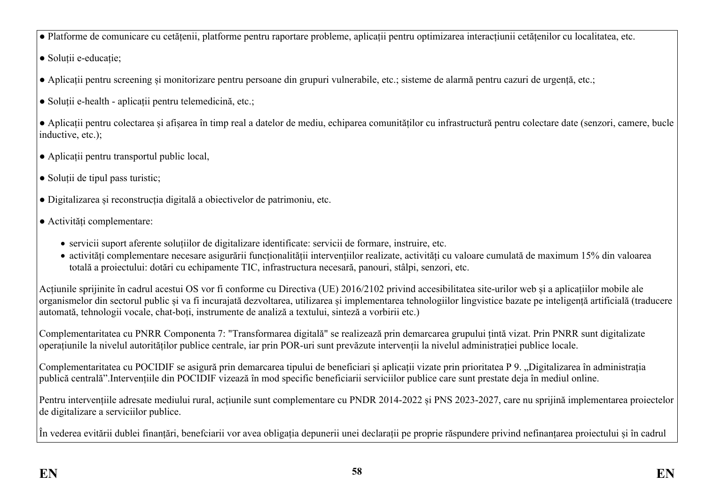- Platforme de comunicare cu cetățenii, platforme pentru raportare probleme, aplicații pentru optimizarea interacțiunii cetățenilor cu localitatea, etc.
- Soluții e-educație;
- Aplicații pentru screening și monitorizare pentru persoane din grupuri vulnerabile, etc.; sisteme de alarmă pentru cazuri de urgență, etc.;
- Soluții e-health aplicații pentru telemedicină, etc.;
- Aplicații pentru colectarea și afișarea în timp real a datelor de mediu, echiparea comunităților cu infrastructură pentru colectare date (senzori, camere, bucle inductive, etc.);
- Aplicații pentru transportul public local,
- Soluții de tipul pass turistic;
- Digitalizarea și reconstrucția digitală a obiectivelor de patrimoniu, etc.
- Activități complementare:
	- servicii suport aferente soluțiilor de digitalizare identificate: servicii de formare, instruire, etc.
	- activități complementare necesare asigurării funcționalității intervențiilor realizate, activități cu valoare cumulată de maximum 15% din valoarea totală a proiectului: dotări cu echipamente TIC, infrastructura necesară, panouri, stâlpi, senzori, etc.

Acțiunile sprijinite în cadrul acestui OS vor fi conforme cu Directiva (UE) 2016/2102 privind accesibilitatea site-urilor web și a aplicațiilor mobile ale organismelor din sectorul public și va fi incurajată dezvoltarea, utilizarea și implementarea tehnologiilor lingvistice bazate pe inteligență artificială (traducere automată, tehnologii vocale, chat-boți, instrumente de analiză a textului, sinteză a vorbirii etc.)

Complementaritatea cu PNRR Componenta 7: "Transformarea digitală" se realizează prin demarcarea grupului țintă vizat. Prin PNRR sunt digitalizate operațiunile la nivelul autorităților publice centrale, iar prin POR-uri sunt prevăzute intervenții la nivelul administrației publice locale.

Complementaritatea cu POCIDIF se asigură prin demarcarea tipului de beneficiari și aplicații vizate prin prioritatea P 9. "Digitalizarea în administrația publică centrală".Intervențiile din POCIDIF vizează în mod specific beneficiarii serviciilor publice care sunt prestate deja în mediul online.

Pentru intervențiile adresate mediului rural, acțiunile sunt complementare cu PNDR 2014-2022 și PNS 2023-2027, care nu sprijină implementarea proiectelor de digitalizare a serviciilor publice.

În vederea evitării dublei finanțări, benefciarii vor avea obligația depunerii unei declarații pe proprie răspundere privind nefinanțarea proiectului și în cadrul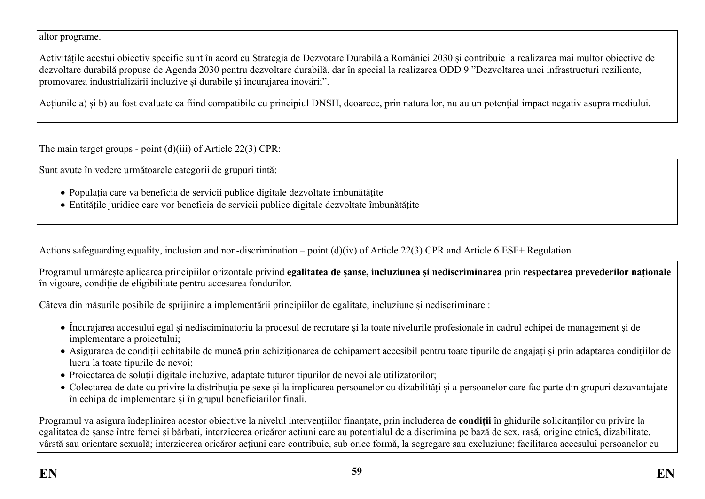altor programe.

Activitățile acestui obiectiv specific sunt în acord cu Strategia de Dezvotare Durabilă a României 2030 și contribuie la realizarea mai multor obiective de dezvoltare durabilă propuse de Agenda 2030 pentru dezvoltare durabilă, dar în special la realizarea ODD 9 "Dezvoltarea unei infrastructuri reziliente, promovarea industrializării incluzive și durabile și încurajarea inovării".

Acțiunile a) și b) au fost evaluate ca fiind compatibile cu principiul DNSH, deoarece, prin natura lor, nu au un potențial impact negativ asupra mediului.

The main target groups - point (d)(iii) of Article 22(3) CPR:

Sunt avute în vedere următoarele categorii de grupuri țintă:

- Populația care va beneficia de servicii publice digitale dezvoltate îmbunătățite
- Entitățile juridice care vor beneficia de servicii publice digitale dezvoltate îmbunătățite

Actions safeguarding equality, inclusion and non-discrimination – point (d)(iv) of Article 22(3) CPR and Article 6 ESF+ Regulation

Programul urmărește aplicarea principiilor orizontale privind **egalitatea de șanse, incluziunea și nediscriminarea** prin **respectarea prevederilor naționale** în vigoare, condiție de eligibilitate pentru accesarea fondurilor.

Câteva din măsurile posibile de sprijinire a implementării principiilor de egalitate, incluziune și nediscriminare :

- Încurajarea accesului egal și nedisciminatoriu la procesul de recrutare și la toate nivelurile profesionale în cadrul echipei de management și de implementare a proiectului;
- Asigurarea de condiții echitabile de muncă prin achiziționarea de echipament accesibil pentru toate tipurile de angajați și prin adaptarea condițiilor de lucru la toate tipurile de nevoi;
- Proiectarea de soluții digitale incluzive, adaptate tuturor tipurilor de nevoi ale utilizatorilor;
- Colectarea de date cu privire la distribuția pe sexe și la implicarea persoanelor cu dizabilități și a persoanelor care fac parte din grupuri dezavantajate în echipa de implementare și în grupul beneficiarilor finali.

Programul va asigura îndeplinirea acestor obiective la nivelul intervențiilor finanțate, prin includerea de **condiții** în ghidurile solicitanților cu privire la egalitatea de șanse între femei și bărbați, interzicerea oricăror acțiuni care au potențialul de a discrimina pe bază de sex, rasă, origine etnică, dizabilitate, vârstă sau orientare sexuală; interzicerea oricăror acțiuni care contribuie, sub orice formă, la segregare sau excluziune; facilitarea accesului persoanelor cu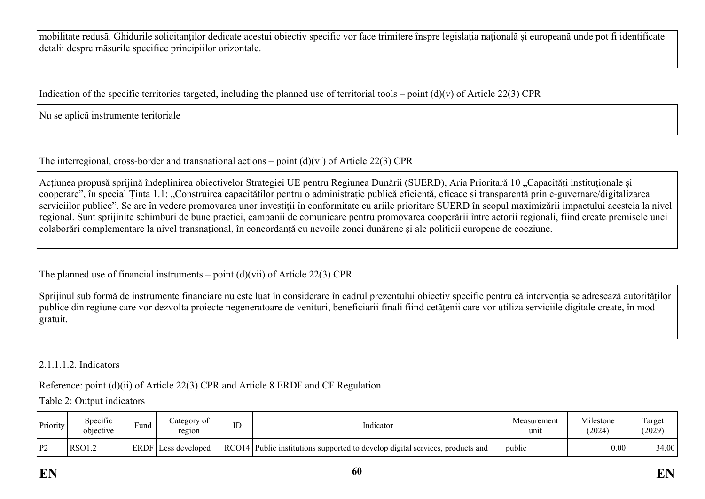mobilitate redusă. Ghidurile solicitanților dedicate acestui obiectiv specific vor face trimitere înspre legislația națională și europeană unde pot fi identificate detalii despre măsurile specifice principiilor orizontale.

Indication of the specific territories targeted, including the planned use of territorial tools – point  $(d)(v)$  of Article 22(3) CPR

Nu se aplică instrumente teritoriale

The interregional, cross-border and transnational actions – point (d)(vi) of Article 22(3) CPR

Acțiunea propusă sprijină îndeplinirea obiectivelor Strategiei UE pentru Regiunea Dunării (SUERD), Aria Prioritară 10 "Capacități instituționale și cooperare", în special Tinta 1.1: "Construirea capacităților pentru o administrație publică eficientă, eficace și transparentă prin e-guvernare/digitalizarea serviciilor publice". Se are în vedere promovarea unor investiții în conformitate cu ariile prioritare SUERD în scopul maximizării impactului acesteia la nivel regional. Sunt sprijinite schimburi de bune practici, campanii de comunicare pentru promovarea cooperării între actorii regionali, fiind create premisele unei colaborări complementare la nivel transnațional, în concordanță cu nevoile zonei dunărene și ale politicii europene de coeziune.

The planned use of financial instruments – point  $(d)(vi)$  of Article 22(3) CPR

Sprijinul sub formă de instrumente financiare nu este luat în considerare în cadrul prezentului obiectiv specific pentru că intervenția se adresează autorităților publice din regiune care vor dezvolta proiecte negeneratoare de venituri, beneficiarii finali fiind cetățenii care vor utiliza serviciile digitale create, în mod gratuit.

## 2.1.1.1.2. Indicators

Reference: point (d)(ii) of Article 22(3) CPR and Article 8 ERDF and CF Regulation

Table 2: Output indicators

| Priority | $\cdot$<br>Specific<br>objective | $\sim$<br>Fund | ategory of<br>region    | ID | Indicator                                                                     | Measurement<br>unit | Milestone<br>(2024) | l`arget<br>(2029) |
|----------|----------------------------------|----------------|-------------------------|----|-------------------------------------------------------------------------------|---------------------|---------------------|-------------------|
| P2       | RSO1.2                           | $ERDF_1$       | $\text{Less}$ developed |    | RCO14 Public institutions supported to develop digital services, products and | public              | 0.00                | 34.00             |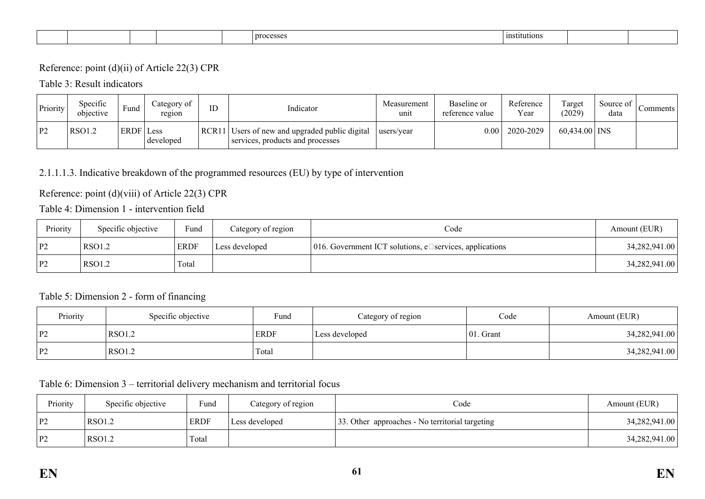| institutions<br>processes |
|---------------------------|
|---------------------------|

## Reference: point (d)(ii) of Article 22(3) CPR

#### Table 3: Result indicators

| Priority | Specific<br>objective | $\blacksquare$<br>Fund | Category of<br>region | ID | Indicator                                                                          | Measurement<br>unit | Baseline or<br>reference value | Reference<br>$v_{\text{ear}}$ | Target<br>(2029) | Source of<br>data | Comments |
|----------|-----------------------|------------------------|-----------------------|----|------------------------------------------------------------------------------------|---------------------|--------------------------------|-------------------------------|------------------|-------------------|----------|
| P2       | <b>RSO1.2</b>         | ERDF Less              | developed             |    | RCR11 Users of new and upgraded public digital<br>services, products and processes | users/year          | 0.00 <sub>l</sub>              | 2020-2029                     | $60,434.00$ INS  |                   |          |

## 2.1.1.1.3. Indicative breakdown of the programmed resources (EU) by type of intervention

## Reference: point (d)(viii) of Article 22(3) CPR

# Table 4: Dimension 1 - intervention field

| Priority | Specific objective | Fund        | Category of region | Code                                                           | Amount (EUR)  |
|----------|--------------------|-------------|--------------------|----------------------------------------------------------------|---------------|
| P2       | RSO1.2             | <b>ERDF</b> | Less developed     | 016. Government ICT solutions, e $\Box$ services, applications | 34,282,941.00 |
| P2       | RSO1.2             | Total       |                    |                                                                | 34,282,941.00 |

#### Table 5: Dimension 2 - form of financing

| Priority | Specific objective | Fund        | Category of region | Code         | Amount (EUR)  |
|----------|--------------------|-------------|--------------------|--------------|---------------|
| P2       | RSO <sub>1.2</sub> | <b>ERDF</b> | Less developed     | $ 01.$ Grant | 34,282,941.00 |
| P2       | RSO <sub>1.2</sub> | Total       |                    |              | 34,282,941.00 |

### Table 6: Dimension 3 – territorial delivery mechanism and territorial focus

| Priority | Specific objective | Fund        | Category of region | Code                                            | Amount (EUR)  |
|----------|--------------------|-------------|--------------------|-------------------------------------------------|---------------|
| P2       | <b>RSO1.2</b>      | <b>ERDF</b> | Less developed     | 33. Other approaches - No territorial targeting | 34,282,941.00 |
| P2       | RSO1.2             | Total       |                    |                                                 | 34,282,941.00 |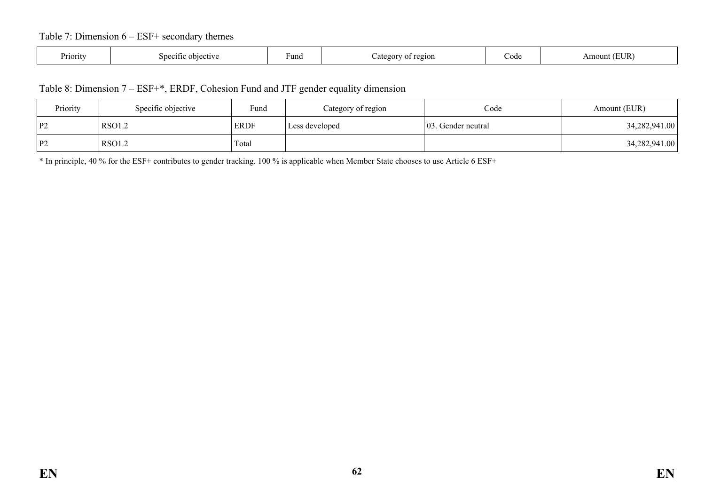### Table 7: Dimension 6 – ESF+ secondary themes

| Priority | objective<br>. <i>.</i><br>ີ | Fund | region<br>ateg<br>$^{\Omega}$ | Jode | EUR<br>$\cdots$<br>אוור |
|----------|------------------------------|------|-------------------------------|------|-------------------------|
|----------|------------------------------|------|-------------------------------|------|-------------------------|

#### Table 8: Dimension 7 – ESF+\*, ERDF, Cohesion Fund and JTF gender equality dimension

| Priority                     | Specific objective | Fund        | Category of region | Code                | Amount (EUR)  |
|------------------------------|--------------------|-------------|--------------------|---------------------|---------------|
| $\mathbf{p}$<br>$\mathbf{1}$ | <b>RSO1.2</b>      | <b>ERDF</b> | Less developed     | 103. Gender neutral | 34,282,941.00 |
| l P2                         | <b>RSO1.2</b>      | Total       |                    |                     | 34,282,941.00 |

\* In principle, 40 % for the ESF+ contributes to gender tracking. 100 % is applicable when Member State chooses to use Article 6 ESF+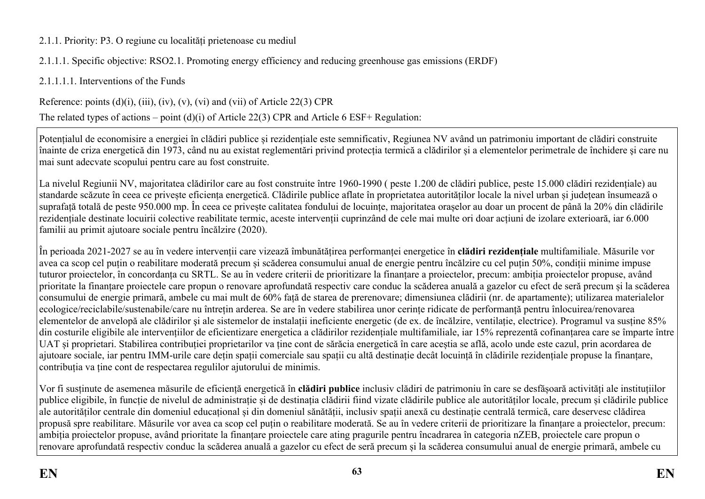## 2.1.1. Priority: P3. O regiune cu localități prietenoase cu mediul

2.1.1.1. Specific objective: RSO2.1. Promoting energy efficiency and reducing greenhouse gas emissions (ERDF)

2.1.1.1.1. Interventions of the Funds

Reference: points  $(d)(i)$ ,  $(iii)$ ,  $(iv)$ ,  $(v)$ ,  $(vi)$  and  $(vii)$  of Article 22(3) CPR

The related types of actions – point (d)(i) of Article 22(3) CPR and Article 6 ESF+ Regulation:

Potențialul de economisire a energiei în clădiri publice și rezidențiale este semnificativ, Regiunea NV având un patrimoniu important de clădiri construite înainte de criza energetică din 1973, când nu au existat reglementări privind protecția termică a clădirilor și a elementelor perimetrale de închidere şi care nu mai sunt adecvate scopului pentru care au fost construite.

La nivelul Regiunii NV, majoritatea clădirilor care au fost construite între 1960-1990 ( peste 1.200 de clădiri publice, peste 15.000 clădiri rezidențiale) au standarde scăzute în ceea ce privește eficiența energetică. Clădirile publice aflate în proprietatea autorităților locale la nivel urban și județean însumează o suprafață totală de peste 950.000 mp. În ceea ce privește calitatea fondului de locuințe, majoritatea orașelor au doar un procent de până la 20% din clădirile rezidențiale destinate locuirii colective reabilitate termic, aceste intervenții cuprinzând de cele mai multe ori doar acțiuni de izolare exterioară, iar 6.000 familii au primit ajutoare sociale pentru încălzire (2020).

În perioada 2021-2027 se au în vedere intervenții care vizează îmbunătățirea performanței energetice în **clădiri rezidențiale** multifamiliale. Măsurile vor avea ca scop cel puțin o reabilitare moderată precum și scăderea consumului anual de energie pentru încălzire cu cel puțin 50%, condiții minime impuse tuturor proiectelor, în concordanța cu SRTL. Se au în vedere criterii de prioritizare la finanțare a proiectelor, precum: ambiția proiectelor propuse, având prioritate la finanțare proiectele care propun o renovare aprofundată respectiv care conduc la scăderea anuală a gazelor cu efect de seră precum și la scăderea consumului de energie primară, ambele cu mai mult de 60% față de starea de prerenovare; dimensiunea clădirii (nr. de apartamente); utilizarea materialelor ecologice/reciclabile/sustenabile/care nu întrețin arderea. Se are în vedere stabilirea unor cerințe ridicate de performanță pentru înlocuirea/renovarea elementelor de anvelopă ale clădirilor şi ale sistemelor de instalații ineficiente energetic (de ex. de încălzire, ventilație, electrice). Programul va susține 85% din costurile eligibile ale intervențiilor de eficientizare energetica a clădirilor rezidențiale multifamiliale, iar 15% reprezentă cofinanțarea care se împarte între UAT și proprietari. Stabilirea contribuției proprietarilor va ține cont de sărăcia energetică în care aceștia se află, acolo unde este cazul, prin acordarea de ajutoare sociale, iar pentru IMM-urile care dețin spații comerciale sau spații cu altă destinație decât locuință în clădirile rezidențiale propuse la finanțare, contribuția va ține cont de respectarea regulilor ajutorului de minimis.

Vor fi susținute de asemenea măsurile de eficiență energetică în **clădiri publice** inclusiv clădiri de patrimoniu în care se desfășoară activități ale instituțiilor publice eligibile, în funcție de nivelul de administrație și de destinația clădirii fiind vizate clădirile publice ale autorităților locale, precum și clădirile publice ale autorităților centrale din domeniul educațional și din domeniul sănătății, inclusiv spații anexă cu destinație centrală termică, care deservesc clădirea propusă spre reabilitare. Măsurile vor avea ca scop cel puțin o reabilitare moderată. Se au în vedere criterii de prioritizare la finanțare a proiectelor, precum: ambiția proiectelor propuse, având prioritate la finanțare proiectele care ating pragurile pentru încadrarea în categoria nZEB, proiectele care propun o renovare aprofundată respectiv conduc la scăderea anuală a gazelor cu efect de seră precum și la scăderea consumului anual de energie primară, ambele cu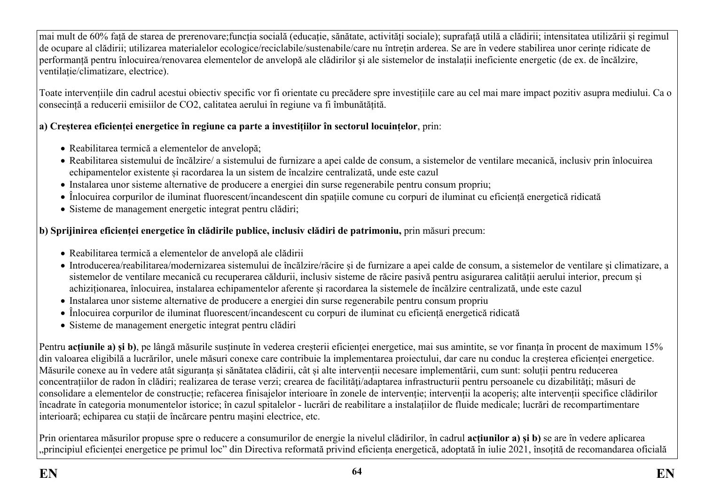mai mult de 60% față de starea de prerenovare;funcția socială (educație, sănătate, activități sociale); suprafață utilă a clădirii; intensitatea utilizării și regimul de ocupare al clădirii; utilizarea materialelor ecologice/reciclabile/sustenabile/care nu întrețin arderea. Se are în vedere stabilirea unor cerințe ridicate de performanță pentru înlocuirea/renovarea elementelor de anvelopă ale clădirilor şi ale sistemelor de instalații ineficiente energetic (de ex. de încălzire, ventilație/climatizare, electrice).

Toate intervențiile din cadrul acestui obiectiv specific vor fi orientate cu precădere spre investițiile care au cel mai mare impact pozitiv asupra mediului. Ca o consecință a reducerii emisiilor de CO2, calitatea aerului în regiune va fi îmbunătățită.

## **a) Creșterea eficienței energetice în regiune ca parte a investițiilor în sectorul locuințelor**, prin:

- Reabilitarea termică a elementelor de anvelopă;
- Reabilitarea sistemului de încălzire/ a sistemului de furnizare a apei calde de consum, a sistemelor de ventilare mecanică, inclusiv prin înlocuirea echipamentelor existente și racordarea la un sistem de încalzire centralizată, unde este cazul
- Instalarea unor sisteme alternative de producere a energiei din surse regenerabile pentru consum propriu;
- Înlocuirea corpurilor de iluminat fluorescent/incandescent din spațiile comune cu corpuri de iluminat cu eficiență energetică ridicată
- Sisteme de management energetic integrat pentru clădiri;

## **b) Sprijinirea eficienței energetice în clădirile publice, inclusiv clădiri de patrimoniu,** prin măsuri precum:

- Reabilitarea termică a elementelor de anvelopă ale clădirii
- Introducerea/reabilitarea/modernizarea sistemului de încălzire/răcire și de furnizare a apei calde de consum, a sistemelor de ventilare și climatizare, a sistemelor de ventilare mecanică cu recuperarea căldurii, inclusiv sisteme de răcire pasivă pentru asigurarea calității aerului interior, precum și achiziționarea, înlocuirea, instalarea echipamentelor aferente și racordarea la sistemele de încălzire centralizată, unde este cazul
- Instalarea unor sisteme alternative de producere a energiei din surse regenerabile pentru consum propriu
- Înlocuirea corpurilor de iluminat fluorescent/incandescent cu corpuri de iluminat cu eficiență energetică ridicată
- Sisteme de management energetic integrat pentru clădiri

Pentru **acțiunile a) și b)**, pe lângă măsurile susținute în vederea creșterii eficienței energetice, mai sus amintite, se vor finanța în procent de maximum 15% din valoarea eligibilă a lucrărilor, unele măsuri conexe care contribuie la implementarea proiectului, dar care nu conduc la creșterea eficienței energetice. Măsurile conexe au în vedere atât siguranța și sănătatea clădirii, cât și alte intervenții necesare implementării, cum sunt: soluții pentru reducerea concentrațiilor de radon în clădiri; realizarea de terase verzi; crearea de facilități/adaptarea infrastructurii pentru persoanele cu dizabilități; măsuri de consolidare a elementelor de construcție; refacerea finisajelor interioare în zonele de intervenție; intervenții la acoperiș; alte intervenții specifice clădirilor încadrate în categoria monumentelor istorice; în cazul spitalelor - lucrări de reabilitare a instalațiilor de fluide medicale; lucrări de recompartimentare interioară; echiparea cu stații de încărcare pentru mașini electrice, etc.

Prin orientarea măsurilor propuse spre o reducere a consumurilor de energie la nivelul clădirilor, în cadrul **acțiunilor a) și b)** se are în vedere aplicarea "principiul eficienței energetice pe primul loc" din Directiva reformată privind eficiența energetică, adoptată în iulie 2021, însoțită de recomandarea oficială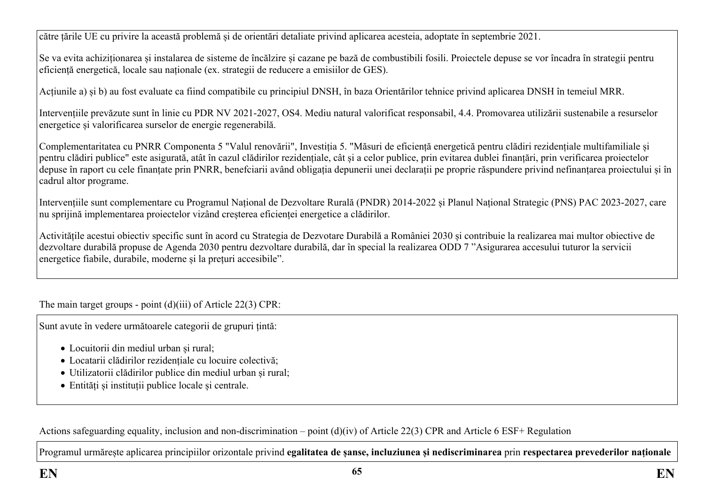către țările UE cu privire la această problemă și de orientări detaliate privind aplicarea acesteia, adoptate în septembrie 2021.

Se va evita achiziționarea și instalarea de sisteme de încălzire și cazane pe bază de combustibili fosili. Proiectele depuse se vor încadra în strategii pentru eficiență energetică, locale sau naționale (ex. strategii de reducere a emisiilor de GES).

Acțiunile a) și b) au fost evaluate ca fiind compatibile cu principiul DNSH, în baza Orientărilor tehnice privind aplicarea DNSH în temeiul MRR.

Intervențiile prevăzute sunt în linie cu PDR NV 2021-2027, OS4. Mediu natural valorificat responsabil, 4.4. Promovarea utilizării sustenabile a resurselor energetice și valorificarea surselor de energie regenerabilă.

Complementaritatea cu PNRR Componenta 5 "Valul renovării", Investiția 5. "Măsuri de eficiență energetică pentru clădiri rezidențiale multifamiliale și pentru clădiri publice" este asigurată, atât în cazul clădirilor rezidențiale, cât și a celor publice, prin evitarea dublei finanțări, prin verificarea proiectelor depuse în raport cu cele finanțate prin PNRR, benefciarii având obligația depunerii unei declarații pe proprie răspundere privind nefinanțarea proiectului și în cadrul altor programe.

Intervențiile sunt complementare cu Programul Național de Dezvoltare Rurală (PNDR) 2014-2022 și Planul Național Strategic (PNS) PAC 2023-2027, care nu sprijină implementarea proiectelor vizând creșterea eficienței energetice a clădirilor.

Activitățile acestui obiectiv specific sunt în acord cu Strategia de Dezvotare Durabilă a României 2030 și contribuie la realizarea mai multor obiective de dezvoltare durabilă propuse de Agenda 2030 pentru dezvoltare durabilă, dar în special la realizarea ODD 7 "Asigurarea accesului tuturor la servicii energetice fiabile, durabile, moderne și la prețuri accesibile".

The main target groups - point (d)(iii) of Article 22(3) CPR:

Sunt avute în vedere următoarele categorii de grupuri țintă:

- Locuitorii din mediul urban și rural;
- Locatarii clădirilor rezidențiale cu locuire colectivă;
- Utilizatorii clădirilor publice din mediul urban și rural;
- Entități și instituții publice locale și centrale.

Actions safeguarding equality, inclusion and non-discrimination – point (d)(iv) of Article 22(3) CPR and Article 6 ESF+ Regulation

Programul urmărește aplicarea principiilor orizontale privind **egalitatea de șanse, incluziunea și nediscriminarea** prin **respectarea prevederilor naționale**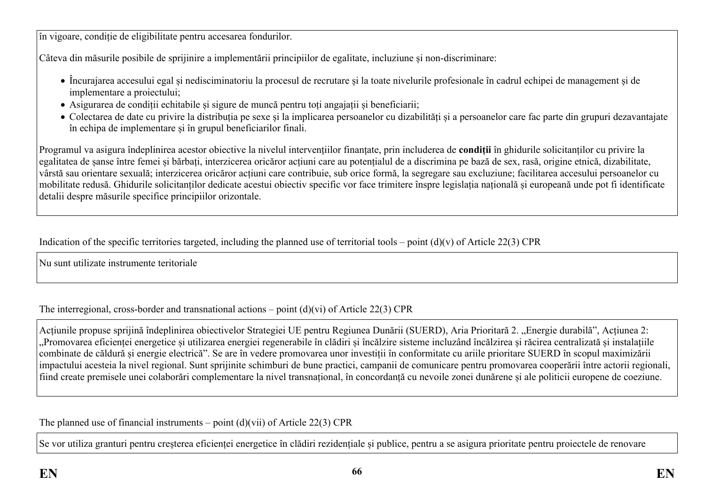în vigoare, condiție de eligibilitate pentru accesarea fondurilor.

Câteva din măsurile posibile de sprijinire a implementării principiilor de egalitate, incluziune și non-discriminare:

- Încurajarea accesului egal și nedisciminatoriu la procesul de recrutare și la toate nivelurile profesionale în cadrul echipei de management și de implementare a proiectului;
- Asigurarea de condiții echitabile și sigure de muncă pentru toți angajații și beneficiarii;
- Colectarea de date cu privire la distribuția pe sexe și la implicarea persoanelor cu dizabilități și a persoanelor care fac parte din grupuri dezavantajate în echipa de implementare și în grupul beneficiarilor finali.

Programul va asigura îndeplinirea acestor obiective la nivelul intervențiilor finanțate, prin includerea de **condiții** în ghidurile solicitanților cu privire la egalitatea de șanse între femei și bărbați, interzicerea oricăror acțiuni care au potențialul de a discrimina pe bază de sex, rasă, origine etnică, dizabilitate, vârstă sau orientare sexuală; interzicerea oricăror acțiuni care contribuie, sub orice formă, la segregare sau excluziune; facilitarea accesului persoanelor cu mobilitate redusă. Ghidurile solicitanților dedicate acestui obiectiv specific vor face trimitere înspre legislația națională și europeană unde pot fi identificate detalii despre măsurile specifice principiilor orizontale.

Indication of the specific territories targeted, including the planned use of territorial tools – point  $(d)(v)$  of Article 22(3) CPR

Nu sunt utilizate instrumente teritoriale

The interregional, cross-border and transnational actions – point  $(d)(vi)$  of Article 22(3) CPR

Acțiunile propuse sprijină îndeplinirea obiectivelor Strategiei UE pentru Regiunea Dunării (SUERD), Aria Prioritară 2. "Energie durabilă", Acțiunea 2: "Promovarea eficienței energetice și utilizarea energiei regenerabile în clădiri și încălzire sisteme incluzând încălzirea și răcirea centralizată și instalațiile combinate de căldură și energie electrică". Se are în vedere promovarea unor investiții în conformitate cu ariile prioritare SUERD în scopul maximizării impactului acesteia la nivel regional. Sunt sprijinite schimburi de bune practici, campanii de comunicare pentru promovarea cooperării între actorii regionali, fiind create premisele unei colaborări complementare la nivel transnațional, în concordanță cu nevoile zonei dunărene și ale politicii europene de coeziune.

The planned use of financial instruments – point  $(d)(vi)$  of Article 22(3) CPR

Se vor utiliza granturi pentru creșterea eficienței energetice în clădiri rezidențiale și publice, pentru a se asigura prioritate pentru proiectele de renovare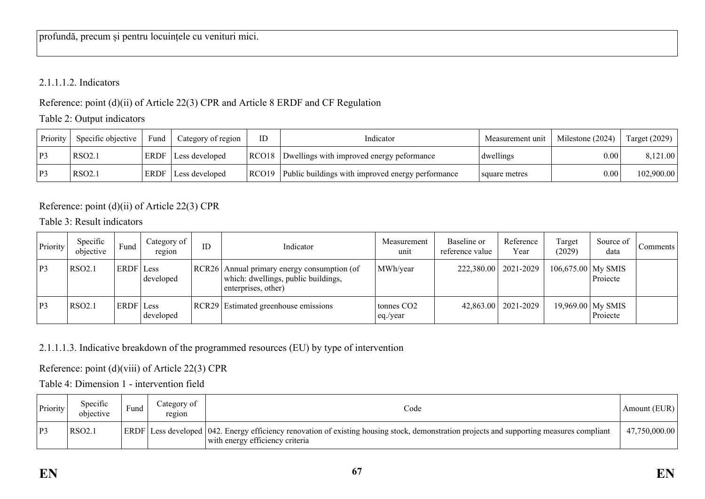## 2.1.1.1.2. Indicators

Reference: point (d)(ii) of Article 22(3) CPR and Article 8 ERDF and CF Regulation

Table 2: Output indicators

| Priority | Specific objective | Fund        | Category of region | ID    | Indicator                                         | Measurement unit | Milestone (2024) | Target $(2029)$ |
|----------|--------------------|-------------|--------------------|-------|---------------------------------------------------|------------------|------------------|-----------------|
| P3       | RSO2.1             | <b>ERDF</b> | Less developed     | RCO18 | Dwellings with improved energy peformance         | dwellings        | 0.00             | 8,121.00        |
| P3       | RSO <sub>2.1</sub> | <b>ERDF</b> | Less developed     | RCO19 | Public buildings with improved energy performance | square metres    | 0.00             | 102,900.00      |

Reference: point (d)(ii) of Article 22(3) CPR

Table 3: Result indicators

| Priority | Specific<br>objective | Fund      | Category of<br>region | ID | Indicator                                                                                                   | Measurement<br>unit                | Baseline or<br>reference value | Reference<br>Year      | Target<br>(2029)     | Source of<br>data             | Comments |
|----------|-----------------------|-----------|-----------------------|----|-------------------------------------------------------------------------------------------------------------|------------------------------------|--------------------------------|------------------------|----------------------|-------------------------------|----------|
| P3       | <b>RSO2.1</b>         | ERDF Less | developed             |    | RCR26   Annual primary energy consumption (of<br>which: dwellings, public buildings,<br>enterprises, other) | MWh/year                           |                                | 222,380.00   2021-2029 | $106,675.00$ My SMIS | Projecte                      |          |
| P3       | RSO2.1                | ERDF Less | developed             |    | RCR29 Estimated greenhouse emissions                                                                        | tonnes CO <sub>2</sub><br>eq./year |                                | 42,863.00   2021-2029  |                      | 19,969.00 My SMIS<br>Projecte |          |

2.1.1.1.3. Indicative breakdown of the programmed resources (EU) by type of intervention

Reference: point (d)(viii) of Article 22(3) CPR

Table 4: Dimension 1 - intervention field

| <b>Priority</b> | Specific<br>objective | Fund | `ategory of<br>region | Code                                                                                                                                                                          | Amount (EUR)  |
|-----------------|-----------------------|------|-----------------------|-------------------------------------------------------------------------------------------------------------------------------------------------------------------------------|---------------|
| P3              | RSO <sub>2.1</sub>    |      |                       | ERDF Less developed 1042. Energy efficiency renovation of existing housing stock, demonstration projects and supporting measures compliant<br>with energy efficiency criteria | 47,750,000.00 |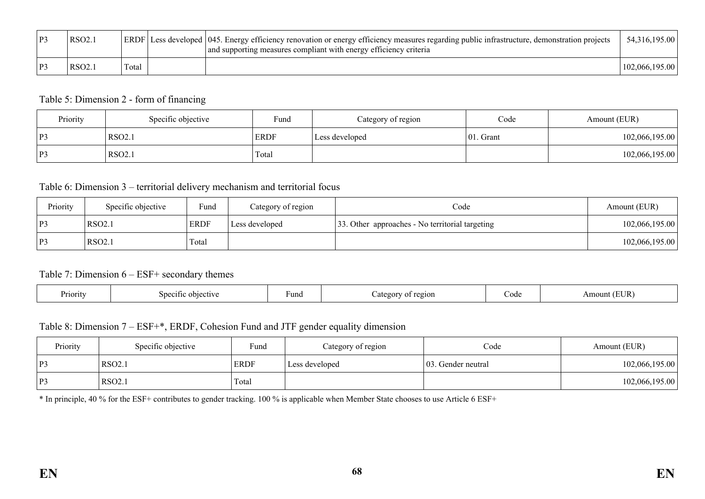| P3 | RSO <sub>2.1</sub> |       | ERDF Less developed 045. Energy efficiency renovation or energy efficiency measures regarding public infrastructure, demonstration projects<br>and supporting measures compliant with energy efficiency criteria | 54,316,195.00  |
|----|--------------------|-------|------------------------------------------------------------------------------------------------------------------------------------------------------------------------------------------------------------------|----------------|
| P3 | RSO2.1             | Total |                                                                                                                                                                                                                  | 102,066,195,00 |

### Table 5: Dimension 2 - form of financing

| Priority | Specific objective | Fund<br>Category of region |                | Code          | Amount (EUR)   |  |
|----------|--------------------|----------------------------|----------------|---------------|----------------|--|
| P3       | RSO2.1             | <b>ERDF</b>                | Less developed | $ 01$ . Grant | 102,066,195.00 |  |
| P3       | RSO2.1             | Total                      |                |               | 102,066,195.00 |  |

### Table 6: Dimension 3 – territorial delivery mechanism and territorial focus

| Priority | Specific objective | Fund        | Category of region | Code                                            | Amount (EUR)   |
|----------|--------------------|-------------|--------------------|-------------------------------------------------|----------------|
| P3       | <b>RSO2.1</b>      | <b>ERDF</b> | Less developed     | 33. Other approaches - No territorial targeting | 102,066,195.00 |
| P3       | RSO <sub>2.1</sub> | Total       |                    |                                                 | 102,066,195.00 |

#### Table 7: Dimension 6 – ESF+ secondary themes

| Priority | Snecitic<br>objective | huna - | egion. | ി∩ില<br><u>Couc</u> | TR.<br>$\mathbf{m}$<br>าบา1<br>111 |
|----------|-----------------------|--------|--------|---------------------|------------------------------------|
|----------|-----------------------|--------|--------|---------------------|------------------------------------|

## Table 8: Dimension 7 – ESF+\*, ERDF, Cohesion Fund and JTF gender equality dimension

| Priority | Specific objective | Fund        | Category of region | Code                | Amount (EUR)   |
|----------|--------------------|-------------|--------------------|---------------------|----------------|
| P3       | RSO2.1             | <b>ERDF</b> | Less developed     | 103. Gender neutral | 102,066,195.00 |
| P3       | RSO2.1             | Total       |                    |                     | 102,066,195.00 |

\* In principle, 40 % for the ESF+ contributes to gender tracking. 100 % is applicable when Member State chooses to use Article 6 ESF+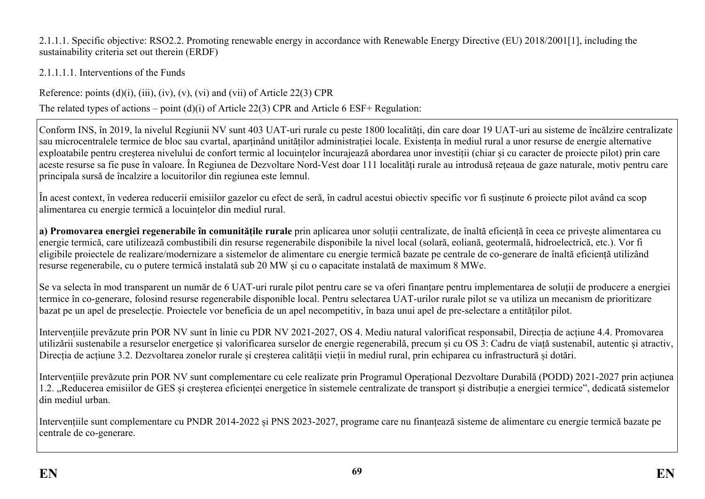2.1.1.1. Specific objective: RSO2.2. Promoting renewable energy in accordance with Renewable Energy Directive (EU) 2018/2001[1], including the sustainability criteria set out therein (ERDF)

2.1.1.1.1. Interventions of the Funds

Reference: points  $(d)(i)$ ,  $(iii)$ ,  $(iv)$ ,  $(v)$ ,  $(vi)$  and  $(vii)$  of Article 22(3) CPR

The related types of actions – point (d)(i) of Article 22(3) CPR and Article 6 ESF+ Regulation:

Conform INS, în 2019, la nivelul Regiunii NV sunt 403 UAT-uri rurale cu peste 1800 localități, din care doar 19 UAT-uri au sisteme de încălzire centralizate sau microcentralele termice de bloc sau cvartal, aparținând unităților administrației locale. Existența în mediul rural a unor resurse de energie alternative exploatabile pentru creșterea nivelului de confort termic al locuințelor încurajează abordarea unor investiții (chiar și cu caracter de proiecte pilot) prin care aceste resurse sa fie puse în valoare. În Regiunea de Dezvoltare Nord-Vest doar 111 localități rurale au introdusă rețeaua de gaze naturale, motiv pentru care principala sursă de încalzire a locuitorilor din regiunea este lemnul.

În acest context, în vederea reducerii emisiilor gazelor cu efect de seră, în cadrul acestui obiectiv specific vor fi susținute 6 proiecte pilot având ca scop alimentarea cu energie termică a locuințelor din mediul rural.

**a) Promovarea energiei regenerabile în comunitățile rurale** prin aplicarea unor soluții centralizate, de înaltă eficiență în ceea ce privește alimentarea cu energie termică, care utilizează combustibili din resurse regenerabile disponibile la nivel local (solară, eoliană, geotermală, hidroelectrică, etc.). Vor fi eligibile proiectele de realizare/modernizare a sistemelor de alimentare cu energie termică bazate pe centrale de co-generare de înaltă eficiență utilizând resurse regenerabile, cu o putere termică instalată sub 20 MW și cu o capacitate instalată de maximum 8 MWe.

Se va selecta în mod transparent un număr de 6 UAT-uri rurale pilot pentru care se va oferi finanțare pentru implementarea de soluții de producere a energiei termice în co-generare, folosind resurse regenerabile disponible local. Pentru selectarea UAT-urilor rurale pilot se va utiliza un mecanism de prioritizare bazat pe un apel de preselecție. Proiectele vor beneficia de un apel necompetitiv, în baza unui apel de pre-selectare a entităților pilot.

Intervențiile prevăzute prin POR NV sunt în linie cu PDR NV 2021-2027, OS 4. Mediu natural valorificat responsabil, Direcția de acțiune 4.4. Promovarea utilizării sustenabile a resurselor energetice și valorificarea surselor de energie regenerabilă, precum și cu OS 3: Cadru de viață sustenabil, autentic și atractiv, Direcția de acțiune 3.2. Dezvoltarea zonelor rurale și creșterea calității vieții în mediul rural, prin echiparea cu infrastructură și dotări.

Intervențiile prevăzute prin POR NV sunt complementare cu cele realizate prin Programul Operațional Dezvoltare Durabilă (PODD) 2021-2027 prin acțiunea 1.2. "Reducerea emisiilor de GES și creșterea eficienței energetice în sistemele centralizate de transport și distribuție a energiei termice", dedicată sistemelor din mediul urban.

Intervențiile sunt complementare cu PNDR 2014-2022 și PNS 2023-2027, programe care nu finanțează sisteme de alimentare cu energie termică bazate pe centrale de co-generare.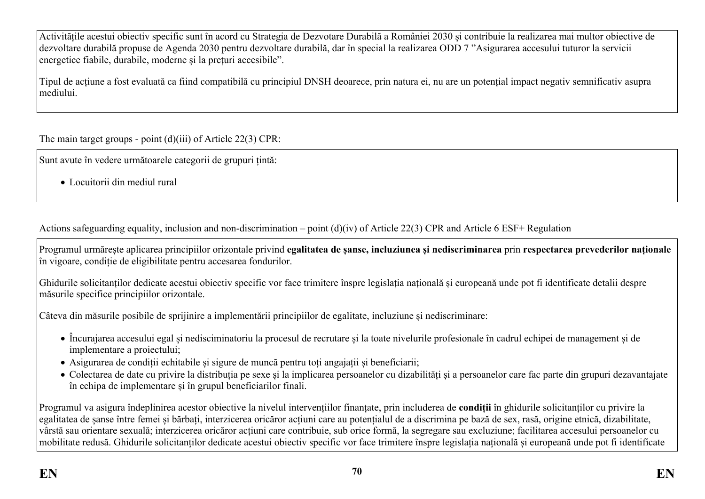Activitățile acestui obiectiv specific sunt în acord cu Strategia de Dezvotare Durabilă a României 2030 și contribuie la realizarea mai multor obiective de dezvoltare durabilă propuse de Agenda 2030 pentru dezvoltare durabilă, dar în special la realizarea ODD 7 "Asigurarea accesului tuturor la servicii energetice fiabile, durabile, moderne și la prețuri accesibile".

Tipul de acțiune a fost evaluată ca fiind compatibilă cu principiul DNSH deoarece, prin natura ei, nu are un potențial impact negativ semnificativ asupra mediului.

The main target groups - point (d)(iii) of Article 22(3) CPR:

Sunt avute în vedere următoarele categorii de grupuri țintă:

Locuitorii din mediul rural

Actions safeguarding equality, inclusion and non-discrimination – point (d)(iv) of Article 22(3) CPR and Article 6 ESF+ Regulation

Programul urmărește aplicarea principiilor orizontale privind **egalitatea de șanse, incluziunea și nediscriminarea** prin **respectarea prevederilor naționale** în vigoare, condiție de eligibilitate pentru accesarea fondurilor.

Ghidurile solicitanților dedicate acestui obiectiv specific vor face trimitere înspre legislația națională și europeană unde pot fi identificate detalii despre măsurile specifice principiilor orizontale.

Câteva din măsurile posibile de sprijinire a implementării principiilor de egalitate, incluziune și nediscriminare:

- Încurajarea accesului egal și nedisciminatoriu la procesul de recrutare și la toate nivelurile profesionale în cadrul echipei de management și de implementare a proiectului;
- Asigurarea de condiții echitabile și sigure de muncă pentru toți angajații și beneficiarii;
- Colectarea de date cu privire la distribuția pe sexe și la implicarea persoanelor cu dizabilități și a persoanelor care fac parte din grupuri dezavantajate în echipa de implementare și în grupul beneficiarilor finali.

Programul va asigura îndeplinirea acestor obiective la nivelul intervențiilor finanțate, prin includerea de **condiții** în ghidurile solicitanților cu privire la egalitatea de șanse între femei și bărbați, interzicerea oricăror acțiuni care au potențialul de a discrimina pe bază de sex, rasă, origine etnică, dizabilitate, vârstă sau orientare sexuală; interzicerea oricăror acțiuni care contribuie, sub orice formă, la segregare sau excluziune; facilitarea accesului persoanelor cu mobilitate redusă. Ghidurile solicitanților dedicate acestui obiectiv specific vor face trimitere înspre legislația națională și europeană unde pot fi identificate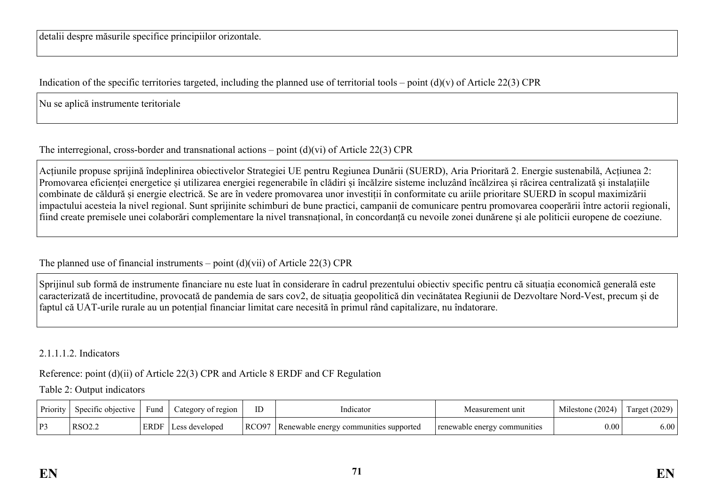Indication of the specific territories targeted, including the planned use of territorial tools – point  $(d)(v)$  of Article 22(3) CPR

Nu se aplică instrumente teritoriale

# The interregional, cross-border and transnational actions – point (d)(vi) of Article 22(3) CPR

Acțiunile propuse sprijină îndeplinirea obiectivelor Strategiei UE pentru Regiunea Dunării (SUERD), Aria Prioritară 2. Energie sustenabilă, Acțiunea 2: Promovarea eficienței energetice și utilizarea energiei regenerabile în clădiri și încălzire sisteme incluzând încălzirea și răcirea centralizată și instalațiile combinate de căldură și energie electrică. Se are în vedere promovarea unor investiții în conformitate cu ariile prioritare SUERD în scopul maximizării impactului acesteia la nivel regional. Sunt sprijinite schimburi de bune practici, campanii de comunicare pentru promovarea cooperării între actorii regionali, fiind create premisele unei colaborări complementare la nivel transnațional, în concordanță cu nevoile zonei dunărene și ale politicii europene de coeziune.

The planned use of financial instruments – point  $(d)(\n{\rm vii})$  of Article 22(3) CPR

Sprijinul sub formă de instrumente financiare nu este luat în considerare în cadrul prezentului obiectiv specific pentru că situația economică generală este caracterizată de incertitudine, provocată de pandemia de sars cov2, de situația geopolitică din vecinătatea Regiunii de Dezvoltare Nord-Vest, precum și de faptul că UAT-urile rurale au un potențial financiar limitat care necesită în primul rând capitalizare, nu îndatorare.

2.1.1.1.2. Indicators

Reference: point (d)(ii) of Article 22(3) CPR and Article 8 ERDF and CF Regulation

Table 2: Output indicators

| Priority | Specific objective | $\sqrt{2}$<br>Fund | ategory of region | ID    | Indicator                              | Measurement unit             | Milestone (2024) | Target (2029) |
|----------|--------------------|--------------------|-------------------|-------|----------------------------------------|------------------------------|------------------|---------------|
| P3       | RSO <sub>2.2</sub> | <b>ERDF</b>        | developed         | RCO97 | Renewable energy communities supported | renewable energy communities | 0.00             | 6.00          |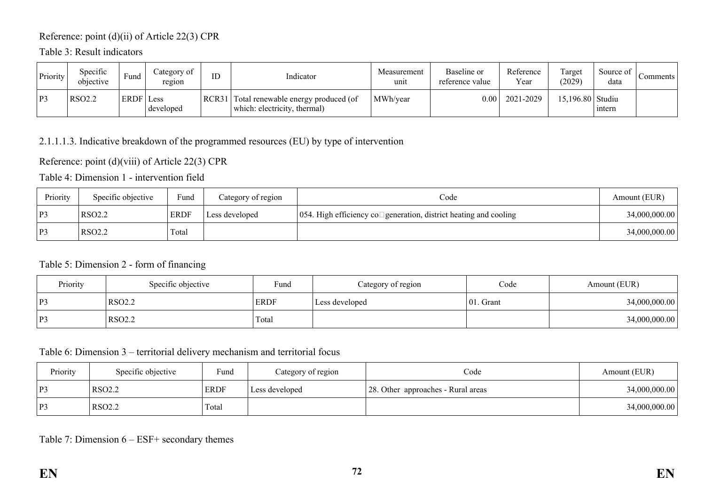## Reference: point (d)(ii) of Article 22(3) CPR

## Table 3: Result indicators

| Priority | Specific<br>objective | Fund | Category of<br>region | ID    | Indicator                                                           | Measurement<br>unit | Baseline or<br>reference value | Reference<br>Year | Target<br>(2029) | Source of<br>data | Comments |
|----------|-----------------------|------|-----------------------|-------|---------------------------------------------------------------------|---------------------|--------------------------------|-------------------|------------------|-------------------|----------|
| P3       | <b>RSO2.2</b>         | ERDF | Less<br>developed     | RCR31 | Total renewable energy produced (of<br>which: electricity, thermal) | MWh/year            | $0.00\,$                       | 2021-2029         | 15,196.80 Studiu | intern            |          |

### 2.1.1.1.3. Indicative breakdown of the programmed resources (EU) by type of intervention

### Reference: point (d)(viii) of Article 22(3) CPR

Table 4: Dimension 1 - intervention field

| Priority | Specific objective | Fund        | Category of region | Code                                                                            | Amount (EUR)  |
|----------|--------------------|-------------|--------------------|---------------------------------------------------------------------------------|---------------|
| P3       | RSO <sub>2.2</sub> | <b>ERDF</b> | Less developed     | $\vert$ 054. High efficiency co $\Box$ generation, district heating and cooling | 34,000,000.00 |
| P3       | RSO <sub>2.2</sub> | Total       |                    |                                                                                 | 34,000,000.00 |

### Table 5: Dimension 2 - form of financing

| Priority | Specific objective | Fund        | Category of region | Code         | Amount (EUR)  |
|----------|--------------------|-------------|--------------------|--------------|---------------|
| P3       | RSO <sub>2.2</sub> | <b>ERDF</b> | Less developed     | $ 01.$ Grant | 34,000,000.00 |
| P3       | RSO <sub>2.2</sub> | Total       |                    |              | 34,000,000.00 |

## Table 6: Dimension 3 – territorial delivery mechanism and territorial focus

| Priority     | Specific objective | Fund        | Category of region | Code                               | Amount (EUR)  |
|--------------|--------------------|-------------|--------------------|------------------------------------|---------------|
| $\mathbf{p}$ | RSO <sub>2.2</sub> | <b>ERDF</b> | Less developed     | 28. Other approaches - Rural areas | 34,000,000.00 |
| $\mathbf{p}$ | <b>RSO2.2</b>      | Total       |                    |                                    | 34,000,000.00 |

### Table 7: Dimension 6 – ESF+ secondary themes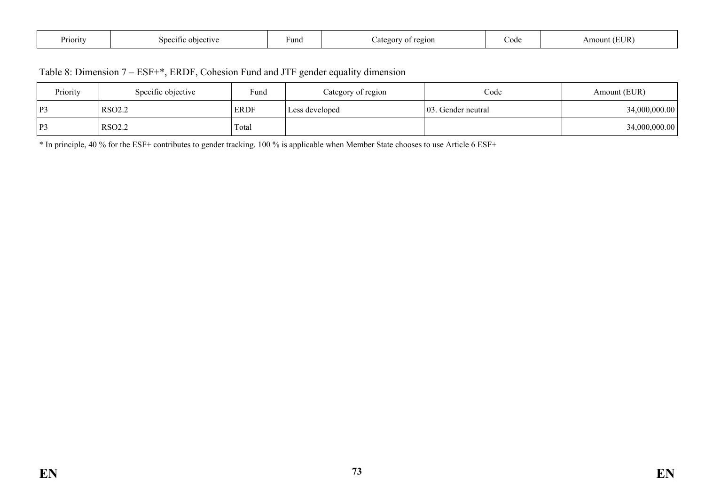| n<br>Priority | $\cap$ biective<br>Snecitic | Fund | region.<br>ategor | ∪ode | ∴UR`<br>Amot |
|---------------|-----------------------------|------|-------------------|------|--------------|
|---------------|-----------------------------|------|-------------------|------|--------------|

| Table 8: Dimension 7 – ESF+*, ERDF, Cohesion Fund and JTF gender equality dimension |  |  |
|-------------------------------------------------------------------------------------|--|--|
|-------------------------------------------------------------------------------------|--|--|

| Priority                 | Specific objective | Fund        | Category of region | Code                | Amount (EUR)  |
|--------------------------|--------------------|-------------|--------------------|---------------------|---------------|
| $\mathbf{p}$<br><b>L</b> | RSO <sub>2.2</sub> | <b>ERDF</b> | Less developed     | 103. Gender neutral | 34,000,000.00 |
| $\mathbf{p}$             | <b>RSO2.2</b>      | Total       |                    |                     | 34,000,000.00 |

\* In principle, 40 % for the ESF+ contributes to gender tracking. 100 % is applicable when Member State chooses to use Article 6 ESF+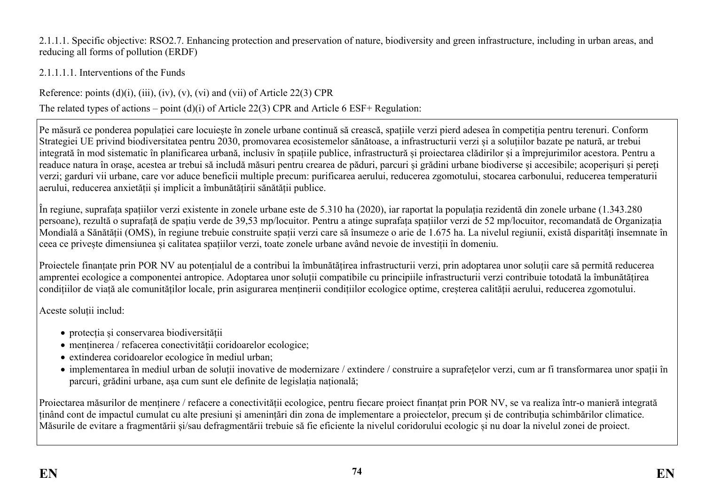2.1.1.1. Specific objective: RSO2.7. Enhancing protection and preservation of nature, biodiversity and green infrastructure, including in urban areas, and reducing all forms of pollution (ERDF)

2.1.1.1.1. Interventions of the Funds

Reference: points  $(d)(i)$ ,  $(iii)$ ,  $(iv)$ ,  $(v)$ ,  $(vi)$  and  $(vii)$  of Article 22(3) CPR

The related types of actions – point (d)(i) of Article 22(3) CPR and Article 6 ESF+ Regulation:

Pe măsură ce ponderea populației care locuiește în zonele urbane continuă să crească, spațiile verzi pierd adesea în competiția pentru terenuri. Conform Strategiei UE privind biodiversitatea pentru 2030, promovarea ecosistemelor sănătoase, a infrastructurii verzi și a soluțiilor bazate pe natură, ar trebui integrată în mod sistematic în planificarea urbană, inclusiv în spațiile publice, infrastructură și proiectarea clădirilor și a împrejurimilor acestora. Pentru a readuce natura în orașe, acestea ar trebui să includă măsuri pentru crearea de păduri, parcuri și grădini urbane biodiverse și accesibile; acoperișuri și pereți verzi; garduri vii urbane, care vor aduce beneficii multiple precum: purificarea aerului, reducerea zgomotului, stocarea carbonului, reducerea temperaturii aerului, reducerea anxietății și implicit a îmbunătățirii sănătății publice.

În regiune, suprafața spațiilor verzi existente in zonele urbane este de 5.310 ha (2020), iar raportat la populația rezidentă din zonele urbane (1.343.280 persoane), rezultă o suprafață de spațiu verde de 39,53 mp/locuitor. Pentru a atinge suprafața spațiilor verzi de 52 mp/locuitor, recomandată de Organizația Mondială a Sănătății (OMS), în regiune trebuie construite spații verzi care să însumeze o arie de 1.675 ha. La nivelul regiunii, există disparități însemnate în ceea ce privește dimensiunea și calitatea spațiilor verzi, toate zonele urbane având nevoie de investiții în domeniu.

Proiectele finanțate prin POR NV au potențialul de a contribui la îmbunătățirea infrastructurii verzi, prin adoptarea unor soluții care să permită reducerea amprentei ecologice a componentei antropice. Adoptarea unor soluții compatibile cu principiile infrastructurii verzi contribuie totodată la îmbunătățirea condițiilor de viață ale comunităților locale, prin asigurarea menținerii condițiilor ecologice optime, creșterea calității aerului, reducerea zgomotului.

Aceste soluții includ:

- protecția și conservarea biodiversității
- menținerea / refacerea conectivității coridoarelor ecologice;
- extinderea coridoarelor ecologice în mediul urban;
- implementarea în mediul urban de soluții inovative de modernizare / extindere / construire a suprafețelor verzi, cum ar fi transformarea unor spații în parcuri, grădini urbane, așa cum sunt ele definite de legislația națională;

Proiectarea măsurilor de menținere / refacere a conectivității ecologice, pentru fiecare proiect finanțat prin POR NV, se va realiza într-o manieră integrată ținând cont de impactul cumulat cu alte presiuni și amenințări din zona de implementare a proiectelor, precum și de contribuția schimbărilor climatice. Măsurile de evitare a fragmentării și/sau defragmentării trebuie să fie eficiente la nivelul coridorului ecologic și nu doar la nivelul zonei de proiect.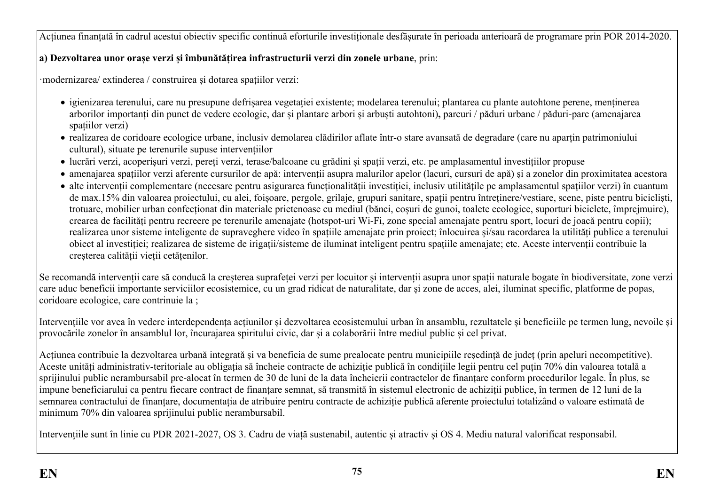Acțiunea finanțată în cadrul acestui obiectiv specific continuă eforturile investiționale desfășurate în perioada anterioară de programare prin POR 2014-2020.

## **a) Dezvoltarea unor orașe verzi și îmbunătățirea infrastructurii verzi din zonele urbane**, prin:

·modernizarea/ extinderea / construirea și dotarea spațiilor verzi:

- igienizarea terenului, care nu presupune defrișarea vegetației existente; modelarea terenului; plantarea cu plante autohtone perene, menținerea arborilor importanți din punct de vedere ecologic, dar și plantare arbori și arbuști autohtoni)**,** parcuri / păduri urbane / păduri-parc (amenajarea spațiilor verzi)
- realizarea de coridoare ecologice urbane, inclusiv demolarea clădirilor aflate într-o stare avansată de degradare (care nu aparțin patrimoniului cultural), situate pe terenurile supuse intervențiilor
- lucrări verzi, acoperișuri verzi, pereți verzi, terase/balcoane cu grădini și spații verzi, etc. pe amplasamentul investițiilor propuse
- amenajarea spațiilor verzi aferente cursurilor de apă: intervenții asupra malurilor apelor (lacuri, cursuri de apă) și a zonelor din proximitatea acestora
- alte intervenții complementare (necesare pentru asigurarea funcționalității investiției, inclusiv utilitățile pe amplasamentul spațiilor verzi) în cuantum de max.15% din valoarea proiectului, cu alei, foișoare, pergole, grilaje, grupuri sanitare, spații pentru întreținere/vestiare, scene, piste pentru bicicliști, trotuare, mobilier urban confecționat din materiale prietenoase cu mediul (bănci, coșuri de gunoi, toalete ecologice, suporturi biciclete, împrejmuire), crearea de facilități pentru recreere pe terenurile amenajate (hotspot-uri Wi-Fi, zone special amenajate pentru sport, locuri de joacă pentru copii); realizarea unor sisteme inteligente de supraveghere video în spațiile amenajate prin proiect; înlocuirea și/sau racordarea la utilități publice a terenului obiect al investiției; realizarea de sisteme de irigații/sisteme de iluminat inteligent pentru spațiile amenajate; etc. Aceste intervenții contribuie la creșterea calității vieții cetățenilor.

Se recomandă intervenții care să conducă la creșterea suprafeței verzi per locuitor și intervenții asupra unor spații naturale bogate în biodiversitate, zone verzi care aduc beneficii importante serviciilor ecosistemice, cu un grad ridicat de naturalitate, dar și zone de acces, alei, iluminat specific, platforme de popas, coridoare ecologice, care contrinuie la ;

Intervențiile vor avea în vedere interdependența acțiunilor și dezvoltarea ecosistemului urban în ansamblu, rezultatele și beneficiile pe termen lung, nevoile și provocările zonelor în ansamblul lor, încurajarea spiritului civic, dar și a colaborării între mediul public și cel privat.

Acțiunea contribuie la dezvoltarea urbană integrată și va beneficia de sume prealocate pentru municipiile reședință de județ (prin apeluri necompetitive). Aceste unități administrativ-teritoriale au obligația să încheie contracte de achiziție publică în condițiile legii pentru cel puțin 70% din valoarea totală a sprijinului public nerambursabil pre-alocat în termen de 30 de luni de la data încheierii contractelor de finanțare conform procedurilor legale. În plus, se impune beneficiarului ca pentru fiecare contract de finanțare semnat, să transmită în sistemul electronic de achiziții publice, în termen de 12 luni de la semnarea contractului de finanțare, documentația de atribuire pentru contracte de achiziție publică aferente proiectului totalizând o valoare estimată de minimum 70% din valoarea sprijinului public nerambursabil.

Intervențiile sunt în linie cu PDR 2021-2027, OS 3. Cadru de viață sustenabil, autentic și atractiv și OS 4. Mediu natural valorificat responsabil.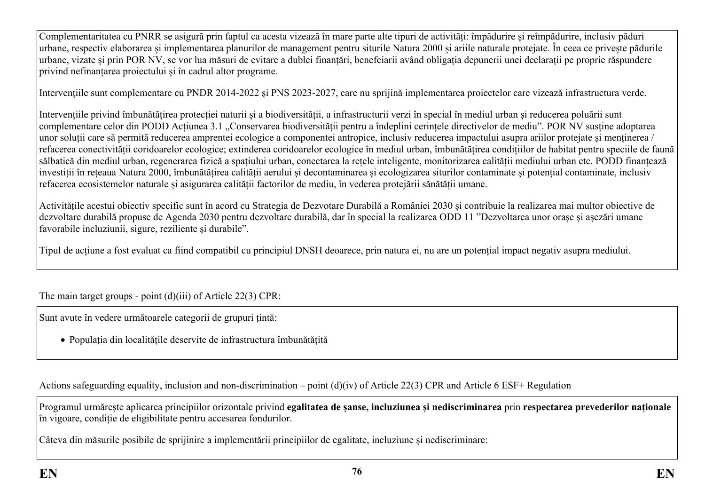Complementaritatea cu PNRR se asigură prin faptul ca acesta vizează în mare parte alte tipuri de activități: împădurire și reîmpădurire, inclusiv păduri urbane, respectiv elaborarea și implementarea planurilor de management pentru siturile Natura 2000 și ariile naturale protejate. În ceea ce privește pădurile urbane, vizate și prin POR NV, se vor lua măsuri de evitare a dublei finanțări, benefciarii având obligația depunerii unei declarații pe proprie răspundere privind nefinanțarea proiectului și în cadrul altor programe.

Intervențiile sunt complementare cu PNDR 2014-2022 și PNS 2023-2027, care nu sprijină implementarea proiectelor care vizează infrastructura verde.

Intervențiile privind îmbunătățirea protecției naturii și a biodiversității, a infrastructurii verzi în special în mediul urban și reducerea poluării sunt complementare celor din PODD Acțiunea 3.1 "Conservarea biodiversității pentru a îndeplini cerințele directivelor de mediu". POR NV susține adoptarea unor soluții care să permită reducerea amprentei ecologice a componentei antropice, inclusiv reducerea impactului asupra ariilor protejate și menținerea / refacerea conectivității coridoarelor ecologice; extinderea coridoarelor ecologice în mediul urban, îmbunătățirea condițiilor de habitat pentru speciile de faună sălbatică din mediul urban, regenerarea fizică a spațiului urban, conectarea la rețele inteligente, monitorizarea calității mediului urban etc. PODD finanțează investiții în rețeaua Natura 2000, îmbunătățirea calității aerului și decontaminarea și ecologizarea siturilor contaminate și potențial contaminate, inclusiv refacerea ecosistemelor naturale și asigurarea calității factorilor de mediu, în vederea protejării sănătății umane.

Activitățile acestui obiectiv specific sunt în acord cu Strategia de Dezvotare Durabilă a României 2030 și contribuie la realizarea mai multor obiective de dezvoltare durabilă propuse de Agenda 2030 pentru dezvoltare durabilă, dar în special la realizarea ODD 11 "Dezvoltarea unor orașe și așezări umane favorabile incluziunii, sigure, reziliente și durabile".

Tipul de acțiune a fost evaluat ca fiind compatibil cu principiul DNSH deoarece, prin natura ei, nu are un potențial impact negativ asupra mediului.

The main target groups - point (d)(iii) of Article 22(3) CPR:

Sunt avute în vedere următoarele categorii de grupuri țintă:

Populația din localitățile deservite de infrastructura îmbunătățită

Actions safeguarding equality, inclusion and non-discrimination – point (d)(iv) of Article 22(3) CPR and Article 6 ESF+ Regulation

Programul urmărește aplicarea principiilor orizontale privind **egalitatea de șanse, incluziunea și nediscriminarea** prin **respectarea prevederilor naționale** în vigoare, condiție de eligibilitate pentru accesarea fondurilor.

Câteva din măsurile posibile de sprijinire a implementării principiilor de egalitate, incluziune și nediscriminare: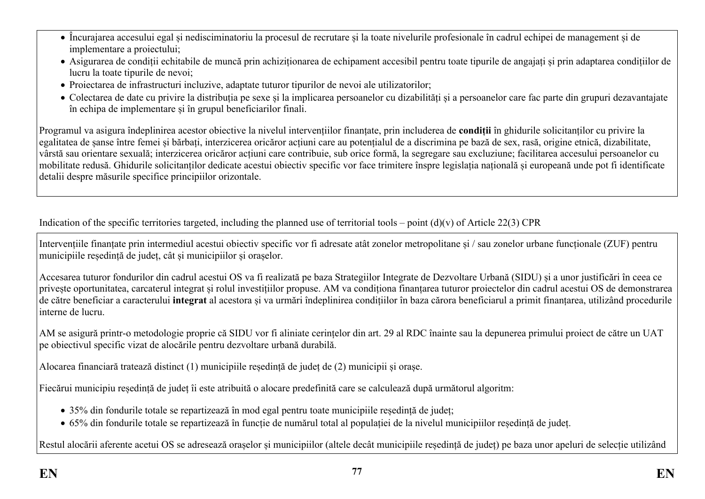- Încurajarea accesului egal și nedisciminatoriu la procesul de recrutare și la toate nivelurile profesionale în cadrul echipei de management și de implementare a proiectului;
- Asigurarea de condiții echitabile de muncă prin achiziționarea de echipament accesibil pentru toate tipurile de angajați și prin adaptarea condițiilor de lucru la toate tipurile de nevoi;
- Proiectarea de infrastructuri incluzive, adaptate tuturor tipurilor de nevoi ale utilizatorilor;
- Colectarea de date cu privire la distribuția pe sexe și la implicarea persoanelor cu dizabilități și a persoanelor care fac parte din grupuri dezavantajate în echipa de implementare și în grupul beneficiarilor finali.

Programul va asigura îndeplinirea acestor obiective la nivelul intervențiilor finanțate, prin includerea de **condiții** în ghidurile solicitanților cu privire la egalitatea de șanse între femei și bărbați, interzicerea oricăror acțiuni care au potențialul de a discrimina pe bază de sex, rasă, origine etnică, dizabilitate, vârstă sau orientare sexuală; interzicerea oricăror acțiuni care contribuie, sub orice formă, la segregare sau excluziune; facilitarea accesului persoanelor cu mobilitate redusă. Ghidurile solicitanților dedicate acestui obiectiv specific vor face trimitere înspre legislația națională și europeană unde pot fi identificate detalii despre măsurile specifice principiilor orizontale.

Indication of the specific territories targeted, including the planned use of territorial tools – point  $(d)(v)$  of Article 22(3) CPR

Intervențiile finanțate prin intermediul acestui obiectiv specific vor fi adresate atât zonelor metropolitane și / sau zonelor urbane funcționale (ZUF) pentru municipiile reședință de județ, cât și municipiilor și orașelor.

Accesarea tuturor fondurilor din cadrul acestui OS va fi realizată pe baza Strategiilor Integrate de Dezvoltare Urbană (SIDU) și a unor justificări în ceea ce privește oportunitatea, carcaterul integrat și rolul investițiilor propuse. AM va condiționa finanțarea tuturor proiectelor din cadrul acestui OS de demonstrarea de către beneficiar a caracterului **integrat** al acestora și va urmări îndeplinirea condițiilor în baza cărora beneficiarul a primit finanțarea, utilizând procedurile interne de lucru.

AM se asigură printr-o metodologie proprie că SIDU vor fi aliniate cerințelor din art. 29 al RDC înainte sau la depunerea primului proiect de către un UAT pe obiectivul specific vizat de alocările pentru dezvoltare urbană durabilă.

Alocarea financiară tratează distinct (1) municipiile reședință de județ de (2) municipii și orașe.

Fiecărui municipiu reședință de județ îi este atribuită o alocare predefinită care se calculează după următorul algoritm:

- 35% din fondurile totale se repartizează în mod egal pentru toate municipiile reședință de județ;
- 65% din fondurile totale se repartizează în funcție de numărul total al populației de la nivelul municipiilor reședință de județ.

Restul alocării aferente acetui OS se adresează orașelor și municipiilor (altele decât municipiile reședință de județ) pe baza unor apeluri de selecție utilizând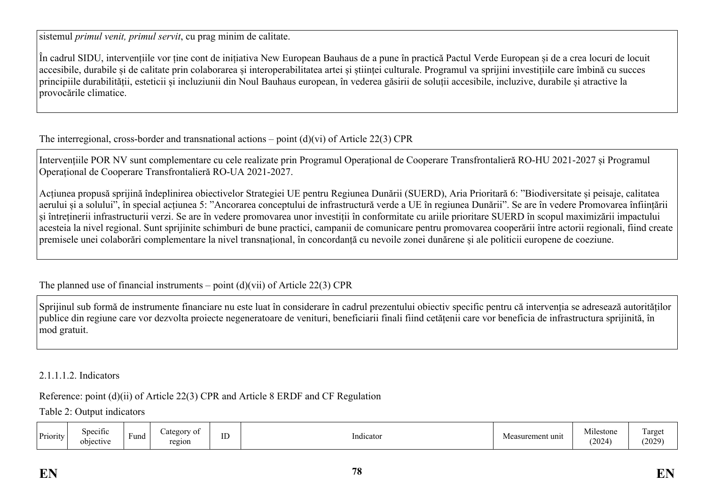sistemul *primul venit, primul servit*, cu prag minim de calitate.

În cadrul SIDU, intervențiile vor ține cont de inițiativa New European Bauhaus de a pune în practică Pactul Verde European și de a crea locuri de locuit accesibile, durabile și de calitate prin colaborarea și interoperabilitatea artei și științei culturale. Programul va sprijini investițiile care îmbină cu succes principiile durabilității, esteticii și incluziunii din Noul Bauhaus european, în vederea găsirii de soluții accesibile, incluzive, durabile și atractive la provocările climatice.

The interregional, cross-border and transnational actions – point (d)(vi) of Article 22(3) CPR

Intervențiile POR NV sunt complementare cu cele realizate prin Programul Operațional de Cooperare Transfrontalieră RO-HU 2021-2027 și Programul Operațional de Cooperare Transfrontalieră RO-UA 2021-2027.

Acțiunea propusă sprijină îndeplinirea obiectivelor Strategiei UE pentru Regiunea Dunării (SUERD), Aria Prioritară 6: "Biodiversitate și peisaje, calitatea aerului și a solului", în special acțiunea 5: "Ancorarea conceptului de infrastructură verde a UE în regiunea Dunării". Se are în vedere Promovarea înființării și întreținerii infrastructurii verzi. Se are în vedere promovarea unor investiții în conformitate cu ariile prioritare SUERD în scopul maximizării impactului acesteia la nivel regional. Sunt sprijinite schimburi de bune practici, campanii de comunicare pentru promovarea cooperării între actorii regionali, fiind create premisele unei colaborări complementare la nivel transnațional, în concordanță cu nevoile zonei dunărene și ale politicii europene de coeziune.

The planned use of financial instruments – point  $(d)(vi)$  of Article 22(3) CPR

Sprijinul sub formă de instrumente financiare nu este luat în considerare în cadrul prezentului obiectiv specific pentru că intervenția se adresează autorităților publice din regiune care vor dezvolta proiecte negeneratoare de venituri, beneficiarii finali fiind cetățenii care vor beneficia de infrastructura sprijinită, în mod gratuit.

### 2.1.1.1.2. Indicators

Reference: point (d)(ii) of Article 22(3) CPR and Article 8 ERDF and CF Regulation

Table 2: Output indicators

| Priority | Specific<br>$\cdot$ $\cdot$<br>objective | Fund | Category of<br>region | $\overline{ }$<br>⊥ | . .<br>Indicator | Measurement unit | $\cdot$<br>Mil<br>lestone<br>2024 | l arge<br><u>.</u><br>(2029) |
|----------|------------------------------------------|------|-----------------------|---------------------|------------------|------------------|-----------------------------------|------------------------------|
|----------|------------------------------------------|------|-----------------------|---------------------|------------------|------------------|-----------------------------------|------------------------------|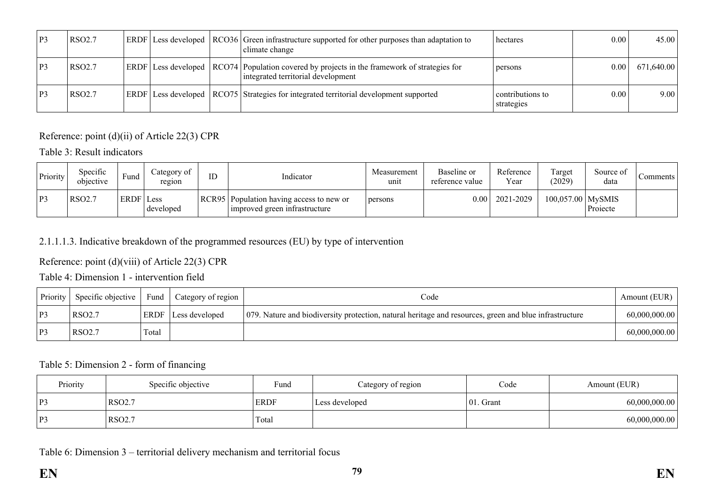| P <sub>3</sub> | <b>RSO2.7</b> |  | <b>ERDF</b> Less developed RCO36 Green infrastructure supported for other purposes than adaptation to<br>climate change             | hectares                       | 0.00 <sub>l</sub> | 45.00      |
|----------------|---------------|--|-------------------------------------------------------------------------------------------------------------------------------------|--------------------------------|-------------------|------------|
| P3             | <b>RSO2.7</b> |  | $ERDF$ Less developed RCO74 Population covered by projects in the framework of strategies for<br>integrated territorial development | persons                        | 0.001             | 671,640.00 |
| P <sub>3</sub> | <b>RSO2.7</b> |  | <b>ERDF</b> Less developed   RCO75   Strategies for integrated territorial development supported                                    | contributions to<br>strategies | 0.00              | 9.00       |

Reference: point (d)(ii) of Article 22(3) CPR

Table 3: Result indicators

| Priority       | Specific<br>objective | Fund        | ategory of<br>region | ID | Indicator                                                                   | Measurement<br>unit | Baseline or<br>reference value | Reference<br>Year | Target<br>(2029)    | Source of<br>data | Comments |
|----------------|-----------------------|-------------|----------------------|----|-----------------------------------------------------------------------------|---------------------|--------------------------------|-------------------|---------------------|-------------------|----------|
| P <sub>3</sub> | <b>RSO2.7</b>         | <b>ERDF</b> | Less<br>developed    |    | RCR95   Population having access to new or<br>improved green infrastructure | persons             | $0.00$                         | 2021-2029         | $100,057.00$ MySMIS | Projecte          |          |

# 2.1.1.1.3. Indicative breakdown of the programmed resources (EU) by type of intervention

Reference: point (d)(viii) of Article 22(3) CPR

Table 4: Dimension 1 - intervention field

| <b>Priority</b> | Specific objective | Fund  | Category of region         | Code                                                                                                   | Amount (EUR)  |
|-----------------|--------------------|-------|----------------------------|--------------------------------------------------------------------------------------------------------|---------------|
| P3              | RSO <sub>2.7</sub> |       | <b>ERDF</b> Less developed | 079. Nature and biodiversity protection, natural heritage and resources, green and blue infrastructure | 60,000,000.00 |
| P3              | RSO <sub>2.7</sub> | Total |                            |                                                                                                        | 60,000,000.00 |

### Table 5: Dimension 2 - form of financing

| Priority | Specific objective | Fund        | Category of region |               | Amount (EUR)  |  |
|----------|--------------------|-------------|--------------------|---------------|---------------|--|
| P3       | <b>RSO2.7</b>      | <b>ERDF</b> | Less developed     | $ 01$ . Grant | 60,000,000.00 |  |
| P3       | RSO <sub>2.7</sub> | Total       |                    |               | 60,000,000.00 |  |

Table 6: Dimension 3 – territorial delivery mechanism and territorial focus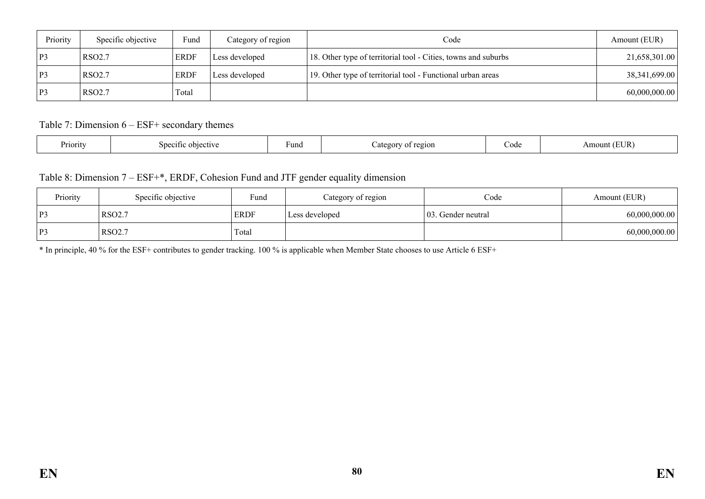| Priority       | Specific objective | Fund        | Category of region | Code                                                           | Amount (EUR)     |
|----------------|--------------------|-------------|--------------------|----------------------------------------------------------------|------------------|
| P3             | <b>RSO2.7</b>      | <b>ERDF</b> | Less developed     | 18. Other type of territorial tool - Cities, towns and suburbs | 21,658,301.00    |
| P <sub>3</sub> | <b>RSO2.7</b>      | <b>ERDF</b> | Less developed     | 19. Other type of territorial tool - Functional urban areas    | 38, 341, 699. 00 |
| $\mathbf{P}$   | RSO <sub>2.7</sub> | Total       |                    |                                                                | 60,000,000.00    |

Table 7: Dimension 6 – ESF+ secondary themes

| $\mathbf{r}$<br>Priority<br>∵und<br>objective<br>Speciti | 2210N<br>ateg<br>ΩŤ | ∠ode<br>. | EUR<br>Amount |
|----------------------------------------------------------|---------------------|-----------|---------------|
|----------------------------------------------------------|---------------------|-----------|---------------|

Table 8: Dimension 7 – ESF+\*, ERDF, Cohesion Fund and JTF gender equality dimension

| Priority | Specific objective | Fund        | Category of region | Code                | Amount (EUR)  |
|----------|--------------------|-------------|--------------------|---------------------|---------------|
| P3       | <b>RSO2.7</b>      | <b>ERDF</b> | Less developed     | 103. Gender neutral | 60,000,000.00 |
| P3       | RSO <sub>2.7</sub> | Total       |                    |                     | 60,000,000.00 |

\* In principle, 40 % for the ESF+ contributes to gender tracking. 100 % is applicable when Member State chooses to use Article 6 ESF+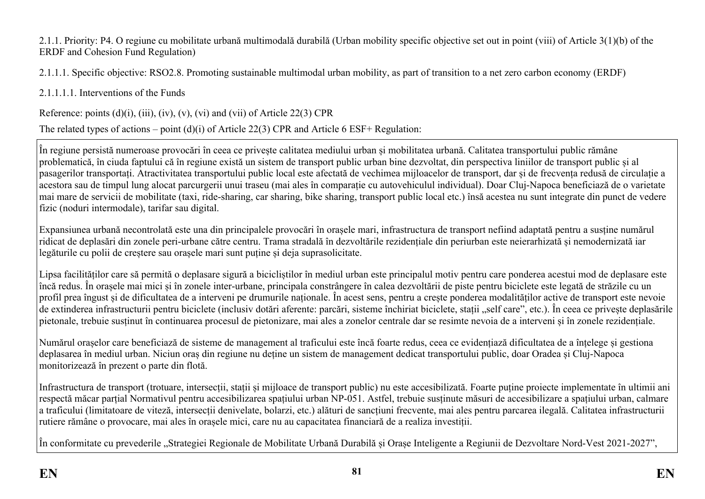2.1.1. Priority: P4. O regiune cu mobilitate urbană multimodală durabilă (Urban mobility specific objective set out in point (viii) of Article 3(1)(b) of the ERDF and Cohesion Fund Regulation)

2.1.1.1. Specific objective: RSO2.8. Promoting sustainable multimodal urban mobility, as part of transition to a net zero carbon economy (ERDF)

2.1.1.1.1. Interventions of the Funds

Reference: points  $(d)(i)$ ,  $(iii)$ ,  $(iv)$ ,  $(v)$ ,  $(vi)$  and  $(vii)$  of Article 22(3) CPR

The related types of actions – point (d)(i) of Article 22(3) CPR and Article 6 ESF+ Regulation:

În regiune persistă numeroase provocări în ceea ce privește calitatea mediului urban și mobilitatea urbană. Calitatea transportului public rămâne problematică, în ciuda faptului că în regiune există un sistem de transport public urban bine dezvoltat, din perspectiva liniilor de transport public și al pasagerilor transportați. Atractivitatea transportului public local este afectată de vechimea mijloacelor de transport, dar și de frecvența redusă de circulație a acestora sau de timpul lung alocat parcurgerii unui traseu (mai ales în comparație cu autovehiculul individual). Doar Cluj-Napoca beneficiază de o varietate mai mare de servicii de mobilitate (taxi, ride-sharing, car sharing, bike sharing, transport public local etc.) însă acestea nu sunt integrate din punct de vedere fizic (noduri intermodale), tarifar sau digital.

Expansiunea urbană necontrolată este una din principalele provocări în orașele mari, infrastructura de transport nefiind adaptată pentru a susține numărul ridicat de deplasări din zonele peri-urbane către centru. Trama stradală în dezvoltările rezidențiale din periurban este neierarhizată și nemodernizată iar legăturile cu polii de creștere sau orașele mari sunt puține și deja suprasolicitate.

Lipsa facilităților care să permită o deplasare sigură a bicicliștilor în mediul urban este principalul motiv pentru care ponderea acestui mod de deplasare este încă redus. În orașele mai mici și în zonele inter-urbane, principala constrângere în calea dezvoltării de piste pentru biciclete este legată de străzile cu un profil prea îngust și de dificultatea de a interveni pe drumurile naționale. În acest sens, pentru a crește ponderea modalităților active de transport este nevoie de extinderea infrastructurii pentru biciclete (inclusiv dotări aferente: parcări, sisteme închiriat biciclete, stații "self care", etc.). În ceea ce priveste deplasările pietonale, trebuie susținut în continuarea procesul de pietonizare, mai ales a zonelor centrale dar se resimte nevoia de a interveni și în zonele rezidențiale.

Numărul orașelor care beneficiază de sisteme de management al traficului este încă foarte redus, ceea ce evidențiază dificultatea de a înțelege și gestiona deplasarea în mediul urban. Niciun oraș din regiune nu deține un sistem de management dedicat transportului public, doar Oradea și Cluj-Napoca monitorizează în prezent o parte din flotă.

Infrastructura de transport (trotuare, intersecții, stații și mijloace de transport public) nu este accesibilizată. Foarte puține proiecte implementate în ultimii ani respectă măcar parțial Normativul pentru accesibilizarea spațiului urban NP-051. Astfel, trebuie susținute măsuri de accesibilizare a spațiului urban, calmare a traficului (limitatoare de viteză, intersecții denivelate, bolarzi, etc.) alături de sancțiuni frecvente, mai ales pentru parcarea ilegală. Calitatea infrastructurii rutiere rămâne o provocare, mai ales în orașele mici, care nu au capacitatea financiară de a realiza investiții.

În conformitate cu prevederile "Strategiei Regionale de Mobilitate Urbană Durabilă și Orașe Inteligente a Regiunii de Dezvoltare Nord-Vest 2021-2027",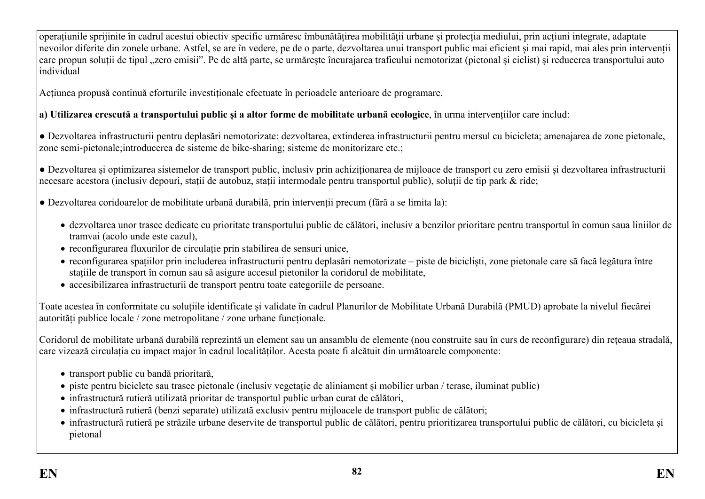operațiunile sprijinite în cadrul acestui obiectiv specific urmăresc îmbunătățirea mobilității urbane și protecția mediului, prin acțiuni integrate, adaptate nevoilor diferite din zonele urbane. Astfel, se are în vedere, pe de o parte, dezvoltarea unui transport public mai eficient și mai rapid, mai ales prin intervenții care propun soluții de tipul ..zero emisii". Pe de altă parte, se urmărește încurajarea traficului nemotorizat (pietonal și ciclist) și reducerea transportului auto individual

Acțiunea propusă continuă eforturile investiționale efectuate în perioadele anterioare de programare.

**a) Utilizarea crescută a transportului public și a altor forme de mobilitate urbană ecologice**, în urma intervențiilor care includ:

● Dezvoltarea infrastructurii pentru deplasări nemotorizate: dezvoltarea, extinderea infrastructurii pentru mersul cu bicicleta; amenajarea de zone pietonale, zone semi-pietonale;introducerea de sisteme de bike-sharing; sisteme de monitorizare etc.;

● Dezvoltarea și optimizarea sistemelor de transport public, inclusiv prin achiziționarea de mijloace de transport cu zero emisii și dezvoltarea infrastructurii necesare acestora (inclusiv depouri, stații de autobuz, stații intermodale pentru transportul public), soluții de tip park & ride;

● Dezvoltarea coridoarelor de mobilitate urbană durabilă, prin intervenții precum (fără a se limita la):

- dezvoltarea unor trasee dedicate cu prioritate transportului public de călători, inclusiv a benzilor prioritare pentru transportul în comun saua liniilor de tramvai (acolo unde este cazul),
- reconfigurarea fluxurilor de circulație prin stabilirea de sensuri unice,
- reconfigurarea spațiilor prin includerea infrastructurii pentru deplasări nemotorizate piste de bicicliști, zone pietonale care să facă legătura între stațiile de transport în comun sau să asigure accesul pietonilor la coridorul de mobilitate,
- accesibilizarea infrastructurii de transport pentru toate categoriile de persoane.

Toate acestea în conformitate cu soluțiile identificate și validate în cadrul Planurilor de Mobilitate Urbană Durabilă (PMUD) aprobate la nivelul fiecărei autorități publice locale / zone metropolitane / zone urbane funcționale.

Coridorul de mobilitate urbană durabilă reprezintă un element sau un ansamblu de elemente (nou construite sau în curs de reconfigurare) din rețeaua stradală, care vizează circulația cu impact major în cadrul localităților. Acesta poate fi alcătuit din următoarele componente:

- transport public cu bandă prioritară,
- piste pentru biciclete sau trasee pietonale (inclusiv vegetație de aliniament și mobilier urban / terase, iluminat public)
- infrastructură rutieră utilizată prioritar de transportul public urban curat de călători,
- infrastructură rutieră (benzi separate) utilizată exclusiv pentru mijloacele de transport public de călători;
- infrastructură rutieră pe străzile urbane deservite de transportul public de călători, pentru prioritizarea transportului public de călători, cu bicicleta și pietonal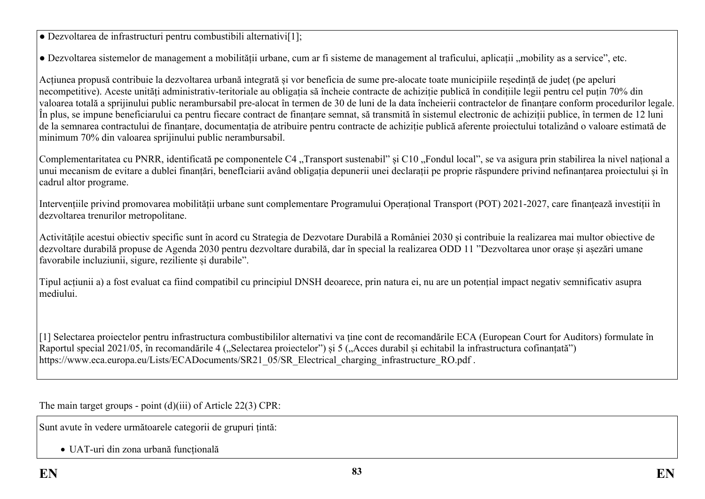● Dezvoltarea de infrastructuri pentru combustibili alternativi[1];

• Dezvoltarea sistemelor de management a mobilității urbane, cum ar fi sisteme de management al traficului, aplicații "mobility as a service", etc.

Acțiunea propusă contribuie la dezvoltarea urbană integrată și vor beneficia de sume pre-alocate toate municipiile reședință de județ (pe apeluri necompetitive). Aceste unități administrativ-teritoriale au obligația să încheie contracte de achiziție publică în condițiile legii pentru cel puțin 70% din valoarea totală a sprijinului public nerambursabil pre-alocat în termen de 30 de luni de la data încheierii contractelor de finanțare conform procedurilor legale. În plus, se impune beneficiarului ca pentru fiecare contract de finanțare semnat, să transmită în sistemul electronic de achiziții publice, în termen de 12 luni de la semnarea contractului de finanțare, documentația de atribuire pentru contracte de achiziție publică aferente proiectului totalizând o valoare estimată de minimum 70% din valoarea sprijinului public nerambursabil.

Complementaritatea cu PNRR, identificată pe componentele C4 "Transport sustenabil" și C10 "Fondul local", se va asigura prin stabilirea la nivel national a unui mecanism de evitare a dublei finanțări, benefIciarii având obligația depunerii unei declarații pe proprie răspundere privind nefinanțarea proiectului și în cadrul altor programe.

Intervențiile privind promovarea mobilității urbane sunt complementare Programului Operațional Transport (POT) 2021-2027, care finanțează investiții în dezvoltarea trenurilor metropolitane.

Activitățile acestui obiectiv specific sunt în acord cu Strategia de Dezvotare Durabilă a României 2030 și contribuie la realizarea mai multor obiective de dezvoltare durabilă propuse de Agenda 2030 pentru dezvoltare durabilă, dar în special la realizarea ODD 11 "Dezvoltarea unor orașe și așezări umane favorabile incluziunii, sigure, reziliente și durabile".

Tipul acțiunii a) a fost evaluat ca fiind compatibil cu principiul DNSH deoarece, prin natura ei, nu are un potențial impact negativ semnificativ asupra mediului.

[1] Selectarea proiectelor pentru infrastructura combustibililor alternativi va ține cont de recomandările ECA (European Court for Auditors) formulate în Raportul special 2021/05, în recomandările 4 ("Selectarea proiectelor") și 5 ("Acces durabil și echitabil la infrastructura cofinanțată") https://www.eca.europa.eu/Lists/ECADocuments/SR21\_05/SR\_Electrical\_charging\_infrastructure\_RO.pdf .

The main target groups - point (d)(iii) of Article 22(3) CPR:

Sunt avute în vedere următoarele categorii de grupuri țintă:

UAT-uri din zona urbană funcțională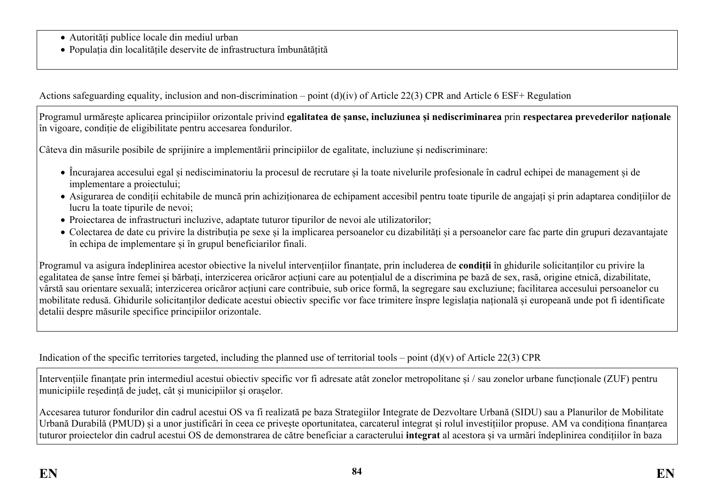- Autorități publice locale din mediul urban
- Populația din localitățile deservite de infrastructura îmbunătățită

Actions safeguarding equality, inclusion and non-discrimination – point (d)(iv) of Article 22(3) CPR and Article 6 ESF+ Regulation

Programul urmărește aplicarea principiilor orizontale privind **egalitatea de șanse, incluziunea și nediscriminarea** prin **respectarea prevederilor naționale** în vigoare, condiție de eligibilitate pentru accesarea fondurilor.

Câteva din măsurile posibile de sprijinire a implementării principiilor de egalitate, incluziune și nediscriminare:

- Încurajarea accesului egal și nedisciminatoriu la procesul de recrutare și la toate nivelurile profesionale în cadrul echipei de management și de implementare a proiectului;
- Asigurarea de condiții echitabile de muncă prin achiziționarea de echipament accesibil pentru toate tipurile de angajați și prin adaptarea condițiilor de lucru la toate tipurile de nevoi;
- Proiectarea de infrastructuri incluzive, adaptate tuturor tipurilor de nevoi ale utilizatorilor;
- Colectarea de date cu privire la distribuția pe sexe și la implicarea persoanelor cu dizabilități și a persoanelor care fac parte din grupuri dezavantajate în echipa de implementare și în grupul beneficiarilor finali.

Programul va asigura îndeplinirea acestor obiective la nivelul intervențiilor finanțate, prin includerea de **condiții** în ghidurile solicitanților cu privire la egalitatea de șanse între femei și bărbați, interzicerea oricăror acțiuni care au potențialul de a discrimina pe bază de sex, rasă, origine etnică, dizabilitate, vârstă sau orientare sexuală; interzicerea oricăror acțiuni care contribuie, sub orice formă, la segregare sau excluziune; facilitarea accesului persoanelor cu mobilitate redusă. Ghidurile solicitanților dedicate acestui obiectiv specific vor face trimitere înspre legislația națională și europeană unde pot fi identificate detalii despre măsurile specifice principiilor orizontale.

Indication of the specific territories targeted, including the planned use of territorial tools – point  $(d)(v)$  of Article 22(3) CPR

Intervențiile finanțate prin intermediul acestui obiectiv specific vor fi adresate atât zonelor metropolitane și / sau zonelor urbane funcționale (ZUF) pentru municipiile reședință de județ, cât și municipiilor și orașelor.

Accesarea tuturor fondurilor din cadrul acestui OS va fi realizată pe baza Strategiilor Integrate de Dezvoltare Urbană (SIDU) sau a Planurilor de Mobilitate Urbană Durabilă (PMUD) și a unor justificări în ceea ce privește oportunitatea, carcaterul integrat și rolul investițiilor propuse. AM va condiționa finanțarea tuturor proiectelor din cadrul acestui OS de demonstrarea de către beneficiar a caracterului **integrat** al acestora și va urmări îndeplinirea condițiilor în baza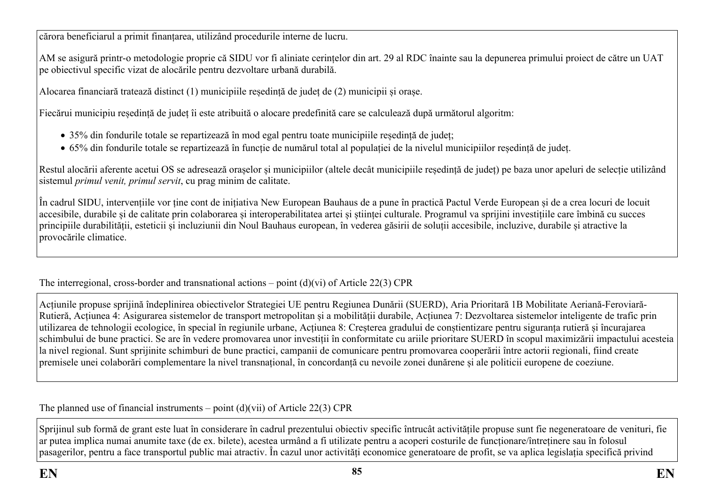cărora beneficiarul a primit finanțarea, utilizând procedurile interne de lucru.

AM se asigură printr-o metodologie proprie că SIDU vor fi aliniate cerințelor din art. 29 al RDC înainte sau la depunerea primului proiect de către un UAT pe obiectivul specific vizat de alocările pentru dezvoltare urbană durabilă.

Alocarea financiară tratează distinct (1) municipiile reședință de județ de (2) municipii și orașe.

Fiecărui municipiu reședință de județ îi este atribuită o alocare predefinită care se calculează după următorul algoritm:

- 35% din fondurile totale se repartizează în mod egal pentru toate municipiile reședință de județ;
- 65% din fondurile totale se repartizează în funcție de numărul total al populației de la nivelul municipiilor reședință de județ.

Restul alocării aferente acetui OS se adresează orașelor și municipiilor (altele decât municipiile reședință de județ) pe baza unor apeluri de selecție utilizând sistemul *primul venit, primul servit*, cu prag minim de calitate.

În cadrul SIDU, intervențiile vor ține cont de inițiativa New European Bauhaus de a pune în practică Pactul Verde European și de a crea locuri de locuit accesibile, durabile și de calitate prin colaborarea și interoperabilitatea artei și științei culturale. Programul va sprijini investițiile care îmbină cu succes principiile durabilității, esteticii și incluziunii din Noul Bauhaus european, în vederea găsirii de soluții accesibile, incluzive, durabile și atractive la provocările climatice.

The interregional, cross-border and transnational actions – point  $(d)(vi)$  of Article 22(3) CPR

Acțiunile propuse sprijină îndeplinirea obiectivelor Strategiei UE pentru Regiunea Dunării (SUERD), Aria Prioritară 1B Mobilitate Aeriană-Feroviară-Rutieră, Acțiunea 4: Asigurarea sistemelor de transport metropolitan și a mobilității durabile, Acțiunea 7: Dezvoltarea sistemelor inteligente de trafic prin utilizarea de tehnologii ecologice, în special în regiunile urbane, Acțiunea 8: Creșterea gradului de conștientizare pentru siguranța rutieră și încurajarea schimbului de bune practici. Se are în vedere promovarea unor investiții în conformitate cu ariile prioritare SUERD în scopul maximizării impactului acesteia la nivel regional. Sunt sprijinite schimburi de bune practici, campanii de comunicare pentru promovarea cooperării între actorii regionali, fiind create premisele unei colaborări complementare la nivel transnațional, în concordanță cu nevoile zonei dunărene și ale politicii europene de coeziune.

The planned use of financial instruments – point  $(d)(\n{\rm vii})$  of Article 22(3) CPR

Sprijinul sub formă de grant este luat în considerare în cadrul prezentului obiectiv specific întrucât activitățile propuse sunt fie negeneratoare de venituri, fie ar putea implica numai anumite taxe (de ex. bilete), acestea urmând a fi utilizate pentru a acoperi costurile de funcționare/întreținere sau în folosul pasagerilor, pentru a face transportul public mai atractiv. În cazul unor activități economice generatoare de profit, se va aplica legislația specifică privind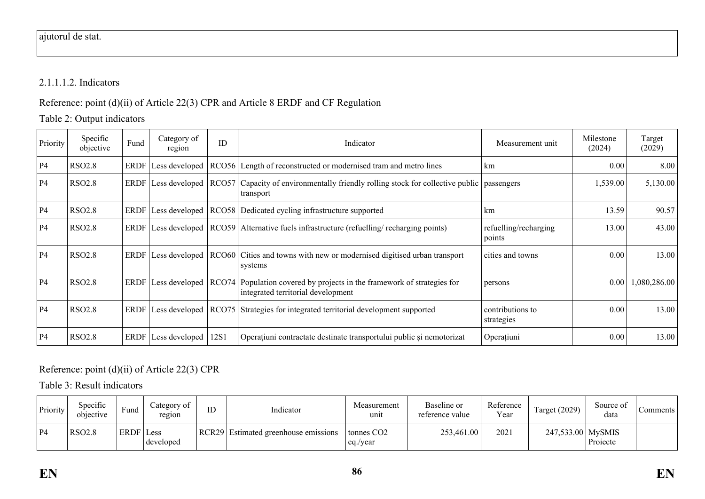# 2.1.1.1.2. Indicators

Reference: point (d)(ii) of Article 22(3) CPR and Article 8 ERDF and CF Regulation

Table 2: Output indicators

| Priority  | Specific<br>objective | Fund | Category of<br>region | ID   | Indicator                                                                                                                             | Measurement unit                | Milestone<br>(2024) | Target<br>(2029) |
|-----------|-----------------------|------|-----------------------|------|---------------------------------------------------------------------------------------------------------------------------------------|---------------------------------|---------------------|------------------|
| <b>P4</b> | <b>RSO2.8</b>         |      |                       |      | ERDF Less developed   RCO56   Length of reconstructed or modernised tram and metro lines                                              | km                              | 0.00                | 8.00             |
| <b>P4</b> | <b>RSO2.8</b>         |      |                       |      | ERDF Less developed   RCO57   Capacity of environmentally friendly rolling stock for collective public<br>transport                   | passengers                      | 1,539.00            | 5,130.00         |
| <b>P4</b> | <b>RSO2.8</b>         |      |                       |      | ERDF Less developed   RCO58   Dedicated cycling infrastructure supported                                                              | km                              | 13.59               | 90.57            |
| <b>P4</b> | <b>RSO2.8</b>         |      |                       |      | ERDF Less developed RCO59 Alternative fuels infrastructure (refuelling/recharging points)                                             | refuelling/recharging<br>points | 13.00               | 43.00            |
| <b>P4</b> | <b>RSO2.8</b>         |      |                       |      | ERDF Less developed RCO60 Cities and towns with new or modernised digitised urban transport<br>systems                                | cities and towns                | 0.00                | 13.00            |
| <b>P4</b> | <b>RSO2.8</b>         |      |                       |      | ERDF Less developed   RCO74   Population covered by projects in the framework of strategies for<br>integrated territorial development | persons                         | 0.00                | 1,080,286.00     |
| <b>P4</b> | <b>RSO2.8</b>         |      | ERDF Less developed   |      | RCO75 Strategies for integrated territorial development supported                                                                     | contributions to<br>strategies  | 0.00                | 13.00            |
| <b>P4</b> | <b>RSO2.8</b>         |      | ERDF   Less developed | 12S1 | Operațiuni contractate destinate transportului public și nemotorizat                                                                  | Operațiuni                      | 0.00                | 13.00            |

# Reference: point (d)(ii) of Article 22(3) CPR

Table 3: Result indicators

| Priority | Specific<br>objective | $\blacksquare$<br>Fund | Category of<br>region | ID | Indicator                            | Measurement<br>unit                | Baseline or<br>reference value | Reference<br>Year | $\mathbf{r}$<br>Target (2029) | Source of<br>data | Comments |
|----------|-----------------------|------------------------|-----------------------|----|--------------------------------------|------------------------------------|--------------------------------|-------------------|-------------------------------|-------------------|----------|
| P4       | <b>RSO2.8</b>         | ERDF Less              | developed             |    | RCR29 Estimated greenhouse emissions | tonnes CO <sub>2</sub><br>eq./year | 253,461.00                     | 2021              | 247,533.00 MySMIS             | Projecte          |          |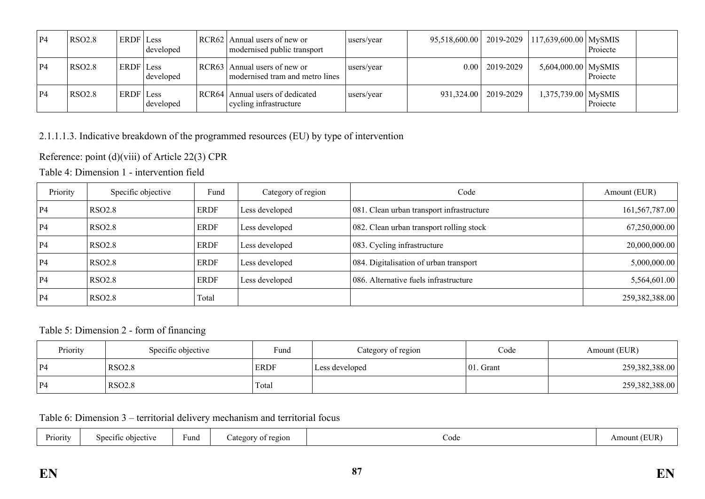| $P_4$ | <b>RSO2.8</b> | ERDF Less | developed | RCR62 | Annual users of new or<br>modernised public transport     | users/year | 95,518,600.00 | 2019-2029 | $117,639,600.00$ MySMIS | Projecte |  |
|-------|---------------|-----------|-----------|-------|-----------------------------------------------------------|------------|---------------|-----------|-------------------------|----------|--|
| P4    | <b>RSO2.8</b> | ERDF Less | developed | RCR63 | Annual users of new or<br>modernised tram and metro lines | users/year | $0.00 -$      | 2019-2029 | 5,604,000.00 MySMIS     | Projecte |  |
| P4    | <b>RSO2.8</b> | ERDF Less | developed | RCR64 | Annual users of dedicated<br>cycling infrastructure       | users/year | 931,324.00    | 2019-2029 | 1,375,739.00   MySMIS   | Projecte |  |

# 2.1.1.1.3. Indicative breakdown of the programmed resources (EU) by type of intervention

Reference: point (d)(viii) of Article 22(3) CPR

Table 4: Dimension 1 - intervention field

| Priority  | Specific objective | Fund        | Category of region | Code                                      | Amount (EUR)   |
|-----------|--------------------|-------------|--------------------|-------------------------------------------|----------------|
| <b>P4</b> | <b>RSO2.8</b>      | <b>ERDF</b> | Less developed     | 081. Clean urban transport infrastructure | 161,567,787.00 |
| <b>P4</b> | RSO <sub>2.8</sub> | <b>ERDF</b> | Less developed     | 082. Clean urban transport rolling stock  | 67,250,000.00  |
| <b>P4</b> | <b>RSO2.8</b>      | <b>ERDF</b> | Less developed     | 083. Cycling infrastructure               | 20,000,000.00  |
| <b>P4</b> | <b>RSO2.8</b>      | <b>ERDF</b> | Less developed     | 084. Digitalisation of urban transport    | 5,000,000.00   |
| <b>P4</b> | RSO <sub>2.8</sub> | <b>ERDF</b> | Less developed     | 086. Alternative fuels infrastructure     | 5,564,601.00   |
| <b>P4</b> | <b>RSO2.8</b>      | Total       |                    |                                           | 259,382,388.00 |

Table 5: Dimension 2 - form of financing

| Priority       | Specific objective | Fund        | Category of region | Code          | Amount (EUR)   |
|----------------|--------------------|-------------|--------------------|---------------|----------------|
| P <sub>4</sub> | <b>RSO2.8</b>      | <b>ERDF</b> | Less developed     | $ 01$ . Grant | 259,382,388.00 |
| $^{\circ}P4$   | <b>RSO2.8</b>      | Total       |                    |               | 259,382,388.00 |

Table 6: Dimension 3 – territorial delivery mechanism and territorial focus

| Priority | Specific objective | Fund | of region<br>Category | Code | (EUR<br>Amount |
|----------|--------------------|------|-----------------------|------|----------------|
|----------|--------------------|------|-----------------------|------|----------------|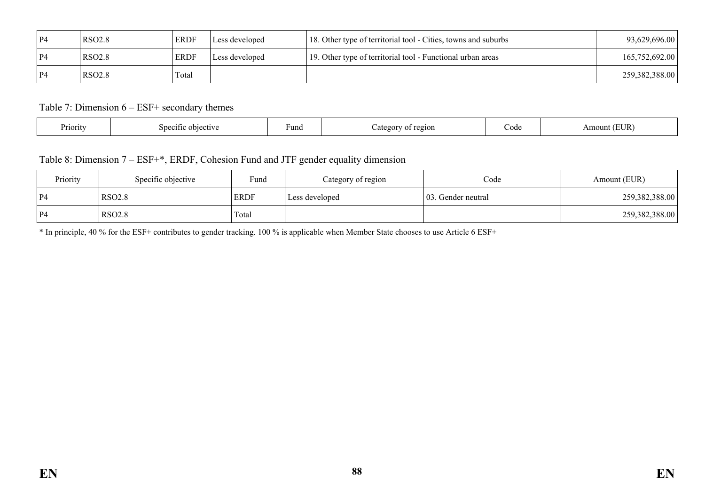| P4 | <b>RSO2.8</b> | <b>ERDF</b> | Less developed | 18. Other type of territorial tool - Cities, towns and suburbs | 93,629,696.00  |
|----|---------------|-------------|----------------|----------------------------------------------------------------|----------------|
| P4 | <b>RSO2.8</b> | ERDF        | Less developed | 19. Other type of territorial tool - Functional urban areas    | 165,752,692.00 |
| P4 | <b>RSO2.8</b> | Total       |                |                                                                | 259,382,388.00 |

### Table 7: Dimension 6 – ESF+ secondary themes

| . .<br>Priority<br>objective<br>$\mathsf{S}$<br>01110 | ⊦una | region<br>Jater<br>ΩT | Code | TID.<br>Amou<br>' L'UN |
|-------------------------------------------------------|------|-----------------------|------|------------------------|
|-------------------------------------------------------|------|-----------------------|------|------------------------|

## Table 8: Dimension 7 – ESF+\*, ERDF, Cohesion Fund and JTF gender equality dimension

| Priority       | Specific objective | Fund        | Category of region | Code                | Amount (EUR)   |
|----------------|--------------------|-------------|--------------------|---------------------|----------------|
| P <sub>4</sub> | <b>RSO2.8</b>      | <b>ERDF</b> | Less developed     | 103. Gender neutral | 259,382,388.00 |
| P4             | <b>RSO2.8</b>      | Total       |                    |                     | 259,382,388.00 |

\* In principle, 40 % for the ESF+ contributes to gender tracking. 100 % is applicable when Member State chooses to use Article 6 ESF+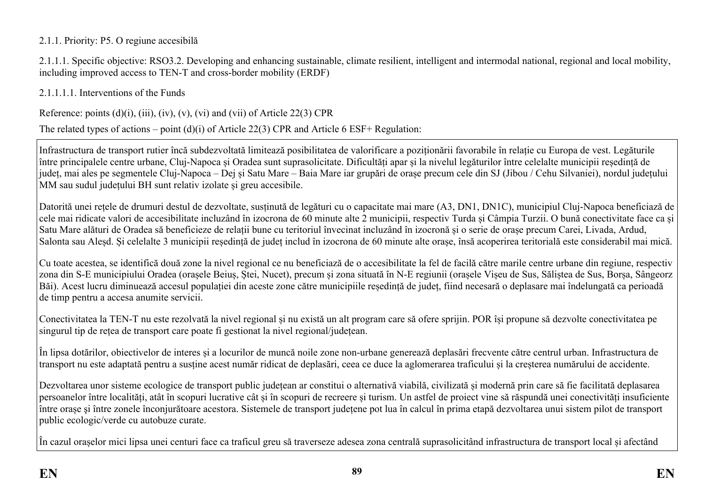### 2.1.1. Priority: P5. O regiune accesibilă

2.1.1.1. Specific objective: RSO3.2. Developing and enhancing sustainable, climate resilient, intelligent and intermodal national, regional and local mobility, including improved access to TEN-T and cross-border mobility (ERDF)

2.1.1.1.1. Interventions of the Funds

Reference: points  $(d)(i)$ ,  $(iii)$ ,  $(iv)$ ,  $(v)$ ,  $(vi)$  and  $(vii)$  of Article 22(3) CPR

The related types of actions – point (d)(i) of Article 22(3) CPR and Article 6 ESF+ Regulation:

Infrastructura de transport rutier încă subdezvoltată limitează posibilitatea de valorificare a poziționării favorabile în relație cu Europa de vest. Legăturile între principalele centre urbane, Cluj-Napoca și Oradea sunt suprasolicitate. Dificultăți apar și la nivelul legăturilor între celelalte municipii reședință de județ, mai ales pe segmentele Cluj-Napoca – Dej și Satu Mare – Baia Mare iar grupări de orașe precum cele din SJ (Jibou / Cehu Silvaniei), nordul județului MM sau sudul județului BH sunt relativ izolate și greu accesibile.

Datorită unei rețele de drumuri destul de dezvoltate, susținută de legături cu o capacitate mai mare (A3, DN1, DN1C), municipiul Cluj-Napoca beneficiază de cele mai ridicate valori de accesibilitate incluzând în izocrona de 60 minute alte 2 municipii, respectiv Turda și Câmpia Turzii. O bună conectivitate face ca și Satu Mare alături de Oradea să beneficieze de relații bune cu teritoriul învecinat incluzând în izocronă și o serie de orașe precum Carei, Livada, Ardud, Salonta sau Aleșd. Și celelalte 3 municipii reședință de județ includ în izocrona de 60 minute alte orașe, însă acoperirea teritorială este considerabil mai mică.

Cu toate acestea, se identifică două zone la nivel regional ce nu beneficiază de o accesibilitate la fel de facilă către marile centre urbane din regiune, respectiv zona din S-E municipiului Oradea (orașele Beiuș, Ștei, Nucet), precum și zona situată în N-E regiunii (orașele Vișeu de Sus, Săliștea de Sus, Borșa, Sângeorz Băi). Acest lucru diminuează accesul populației din aceste zone către municipiile reședință de județ, fiind necesară o deplasare mai îndelungată ca perioadă de timp pentru a accesa anumite servicii.

Conectivitatea la TEN-T nu este rezolvată la nivel regional și nu există un alt program care să ofere sprijin. POR își propune să dezvolte conectivitatea pe singurul tip de rețea de transport care poate fi gestionat la nivel regional/județean.

În lipsa dotărilor, obiectivelor de interes și a locurilor de muncă noile zone non-urbane generează deplasări frecvente către centrul urban. Infrastructura de transport nu este adaptată pentru a susține acest număr ridicat de deplasări, ceea ce duce la aglomerarea traficului și la creșterea numărului de accidente.

Dezvoltarea unor sisteme ecologice de transport public județean ar constitui o alternativă viabilă, civilizată și modernă prin care să fie facilitată deplasarea persoanelor între localități, atât în scopuri lucrative cât și în scopuri de recreere și turism. Un astfel de proiect vine să răspundă unei conectivități insuficiente între orașe şi între zonele înconjurătoare acestora. Sistemele de transport județene pot lua în calcul în prima etapă dezvoltarea unui sistem pilot de transport public ecologic/verde cu autobuze curate.

În cazul orașelor mici lipsa unei centuri face ca traficul greu să traverseze adesea zona centrală suprasolicitând infrastructura de transport local și afectând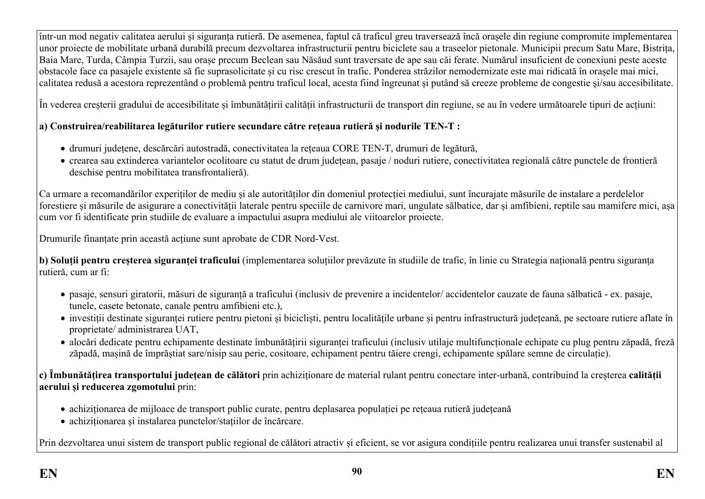într-un mod negativ calitatea aerului și siguranța rutieră. De asemenea, faptul că traficul greu traversează încă orașele din regiune compromite implementarea unor proiecte de mobilitate urbană durabilă precum dezvoltarea infrastructurii pentru biciclete sau a traseelor pietonale. Municipii precum Satu Mare, Bistrița, Baia Mare, Turda, Câmpia Turzii, sau orașe precum Beclean sau Năsăud sunt traversate de ape sau căi ferate. Numărul insuficient de conexiuni peste aceste obstacole face ca pasajele existente să fie suprasolicitate și cu risc crescut în trafic. Ponderea străzilor nemodernizate este mai ridicată în orașele mai mici, calitatea redusă a acestora reprezentând o problemă pentru traficul local, acesta fiind îngreunat și putând să creeze probleme de congestie și/sau accesibilitate.

În vederea creșterii gradului de accesibilitate și îmbunătățirii calității infrastructurii de transport din regiune, se au în vedere următoarele tipuri de acțiuni:

## **a) Construirea/reabilitarea legăturilor rutiere secundare către rețeaua rutieră și nodurile TEN-T :**

- drumuri județene, descărcări autostradă, conectivitatea la rețeaua CORE TEN-T, drumuri de legătură,
- crearea sau extinderea variantelor ocolitoare cu statut de drum județean, pasaje / noduri rutiere, conectivitatea regională către punctele de frontieră deschise pentru mobilitatea transfrontalieră).

Ca urmare a recomandărilor experiților de mediu și ale autorităților din domeniul protecției mediului, sunt încurajate măsurile de instalare a perdelelor forestiere și măsurile de asigurare a conectivității laterale pentru speciile de carnivore mari, ungulate sălbatice, dar și amfibieni, reptile sau mamifere mici, așa cum vor fi identificate prin studiile de evaluare a impactului asupra mediului ale viitoarelor proiecte.

Drumurile finanțate prin această acțiune sunt aprobate de CDR Nord-Vest.

**b) Soluții pentru creșterea siguranței traficului** (implementarea soluțiilor prevăzute în studiile de trafic, în linie cu Strategia națională pentru siguranța rutieră, cum ar fi:

- pasaje, sensuri giratorii, măsuri de siguranță a traficului (inclusiv de prevenire a incidentelor/ accidentelor cauzate de fauna sălbatică ex. pasaje, tunele, casete betonate, canale pentru amfibieni etc.),
- investiții destinate siguranței rutiere pentru pietoni și bicicliști, pentru localitățile urbane și pentru infrastructură județeană, pe sectoare rutiere aflate în proprietate/ administrarea UAT,
- alocări dedicate pentru echipamente destinate îmbunătățirii siguranței traficului (inclusiv utilaje multifuncționale echipate cu plug pentru zăpadă, freză zăpadă, mașină de împrăștiat sare/nisip sau perie, cositoare, echipament pentru tăiere crengi, echipamente spălare semne de circulație).

**c) Îmbunătățirea transportului județean de călători** prin achiziționare de material rulant pentru conectare inter-urbană, contribuind la creșterea **calității aerului și reducerea zgomotului** prin:

- achiziționarea de mijloace de transport public curate, pentru deplasarea populației pe rețeaua rutieră județeană
- achiziționarea și instalarea punctelor/stațiilor de încărcare.

Prin dezvoltarea unui sistem de transport public regional de călători atractiv și eficient, se vor asigura condițiile pentru realizarea unui transfer sustenabil al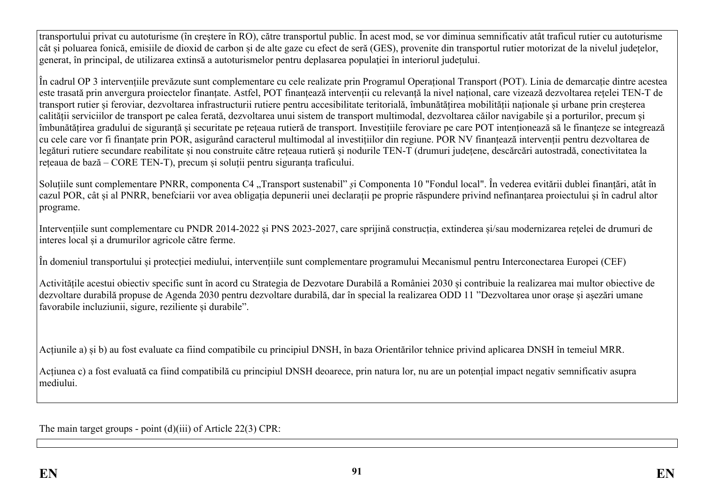transportului privat cu autoturisme (în creștere în RO), către transportul public. În acest mod, se vor diminua semnificativ atât traficul rutier cu autoturisme cât și poluarea fonică, emisiile de dioxid de carbon și de alte gaze cu efect de seră (GES), provenite din transportul rutier motorizat de la nivelul județelor, generat, în principal, de utilizarea extinsă a autoturismelor pentru deplasarea populației în interiorul județului.

În cadrul OP 3 intervențiile prevăzute sunt complementare cu cele realizate prin Programul Operațional Transport (POT). Linia de demarcație dintre acestea este trasată prin anvergura proiectelor finanțate. Astfel, POT finanțează intervenții cu relevanță la nivel național, care vizează dezvoltarea rețelei TEN-T de transport rutier și feroviar, dezvoltarea infrastructurii rutiere pentru accesibilitate teritorială, îmbunătățirea mobilității naționale și urbane prin creșterea calității serviciilor de transport pe calea ferată, dezvoltarea unui sistem de transport multimodal, dezvoltarea căilor navigabile și a porturilor, precum și îmbunătățirea gradului de siguranță și securitate pe rețeaua rutieră de transport. Investițiile feroviare pe care POT intenționează să le finanțeze se integrează cu cele care vor fi finanțate prin POR, asigurând caracterul multimodal al investițiilor din regiune. POR NV finanțează intervenții pentru dezvoltarea de legături rutiere secundare reabilitate și nou construite către rețeaua rutieră și nodurile TEN-T (drumuri județene, descărcări autostradă, conectivitatea la rețeaua de bază – CORE TEN-T), precum și soluții pentru siguranța traficului.

Soluțiile sunt complementare PNRR, componenta C4 "Transport sustenabil" *ș*i Componenta 10 "Fondul local". În vederea evitării dublei finanțări, atât în cazul POR, cât și al PNRR, benefciarii vor avea obligația depunerii unei declarații pe proprie răspundere privind nefinanțarea proiectului și în cadrul altor programe.

Intervențiile sunt complementare cu PNDR 2014-2022 și PNS 2023-2027, care sprijină construcția, extinderea și/sau modernizarea rețelei de drumuri de interes local și a drumurilor agricole către ferme.

În domeniul transportului și protecției mediului, intervențiile sunt complementare programului Mecanismul pentru Interconectarea Europei (CEF)

Activitățile acestui obiectiv specific sunt în acord cu Strategia de Dezvotare Durabilă a României 2030 și contribuie la realizarea mai multor obiective de dezvoltare durabilă propuse de Agenda 2030 pentru dezvoltare durabilă, dar în special la realizarea ODD 11 "Dezvoltarea unor orașe și așezări umane favorabile incluziunii, sigure, reziliente și durabile".

Acțiunile a) și b) au fost evaluate ca fiind compatibile cu principiul DNSH, în baza Orientărilor tehnice privind aplicarea DNSH în temeiul MRR.

Acțiunea c) a fost evaluată ca fiind compatibilă cu principiul DNSH deoarece, prin natura lor, nu are un potențial impact negativ semnificativ asupra mediului.

The main target groups - point (d)(iii) of Article 22(3) CPR: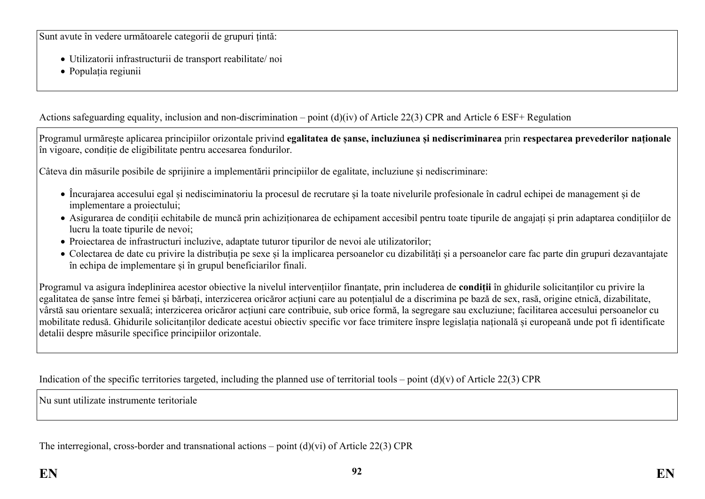Sunt avute în vedere următoarele categorii de grupuri țintă:

- Utilizatorii infrastructurii de transport reabilitate/ noi
- Populația regiunii

Actions safeguarding equality, inclusion and non-discrimination – point (d)(iv) of Article 22(3) CPR and Article 6 ESF+ Regulation

Programul urmărește aplicarea principiilor orizontale privind **egalitatea de șanse, incluziunea și nediscriminarea** prin **respectarea prevederilor naționale** în vigoare, condiție de eligibilitate pentru accesarea fondurilor.

Câteva din măsurile posibile de sprijinire a implementării principiilor de egalitate, incluziune și nediscriminare:

- Încurajarea accesului egal și nedisciminatoriu la procesul de recrutare și la toate nivelurile profesionale în cadrul echipei de management și de implementare a proiectului;
- Asigurarea de condiții echitabile de muncă prin achiziționarea de echipament accesibil pentru toate tipurile de angajați și prin adaptarea condițiilor de lucru la toate tipurile de nevoi;
- Proiectarea de infrastructuri incluzive, adaptate tuturor tipurilor de nevoi ale utilizatorilor;
- Colectarea de date cu privire la distribuția pe sexe și la implicarea persoanelor cu dizabilități și a persoanelor care fac parte din grupuri dezavantajate în echipa de implementare și în grupul beneficiarilor finali.

Programul va asigura îndeplinirea acestor obiective la nivelul intervențiilor finanțate, prin includerea de **condiții** în ghidurile solicitanților cu privire la egalitatea de șanse între femei și bărbați, interzicerea oricăror acțiuni care au potențialul de a discrimina pe bază de sex, rasă, origine etnică, dizabilitate, vârstă sau orientare sexuală; interzicerea oricăror acțiuni care contribuie, sub orice formă, la segregare sau excluziune; facilitarea accesului persoanelor cu mobilitate redusă. Ghidurile solicitanților dedicate acestui obiectiv specific vor face trimitere înspre legislația națională și europeană unde pot fi identificate detalii despre măsurile specifice principiilor orizontale.

Indication of the specific territories targeted, including the planned use of territorial tools – point  $(d)(v)$  of Article 22(3) CPR

Nu sunt utilizate instrumente teritoriale

The interregional, cross-border and transnational actions – point (d)(vi) of Article 22(3) CPR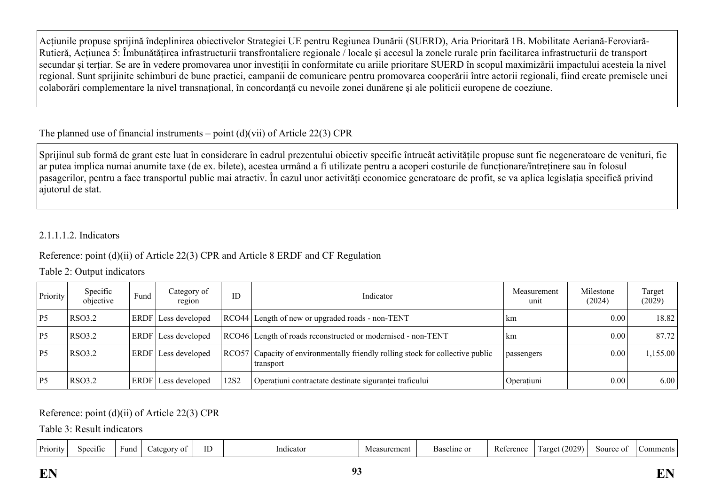Acțiunile propuse sprijină îndeplinirea obiectivelor Strategiei UE pentru Regiunea Dunării (SUERD), Aria Prioritară 1B. Mobilitate Aeriană-Feroviară-Rutieră, Acțiunea 5: Îmbunătățirea infrastructurii transfrontaliere regionale / locale și accesul la zonele rurale prin facilitarea infrastructurii de transport secundar și terțiar. Se are în vedere promovarea unor investiții în conformitate cu ariile prioritare SUERD în scopul maximizării impactului acesteia la nivel regional. Sunt sprijinite schimburi de bune practici, campanii de comunicare pentru promovarea cooperării între actorii regionali, fiind create premisele unei colaborări complementare la nivel transnațional, în concordanță cu nevoile zonei dunărene și ale politicii europene de coeziune.

# The planned use of financial instruments – point  $(d)(\n{\rm vii})$  of Article 22(3) CPR

Sprijinul sub formă de grant este luat în considerare în cadrul prezentului obiectiv specific întrucât activitățile propuse sunt fie negeneratoare de venituri, fie ar putea implica numai anumite taxe (de ex. bilete), acestea urmând a fi utilizate pentru a acoperi costurile de funcționare/întreținere sau în folosul pasagerilor, pentru a face transportul public mai atractiv. În cazul unor activități economice generatoare de profit, se va aplica legislația specifică privind ajutorul de stat.

### 2.1.1.1.2. Indicators

# Reference: point (d)(ii) of Article 22(3) CPR and Article 8 ERDF and CF Regulation

## Table 2: Output indicators

| Priority | Specific<br>objective | Fund        | Category of<br>region      | ID               | Indicator                                                                                   | Measurement<br>unit | Milestone<br>(2024) | Target<br>(2029) |
|----------|-----------------------|-------------|----------------------------|------------------|---------------------------------------------------------------------------------------------|---------------------|---------------------|------------------|
| P5       | RSO3.2                |             | <b>ERDF</b> Less developed |                  | RCO44 Length of new or upgraded roads - non-TENT                                            | km                  | 0.00                | 18.82            |
| P5       | RSO3.2                |             | <b>ERDF</b> Less developed |                  | RCO46 Length of roads reconstructed or modernised - non-TENT                                | km                  | 0.00                | 87.72            |
| P5       | <b>RSO3.2</b>         |             | <b>ERDF</b> Less developed |                  | RCO57 Capacity of environmentally friendly rolling stock for collective public<br>transport | passengers          | 0.00                | 1,155.00         |
| P5       | <b>RSO3.2</b>         | <b>ERDF</b> | Less developed             | 12S <sub>2</sub> | Operațiuni contractate destinate siguranței traficului                                      | Operatiuni          | 0.00                | 6.00             |

# Reference: point (d)(ii) of Article 22(3) CPR

Table 3: Result indicators

| Dr <sub>i</sub><br>. riority : | Specific | ∺uno | $-11$ |  | Indicator | asuremen.<br>vier. | Baseline or | <b>Reference</b> | 2029<br>arget<br>$\mathfrak{a}$ . $\mathfrak{c}$ | Source of | $\alpha$ mmat<br>. |
|--------------------------------|----------|------|-------|--|-----------|--------------------|-------------|------------------|--------------------------------------------------|-----------|--------------------|
|--------------------------------|----------|------|-------|--|-----------|--------------------|-------------|------------------|--------------------------------------------------|-----------|--------------------|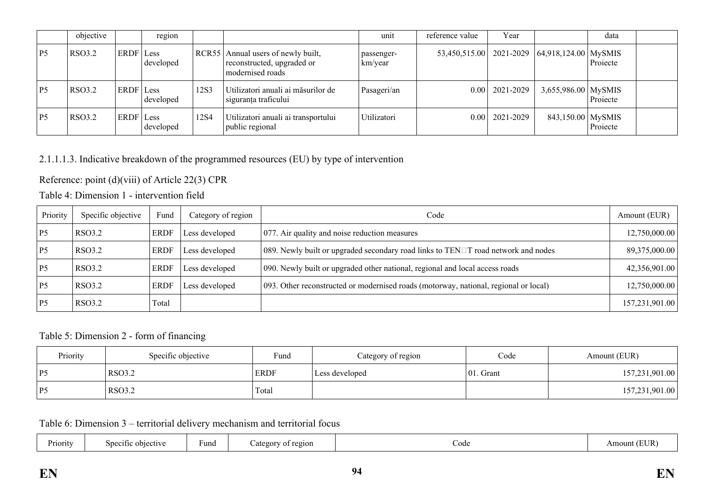|                | objective     |           | region    |       |                                                                                | unit                  | reference value | Year               |                                                    | data     |  |
|----------------|---------------|-----------|-----------|-------|--------------------------------------------------------------------------------|-----------------------|-----------------|--------------------|----------------------------------------------------|----------|--|
| P <sub>5</sub> | <b>RSO3.2</b> | ERDF Less | developed | RCR55 | Annual users of newly built,<br>reconstructed, upgraded or<br>modernised roads | passenger-<br>km/year |                 |                    | 53,450,515.00   2021-2029   64,918,124.00   MySMIS | Projecte |  |
| P <sub>5</sub> | <b>RSO3.2</b> | ERDF Less | developed | 12S3  | Utilizatori anuali ai măsurilor de<br>siguranța traficului                     | Pasageri/an           |                 | $0.00$   2021-2029 | $3,655,986.00$ MySMIS                              | Projecte |  |
| P <sub>5</sub> | RSO3.2        | ERDF Less | developed | 12S4  | Utilizatori anuali ai transportului<br>public regional                         | Utilizatori           |                 | $0.00$   2021-2029 | 843,150.00 MySMIS                                  | Projecte |  |

## 2.1.1.1.3. Indicative breakdown of the programmed resources (EU) by type of intervention

Reference: point (d)(viii) of Article 22(3) CPR

Table 4: Dimension 1 - intervention field

| Priority | Specific objective | Fund        | Category of region | Code                                                                                     | Amount (EUR)   |
|----------|--------------------|-------------|--------------------|------------------------------------------------------------------------------------------|----------------|
| P5       | RSO3.2             | <b>ERDF</b> | Less developed     | 077. Air quality and noise reduction measures                                            | 12,750,000.00  |
| P5       | <b>RSO3.2</b>      | <b>ERDF</b> | Less developed     | 089. Newly built or upgraded secondary road links to $TEN \Box T$ road network and nodes | 89,375,000.00  |
| P5       | <b>RSO3.2</b>      | <b>ERDF</b> | Less developed     | 090. Newly built or upgraded other national, regional and local access roads             | 42,356,901.00  |
| P5       | RSO3.2             | <b>ERDF</b> | Less developed     | 093. Other reconstructed or modernised roads (motorway, national, regional or local)     | 12,750,000.00  |
| P5       | RSO3.2             | Total       |                    |                                                                                          | 157,231,901.00 |

### Table 5: Dimension 2 - form of financing

| Priority | Specific objective | Fund        | Category of region | Code         | Amount (EUR)   |
|----------|--------------------|-------------|--------------------|--------------|----------------|
| >¤ '     | <b>RSO3.2</b>      | <b>ERDF</b> | Less developed     | $ 01.$ Grant | 157,231,901.00 |
| ' P5     | RSO3.2             | Total       |                    |              | 157,231,901.00 |

Table 6: Dimension 3 – territorial delivery mechanism and territorial focus

| n.<br>Priority | Specific objective | Fund | region<br>. ategory of | Code | 'EI ID<br>Amount (<br>LEUIN |
|----------------|--------------------|------|------------------------|------|-----------------------------|
|----------------|--------------------|------|------------------------|------|-----------------------------|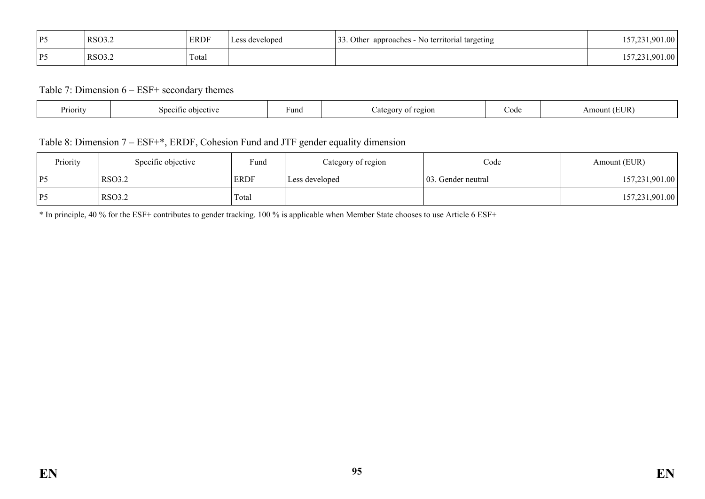| P5 | RSO3.2        | <b>ERDF</b> | Less developed | $\mathcal{L}$<br>. Other<br>approaches - No territorial targeting<br>. ب ب | 157,231,901.00 |
|----|---------------|-------------|----------------|----------------------------------------------------------------------------|----------------|
| P5 | <b>RSO3.2</b> | Total       |                |                                                                            | 157,231,901.00 |

Table 7: Dimension 6 – ESF+ secondary themes

| Priority | obiective<br>100111<br>$\sim$ $\sim$ | Funq | region<br>ategory<br>0T. | code | (EUR)<br>Amount |
|----------|--------------------------------------|------|--------------------------|------|-----------------|
|----------|--------------------------------------|------|--------------------------|------|-----------------|

## Table 8: Dimension 7 – ESF+\*, ERDF, Cohesion Fund and JTF gender equality dimension

| Priority | Specific objective | Fund        | Category of region | Code                | Amount (EUR)   |
|----------|--------------------|-------------|--------------------|---------------------|----------------|
| P5       | <b>RSO3.2</b>      | <b>ERDF</b> | Less developed     | 103. Gender neutral | 157,231,901.00 |
| P5       | <b>RSO3.2</b>      | Total       |                    |                     | 157,231,901.00 |

\* In principle, 40 % for the ESF+ contributes to gender tracking. 100 % is applicable when Member State chooses to use Article 6 ESF+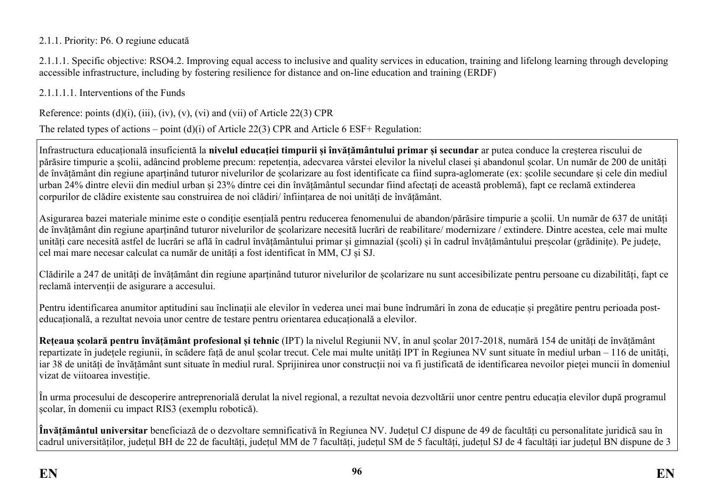### 2.1.1. Priority: P6. O regiune educată

2.1.1.1. Specific objective: RSO4.2. Improving equal access to inclusive and quality services in education, training and lifelong learning through developing accessible infrastructure, including by fostering resilience for distance and on-line education and training (ERDF)

2.1.1.1.1. Interventions of the Funds

Reference: points  $(d)(i)$ ,  $(iii)$ ,  $(iv)$ ,  $(v)$ ,  $(vi)$  and  $(vii)$  of Article 22(3) CPR

The related types of actions – point (d)(i) of Article 22(3) CPR and Article 6 ESF+ Regulation:

Infrastructura educațională insuficientă la **nivelul educației timpurii și învățământului primar și secundar** ar putea conduce la creșterea riscului de părăsire timpurie a școlii, adâncind probleme precum: repetenția, adecvarea vârstei elevilor la nivelul clasei și abandonul școlar. Un număr de 200 de unități de învățământ din regiune aparținând tuturor nivelurilor de școlarizare au fost identificate ca fiind supra-aglomerate (ex: școlile secundare și cele din mediul urban 24% dintre elevii din mediul urban și 23% dintre cei din învățământul secundar fiind afectați de această problemă), fapt ce reclamă extinderea corpurilor de clădire existente sau construirea de noi clădiri/ înființarea de noi unități de învățământ.

Asigurarea bazei materiale minime este o condiție esențială pentru reducerea fenomenului de abandon/părăsire timpurie a școlii. Un număr de 637 de unități de învățământ din regiune aparținând tuturor nivelurilor de școlarizare necesită lucrări de reabilitare/ modernizare / extindere. Dintre acestea, cele mai multe unități care necesită astfel de lucrări se află în cadrul învățământului primar și gimnazial (școli) și în cadrul învățământului preșcolar (grădinițe). Pe județe, cel mai mare necesar calculat ca număr de unități a fost identificat în MM, CJ și SJ.

Clădirile a 247 de unități de învățământ din regiune aparținând tuturor nivelurilor de școlarizare nu sunt accesibilizate pentru persoane cu dizabilități, fapt ce reclamă intervenții de asigurare a accesului.

Pentru identificarea anumitor aptitudini sau înclinații ale elevilor în vederea unei mai bune îndrumări în zona de educație și pregătire pentru perioada posteducațională, a rezultat nevoia unor centre de testare pentru orientarea educațională a elevilor.

**Rețeaua școlară pentru învățământ profesional și tehnic** (IPT) la nivelul Regiunii NV, în anul școlar 2017-2018, numără 154 de unități de învățământ repartizate în județele regiunii, în scădere față de anul școlar trecut. Cele mai multe unități IPT în Regiunea NV sunt situate în mediul urban – 116 de unități, iar 38 de unități de învățământ sunt situate în mediul rural. Sprijinirea unor construcții noi va fi justificată de identificarea nevoilor pieței muncii în domeniul vizat de viitoarea investiție.

În urma procesului de descoperire antreprenorială derulat la nivel regional, a rezultat nevoia dezvoltării unor centre pentru educația elevilor după programul școlar, în domenii cu impact RIS3 (exemplu robotică).

**Învățământul universitar** beneficiază de o dezvoltare semnificativă în Regiunea NV. Județul CJ dispune de 49 de facultăți cu personalitate juridică sau în cadrul universităților, județul BH de 22 de facultăți, județul MM de 7 facultăți, județul SM de 5 facultăți, județul SJ de 4 facultăți iar județul BN dispune de 3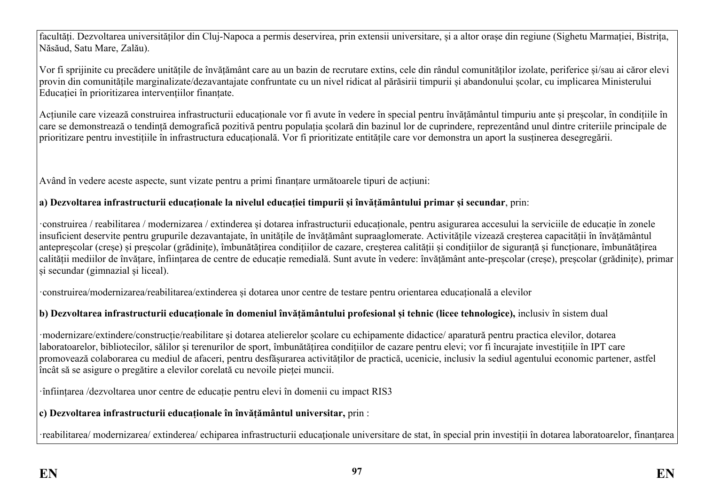facultăți. Dezvoltarea universităților din Cluj-Napoca a permis deservirea, prin extensii universitare, și a altor orașe din regiune (Sighetu Marmației, Bistrița, Năsăud, Satu Mare, Zalău).

Vor fi sprijinite cu precădere unitățile de învățământ care au un bazin de recrutare extins, cele din rândul comunităților izolate, periferice și/sau ai căror elevi provin din comunitățile marginalizate/dezavantajate confruntate cu un nivel ridicat al părăsirii timpurii și abandonului școlar, cu implicarea Ministerului Educației în prioritizarea intervențiilor finanțate.

Acțiunile care vizează construirea infrastructurii educaționale vor fi avute în vedere în special pentru învățământul timpuriu ante și preșcolar, în condițiile în care se demonstrează o tendință demografică pozitivă pentru populația școlară din bazinul lor de cuprindere, reprezentând unul dintre criteriile principale de prioritizare pentru investițiile în infrastructura educațională. Vor fi prioritizate entitățile care vor demonstra un aport la susținerea desegregării.

Având în vedere aceste aspecte, sunt vizate pentru a primi finanțare următoarele tipuri de acțiuni:

## **a) Dezvoltarea infrastructurii educaționale la nivelul educației timpurii și învățământului primar și secundar**, prin:

·construirea / reabilitarea / modernizarea / extinderea și dotarea infrastructurii educaționale, pentru asigurarea accesului la serviciile de educație în zonele insuficient deservite pentru grupurile dezavantajate, în unitățile de învățământ supraaglomerate. Activitățile vizează creșterea capacității în învățământul antepreșcolar (creșe) și preșcolar (grădinițe), îmbunătățirea condițiilor de cazare, creșterea calității și condițiilor de siguranță și funcționare, îmbunătățirea calității mediilor de învățare, înființarea de centre de educație remedială. Sunt avute în vedere: învățământ ante-preșcolar (creșe), preșcolar (grădinițe), primar și secundar (gimnazial și liceal).

·construirea/modernizarea/reabilitarea/extinderea și dotarea unor centre de testare pentru orientarea educațională a elevilor

# **b) Dezvoltarea infrastructurii educaționale în domeniul învățământului profesional și tehnic (licee tehnologice),** inclusiv în sistem dual

·modernizare/extindere/construcție/reabilitare și dotarea atelierelor școlare cu echipamente didactice/ aparatură pentru practica elevilor, dotarea laboratoarelor, bibliotecilor, sălilor și terenurilor de sport, îmbunătățirea condițiilor de cazare pentru elevi; vor fi încurajate investițiile în IPT care promovează colaborarea cu mediul de afaceri, pentru desfășurarea activităților de practică, ucenicie, inclusiv la sediul agentului economic partener, astfel încât să se asigure o pregătire a elevilor corelată cu nevoile pieței muncii.

·înființarea /dezvoltarea unor centre de educație pentru elevi în domenii cu impact RIS3

# **c) Dezvoltarea infrastructurii educaționale în învățământul universitar,** prin :

reabilitarea/ modernizarea/ extinderea/ echiparea infrastructurii educationale universitare de stat, în special prin investitii în dotarea laboratoarelor, finantarea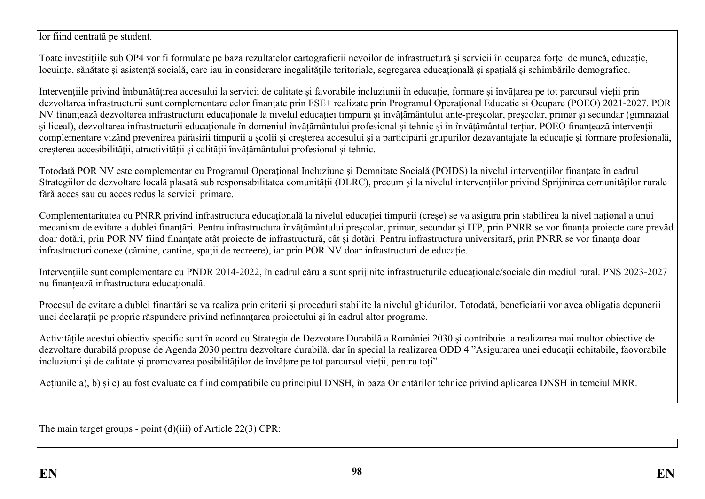lor fiind centrată pe student.

Toate investițiile sub OP4 vor fi formulate pe baza rezultatelor cartografierii nevoilor de infrastructură și servicii în ocuparea forței de muncă, educație, locuințe, sănătate și asistență socială, care iau în considerare inegalitățile teritoriale, segregarea educațională și spațială și schimbările demografice.

Intervențiile privind îmbunătățirea accesului la servicii de calitate și favorabile incluziunii în educație, formare și învățarea pe tot parcursul vieții prin dezvoltarea infrastructurii sunt complementare celor finanțate prin FSE+ realizate prin Programul Operațional Educatie si Ocupare (POEO) 2021-2027. POR NV finanțează dezvoltarea infrastructurii educaționale la nivelul educației timpurii și învățământului ante-preșcolar, preșcolar, primar și secundar (gimnazial și liceal), dezvoltarea infrastructurii educaționale în domeniul învățământului profesional și tehnic și în învățământul terțiar. POEO finanțează intervenții complementare vizând prevenirea părăsirii timpurii a școlii și creșterea accesului și a participării grupurilor dezavantajate la educație și formare profesională, creșterea accesibilității, atractivității și calității învățământului profesional și tehnic.

Totodată POR NV este complementar cu Programul Operațional Incluziune și Demnitate Socială (POIDS) la nivelul intervențiilor finanțate în cadrul Strategiilor de dezvoltare locală plasată sub responsabilitatea comunității (DLRC), precum și la nivelul intervențiilor privind Sprijinirea comunităților rurale fără acces sau cu acces redus la servicii primare.

Complementaritatea cu PNRR privind infrastructura educațională la nivelul educației timpurii (creșe) se va asigura prin stabilirea la nivel național a unui mecanism de evitare a dublei finanțări. Pentru infrastructura învățământului preșcolar, primar, secundar și ITP, prin PNRR se vor finanța proiecte care prevăd doar dotări, prin POR NV fiind finanțate atât proiecte de infrastructură, cât și dotări. Pentru infrastructura universitară, prin PNRR se vor finanța doar infrastructuri conexe (cămine, cantine, spații de recreere), iar prin POR NV doar infrastructuri de educație.

Intervențiile sunt complementare cu PNDR 2014-2022, în cadrul căruia sunt sprijinite infrastructurile educaționale/sociale din mediul rural. PNS 2023-2027 nu finanțează infrastructura educațională.

Procesul de evitare a dublei finanțări se va realiza prin criterii și proceduri stabilite la nivelul ghidurilor. Totodată, beneficiarii vor avea obligația depunerii unei declarații pe proprie răspundere privind nefinanțarea proiectului și în cadrul altor programe.

Activitățile acestui obiectiv specific sunt în acord cu Strategia de Dezvotare Durabilă a României 2030 și contribuie la realizarea mai multor obiective de dezvoltare durabilă propuse de Agenda 2030 pentru dezvoltare durabilă, dar în special la realizarea ODD 4 "Asigurarea unei educații echitabile, faovorabile incluziunii și de calitate și promovarea posibilităților de învățare pe tot parcursul vieții, pentru toți".

Acțiunile a), b) și c) au fost evaluate ca fiind compatibile cu principiul DNSH, în baza Orientărilor tehnice privind aplicarea DNSH în temeiul MRR.

The main target groups - point (d)(iii) of Article 22(3) CPR: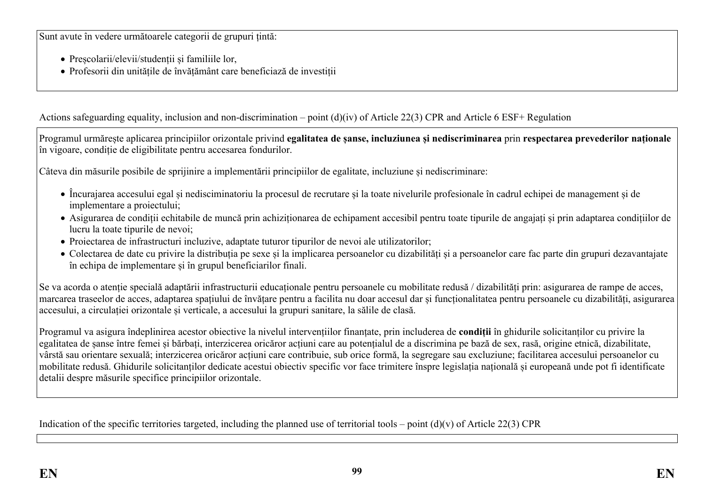Sunt avute în vedere următoarele categorii de grupuri țintă:

- Preșcolarii/elevii/studenții și familiile lor,
- Profesorii din unitățile de învățământ care beneficiază de investiții

Actions safeguarding equality, inclusion and non-discrimination – point (d)(iv) of Article 22(3) CPR and Article 6 ESF+ Regulation

Programul urmărește aplicarea principiilor orizontale privind **egalitatea de șanse, incluziunea și nediscriminarea** prin **respectarea prevederilor naționale** în vigoare, condiție de eligibilitate pentru accesarea fondurilor.

Câteva din măsurile posibile de sprijinire a implementării principiilor de egalitate, incluziune și nediscriminare:

- Încurajarea accesului egal și nedisciminatoriu la procesul de recrutare și la toate nivelurile profesionale în cadrul echipei de management și de implementare a proiectului;
- Asigurarea de condiții echitabile de muncă prin achiziționarea de echipament accesibil pentru toate tipurile de angajați și prin adaptarea condițiilor de lucru la toate tipurile de nevoi;
- Proiectarea de infrastructuri incluzive, adaptate tuturor tipurilor de nevoi ale utilizatorilor;
- Colectarea de date cu privire la distribuția pe sexe și la implicarea persoanelor cu dizabilități și a persoanelor care fac parte din grupuri dezavantajate în echipa de implementare și în grupul beneficiarilor finali.

Se va acorda o atenție specială adaptării infrastructurii educaționale pentru persoanele cu mobilitate redusă / dizabilități prin: asigurarea de rampe de acces, marcarea traseelor de acces, adaptarea spațiului de învățare pentru a facilita nu doar accesul dar și funcționalitatea pentru persoanele cu dizabilități, asigurarea accesului, a circulației orizontale și verticale, a accesului la grupuri sanitare, la sălile de clasă.

Programul va asigura îndeplinirea acestor obiective la nivelul intervențiilor finanțate, prin includerea de **condiții** în ghidurile solicitanților cu privire la egalitatea de șanse între femei și bărbați, interzicerea oricăror acțiuni care au potențialul de a discrimina pe bază de sex, rasă, origine etnică, dizabilitate, vârstă sau orientare sexuală; interzicerea oricăror acțiuni care contribuie, sub orice formă, la segregare sau excluziune; facilitarea accesului persoanelor cu mobilitate redusă. Ghidurile solicitanților dedicate acestui obiectiv specific vor face trimitere înspre legislația națională și europeană unde pot fi identificate detalii despre măsurile specifice principiilor orizontale.

Indication of the specific territories targeted, including the planned use of territorial tools – point  $(d)(v)$  of Article 22(3) CPR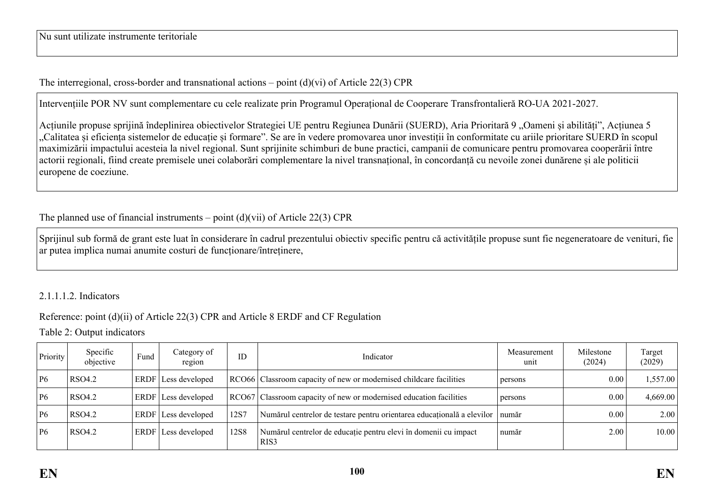## The interregional, cross-border and transnational actions – point  $(d)(vi)$  of Article 22(3) CPR

Intervențiile POR NV sunt complementare cu cele realizate prin Programul Operațional de Cooperare Transfrontalieră RO-UA 2021-2027.

Acțiunile propuse sprijină îndeplinirea obiectivelor Strategiei UE pentru Regiunea Dunării (SUERD), Aria Prioritară 9 "Oameni și abilități", Acțiunea 5 ..Calitatea și eficiența sistemelor de educație și formare". Se are în vedere promovarea unor investiții în conformitate cu ariile prioritare SUERD în scopul maximizării impactului acesteia la nivel regional. Sunt sprijinite schimburi de bune practici, campanii de comunicare pentru promovarea cooperării între actorii regionali, fiind create premisele unei colaborări complementare la nivel transnațional, în concordanță cu nevoile zonei dunărene și ale politicii europene de coeziune.

The planned use of financial instruments – point (d)(vii) of Article 22(3) CPR

Sprijinul sub formă de grant este luat în considerare în cadrul prezentului obiectiv specific pentru că activitățile propuse sunt fie negeneratoare de venituri, fie ar putea implica numai anumite costuri de funcționare/întreținere,

## 2.1.1.1.2. Indicators

# Reference: point (d)(ii) of Article 22(3) CPR and Article 8 ERDF and CF Regulation

Table 2: Output indicators

| Priority | Specific<br>objective | Fund        | Category of<br>region | ID   | Indicator                                                                           | Measurement<br>unit | Milestone<br>(2024) | Target<br>(2029) |
|----------|-----------------------|-------------|-----------------------|------|-------------------------------------------------------------------------------------|---------------------|---------------------|------------------|
| P6       | RSO4.2                |             | ERDF Less developed   |      | RCO66 Classroom capacity of new or modernised childcare facilities                  | persons             | 0.00                | 1,557.00         |
| P6       | <b>RSO4.2</b>         |             | ERDF Less developed   |      | RCO67 Classroom capacity of new or modernised education facilities                  | persons             | 0.00                | 4,669.00         |
| P6       | RSO4.2                | ERDF        | Less developed        | 12S7 | Numărul centrelor de testare pentru orientarea educațională a elevilor   număr      |                     | 0.001               | 2.00             |
| P6       | RSO4.2                | <b>ERDF</b> | Less developed        | 12S8 | Numărul centrelor de educație pentru elevi în domenii cu impact<br>RIS <sub>3</sub> | număr               | 2.00                | 10.00            |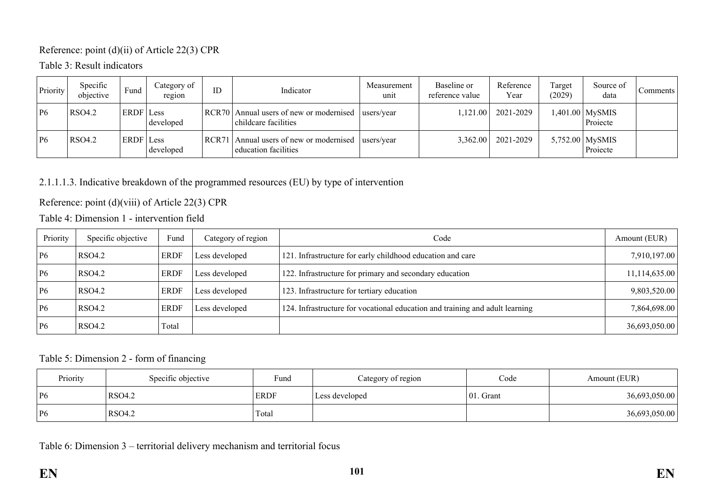### Reference: point (d)(ii) of Article 22(3) CPR

Table 3: Result indicators

| Priority | Specific<br>objective | Fund             | Category of<br>region | ID    | Indicator                                                 | Measurement<br>unit | Baseline or<br>reference value | Reference<br>Year | Target<br>(2029) | Source of<br>data             | Comments |
|----------|-----------------------|------------------|-----------------------|-------|-----------------------------------------------------------|---------------------|--------------------------------|-------------------|------------------|-------------------------------|----------|
| P6       | <b>RSO4.2</b>         | <b>ERDF</b> Less | developed             | RCR70 | Annual users of new or modernised<br>childcare facilities | users/year          | 1,121.00                       | 2021-2029         |                  | 1,401.00 MySMIS<br>Projecte   |          |
| P6       | <b>RSO4.2</b>         | <b>ERDF</b> Less | developed             | RCR71 | Annual users of new or modernised<br>education facilities | users/year          | 3.362.00                       | 2021-2029         |                  | 5,752.00   MySMIS<br>Projecte |          |

## 2.1.1.1.3. Indicative breakdown of the programmed resources (EU) by type of intervention

Reference: point (d)(viii) of Article 22(3) CPR

Table 4: Dimension 1 - intervention field

| Priority | Specific objective | Fund        | Category of region | Code                                                                         | Amount (EUR)    |
|----------|--------------------|-------------|--------------------|------------------------------------------------------------------------------|-----------------|
| P6       | RSO4.2             | <b>ERDF</b> | Less developed     | 121. Infrastructure for early childhood education and care                   | 7,910,197.00    |
| P6       | <b>RSO4.2</b>      | <b>ERDF</b> | Less developed     | 122. Infrastructure for primary and secondary education                      | 11, 114, 635.00 |
| P6       | <b>RSO4.2</b>      | <b>ERDF</b> | Less developed     | 123. Infrastructure for tertiary education                                   | 9,803,520.00    |
| P6       | RSO4.2             | <b>ERDF</b> | Less developed     | 124. Infrastructure for vocational education and training and adult learning | 7,864,698.00    |
| P6       | RSO4.2             | Total       |                    |                                                                              | 36,693,050.00   |

### Table 5: Dimension 2 - form of financing

| Priority  | Specific objective | Fund        | Category of region | Code          | Amount (EUR)  |
|-----------|--------------------|-------------|--------------------|---------------|---------------|
| <b>P6</b> | RSO4.2             | <b>ERDF</b> | Less developed     | $ 01$ . Grant | 36,693,050.00 |
| P6        | RSO4.2             | Total       |                    |               | 36,693,050.00 |

Table 6: Dimension 3 – territorial delivery mechanism and territorial focus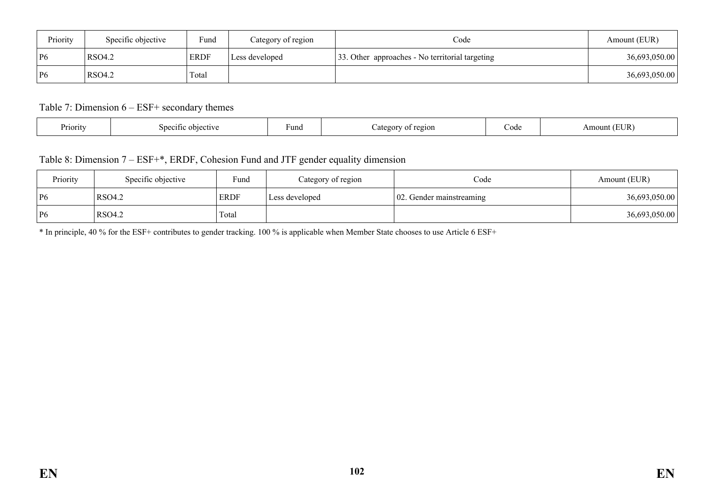| Priority | Specific objective | Fund        | Category of region | Code                                            | Amount (EUR)  |
|----------|--------------------|-------------|--------------------|-------------------------------------------------|---------------|
| P6       | RSO4.2             | <b>ERDF</b> | Less developed     | 33. Other approaches - No territorial targeting | 36,693,050.00 |
| P6       | RSO4.2             | Total       |                    |                                                 | 36,693,050.00 |

### Table 7: Dimension 6 – ESF+ secondary themes

| . .<br>Priority<br>objective<br>$\mathsf{S}$<br>01110 | ⊦una | region<br>Jater<br>ΩT | Code | TID.<br>Amou<br>' L'UN |
|-------------------------------------------------------|------|-----------------------|------|------------------------|
|-------------------------------------------------------|------|-----------------------|------|------------------------|

## Table 8: Dimension 7 – ESF+\*, ERDF, Cohesion Fund and JTF gender equality dimension

| Priority  | Specific objective | $\sim$<br>Fund | Category of region | Code                             | Amount (EUR)  |
|-----------|--------------------|----------------|--------------------|----------------------------------|---------------|
| <b>P6</b> | RSO4.2             | <b>ERDF</b>    | Less developed     | $\vert$ 02. Gender mainstreaming | 36,693,050.00 |
| <b>P6</b> | <b>RSO4.2</b>      | Total          |                    |                                  | 36,693,050.00 |

\* In principle, 40 % for the ESF+ contributes to gender tracking. 100 % is applicable when Member State chooses to use Article 6 ESF+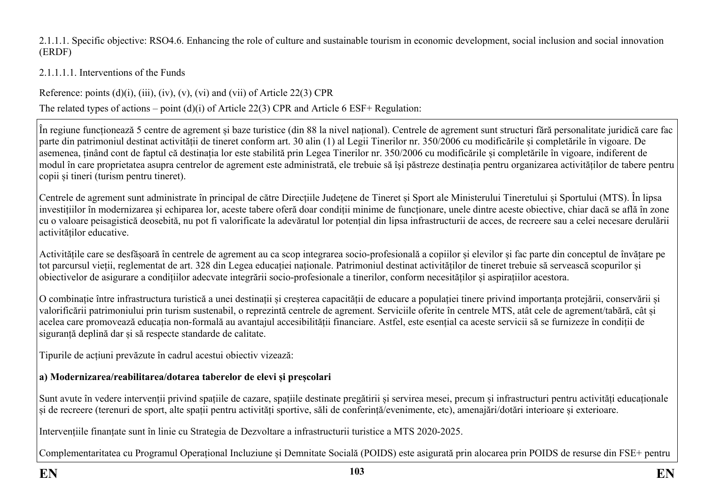2.1.1.1. Specific objective: RSO4.6. Enhancing the role of culture and sustainable tourism in economic development, social inclusion and social innovation (ERDF)

## 2.1.1.1.1. Interventions of the Funds

Reference: points  $(d)(i)$ ,  $(iii)$ ,  $(iv)$ ,  $(v)$ ,  $(vi)$  and  $(vii)$  of Article 22(3) CPR

The related types of actions – point (d)(i) of Article 22(3) CPR and Article 6 ESF+ Regulation:

În regiune funcționează 5 centre de agrement și baze turistice (din 88 la nivel național). Centrele de agrement sunt structuri fără personalitate juridică care fac parte din patrimoniul destinat activității de tineret conform art. 30 alin (1) al Legii Tinerilor nr. 350/2006 cu modificările și completările în vigoare. De asemenea, ținând cont de faptul că destinația lor este stabilită prin Legea Tinerilor nr. 350/2006 cu modificările și completările în vigoare, indiferent de modul în care proprietatea asupra centrelor de agrement este administrată, ele trebuie să își păstreze destinația pentru organizarea activităților de tabere pentru copii și tineri (turism pentru tineret).

Centrele de agrement sunt administrate în principal de către Direcțiile Județene de Tineret și Sport ale Ministerului Tineretului și Sportului (MTS). În lipsa investițiilor în modernizarea și echiparea lor, aceste tabere oferă doar condiții minime de funcționare, unele dintre aceste obiective, chiar dacă se află în zone cu o valoare peisagistică deosebită, nu pot fi valorificate la adevăratul lor potențial din lipsa infrastructurii de acces, de recreere sau a celei necesare derulării activităților educative.

Activitățile care se desfășoară în centrele de agrement au ca scop integrarea socio-profesională a copiilor și elevilor și fac parte din conceptul de învățare pe tot parcursul vieții, reglementat de art. 328 din Legea educației naționale. Patrimoniul destinat activităților de tineret trebuie să servească scopurilor și obiectivelor de asigurare a condițiilor adecvate integrării socio-profesionale a tinerilor, conform necesităților și aspirațiilor acestora.

O combinație între infrastructura turistică a unei destinații și creșterea capacității de educare a populației tinere privind importanța protejării, conservării și valorificării patrimoniului prin turism sustenabil, o reprezintă centrele de agrement. Serviciile oferite în centrele MTS, atât cele de agrement/tabără, cât și acelea care promovează educația non-formală au avantajul accesibilității financiare. Astfel, este esențial ca aceste servicii să se furnizeze în condiții de siguranță deplină dar și să respecte standarde de calitate.

Tipurile de acțiuni prevăzute în cadrul acestui obiectiv vizează:

# **a) Modernizarea/reabilitarea/dotarea taberelor de elevi și preșcolari**

Sunt avute în vedere intervenții privind spațiile de cazare, spațiile destinate pregătirii și servirea mesei, precum și infrastructuri pentru activități educaționale și de recreere (terenuri de sport, alte spații pentru activități sportive, săli de conferință/evenimente, etc), amenajări/dotări interioare și exterioare.

Intervențiile finanțate sunt în linie cu Strategia de Dezvoltare a infrastructurii turistice a MTS 2020-2025.

Complementaritatea cu Programul Operațional Incluziune și Demnitate Socială (POIDS) este asigurată prin alocarea prin POIDS de resurse din FSE+ pentru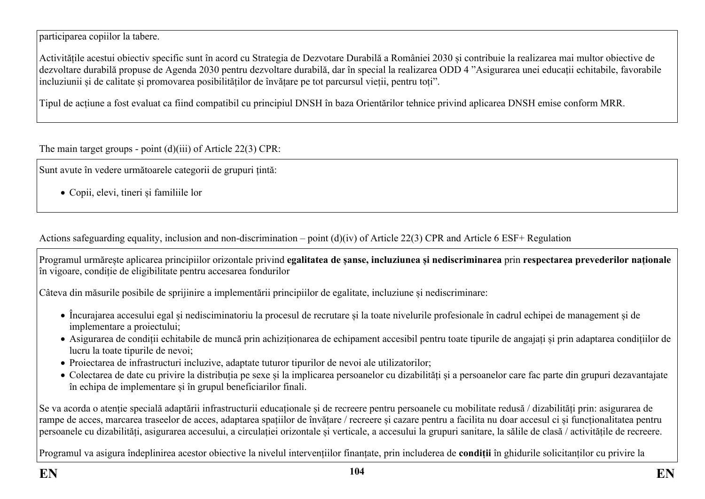participarea copiilor la tabere.

Activitățile acestui obiectiv specific sunt în acord cu Strategia de Dezvotare Durabilă a României 2030 și contribuie la realizarea mai multor obiective de dezvoltare durabilă propuse de Agenda 2030 pentru dezvoltare durabilă, dar în special la realizarea ODD 4 "Asigurarea unei educații echitabile, favorabile incluziunii și de calitate și promovarea posibilităților de învățare pe tot parcursul vieții, pentru toți".

Tipul de acțiune a fost evaluat ca fiind compatibil cu principiul DNSH în baza Orientărilor tehnice privind aplicarea DNSH emise conform MRR.

The main target groups - point (d)(iii) of Article 22(3) CPR:

Sunt avute în vedere următoarele categorii de grupuri țintă:

Copii, elevi, tineri și familiile lor

Actions safeguarding equality, inclusion and non-discrimination – point (d)(iv) of Article 22(3) CPR and Article 6 ESF+ Regulation

Programul urmărește aplicarea principiilor orizontale privind **egalitatea de șanse, incluziunea și nediscriminarea** prin **respectarea prevederilor naționale** în vigoare, condiție de eligibilitate pentru accesarea fondurilor

Câteva din măsurile posibile de sprijinire a implementării principiilor de egalitate, incluziune și nediscriminare:

- Încurajarea accesului egal și nedisciminatoriu la procesul de recrutare și la toate nivelurile profesionale în cadrul echipei de management și de implementare a proiectului;
- Asigurarea de condiții echitabile de muncă prin achiziționarea de echipament accesibil pentru toate tipurile de angajați și prin adaptarea condițiilor de lucru la toate tipurile de nevoi;
- Proiectarea de infrastructuri incluzive, adaptate tuturor tipurilor de nevoi ale utilizatorilor;
- Colectarea de date cu privire la distribuția pe sexe și la implicarea persoanelor cu dizabilități și a persoanelor care fac parte din grupuri dezavantajate în echipa de implementare și în grupul beneficiarilor finali.

Se va acorda o atenție specială adaptării infrastructurii educaționale și de recreere pentru persoanele cu mobilitate redusă / dizabilități prin: asigurarea de rampe de acces, marcarea traseelor de acces, adaptarea spațiilor de învățare / recreere și cazare pentru a facilita nu doar accesul ci și funcționalitatea pentru persoanele cu dizabilități, asigurarea accesului, a circulației orizontale și verticale, a accesului la grupuri sanitare, la sălile de clasă / activitățile de recreere.

Programul va asigura îndeplinirea acestor obiective la nivelul intervențiilor finanțate, prin includerea de **condiții** în ghidurile solicitanților cu privire la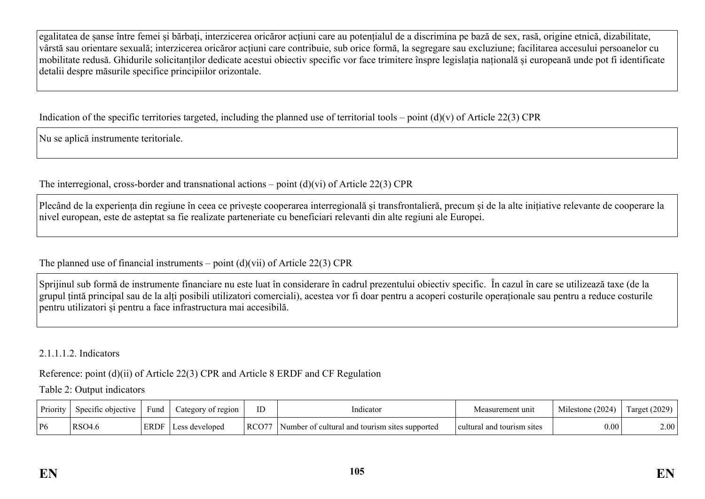egalitatea de șanse între femei și bărbați, interzicerea oricăror acțiuni care au potențialul de a discrimina pe bază de sex, rasă, origine etnică, dizabilitate, vârstă sau orientare sexuală; interzicerea oricăror acțiuni care contribuie, sub orice formă, la segregare sau excluziune; facilitarea accesului persoanelor cu mobilitate redusă. Ghidurile solicitanților dedicate acestui obiectiv specific vor face trimitere înspre legislația națională și europeană unde pot fi identificate detalii despre măsurile specifice principiilor orizontale.

Indication of the specific territories targeted, including the planned use of territorial tools – point  $(d)(v)$  of Article 22(3) CPR

Nu se aplică instrumente teritoriale.

The interregional, cross-border and transnational actions – point  $(d)(vi)$  of Article 22(3) CPR

Plecând de la experiența din regiune în ceea ce privește cooperarea interregională și transfrontalieră, precum și de la alte inițiative relevante de cooperare la nivel european, este de asteptat sa fie realizate parteneriate cu beneficiari relevanti din alte regiuni ale Europei.

The planned use of financial instruments – point  $(d)(\n{\rm vii})$  of Article 22(3) CPR

Sprijinul sub formă de instrumente financiare nu este luat în considerare în cadrul prezentului obiectiv specific. În cazul în care se utilizează taxe (de la grupul țintă principal sau de la alți posibili utilizatori comerciali), acestea vor fi doar pentru a acoperi costurile operaționale sau pentru a reduce costurile pentru utilizatori și pentru a face infrastructura mai accesibilă.

2.1.1.1.2. Indicators

Reference: point (d)(ii) of Article 22(3) CPR and Article 8 ERDF and CF Regulation

Table 2: Output indicators

| Priority | Specific objective | Fund        | ategory of region | ID    | indicator                                                  | Measurement unit                | Milestone (2024) | $\arget(2029)$ |
|----------|--------------------|-------------|-------------------|-------|------------------------------------------------------------|---------------------------------|------------------|----------------|
| P6       | <b>RSO4.6</b>      | <b>ERDF</b> | developed         | RCO77 | Number of cultural and<br>l tourism<br>supported<br>-sites | l tourism sites<br>' cultural . | $0.00\,$         | $2.00^+$       |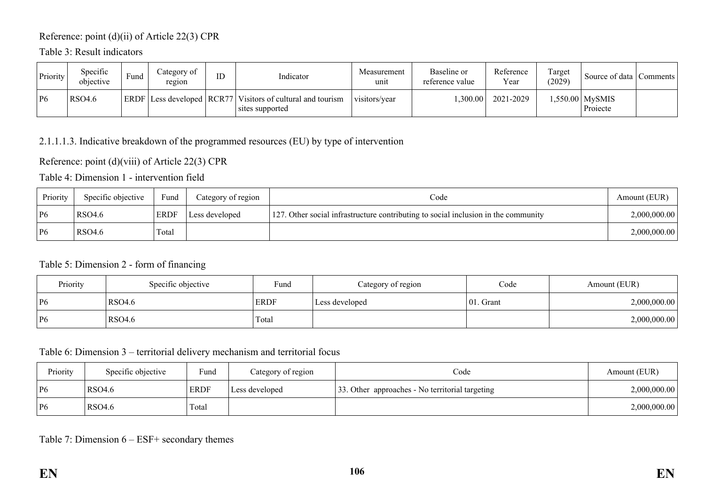## Reference: point (d)(ii) of Article 22(3) CPR

Table 3: Result indicators

| Priority | Specific<br>objective | Fund | Category of<br>region | ID | Indicator                                                                     | Measurement<br>unit | Baseline or<br>reference value | Reference<br>Year | Target<br>(2029) | Source of data   Comments  |  |
|----------|-----------------------|------|-----------------------|----|-------------------------------------------------------------------------------|---------------------|--------------------------------|-------------------|------------------|----------------------------|--|
| P6       | <b>RSO4.6</b>         |      |                       |    | ERDF Less developed RCR77 Visitors of cultural and tourism<br>sites supported | visitors/year       | ,300.00                        | 2021-2029         |                  | .550.00 MySMIS<br>Projecte |  |

### 2.1.1.1.3. Indicative breakdown of the programmed resources (EU) by type of intervention

Reference: point (d)(viii) of Article 22(3) CPR

Table 4: Dimension 1 - intervention field

| Priority | Specific objective | Fund        | Category of region | Code                                                                               | Amount (EUR) |
|----------|--------------------|-------------|--------------------|------------------------------------------------------------------------------------|--------------|
| P6       | RSO4.6             | <b>ERDF</b> | Less developed     | 127. Other social infrastructure contributing to social inclusion in the community | 2,000,000.00 |
| P6       | RSO4.6             | Total       |                    |                                                                                    | 2,000,000.00 |

### Table 5: Dimension 2 - form of financing

| Priority | Specific objective | Fund        | Category of region | Code          | Amount (EUR) |
|----------|--------------------|-------------|--------------------|---------------|--------------|
| P6       | RSO4.6             | <b>ERDF</b> | Less developed     | $ 01$ . Grant | 2,000,000.00 |
| P6       | RSO4.6             | Total       |                    |               | 2,000,000.00 |

## Table 6: Dimension 3 – territorial delivery mechanism and territorial focus

| Priority | Specific objective | Fund        | Category of region | Code                                            | Amount (EUR) |
|----------|--------------------|-------------|--------------------|-------------------------------------------------|--------------|
| P6       | RSO4.6             | <b>ERDF</b> | Less developed     | 33. Other approaches - No territorial targeting | 2,000,000.00 |
| P6       | RSO4.6             | Total       |                    |                                                 | 2,000,000.00 |

### Table 7: Dimension 6 – ESF+ secondary themes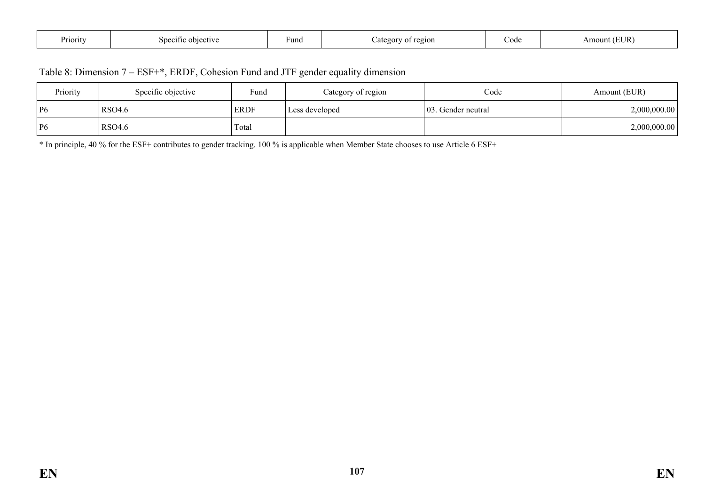| D<br>Priority | objective<br>specif | ∙unq | regior<br>$\mathcal{L}$ ater<br>$\sim$ | code | $TID$ .<br>\mount<br>JIV. |
|---------------|---------------------|------|----------------------------------------|------|---------------------------|
|---------------|---------------------|------|----------------------------------------|------|---------------------------|

| Table 8: Dimension 7 – ESF+*, ERDF, Cohesion Fund and JTF gender equality dimension |  |  |
|-------------------------------------------------------------------------------------|--|--|
|-------------------------------------------------------------------------------------|--|--|

| Priority | Specific objective | Fund        | Category of region | Code               | Amount (EUR) |
|----------|--------------------|-------------|--------------------|--------------------|--------------|
| P6       | <b>RSO4.6</b>      | <b>ERDF</b> | Less developed     | 03. Gender neutral | 2,000,000.00 |
| P6       | <b>RSO4.6</b>      | Total       |                    |                    | 2,000,000.00 |

\* In principle, 40 % for the ESF+ contributes to gender tracking. 100 % is applicable when Member State chooses to use Article 6 ESF+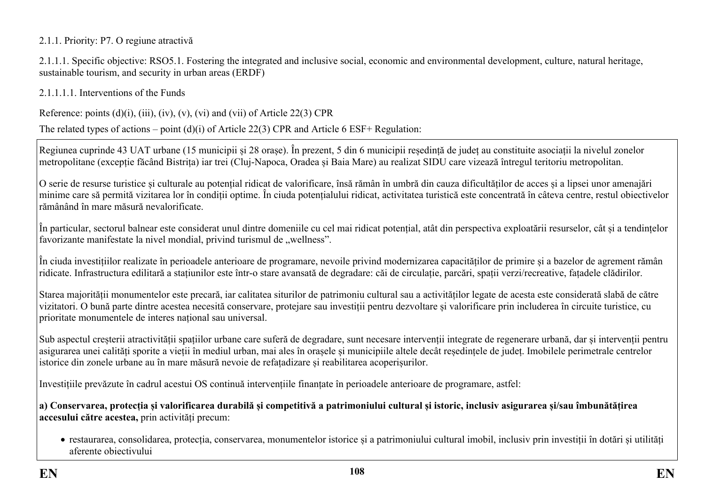### 2.1.1. Priority: P7. O regiune atractivă

2.1.1.1. Specific objective: RSO5.1. Fostering the integrated and inclusive social, economic and environmental development, culture, natural heritage, sustainable tourism, and security in urban areas (ERDF)

2.1.1.1.1. Interventions of the Funds

Reference: points  $(d)(i)$ ,  $(iii)$ ,  $(iv)$ ,  $(v)$ ,  $(vi)$  and  $(vii)$  of Article 22(3) CPR

The related types of actions – point (d)(i) of Article 22(3) CPR and Article 6 ESF+ Regulation:

Regiunea cuprinde 43 UAT urbane (15 municipii și 28 orașe). În prezent, 5 din 6 municipii reședință de județ au constituite asociații la nivelul zonelor metropolitane (excepție făcând Bistrița) iar trei (Cluj-Napoca, Oradea și Baia Mare) au realizat SIDU care vizează întregul teritoriu metropolitan.

O serie de resurse turistice și culturale au potențial ridicat de valorificare, însă rămân în umbră din cauza dificultăților de acces și a lipsei unor amenajări minime care să permită vizitarea lor în condiții optime. În ciuda potențialului ridicat, activitatea turistică este concentrată în câteva centre, restul obiectivelor rămânând în mare măsură nevalorificate.

În particular, sectorul balnear este considerat unul dintre domeniile cu cel mai ridicat potențial, atât din perspectiva exploatării resurselor, cât și a tendințelor favorizante manifestate la nivel mondial, privind turismul de "wellness".

În ciuda investițiilor realizate în perioadele anterioare de programare, nevoile privind modernizarea capacităților de primire și a bazelor de agrement rămân ridicate. Infrastructura edilitară a stațiunilor este într-o stare avansată de degradare: căi de circulație, parcări, spații verzi/recreative, fațadele clădirilor.

Starea majorității monumentelor este precară, iar calitatea siturilor de patrimoniu cultural sau a activităților legate de acesta este considerată slabă de către vizitatori. O bună parte dintre acestea necesită conservare, protejare sau investiții pentru dezvoltare și valorificare prin includerea în circuite turistice, cu prioritate monumentele de interes național sau universal.

Sub aspectul creșterii atractivității spațiilor urbane care suferă de degradare, sunt necesare intervenții integrate de regenerare urbană, dar și intervenții pentru asigurarea unei calități sporite a vieții în mediul urban, mai ales în orașele și municipiile altele decât reședințele de județ. Imobilele perimetrale centrelor istorice din zonele urbane au în mare măsură nevoie de refațadizare și reabilitarea acoperișurilor.

Investițiile prevăzute în cadrul acestui OS continuă intervențiile finanțate în perioadele anterioare de programare, astfel:

a) Conservarea, protecția și valorificarea durabilă și competitivă a patrimoniului cultural și istoric, inclusiv asigurarea și/sau îmbunătățirea **accesului către acestea,** prin activități precum:

 restaurarea, consolidarea, protecția, conservarea, monumentelor istorice și a patrimoniului cultural imobil, inclusiv prin investiții în dotări și utilități aferente obiectivului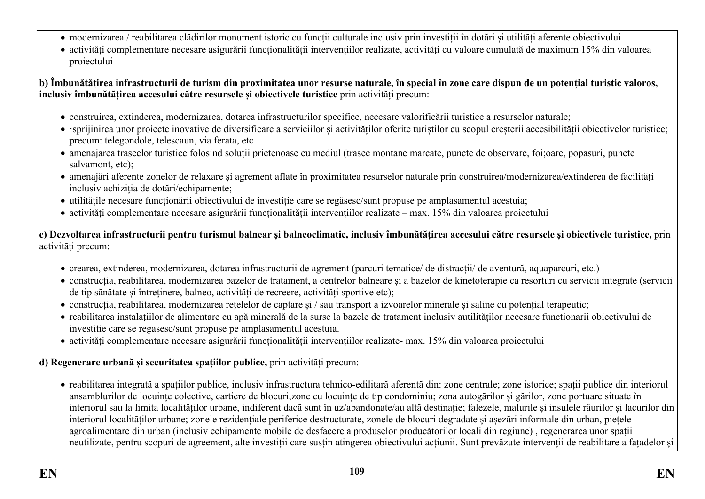- modernizarea / reabilitarea clădirilor monument istoric cu funcții culturale inclusiv prin investiții în dotări și utilități aferente obiectivului
- activități complementare necesare asigurării funcționalității intervențiilor realizate, activități cu valoare cumulată de maximum 15% din valoarea proiectului

**b) Îmbunătățirea infrastructurii de turism din proximitatea unor resurse naturale, în special în zone care dispun de un potențial turistic valoros, inclusiv îmbunătățirea accesului către resursele și obiectivele turistice** prin activități precum:

- construirea, extinderea, modernizarea, dotarea infrastructurilor specifice, necesare valorificării turistice a resurselor naturale;
- ·sprijinirea unor proiecte inovative de diversificare a serviciilor și activităților oferite turiștilor cu scopul creșterii accesibilității obiectivelor turistice; precum: telegondole, telescaun, via ferata, etc
- amenajarea traseelor turistice folosind soluții prietenoase cu mediul (trasee montane marcate, puncte de observare, foi;oare, popasuri, puncte salvamont, etc);
- amenajări aferente zonelor de relaxare și agrement aflate în proximitatea resurselor naturale prin construirea/modernizarea/extinderea de facilități inclusiv achiziția de dotări/echipamente;
- utilitățile necesare funcționării obiectivului de investiție care se regăsesc/sunt propuse pe amplasamentul acestuia;
- activități complementare necesare asigurării funcționalității intervențiilor realizate max. 15% din valoarea proiectului

**c) Dezvoltarea infrastructurii pentru turismul balnear și balneoclimatic, inclusiv îmbunătățirea accesului către resursele și obiectivele turistice,** prin activități precum:

- crearea, extinderea, modernizarea, dotarea infrastructurii de agrement (parcuri tematice/ de distracții/ de aventură, aquaparcuri, etc.)
- construcția, reabilitarea, modernizarea bazelor de tratament, a centrelor balneare și a bazelor de kinetoterapie ca resorturi cu servicii integrate (servicii de tip sănătate și întreținere, balneo, activități de recreere, activități sportive etc);
- construcția, reabilitarea, modernizarea rețelelor de captare și / sau transport a izvoarelor minerale și saline cu potențial terapeutic;
- reabilitarea instalațiilor de alimentare cu apă minerală de la surse la bazele de tratament inclusiv autilităților necesare functionarii obiectivului de investitie care se regasesc/sunt propuse pe amplasamentul acestuia.
- activități complementare necesare asigurării funcționalității intervențiilor realizate- max. 15% din valoarea proiectului

### **d) Regenerare urbană și securitatea spațiilor publice,** prin activități precum:

 reabilitarea integrată a spațiilor publice, inclusiv infrastructura tehnico-edilitară aferentă din: zone centrale; zone istorice; spații publice din interiorul ansamblurilor de locuințe colective, cartiere de blocuri,zone cu locuințe de tip condominiu; zona autogărilor și gărilor, zone portuare situate în interiorul sau la limita localităților urbane, indiferent dacă sunt în uz/abandonate/au altă destinație; falezele, malurile și insulele râurilor și lacurilor din interiorul localităților urbane; zonele rezidențiale periferice destructurate, zonele de blocuri degradate și așezări informale din urban, piețele agroalimentare din urban (inclusiv echipamente mobile de desfacere a produselor producătorilor locali din regiune) , regenerarea unor spații neutilizate, pentru scopuri de agreement, alte investiții care susțin atingerea obiectivului acțiunii. Sunt prevăzute intervenții de reabilitare a fațadelor și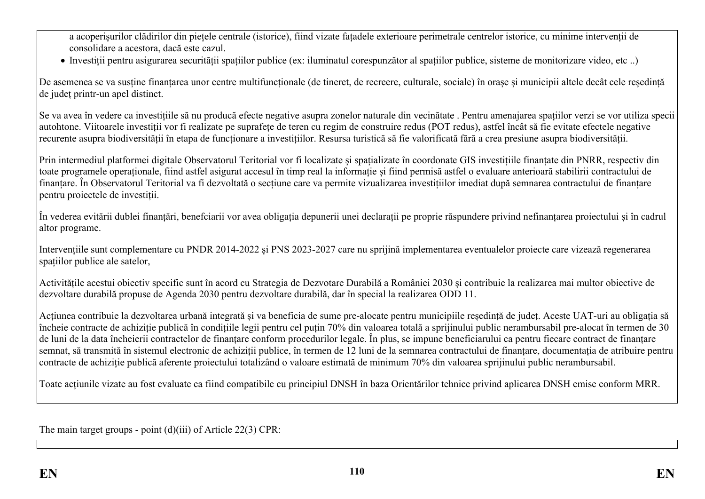a acoperișurilor clădirilor din piețele centrale (istorice), fiind vizate fațadele exterioare perimetrale centrelor istorice, cu minime intervenții de consolidare a acestora, dacă este cazul.

Investiții pentru asigurarea securității spațiilor publice (ex: iluminatul corespunzător al spațiilor publice, sisteme de monitorizare video, etc ..)

De asemenea se va sustine finantarea unor centre multifunctionale (de tineret, de recreere, culturale, sociale) în orașe și municipii altele decât cele reședintă de județ printr-un apel distinct.

Se va avea în vedere ca investițiile să nu producă efecte negative asupra zonelor naturale din vecinătate . Pentru amenajarea spațiilor verzi se vor utiliza specii autohtone. Viitoarele investiții vor fi realizate pe suprafețe de teren cu regim de construire redus (POT redus), astfel încât să fie evitate efectele negative recurente asupra biodiversității în etapa de funcționare a investițiilor. Resursa turistică să fie valorificată fără a crea presiune asupra biodiversității.

Prin intermediul platformei digitale Observatorul Teritorial vor fi localizate și spațializate în coordonate GIS investițiile finanțate din PNRR, respectiv din toate programele operaționale, fiind astfel asigurat accesul în timp real la informație și fiind permisă astfel o evaluare anterioară stabilirii contractului de finanțare. În Observatorul Teritorial va fi dezvoltată o secțiune care va permite vizualizarea investițiilor imediat după semnarea contractului de finanțare pentru proiectele de investiții.

În vederea evitării dublei finanțări, benefciarii vor avea obligația depunerii unei declarații pe proprie răspundere privind nefinanțarea proiectului și în cadrul altor programe.

Intervențiile sunt complementare cu PNDR 2014-2022 și PNS 2023-2027 care nu sprijină implementarea eventualelor proiecte care vizează regenerarea spațiilor publice ale satelor,

Activitățile acestui obiectiv specific sunt în acord cu Strategia de Dezvotare Durabilă a României 2030 și contribuie la realizarea mai multor obiective de dezvoltare durabilă propuse de Agenda 2030 pentru dezvoltare durabilă, dar în special la realizarea ODD 11.

Acțiunea contribuie la dezvoltarea urbană integrată și va beneficia de sume pre-alocate pentru municipiile reședință de județ. Aceste UAT-uri au obligația să încheie contracte de achiziție publică în condițiile legii pentru cel puțin 70% din valoarea totală a sprijinului public nerambursabil pre-alocat în termen de 30 de luni de la data încheierii contractelor de finanțare conform procedurilor legale. În plus, se impune beneficiarului ca pentru fiecare contract de finanțare semnat, să transmită în sistemul electronic de achiziții publice, în termen de 12 luni de la semnarea contractului de finanțare, documentația de atribuire pentru contracte de achiziție publică aferente proiectului totalizând o valoare estimată de minimum 70% din valoarea sprijinului public nerambursabil.

Toate acțiunile vizate au fost evaluate ca fiind compatibile cu principiul DNSH în baza Orientărilor tehnice privind aplicarea DNSH emise conform MRR.

The main target groups - point (d)(iii) of Article 22(3) CPR: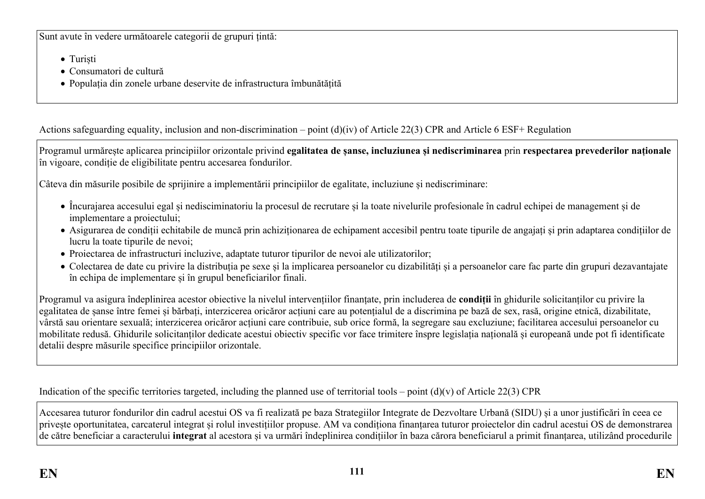Sunt avute în vedere următoarele categorii de grupuri țintă:

- Turiști
- Consumatori de cultură
- Populația din zonele urbane deservite de infrastructura îmbunătățită

Actions safeguarding equality, inclusion and non-discrimination – point (d)(iv) of Article 22(3) CPR and Article 6 ESF+ Regulation

Programul urmărește aplicarea principiilor orizontale privind **egalitatea de șanse, incluziunea și nediscriminarea** prin **respectarea prevederilor naționale** în vigoare, condiție de eligibilitate pentru accesarea fondurilor.

Câteva din măsurile posibile de sprijinire a implementării principiilor de egalitate, incluziune și nediscriminare:

- Încurajarea accesului egal și nedisciminatoriu la procesul de recrutare și la toate nivelurile profesionale în cadrul echipei de management și de implementare a proiectului;
- Asigurarea de condiții echitabile de muncă prin achiziționarea de echipament accesibil pentru toate tipurile de angajați și prin adaptarea condițiilor de lucru la toate tipurile de nevoi;
- Proiectarea de infrastructuri incluzive, adaptate tuturor tipurilor de nevoi ale utilizatorilor;
- Colectarea de date cu privire la distribuția pe sexe și la implicarea persoanelor cu dizabilități și a persoanelor care fac parte din grupuri dezavantajate în echipa de implementare și în grupul beneficiarilor finali.

Programul va asigura îndeplinirea acestor obiective la nivelul intervențiilor finanțate, prin includerea de **condiții** în ghidurile solicitanților cu privire la egalitatea de șanse între femei și bărbați, interzicerea oricăror acțiuni care au potențialul de a discrimina pe bază de sex, rasă, origine etnică, dizabilitate, vârstă sau orientare sexuală; interzicerea oricăror acțiuni care contribuie, sub orice formă, la segregare sau excluziune; facilitarea accesului persoanelor cu mobilitate redusă. Ghidurile solicitanților dedicate acestui obiectiv specific vor face trimitere înspre legislația națională și europeană unde pot fi identificate detalii despre măsurile specifice principiilor orizontale.

Indication of the specific territories targeted, including the planned use of territorial tools – point  $(d)(v)$  of Article 22(3) CPR

Accesarea tuturor fondurilor din cadrul acestui OS va fi realizată pe baza Strategiilor Integrate de Dezvoltare Urbană (SIDU) și a unor justificări în ceea ce privește oportunitatea, carcaterul integrat și rolul investițiilor propuse. AM va condiționa finanțarea tuturor proiectelor din cadrul acestui OS de demonstrarea de către beneficiar a caracterului **integrat** al acestora și va urmări îndeplinirea condițiilor în baza cărora beneficiarul a primit finanțarea, utilizând procedurile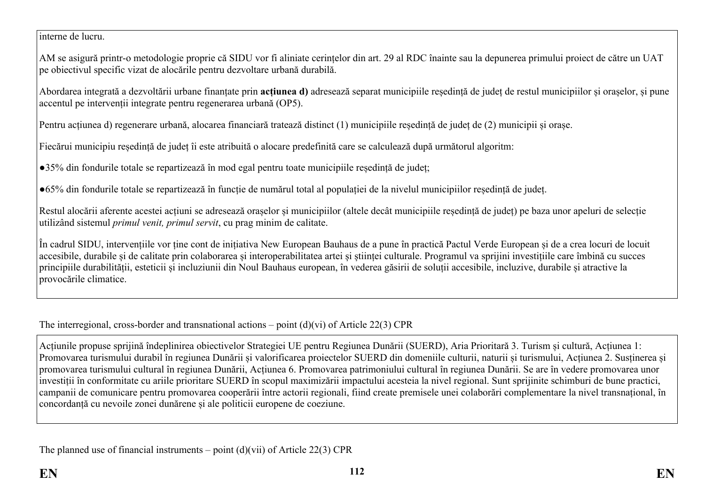interne de lucru.

AM se asigură printr-o metodologie proprie că SIDU vor fi aliniate cerințelor din art. 29 al RDC înainte sau la depunerea primului proiect de către un UAT pe obiectivul specific vizat de alocările pentru dezvoltare urbană durabilă.

Abordarea integrată a dezvoltării urbane finanțate prin **acțiunea d)** adresează separat municipiile reședință de județ de restul municipiilor și orașelor, și pune accentul pe intervenții integrate pentru regenerarea urbană (OP5).

Pentru acțiunea d) regenerare urbană, alocarea financiară tratează distinct (1) municipiile reședință de județ de (2) municipii și orașe.

Fiecărui municipiu reședință de județ îi este atribuită o alocare predefinită care se calculează după următorul algoritm:

●35% din fondurile totale se repartizează în mod egal pentru toate municipiile reședință de județ;

●65% din fondurile totale se repartizează în funcție de numărul total al populației de la nivelul municipiilor reședință de județ.

Restul alocării aferente acestei acțiuni se adresează orașelor și municipiilor (altele decât municipiile reședință de județ) pe baza unor apeluri de selecție utilizând sistemul *primul venit, primul servit*, cu prag minim de calitate.

În cadrul SIDU, intervențiile vor ține cont de inițiativa New European Bauhaus de a pune în practică Pactul Verde European și de a crea locuri de locuit accesibile, durabile și de calitate prin colaborarea și interoperabilitatea artei și științei culturale. Programul va sprijini investițiile care îmbină cu succes principiile durabilității, esteticii și incluziunii din Noul Bauhaus european, în vederea găsirii de soluții accesibile, incluzive, durabile și atractive la provocările climatice.

### The interregional, cross-border and transnational actions – point (d)(vi) of Article 22(3) CPR

Acțiunile propuse sprijină îndeplinirea obiectivelor Strategiei UE pentru Regiunea Dunării (SUERD), Aria Prioritară 3. Turism și cultură, Acțiunea 1: Promovarea turismului durabil în regiunea Dunării și valorificarea proiectelor SUERD din domeniile culturii, naturii și turismului, Acțiunea 2. Susținerea și promovarea turismului cultural în regiunea Dunării, Acțiunea 6. Promovarea patrimoniului cultural în regiunea Dunării. Se are în vedere promovarea unor investiții în conformitate cu ariile prioritare SUERD în scopul maximizării impactului acesteia la nivel regional. Sunt sprijinite schimburi de bune practici, campanii de comunicare pentru promovarea cooperării între actorii regionali, fiind create premisele unei colaborări complementare la nivel transnațional, în concordanță cu nevoile zonei dunărene și ale politicii europene de coeziune.

The planned use of financial instruments – point  $(d)(\n{\rm vii})$  of Article 22(3) CPR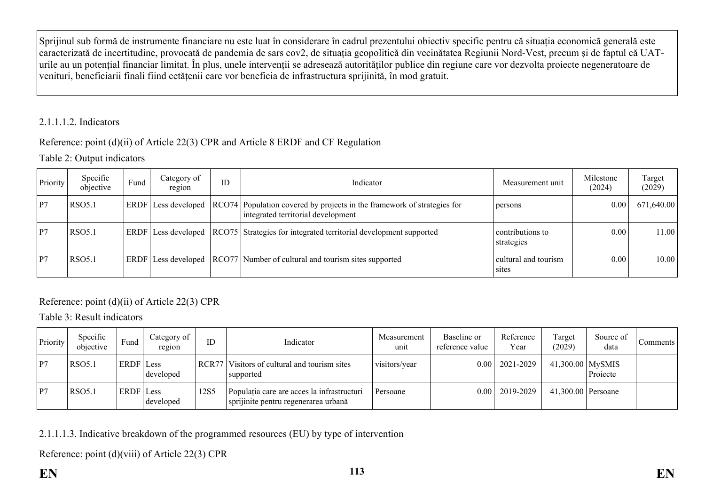Sprijinul sub formă de instrumente financiare nu este luat în considerare în cadrul prezentului obiectiv specific pentru că situația economică generală este caracterizată de incertitudine, provocată de pandemia de sars cov2, de situația geopolitică din vecinătatea Regiunii Nord-Vest, precum și de faptul că UATurile au un potențial financiar limitat. În plus, unele intervenții se adresează autorităților publice din regiune care vor dezvolta proiecte negeneratoare de venituri, beneficiarii finali fiind cetățenii care vor beneficia de infrastructura sprijinită, în mod gratuit.

### 2.1.1.1.2. Indicators

### Reference: point (d)(ii) of Article 22(3) CPR and Article 8 ERDF and CF Regulation

### Table 2: Output indicators

| Priority | Specific<br>objective | Fund | Category of<br>region      | ID | Indicator                                                                                                     | Measurement unit               | Milestone<br>(2024) | Target<br>(2029) |
|----------|-----------------------|------|----------------------------|----|---------------------------------------------------------------------------------------------------------------|--------------------------------|---------------------|------------------|
| P7       | <b>RSO5.1</b>         |      | <b>ERDF</b> Less developed |    | RCO74 Population covered by projects in the framework of strategies for<br>integrated territorial development | persons                        | 0.00                | 671,640.00       |
| P7       | <b>RSO5.1</b>         |      | <b>ERDF</b> Less developed |    | RCO75 Strategies for integrated territorial development supported                                             | contributions to<br>strategies | 0.00                | 11.00            |
| P7       | <b>RSO5.1</b>         |      | ERDF Less developed        |    | RCO77 Number of cultural and tourism sites supported                                                          | cultural and tourism<br>sites  | 0.00                | 10.00            |

### Reference: point (d)(ii) of Article 22(3) CPR

Table 3: Result indicators

| Priority | Specific<br>objective | Fund      | Category of<br>region | ID    | Indicator                                                                          | Measurement<br>unit | Baseline or<br>reference value | Reference<br>Year | Target<br>(2029)   | Source of<br>data | Comments |
|----------|-----------------------|-----------|-----------------------|-------|------------------------------------------------------------------------------------|---------------------|--------------------------------|-------------------|--------------------|-------------------|----------|
| P7       | <b>RSO5.1</b>         | ERDF Less | developed             | RCR77 | Visitors of cultural and tourism sites<br>supported                                | visitors/year       | 0.00                           | 2021-2029         | $41,300.00$ MySMIS | Projecte          |          |
| P7       | <b>RSO5.1</b>         | ERDF Less | developed             | 12S5  | Populația care are acces la infrastructuri<br>sprijinite pentru regenerarea urbană | Persoane            | 0.00 <sub>1</sub>              | 2019-2029         | 41,300.00 Persoane |                   |          |

2.1.1.1.3. Indicative breakdown of the programmed resources (EU) by type of intervention

Reference: point (d)(viii) of Article 22(3) CPR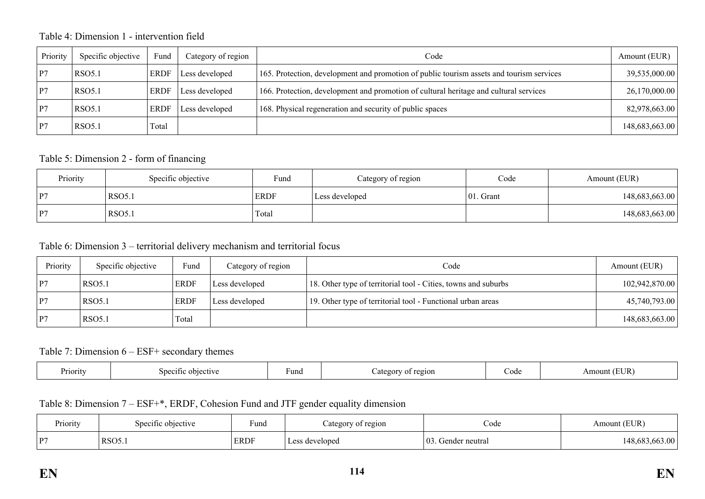### Table 4: Dimension 1 - intervention field

| Priority | Specific objective | Fund        | Category of region | Code                                                                                     | Amount (EUR)   |
|----------|--------------------|-------------|--------------------|------------------------------------------------------------------------------------------|----------------|
| P7       | <b>RSO5.1</b>      | <b>ERDF</b> | Less developed     | 165. Protection, development and promotion of public tourism assets and tourism services | 39,535,000.00  |
| P7       | <b>RSO5.1</b>      | <b>ERDF</b> | Less developed     | 166. Protection, development and promotion of cultural heritage and cultural services    | 26,170,000.00  |
| P7       | <b>RSO5.1</b>      | <b>ERDF</b> | Less developed     | 168. Physical regeneration and security of public spaces                                 | 82,978,663.00  |
| P7       | RSO <sub>5.1</sub> | Total       |                    |                                                                                          | 148,683,663.00 |

#### Table 5: Dimension 2 - form of financing

| Priority | Specific objective | Fund<br>Category of region |                | Code          | Amount (EUR)   |  |
|----------|--------------------|----------------------------|----------------|---------------|----------------|--|
| P7       | RSO5.1             | <b>ERDF</b>                | Less developed | $ 01$ . Grant | 148,683,663.00 |  |
| P7       | <b>RSO5.1</b>      | Total                      |                |               | 148,683,663.00 |  |

### Table 6: Dimension 3 – territorial delivery mechanism and territorial focus

| Priority       | Specific objective | Fund        | Category of region | Code                                                           | Amount (EUR)   |
|----------------|--------------------|-------------|--------------------|----------------------------------------------------------------|----------------|
| P <sub>7</sub> | <b>RSO5.1</b>      | <b>ERDF</b> | Less developed     | 18. Other type of territorial tool - Cities, towns and suburbs | 102,942,870.00 |
| P <sub>7</sub> | <b>RSO5.1</b>      | <b>ERDF</b> | Less developed     | 19. Other type of territorial tool - Functional urban areas    | 45,740,793.00  |
| P <sub>7</sub> | <b>RSO5.1</b>      | Total       |                    |                                                                | 148,683,663.00 |

#### Table 7: Dimension 6 – ESF+ secondary themes

| Priority | objective<br>Snecitic | Fund | 20101<br>$\sim$ tegory<br>∩ | code | (EUR<br>Amount |
|----------|-----------------------|------|-----------------------------|------|----------------|
|----------|-----------------------|------|-----------------------------|------|----------------|

## Table 8: Dimension 7 – ESF+\*, ERDF, Cohesion Fund and JTF gender equality dimension

| $\mathbf{r}$ .<br>Priority | objective :<br>specific | Fund        | of region<br>ategor <sup>-</sup> | Code                                | 'EUR`<br>Amount ' |
|----------------------------|-------------------------|-------------|----------------------------------|-------------------------------------|-------------------|
| D7<br>$\mathbf{r}$         | RSO <sub>5</sub>        | <b>ERDF</b> | developed                        | $\vert 0 \rangle$<br>Gender neutral | .48.68.           |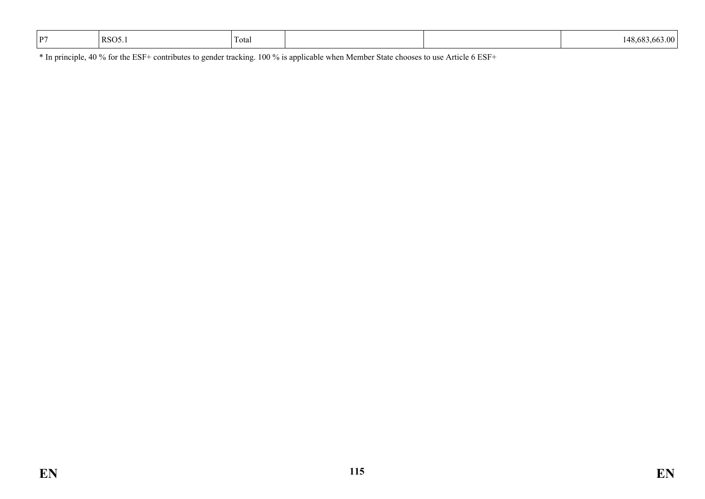| D7<br>$\overline{\phantom{a}}$ | $RSO5_{.1}$ | Total |  |  | .<br>. д.у<br>$\cdots$ |
|--------------------------------|-------------|-------|--|--|------------------------|
|--------------------------------|-------------|-------|--|--|------------------------|

\* In principle, 40 % for the ESF+ contributes to gender tracking. 100 % is applicable when Member State chooses to use Article 6 ESF+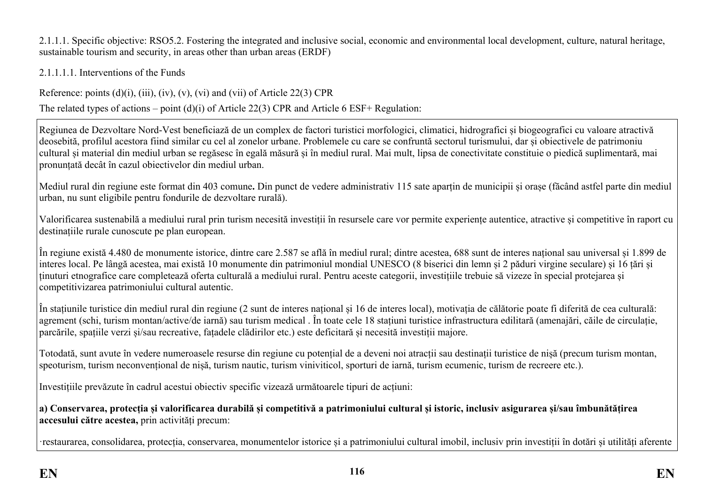2.1.1.1. Specific objective: RSO5.2. Fostering the integrated and inclusive social, economic and environmental local development, culture, natural heritage, sustainable tourism and security, in areas other than urban areas (ERDF)

2.1.1.1.1. Interventions of the Funds

Reference: points  $(d)(i)$ ,  $(iii)$ ,  $(iv)$ ,  $(v)$ ,  $(vi)$  and  $(vii)$  of Article 22(3) CPR

The related types of actions – point (d)(i) of Article 22(3) CPR and Article 6 ESF+ Regulation:

Regiunea de Dezvoltare Nord-Vest beneficiază de un complex de factori turistici morfologici, climatici, hidrografici și biogeografici cu valoare atractivă deosebită, profilul acestora fiind similar cu cel al zonelor urbane. Problemele cu care se confruntă sectorul turismului, dar și obiectivele de patrimoniu cultural și material din mediul urban se regăsesc în egală măsură și în mediul rural. Mai mult, lipsa de conectivitate constituie o piedică suplimentară, mai pronunțată decât în cazul obiectivelor din mediul urban.

Mediul rural din regiune este format din 403 comune**.** Din punct de vedere administrativ 115 sate aparțin de municipii și orașe (făcând astfel parte din mediul urban, nu sunt eligibile pentru fondurile de dezvoltare rurală).

Valorificarea sustenabilă a mediului rural prin turism necesită investiții în resursele care vor permite experiențe autentice, atractive și competitive în raport cu destinațiile rurale cunoscute pe plan european.

În regiune există 4.480 de monumente istorice, dintre care 2.587 se află în mediul rural; dintre acestea, 688 sunt de interes național sau universal și 1.899 de interes local. Pe lângă acestea, mai există 10 monumente din patrimoniul mondial UNESCO (8 biserici din lemn și 2 păduri virgine seculare) și 16 țări și ținuturi etnografice care completează oferta culturală a mediului rural. Pentru aceste categorii, investițiile trebuie să vizeze în special protejarea și competitivizarea patrimoniului cultural autentic.

În stațiunile turistice din mediul rural din regiune (2 sunt de interes național și 16 de interes local), motivația de călătorie poate fi diferită de cea culturală: agrement (schi, turism montan/active/de iarnă) sau turism medical . În toate cele 18 stațiuni turistice infrastructura edilitară (amenajări, căile de circulație, parcările, spațiile verzi și/sau recreative, fațadele clădirilor etc.) este deficitară și necesită investiții majore.

Totodată, sunt avute în vedere numeroasele resurse din regiune cu potențial de a deveni noi atracții sau destinații turistice de nișă (precum turism montan, speoturism, turism neconvențional de nișă, turism nautic, turism viniviticol, sporturi de iarnă, turism ecumenic, turism de recreere etc.).

Investițiile prevăzute în cadrul acestui obiectiv specific vizează următoarele tipuri de acțiuni:

a) Conservarea, protectia și valorificarea durabilă și competitivă a patrimoniului cultural și istoric, inclusiv asigurarea și/sau îmbunătătirea **accesului către acestea,** prin activități precum:

·restaurarea, consolidarea, protecția, conservarea, monumentelor istorice și a patrimoniului cultural imobil, inclusiv prin investiții în dotări și utilități aferente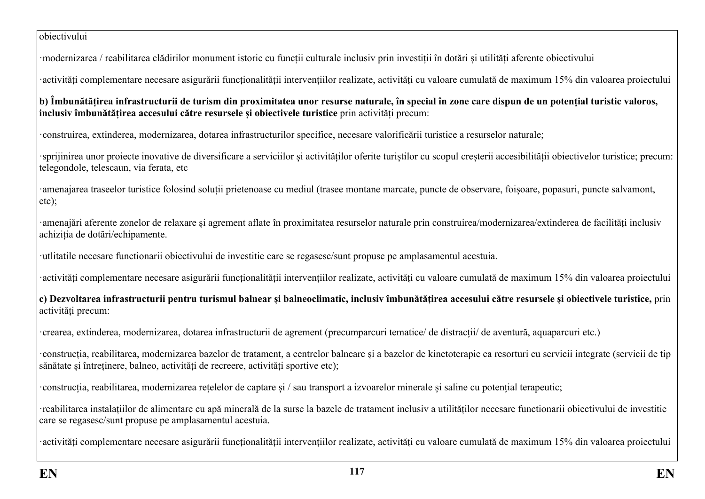#### obiectivului

·modernizarea / reabilitarea clădirilor monument istoric cu funcții culturale inclusiv prin investiții în dotări și utilități aferente obiectivului

·activități complementare necesare asigurării funcționalității intervențiilor realizate, activități cu valoare cumulată de maximum 15% din valoarea proiectului

**b) Îmbunătățirea infrastructurii de turism din proximitatea unor resurse naturale, în special în zone care dispun de un potențial turistic valoros, inclusiv îmbunătățirea accesului către resursele și obiectivele turistice** prin activități precum:

·construirea, extinderea, modernizarea, dotarea infrastructurilor specifice, necesare valorificării turistice a resurselor naturale;

·sprijinirea unor proiecte inovative de diversificare a serviciilor și activităților oferite turiștilor cu scopul creșterii accesibilității obiectivelor turistice; precum: telegondole, telescaun, via ferata, etc

·amenajarea traseelor turistice folosind soluții prietenoase cu mediul (trasee montane marcate, puncte de observare, foișoare, popasuri, puncte salvamont, etc);

·amenajări aferente zonelor de relaxare și agrement aflate în proximitatea resurselor naturale prin construirea/modernizarea/extinderea de facilități inclusiv achiziția de dotări/echipamente.

·utlitatile necesare functionarii obiectivului de investitie care se regasesc/sunt propuse pe amplasamentul acestuia.

·activități complementare necesare asigurării funcționalității intervențiilor realizate, activități cu valoare cumulată de maximum 15% din valoarea proiectului

**c) Dezvoltarea infrastructurii pentru turismul balnear și balneoclimatic, inclusiv îmbunătățirea accesului către resursele și obiectivele turistice,** prin activități precum:

·crearea, extinderea, modernizarea, dotarea infrastructurii de agrement (precumparcuri tematice/ de distracții/ de aventură, aquaparcuri etc.)

·construcția, reabilitarea, modernizarea bazelor de tratament, a centrelor balneare și a bazelor de kinetoterapie ca resorturi cu servicii integrate (servicii de tip sănătate și întreținere, balneo, activități de recreere, activități sportive etc);

·construcția, reabilitarea, modernizarea rețelelor de captare și / sau transport a izvoarelor minerale și saline cu potențial terapeutic;

·reabilitarea instalațiilor de alimentare cu apă minerală de la surse la bazele de tratament inclusiv a utilităților necesare functionarii obiectivului de investitie care se regasesc/sunt propuse pe amplasamentul acestuia.

·activități complementare necesare asigurării funcționalității intervențiilor realizate, activități cu valoare cumulată de maximum 15% din valoarea proiectului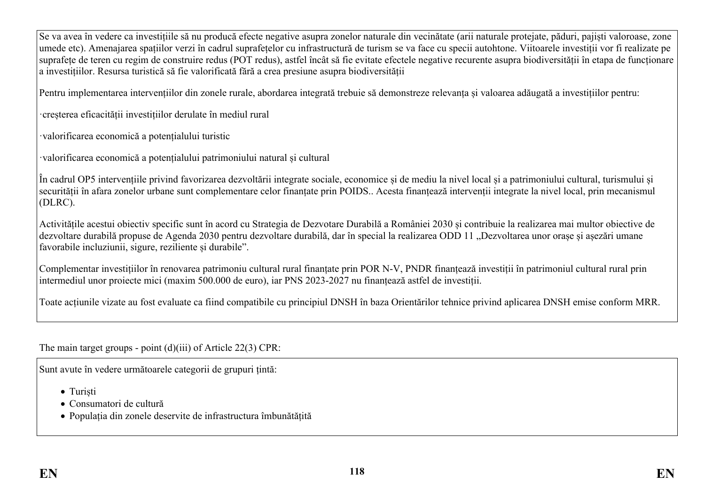Se va avea în vedere ca investițiile să nu producă efecte negative asupra zonelor naturale din vecinătate (arii naturale protejate, păduri, pajiști valoroase, zone umede etc). Amenajarea spațiilor verzi în cadrul suprafețelor cu infrastructură de turism se va face cu specii autohtone. Viitoarele investiții vor fi realizate pe suprafețe de teren cu regim de construire redus (POT redus), astfel încât să fie evitate efectele negative recurente asupra biodiversității în etapa de funcționare a investițiilor. Resursa turistică să fie valorificată fără a crea presiune asupra biodiversității

Pentru implementarea intervențiilor din zonele rurale, abordarea integrată trebuie să demonstreze relevanța și valoarea adăugată a investițiilor pentru:

·creșterea eficacității investițiilor derulate în mediul rural

·valorificarea economică a potențialului turistic

·valorificarea economică a potențialului patrimoniului natural și cultural

În cadrul OP5 intervențiile privind favorizarea dezvoltării integrate sociale, economice și de mediu la nivel local și a patrimoniului cultural, turismului și securității în afara zonelor urbane sunt complementare celor finanțate prin POIDS.. Acesta finanțează intervenții integrate la nivel local, prin mecanismul (DLRC).

Activitățile acestui obiectiv specific sunt în acord cu Strategia de Dezvotare Durabilă a României 2030 și contribuie la realizarea mai multor obiective de dezvoltare durabilă propuse de Agenda 2030 pentru dezvoltare durabilă, dar în special la realizarea ODD 11 "Dezvoltarea unor orașe și așezări umane favorabile incluziunii, sigure, reziliente și durabile".

Complementar investițiilor în renovarea patrimoniu cultural rural finanțate prin POR N-V, PNDR finanțează investiții în patrimoniul cultural rural prin intermediul unor proiecte mici (maxim 500.000 de euro), iar PNS 2023-2027 nu finanțează astfel de investiții.

Toate acțiunile vizate au fost evaluate ca fiind compatibile cu principiul DNSH în baza Orientărilor tehnice privind aplicarea DNSH emise conform MRR.

The main target groups - point (d)(iii) of Article 22(3) CPR:

Sunt avute în vedere următoarele categorii de grupuri țintă:

- Turiști
- Consumatori de cultură
- Populația din zonele deservite de infrastructura îmbunătățită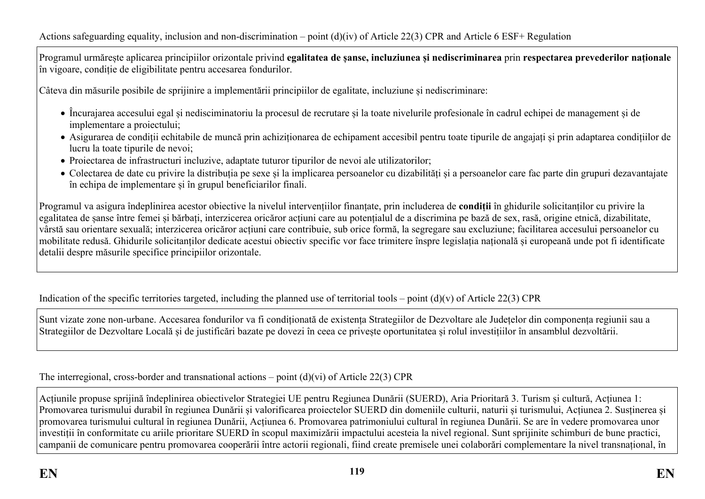Programul urmărește aplicarea principiilor orizontale privind **egalitatea de șanse, incluziunea și nediscriminarea** prin **respectarea prevederilor naționale** în vigoare, condiție de eligibilitate pentru accesarea fondurilor.

Câteva din măsurile posibile de sprijinire a implementării principiilor de egalitate, incluziune și nediscriminare:

- Încurajarea accesului egal și nedisciminatoriu la procesul de recrutare și la toate nivelurile profesionale în cadrul echipei de management și de implementare a proiectului;
- Asigurarea de condiții echitabile de muncă prin achiziționarea de echipament accesibil pentru toate tipurile de angajați și prin adaptarea condițiilor de lucru la toate tipurile de nevoi;
- Proiectarea de infrastructuri incluzive, adaptate tuturor tipurilor de nevoi ale utilizatorilor;
- Colectarea de date cu privire la distribuția pe sexe și la implicarea persoanelor cu dizabilități și a persoanelor care fac parte din grupuri dezavantajate în echipa de implementare și în grupul beneficiarilor finali.

Programul va asigura îndeplinirea acestor obiective la nivelul intervențiilor finanțate, prin includerea de **condiții** în ghidurile solicitanților cu privire la egalitatea de șanse între femei și bărbați, interzicerea oricăror acțiuni care au potențialul de a discrimina pe bază de sex, rasă, origine etnică, dizabilitate, vârstă sau orientare sexuală; interzicerea oricăror acțiuni care contribuie, sub orice formă, la segregare sau excluziune; facilitarea accesului persoanelor cu mobilitate redusă. Ghidurile solicitanților dedicate acestui obiectiv specific vor face trimitere înspre legislația națională și europeană unde pot fi identificate detalii despre măsurile specifice principiilor orizontale.

Indication of the specific territories targeted, including the planned use of territorial tools – point  $(d)(v)$  of Article 22(3) CPR

Sunt vizate zone non-urbane. Accesarea fondurilor va fi condiționată de existența Strategiilor de Dezvoltare ale Județelor din componența regiunii sau a Strategiilor de Dezvoltare Locală și de justificări bazate pe dovezi în ceea ce privește oportunitatea și rolul investițiilor în ansamblul dezvoltării.

The interregional, cross-border and transnational actions – point (d)(vi) of Article 22(3) CPR

Acțiunile propuse sprijină îndeplinirea obiectivelor Strategiei UE pentru Regiunea Dunării (SUERD), Aria Prioritară 3. Turism și cultură, Acțiunea 1: Promovarea turismului durabil în regiunea Dunării și valorificarea proiectelor SUERD din domeniile culturii, naturii și turismului, Acțiunea 2. Susținerea și promovarea turismului cultural în regiunea Dunării, Acțiunea 6. Promovarea patrimoniului cultural în regiunea Dunării. Se are în vedere promovarea unor investiții în conformitate cu ariile prioritare SUERD în scopul maximizării impactului acesteia la nivel regional. Sunt sprijinite schimburi de bune practici, campanii de comunicare pentru promovarea cooperării între actorii regionali, fiind create premisele unei colaborări complementare la nivel transnațional, în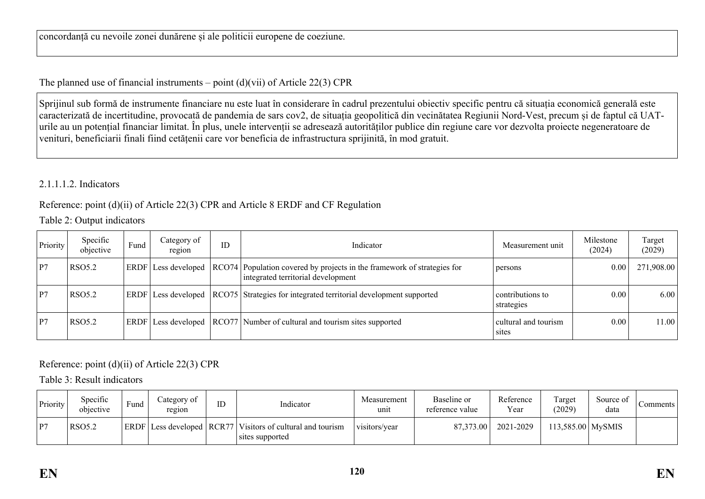concordanță cu nevoile zonei dunărene și ale politicii europene de coeziune.

The planned use of financial instruments – point  $(d)(vi)$  of Article 22(3) CPR

Sprijinul sub formă de instrumente financiare nu este luat în considerare în cadrul prezentului obiectiv specific pentru că situația economică generală este caracterizată de incertitudine, provocată de pandemia de sars cov2, de situația geopolitică din vecinătatea Regiunii Nord-Vest, precum și de faptul că UATurile au un potențial financiar limitat. În plus, unele intervenții se adresează autorităților publice din regiune care vor dezvolta proiecte negeneratoare de venituri, beneficiarii finali fiind cetățenii care vor beneficia de infrastructura sprijinită, în mod gratuit.

#### 2.1.1.1.2. Indicators

### Reference: point (d)(ii) of Article 22(3) CPR and Article 8 ERDF and CF Regulation

Table 2: Output indicators

| Priority | Specific<br>objective | Fund | Category of<br>region | ID | Indicator                                                                                                     | Measurement unit               | Milestone<br>(2024) | Target<br>(2029) |
|----------|-----------------------|------|-----------------------|----|---------------------------------------------------------------------------------------------------------------|--------------------------------|---------------------|------------------|
| P7       | <b>RSO5.2</b>         |      | ERDF Less developed   |    | RCO74 Population covered by projects in the framework of strategies for<br>integrated territorial development | persons                        | 0.00                | 271,908.00       |
| P7       | <b>RSO5.2</b>         |      | ERDF Less developed   |    | RCO75 Strategies for integrated territorial development supported                                             | contributions to<br>strategies | 0.00                | 6.00             |
| P7       | <b>RSO5.2</b>         |      | ERDF Less developed   |    | RCO77 Number of cultural and tourism sites supported                                                          | cultural and tourism<br>sites  | 0.00                | 11.00            |

### Reference: point (d)(ii) of Article 22(3) CPR

Table 3: Result indicators

| Priority | Specific<br>objective | Fund | ategory of<br>region              | ID | Indicator                                           | Measurement<br>unit | Baseline or<br>reference value | Reference<br>Year | l'arget<br>(2029)   | Source of<br>data | Comments |
|----------|-----------------------|------|-----------------------------------|----|-----------------------------------------------------|---------------------|--------------------------------|-------------------|---------------------|-------------------|----------|
| P7       | <b>RSO5.2</b>         |      | $ ERDF $ Less developed $ RCR77 $ |    | Visitors of cultural and tourism<br>sites supported | visitors/year       | 87,373.00                      | 2021-2029         | $113,585.00$ MySMIS |                   |          |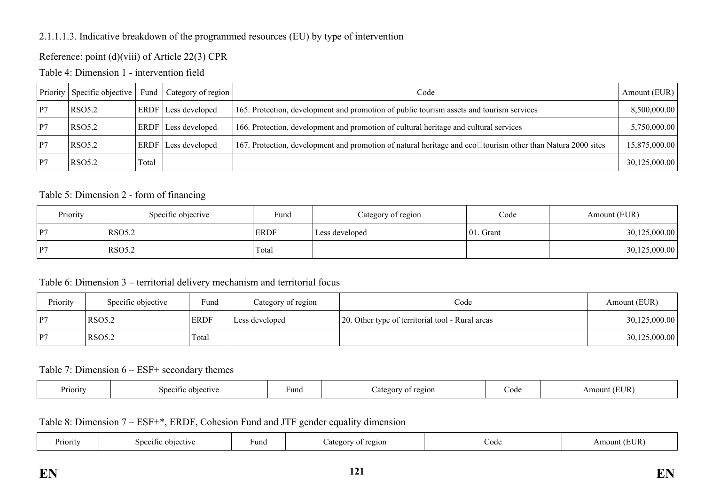### 2.1.1.1.3. Indicative breakdown of the programmed resources (EU) by type of intervention

### Reference: point (d)(viii) of Article 22(3) CPR

Table 4: Dimension 1 - intervention field

|    | Priority Specific objective | Fund  | Category of region         | Code                                                                                                               | Amount (EUR)  |
|----|-----------------------------|-------|----------------------------|--------------------------------------------------------------------------------------------------------------------|---------------|
| P7 | RSO <sub>5.2</sub>          |       | <b>ERDF</b> Less developed | 165. Protection, development and promotion of public tourism assets and tourism services                           | 8,500,000.00  |
| P7 | RSO <sub>5.2</sub>          |       | ERDF Less developed        | 166. Protection, development and promotion of cultural heritage and cultural services                              | 5,750,000.00  |
| P7 | RSO <sub>5.2</sub>          |       | ERDF Less developed        | 167. Protection, development and promotion of natural heritage and eco $\Box$ tourism other than Natura 2000 sites | 15,875,000.00 |
| P7 | RSO <sub>5.2</sub>          | Total |                            |                                                                                                                    | 30,125,000.00 |

#### Table 5: Dimension 2 - form of financing

| Priority | Specific objective | Fund        | Category of region | Code          | Amount (EUR)  |  |
|----------|--------------------|-------------|--------------------|---------------|---------------|--|
| P7       | RSO <sub>5.2</sub> | <b>ERDF</b> | Less developed     | $ 01$ . Grant | 30,125,000.00 |  |
| P7       | RSO <sub>5.2</sub> | Total       |                    |               | 30,125,000.00 |  |

#### Table 6: Dimension 3 – territorial delivery mechanism and territorial focus

| Priority | Specific objective | Fund        | Category of region | Code                                             | Amount (EUR)  |
|----------|--------------------|-------------|--------------------|--------------------------------------------------|---------------|
| P7       | RSO5.2             | <b>ERDF</b> | Less developed     | 20. Other type of territorial tool - Rural areas | 30,125,000.00 |
| P7       | RSO5.2             | Total       |                    |                                                  | 30,125,000.00 |

#### Table 7: Dimension 6 – ESF+ secondary themes

| Priority | snei<br>∼.<br>etiv | Fund | 210L<br>.50x<br>. . | Code | TID.<br>Αm<br>$\gamma$ unt $\cdot$ |
|----------|--------------------|------|---------------------|------|------------------------------------|
|----------|--------------------|------|---------------------|------|------------------------------------|

Table 8: Dimension 7 – ESF+\*, ERDF, Cohesion Fund and JTF gender equality dimension

| <b>Priority</b> | objective<br>$S$ decime | und | نەت ئە<br>Lateg<br>$^{\Omega}$ | Cod€ | $\mathsf{T}\mathbf{D}$ .<br>ייי י<br>⊣шоt<br>ĽUR |
|-----------------|-------------------------|-----|--------------------------------|------|--------------------------------------------------|
|                 |                         |     |                                |      |                                                  |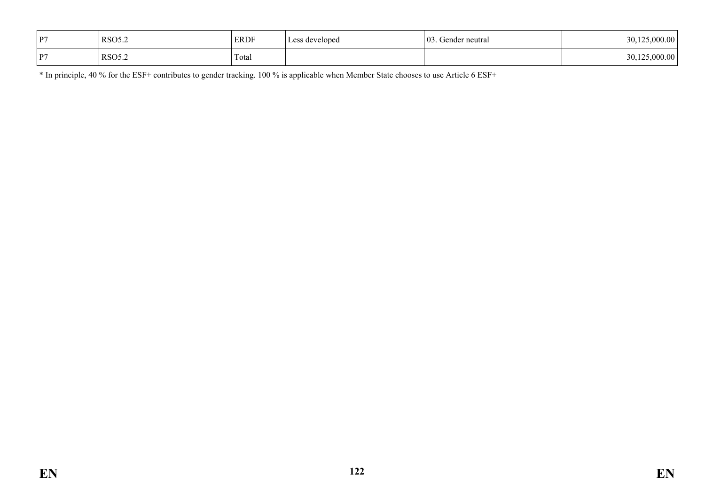| P7 | <b>RSO5.2</b> | <b>ERDF</b> | Less developed | $^{\circ}$ 03.<br>. Gender neutral | 30,125,000.00 |
|----|---------------|-------------|----------------|------------------------------------|---------------|
| P7 | <b>RSO5.2</b> | Total       |                |                                    | 30,125,000.00 |

\* In principle, 40 % for the ESF+ contributes to gender tracking. 100 % is applicable when Member State chooses to use Article 6 ESF+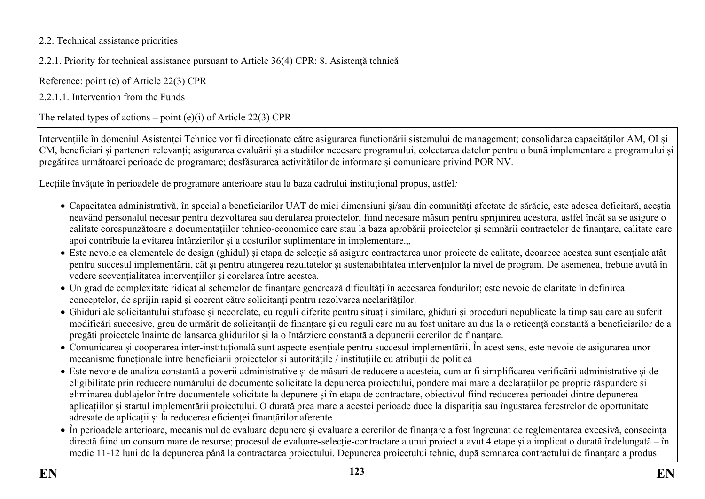### 2.2. Technical assistance priorities

### 2.2.1. Priority for technical assistance pursuant to Article 36(4) CPR: 8. Asistență tehnică

Reference: point (e) of Article 22(3) CPR

2.2.1.1. Intervention from the Funds

The related types of actions – point  $(e)(i)$  of Article 22(3) CPR

Intervențiile în domeniul Asistenței Tehnice vor fi direcționate către asigurarea funcționării sistemului de management; consolidarea capacităților AM, OI și CM, beneficiari și parteneri relevanți; asigurarea evaluării și a studiilor necesare programului, colectarea datelor pentru o bună implementare a programului și pregătirea următoarei perioade de programare; desfășurarea activităților de informare și comunicare privind POR NV.

Lecțiile învățate în perioadele de programare anterioare stau la baza cadrului instituțional propus, astfel*:*

- Capacitatea administrativă, în special a beneficiarilor UAT de mici dimensiuni și/sau din comunități afectate de sărăcie, este adesea deficitară, aceștia neavând personalul necesar pentru dezvoltarea sau derularea proiectelor, fiind necesare măsuri pentru sprijinirea acestora, astfel încât sa se asigure o calitate corespunzătoare a documentațiilor tehnico-economice care stau la baza aprobării proiectelor și semnării contractelor de finanțare, calitate care apoi contribuie la evitarea întârzierilor și a costurilor suplimentare in implementare...
- Este nevoie ca elementele de design (ghidul) și etapa de selecție să asigure contractarea unor proiecte de calitate, deoarece acestea sunt esențiale atât pentru succesul implementării, cât și pentru atingerea rezultatelor și sustenabilitatea intervențiilor la nivel de program. De asemenea, trebuie avută în vedere secvențialitatea intervențiilor și corelarea între acestea.
- Un grad de complexitate ridicat al schemelor de finanțare generează dificultăți în accesarea fondurilor; este nevoie de claritate în definirea conceptelor, de sprijin rapid și coerent către solicitanți pentru rezolvarea neclarităților.
- Ghiduri ale solicitantului stufoase și necorelate, cu reguli diferite pentru situații similare, ghiduri și proceduri nepublicate la timp sau care au suferit modificări succesive, greu de urmărit de solicitanții de finanțare şi cu reguli care nu au fost unitare au dus la o reticență constantă a beneficiarilor de a pregăti proiectele înainte de lansarea ghidurilor și la o întârziere constantă a depunerii cererilor de finantare.
- Comunicarea și cooperarea inter-instituțională sunt aspecte esențiale pentru succesul implementării. În acest sens, este nevoie de asigurarea unor mecanisme funcționale între beneficiarii proiectelor și autoritățile / instituțiile cu atribuții de politică
- Este nevoie de analiza constantă a poverii administrative și de măsuri de reducere a acesteia, cum ar fi simplificarea verificării administrative și de eligibilitate prin reducere numărului de documente solicitate la depunerea proiectului, pondere mai mare a declarațiilor pe proprie răspundere și eliminarea dublajelor între documentele solicitate la depunere și în etapa de contractare, obiectivul fiind reducerea perioadei dintre depunerea aplicațiilor și startul implementării proiectului. O durată prea mare a acestei perioade duce la dispariția sau îngustarea ferestrelor de oportunitate adresate de aplicații și la reducerea eficienței finanțărilor aferente
- În perioadele anterioare, mecanismul de evaluare depunere și evaluare a cererilor de finanțare a fost îngreunat de reglementarea excesivă, consecinţa directă fiind un consum mare de resurse; procesul de evaluare-selecție-contractare a unui proiect a avut 4 etape și a implicat o durată îndelungată – în medie 11-12 luni de la depunerea până la contractarea proiectului. Depunerea proiectului tehnic, după semnarea contractului de finanțare a produs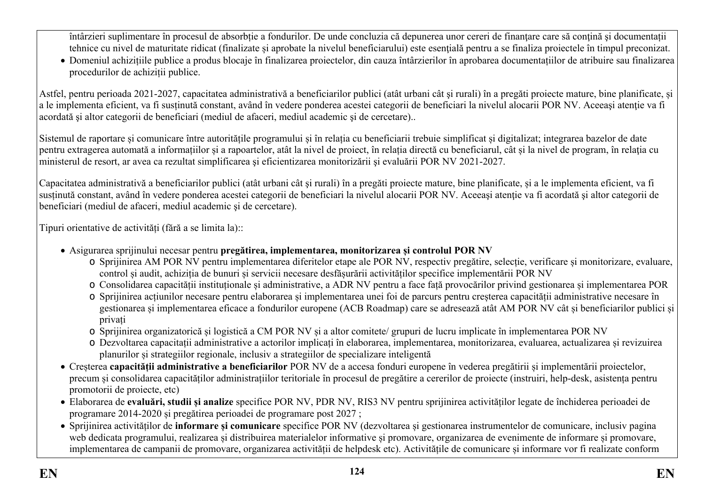întârzieri suplimentare în procesul de absorbție a fondurilor. De unde concluzia că depunerea unor cereri de finanțare care să conțină și documentații tehnice cu nivel de maturitate ridicat (finalizate și aprobate la nivelul beneficiarului) este esenţială pentru a se finaliza proiectele în timpul preconizat.

 Domeniul achizițiile publice a produs blocaje în finalizarea proiectelor, din cauza întârzierilor în aprobarea documentațiilor de atribuire sau finalizarea procedurilor de achiziții publice.

Astfel, pentru perioada 2021-2027, capacitatea administrativă a beneficiarilor publici (atât urbani cât şi rurali) în a pregăti proiecte mature, bine planificate, și a le implementa eficient, va fi sustinută constant, având în vedere ponderea acestei categorii de beneficiari la nivelul alocarii POR NV. Aceeasi atentie va fi acordată şi altor categorii de beneficiari (mediul de afaceri, mediul academic şi de cercetare)..

Sistemul de raportare și comunicare între autoritățile programului și în relația cu beneficiarii trebuie simplificat și digitalizat; integrarea bazelor de date pentru extragerea automată a informațiilor și a rapoartelor, atât la nivel de proiect, în relația directă cu beneficiarul, cât și la nivel de program, în relaţia cu ministerul de resort, ar avea ca rezultat simplificarea şi eficientizarea monitorizării şi evaluării POR NV 2021-2027.

Capacitatea administrativă a beneficiarilor publici (atât urbani cât şi rurali) în a pregăti proiecte mature, bine planificate, și a le implementa eficient, va fi sustinută constant, având în vedere ponderea acestei categorii de beneficiari la nivelul alocarii POR NV. Aceeasi atentie va fi acordată și altor categorii de beneficiari (mediul de afaceri, mediul academic şi de cercetare).

Tipuri orientative de activități (fără a se limita la)::

- Asigurarea sprijinului necesar pentru **pregătirea, implementarea, monitorizarea și controlul POR NV**
	- o Sprijinirea AM POR NV pentru implementarea diferitelor etape ale POR NV, respectiv pregătire, selecție, verificare și monitorizare, evaluare, control și audit, achiziția de bunuri și servicii necesare desfășurării activităților specifice implementării POR NV
	- o Consolidarea capacității instituționale și administrative, a ADR NV pentru a face față provocărilor privind gestionarea și implementarea POR
	- o Sprijinirea acțiunilor necesare pentru elaborarea și implementarea unei foi de parcurs pentru creșterea capacității administrative necesare în gestionarea și implementarea eficace a fondurilor europene (ACB Roadmap) care se adresează atât AM POR NV cât și beneficiarilor publici și privați
	- o Sprijinirea organizatorică și logistică a CM POR NV și a altor comitete/ grupuri de lucru implicate în implementarea POR NV
	- o Dezvoltarea capacitații administrative a actorilor implicați în elaborarea, implementarea, monitorizarea, evaluarea, actualizarea și revizuirea planurilor și strategiilor regionale, inclusiv a strategiilor de specializare inteligentă
- Creșterea **capacității administrative a beneficiarilor** POR NV de a accesa fonduri europene în vederea pregătirii și implementării proiectelor, precum și consolidarea capacităților administrațiilor teritoriale în procesul de pregătire a cererilor de proiecte (instruiri, help-desk, asistența pentru promotorii de proiecte, etc)
- Elaborarea de **evaluări, studii și analize** specifice POR NV, PDR NV, RIS3 NV pentru sprijinirea activităților legate de închiderea perioadei de programare 2014-2020 și pregătirea perioadei de programare post 2027 ;
- Sprijinirea activităților de **informare și comunicare** specifice POR NV (dezvoltarea și gestionarea instrumentelor de comunicare, inclusiv pagina web dedicata programului, realizarea și distribuirea materialelor informative și promovare, organizarea de evenimente de informare și promovare, implementarea de campanii de promovare, organizarea activității de helpdesk etc). Activitățile de comunicare și informare vor fi realizate conform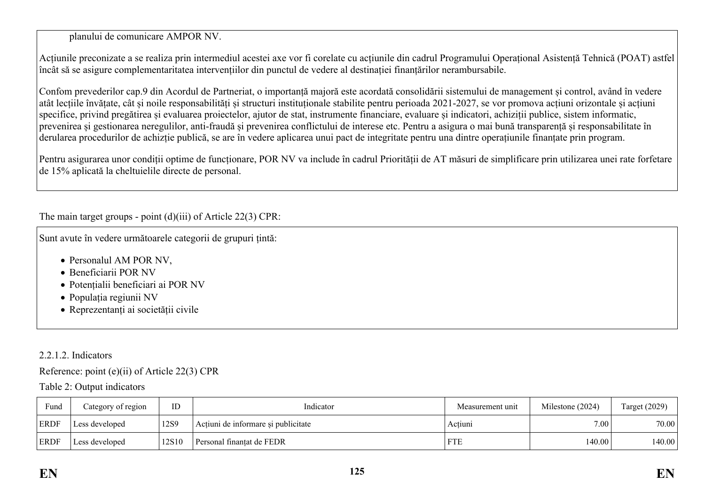planului de comunicare AMPOR NV.

Acțiunile preconizate a se realiza prin intermediul acestei axe vor fi corelate cu acțiunile din cadrul Programului Operațional Asistență Tehnică (POAT) astfel încât să se asigure complementaritatea intervențiilor din punctul de vedere al destinației finanțărilor nerambursabile.

Confom prevederilor cap.9 din Acordul de Partneriat, o importanță majoră este acordată consolidării sistemului de management și control, având în vedere atât lecțiile învățate, cât și noile responsabilități și structuri instituționale stabilite pentru perioada 2021-2027, se vor promova acțiuni orizontale și acțiuni specifice, privind pregătirea și evaluarea proiectelor, ajutor de stat, instrumente financiare, evaluare și indicatori, achiziții publice, sistem informatic, prevenirea și gestionarea neregulilor, anti-fraudă și prevenirea conflictului de interese etc. Pentru a asigura o mai bună transparență și responsabilitate în derularea procedurilor de achizție publică, se are în vedere aplicarea unui pact de integritate pentru una dintre operațiunile finanțate prin program.

Pentru asigurarea unor condiții optime de funcționare, POR NV va include în cadrul Priorității de AT măsuri de simplificare prin utilizarea unei rate forfetare de 15% aplicată la cheltuielile directe de personal.

The main target groups - point (d)(iii) of Article 22(3) CPR:

Sunt avute în vedere următoarele categorii de grupuri țintă:

- Personalul AM POR NV.
- Beneficiarii POR NV
- Potențialii beneficiari ai POR NV
- Populația regiunii NV
- Reprezentanți ai societății civile

#### 2.2.1.2. Indicators

Reference: point (e)(ii) of Article 22(3) CPR

Table 2: Output indicators

| Fund        | Category of region | ID    | Indicator                                      | Measurement unit | Milestone (2024) | Target (2029) |
|-------------|--------------------|-------|------------------------------------------------|------------------|------------------|---------------|
| <b>ERDF</b> | Less developed     | 12S9  | Actiuni de informare și publicitate<br>Actiuni |                  | 7.00             | 70.00         |
| ERDF        | Less developed     | 12S10 | Personal finantat de FEDR                      | <b>FTE</b>       | 140.00           | 140.00        |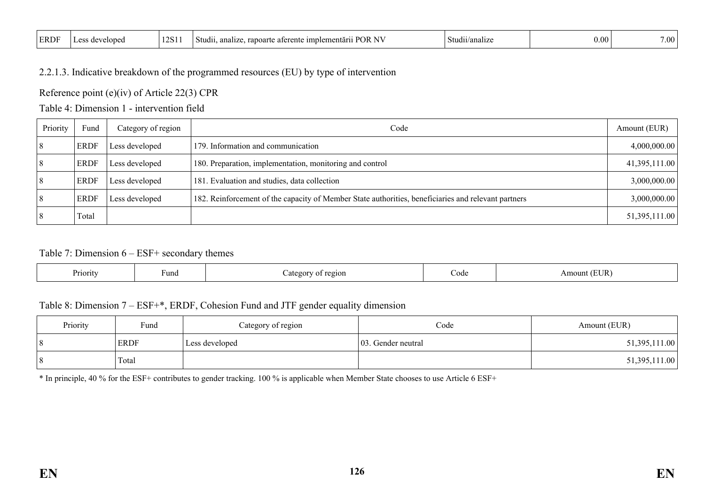| <b>ERDF</b> | $\Delta$<br>nean י<br>u | 'S + | .<br>ж<br>aru<br>…emert<br>1mpl<br>ontc<br>Studii.<br>19. LES<br>anoa<br>anz.<br>. | $\sim$<br>,tudu t<br>/ana | v.v.<br>. | $\cdots$<br>,,,, |
|-------------|-------------------------|------|------------------------------------------------------------------------------------|---------------------------|-----------|------------------|
|-------------|-------------------------|------|------------------------------------------------------------------------------------|---------------------------|-----------|------------------|

### 2.2.1.3. Indicative breakdown of the programmed resources (EU) by type of intervention

Reference point (e)(iv) of Article 22(3) CPR

Table 4: Dimension 1 - intervention field

| Priority | Fund        | Category of region | Code                                                                                                | Amount (EUR)  |
|----------|-------------|--------------------|-----------------------------------------------------------------------------------------------------|---------------|
|          | <b>ERDF</b> | Less developed     | 179. Information and communication                                                                  | 4,000,000.00  |
|          | <b>ERDF</b> | Less developed     | 180. Preparation, implementation, monitoring and control                                            | 41,395,111.00 |
|          | <b>ERDF</b> | Less developed     | 181. Evaluation and studies, data collection                                                        | 3,000,000.00  |
|          | ERDF        | Less developed     | 182. Reinforcement of the capacity of Member State authorities, beneficiaries and relevant partners | 3,000,000.00  |
|          | Total       |                    |                                                                                                     | 51,395,111.00 |

#### Table 7: Dimension 6 – ESF+ secondary themes

| Priority<br>∙und | t region<br>ategory<br>aw<br>. . | Code | $\sqrt{T}$ UR)<br>Amount |
|------------------|----------------------------------|------|--------------------------|
|------------------|----------------------------------|------|--------------------------|

#### Table 8: Dimension 7 – ESF+\*, ERDF, Cohesion Fund and JTF gender equality dimension

| Priority | Fund  | Category of region | Code               | Amount (EUR)  |
|----------|-------|--------------------|--------------------|---------------|
|          | ERDF  | Less developed     | 03. Gender neutral | 51,395,111.00 |
|          | Total |                    |                    | 51,395,111.00 |

\* In principle, 40 % for the ESF+ contributes to gender tracking. 100 % is applicable when Member State chooses to use Article 6 ESF+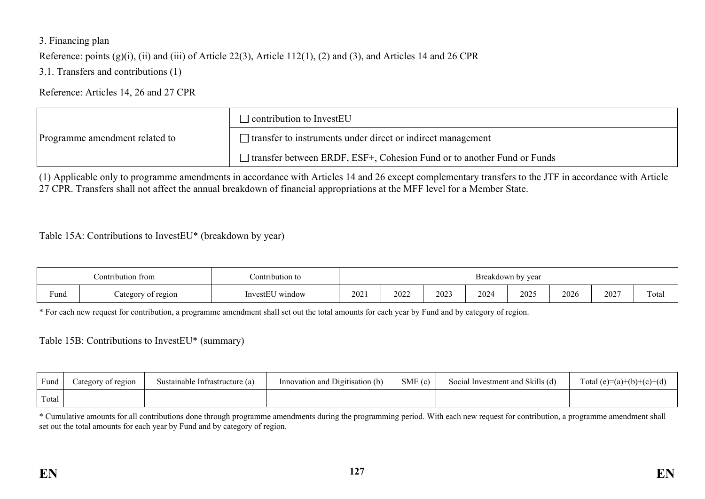#### 3. Financing plan

Reference: points (g)(i), (ii) and (iii) of Article 22(3), Article 112(1), (2) and (3), and Articles 14 and 26 CPR

3.1. Transfers and contributions (1)

Reference: Articles 14, 26 and 27 CPR

|                                | $\Box$ contribution to InvestEU                                               |
|--------------------------------|-------------------------------------------------------------------------------|
| Programme amendment related to | $\Box$ transfer to instruments under direct or indirect management            |
|                                | $\Box$ transfer between ERDF, ESF+, Cohesion Fund or to another Fund or Funds |

(1) Applicable only to programme amendments in accordance with Articles 14 and 26 except complementary transfers to the JTF in accordance with Article 27 CPR. Transfers shall not affect the annual breakdown of financial appropriations at the MFF level for a Member State.

Table 15A: Contributions to InvestEU\* (breakdown by year)

| Contribution from |                    | Contribution to                 |      |      |      |      | Breakdown by year |      |      |       |
|-------------------|--------------------|---------------------------------|------|------|------|------|-------------------|------|------|-------|
| Fund              | Category of region | $    -$<br>∪ window<br>InvestEU | 2021 | 2022 | 2023 | 2024 | 2025              | 2026 | 202' | Total |

\* For each new request for contribution, a programme amendment shall set out the total amounts for each year by Fund and by category of region.

Table 15B: Contributions to InvestEU\* (summary)

| Fund  | Category of region | Sustainable Infrastructure (a) | Innovation and Digitisation (b) | SME(c) | Social Investment and Skills (d) | Total (e)=(a)+(b)+(c)+(d) |
|-------|--------------------|--------------------------------|---------------------------------|--------|----------------------------------|---------------------------|
| Total |                    |                                |                                 |        |                                  |                           |

\* Cumulative amounts for all contributions done through programme amendments during the programming period. With each new request for contribution, a programme amendment shall set out the total amounts for each year by Fund and by category of region.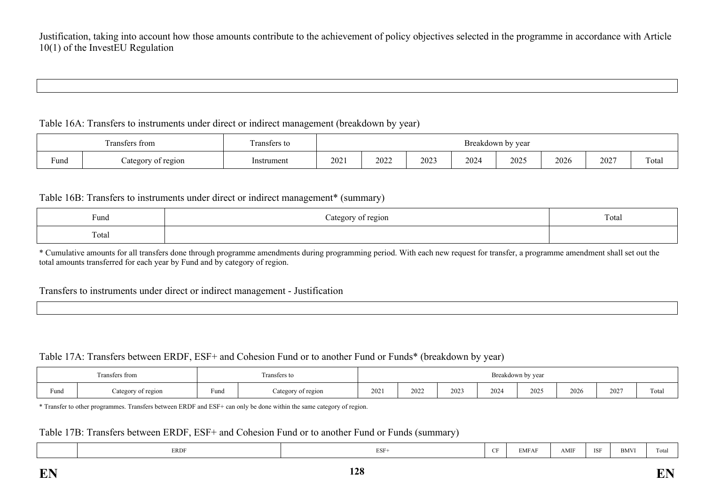#### Table 16A: Transfers to instruments under direct or indirect management (breakdown by year)

|      | $\sim$<br>Fransfers from | ransters to |      |      |      |      | Breakdown by year |      |      |       |
|------|--------------------------|-------------|------|------|------|------|-------------------|------|------|-------|
| Fund | Category of region       | Instrument  | 2021 | 2022 | 2023 | 2024 | 2025              | 2026 | 2027 | Total |

#### Table 16B: Transfers to instruments under direct or indirect management\* (summary)

| Fund  | ategory<br>of region | $\mathbf{r}$<br>Total |
|-------|----------------------|-----------------------|
| Total |                      |                       |

\* Cumulative amounts for all transfers done through programme amendments during programming period. With each new request for transfer, a programme amendment shall set out the total amounts transferred for each year by Fund and by category of region.

#### Transfers to instruments under direct or indirect management - Justification

#### Table 17A: Transfers between ERDF, ESF+ and Cohesion Fund or to another Fund or Funds\* (breakdown by year)

|      | <b>CONTRACTOR</b><br>Transfers from |                       | Transfers to       | Breakdown by year |      |      |      |      |      |      |       |
|------|-------------------------------------|-----------------------|--------------------|-------------------|------|------|------|------|------|------|-------|
| Fund | Category of region                  | Fund<br>$\sim$ $\sim$ | Category of region | 202               | 2022 | 2023 | 2024 | 2025 | 2026 | 2027 | Total |

\* Transfer to other programmes. Transfers between ERDF and ESF+ can only be done within the same category of region.

#### Table 17B: Transfers between ERDF, ESF+ and Cohesion Fund or to another Fund or Funds (summary)

| <b>ERDF</b> | ESF- | $-$ | EMFAF | AMIF | $\sim$ $\sim$ $\sim$<br>- 15 | <b>BMVI</b> | $\overline{\phantom{a}}$<br>1 ota |
|-------------|------|-----|-------|------|------------------------------|-------------|-----------------------------------|
|-------------|------|-----|-------|------|------------------------------|-------------|-----------------------------------|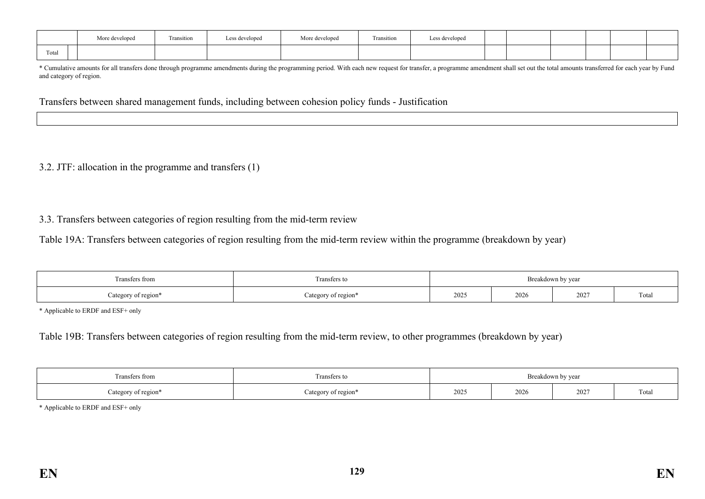|                                    | More developed | Fransition | Less developed | More developed<br>$\cdots$ | $\sim$<br>Fransition | Less developed |  |  |  |
|------------------------------------|----------------|------------|----------------|----------------------------|----------------------|----------------|--|--|--|
| $\overline{\phantom{a}}$<br>l otal |                |            |                |                            |                      |                |  |  |  |

\* Cumulative amounts for all transfers done through programme amendments during the programming period. With each new request for transfer, a programme amendment shall set out the total amounts transferred for each year by and category of region.

Transfers between shared management funds, including between cohesion policy funds - Justification

#### 3.2. JTF: allocation in the programme and transfers (1)

#### 3.3. Transfers between categories of region resulting from the mid-term review

Table 19A: Transfers between categories of region resulting from the mid-term review within the programme (breakdown by year)

| Fransfers from                 | Breakdown by vear |      |      |      |       |  |  |
|--------------------------------|-------------------|------|------|------|-------|--|--|
| ategory of region <sup>s</sup> | region<br>20.023  | 2025 | 2026 | 202' | Total |  |  |

\* Applicable to ERDF and ESF+ only

Table 19B: Transfers between categories of region resulting from the mid-term review, to other programmes (breakdown by year)

| sters from                             | Fransters to               | Breakdown by year<br>. |      |      |                                   |  |  |  |
|----------------------------------------|----------------------------|------------------------|------|------|-----------------------------------|--|--|--|
| of region*<br>$t$ agaru<br><b>Cure</b> | of region<br>$\alpha$<br>ັ | 2025                   | 2026 | 2027 | $\overline{\phantom{a}}$<br>Total |  |  |  |

\* Applicable to ERDF and ESF+ only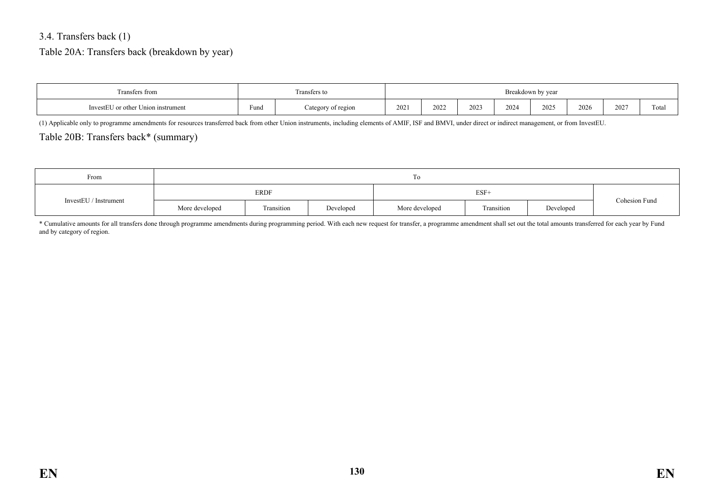### 3.4. Transfers back (1)

#### Table 20A: Transfers back (breakdown by year)

| Transfers from                     |                        | Transfers to       | Breakdown by year |      |              |      |      |      |      |       |
|------------------------------------|------------------------|--------------------|-------------------|------|--------------|------|------|------|------|-------|
| InvestEU or other Union instrument | <b>Service</b><br>Fund | Category of region | 2021              | 2022 | າດາະ<br>ZUZ. | 2024 | 202. | 2026 | 2027 | Total |

(1) Applicable only to programme amendments for resources transferred back from other Union instruments, including elements of AMIF, ISF and BMVI, under direct or indirect management, or from InvestEU.

#### Table 20B: Transfers back\* (summary)

| From                  |                | 10         |           |                |            |           |               |  |  |  |  |  |
|-----------------------|----------------|------------|-----------|----------------|------------|-----------|---------------|--|--|--|--|--|
| InvestEU / Instrument |                | ERDF       |           |                |            |           |               |  |  |  |  |  |
|                       | More developed | Transition | Developed | More developed | Transition | Developed | Cohesion Fund |  |  |  |  |  |

\* Cumulative amounts for all transfers done through programme amendments during programming period. With each new request for transfer, a programme amendment shall set out the total amounts transferred for each year by Fund and by category of region.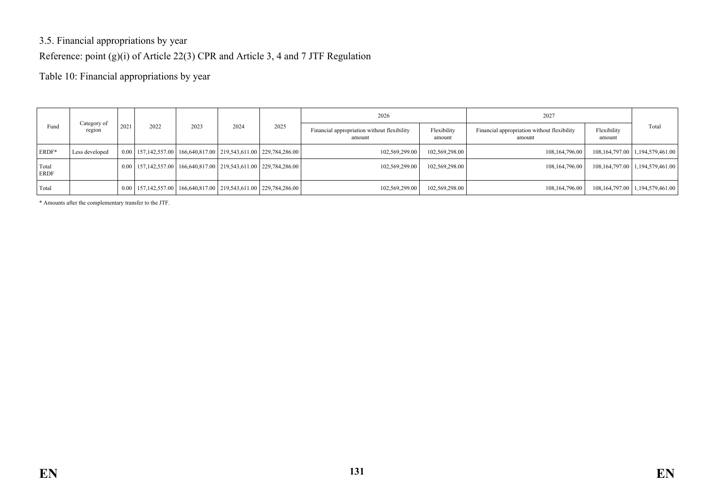## 3.5. Financial appropriations by year

### Reference: point (g)(i) of Article 22(3) CPR and Article 3, 4 and 7 JTF Regulation

Table 10: Financial appropriations by year

|                      |                       |             |      |      |                                                                                                |      | 2026                                                  |                       | 2027                                                  |                       |                                        |
|----------------------|-----------------------|-------------|------|------|------------------------------------------------------------------------------------------------|------|-------------------------------------------------------|-----------------------|-------------------------------------------------------|-----------------------|----------------------------------------|
| Fund                 | Category of<br>region | 2021        | 2022 | 2023 | 2024                                                                                           | 2025 | Financial appropriation without flexibility<br>amount | Flexibility<br>amount | Financial appropriation without flexibility<br>amount | Flexibility<br>amount | Total                                  |
| <b>ERDF*</b>         | Less developed        |             |      |      | $0.00$   157, 142, 557.00   166, 640, 817.00   219, 543, 611.00   229, 784, 286.00             |      | 102.569.299.00                                        | 102,569,298.00        | 108,164,796.00                                        |                       | 108, 164, 797.00   1, 194, 579, 461.00 |
| Total<br><b>ERDF</b> |                       | $0.00\vert$ |      |      | $\mid$ 157,142,557.00   166,640,817.00   219,543,611.00   229,784,286.00                       |      | 102.569.299.00                                        | 102,569,298.00        | 108,164,796.00                                        |                       | 108, 164, 797.00   1, 194, 579, 461.00 |
| Total                |                       | $0.00\vert$ |      |      | $\mid$ 157,142,557.00 $\mid$ 166,640,817.00 $\mid$ 219,543,611.00 $\mid$ 229,784,286.00 $\mid$ |      | 102,569,299.00                                        | 102,569,298.00        | 108, 164, 796.00                                      |                       | 108, 164, 797.00   1, 194, 579, 461.00 |

\* Amounts after the complementary transfer to the JTF.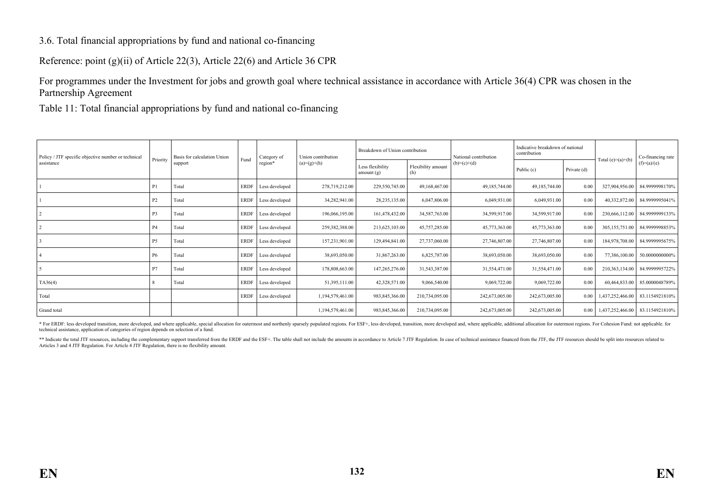#### 3.6. Total financial appropriations by fund and national co-financing

Reference: point (g)(ii) of Article 22(3), Article 22(6) and Article 36 CPR

For programmes under the Investment for jobs and growth goal where technical assistance in accordance with Article 36(4) CPR was chosen in the Partnership Agreement

Table 11: Total financial appropriations by fund and national co-financing

| Policy / JTF specific objective number or technical |           | Basis for calculation Union | Fund        | Category of<br>Union contribution |                  | Breakdown of Union contribution  |                           | National contribution | Indicative breakdown of national<br>contribution |                  |                     | Co-financing rate |
|-----------------------------------------------------|-----------|-----------------------------|-------------|-----------------------------------|------------------|----------------------------------|---------------------------|-----------------------|--------------------------------------------------|------------------|---------------------|-------------------|
| assistance                                          | Priority  | support                     |             | region*                           | $(a)=(g)+(h)$    | Less flexibility<br>amount $(g)$ | Flexibility amount<br>(h) | $(b)=(c)+(d)$         | Public (c)                                       | Private (d)      | Total $(e)=(a)+(b)$ | $(f)=(a)/(e)$     |
|                                                     |           | Total                       | <b>ERDF</b> | Less developed                    | 278,719,212.00   | 229,550,745.00                   | 49,168,467.00             | 49,185,744.00         | 49,185,744.00                                    | 0.00             | 327,904,956.00      | 84.9999998170%    |
|                                                     | P2        | Total                       | <b>ERDF</b> | Less developed                    | 34,282,941.00    | 28,235,135.00                    | 6,047,806.00              | 6,049,931.00          | 6,049,931.00                                     | 0.00             | 40,332,872.00       | 84.9999995041%    |
|                                                     | P3        | Total                       | <b>ERDF</b> | Less developed                    | 196,066,195.00   | 161,478,432.00                   | 34,587,763.00             | 34,599,917.00         | 34,599,917.00                                    | 0.00             | 230,666,112.00      | 84.9999999133%    |
|                                                     | <b>P4</b> | Total                       | <b>ERDF</b> | Less developed                    | 259,382,388.00   | 213,625,103.00                   | 45,757,285.00             | 45,773,363.00         | 45,773,363.00                                    | 0.00             | 305, 155, 751.00    | 84.9999998853%    |
|                                                     | P5        | Total                       | <b>ERDF</b> | Less developed                    | 157,231,901.00   | 129,494,841.00                   | 27,737,060.00             | 27,746,807.00         | 27,746,807.00                                    | 0.00             | 184,978,708.00      | 84.9999995675%    |
|                                                     | P6        | Total                       | <b>ERDF</b> | Less developed                    | 38,693,050.00    | 31,867,263.00                    | 6,825,787.00              | 38,693,050.00         | 38,693,050.00                                    | 0.00             | 77,386,100.00       | 50.0000000000%    |
|                                                     | P7        | Total                       | <b>ERDF</b> | Less developed                    | 178,808,663.00   | 147,265,276.00                   | 31,543,387.00             | 31,554,471.00         | 31,554,471.00                                    | 0.00             | 210,363,134.00      | 84.9999995722%    |
| TA36(4)                                             |           | Total                       | <b>ERDF</b> | Less developed                    | 51,395,111.00    | 42,328,571.00                    | 9,066,540.00              | 9,069,722.00          | 9,069,722.00                                     | 0.00             | 60,464,833.00       | 85.0000048789%    |
| Total                                               |           |                             | <b>ERDF</b> | Less developed                    | 1,194,579,461.00 | 983, 845, 366.00                 | 210,734,095.00            | 242,673,005.00        | 242,673,005.00                                   | $0.00\downarrow$ | 1,437,252,466.00    | 83.1154921810%    |
| Grand total                                         |           |                             |             |                                   | 1,194,579,461.00 | 983, 845, 366.00                 | 210,734,095.00            | 242,673,005.00        | 242,673,005.00                                   | $0.00\downarrow$ | 1,437,252,466.00    | 83.1154921810%    |

\* For ERDF: less developed transition, more developed, and where applicable, special allocation for outermost and morthenly sparsely populated regions. For ESF+, less developed, transition, more developed and, where applic technical assistance, application of categories of region depends on selection of a fund.

\*\* Indicate the total JTF resources, including the complementary support transferred from the ERDF and the ESF+. The table shall not include the amounts in accordance to Article 7 JTF Regulation. In case of technical assis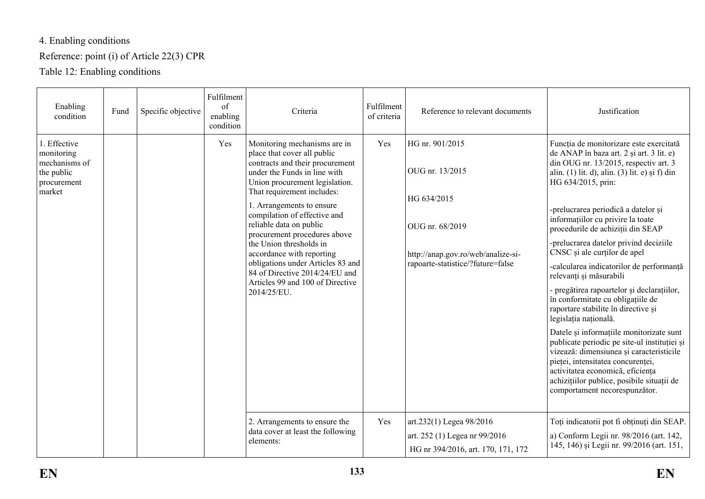# 4. Enabling conditions

## Reference: point (i) of Article 22(3) CPR

Table 12: Enabling conditions

| Enabling<br>condition                                                              | Fund | Specific objective | Fulfilment<br>of<br>enabling<br>condition | Criteria                                                                                                                                                                                                                                                                                                                                                                                                                                                                                                 | Fulfilment<br>of criteria | Reference to relevant documents                                                                                                                 | Justification                                                                                                                                                                                                                                                                                                                                                                                                                                                                                                                                                                                                                                                                                                                                                                                                                                                                                                             |
|------------------------------------------------------------------------------------|------|--------------------|-------------------------------------------|----------------------------------------------------------------------------------------------------------------------------------------------------------------------------------------------------------------------------------------------------------------------------------------------------------------------------------------------------------------------------------------------------------------------------------------------------------------------------------------------------------|---------------------------|-------------------------------------------------------------------------------------------------------------------------------------------------|---------------------------------------------------------------------------------------------------------------------------------------------------------------------------------------------------------------------------------------------------------------------------------------------------------------------------------------------------------------------------------------------------------------------------------------------------------------------------------------------------------------------------------------------------------------------------------------------------------------------------------------------------------------------------------------------------------------------------------------------------------------------------------------------------------------------------------------------------------------------------------------------------------------------------|
| 1. Effective<br>monitoring<br>mechanisms of<br>the public<br>procurement<br>market |      |                    | Yes                                       | Monitoring mechanisms are in<br>place that cover all public<br>contracts and their procurement<br>under the Funds in line with<br>Union procurement legislation.<br>That requirement includes:<br>1. Arrangements to ensure<br>compilation of effective and<br>reliable data on public<br>procurement procedures above<br>the Union thresholds in<br>accordance with reporting<br>obligations under Articles 83 and<br>84 of Directive 2014/24/EU and<br>Articles 99 and 100 of Directive<br>2014/25/EU. | Yes                       | HG nr. 901/2015<br>OUG nr. 13/2015<br>HG 634/2015<br>OUG nr. 68/2019<br>http://anap.gov.ro/web/analize-si-<br>rapoarte-statistice/?future=false | Funcția de monitorizare este exercitată<br>de ANAP în baza art. 2 și art. 3 lit. e)<br>din OUG nr. 13/2015, respectiv art. 3<br>alin. (1) lit. d), alin. (3) lit. e) și f) din<br>HG 634/2015, prin:<br>-prelucrarea periodică a datelor și<br>informațiilor cu privire la toate<br>procedurile de achiziții din SEAP<br>-prelucrarea datelor privind deciziile<br>CNSC și ale curților de apel<br>-calcularea indicatorilor de performanță<br>relevanți și măsurabili<br>- pregătirea rapoartelor și declarațiilor,<br>în conformitate cu obligațiile de<br>raportare stabilite în directive și<br>legislația națională.<br>Datele și informațiile monitorizate sunt<br>publicate periodic pe site-ul instituției și<br>vizează: dimensiunea și caracteristicile<br>pieței, intensitatea concurenței,<br>activitatea economică, eficiența<br>achizițiilor publice, posibile situații de<br>comportament necorespunzător. |
|                                                                                    |      |                    |                                           | 2. Arrangements to ensure the<br>data cover at least the following<br>elements:                                                                                                                                                                                                                                                                                                                                                                                                                          | Yes                       | art.232(1) Legea 98/2016<br>art. 252 (1) Legea nr 99/2016<br>HG nr 394/2016, art. 170, 171, 172                                                 | Toți indicatorii pot fi obținuți din SEAP.<br>a) Conform Legii nr. 98/2016 (art. 142,<br>145, 146) și Legii nr. 99/2016 (art. 151,                                                                                                                                                                                                                                                                                                                                                                                                                                                                                                                                                                                                                                                                                                                                                                                        |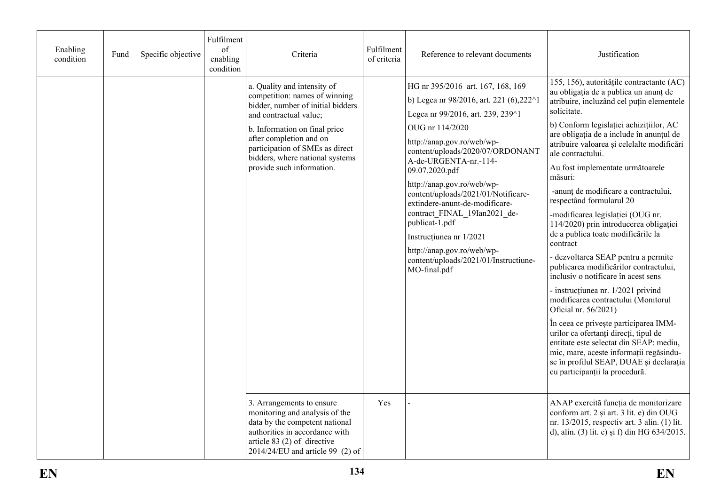| Enabling<br>condition | Fund | Specific objective | Fulfilment<br>of<br>enabling<br>condition | Criteria                                                                                                                                                                                                                                                                                   | Fulfilment<br>of criteria | Reference to relevant documents                                                                                                                                                                                                                                                                                                                                                                                                                                                                                                           | Justification                                                                                                                                                                                                                                                                                                                                                                                                                                                                                                                                                                                                                                                                                                                                                                                                                                                                                                                                                                                                                                  |
|-----------------------|------|--------------------|-------------------------------------------|--------------------------------------------------------------------------------------------------------------------------------------------------------------------------------------------------------------------------------------------------------------------------------------------|---------------------------|-------------------------------------------------------------------------------------------------------------------------------------------------------------------------------------------------------------------------------------------------------------------------------------------------------------------------------------------------------------------------------------------------------------------------------------------------------------------------------------------------------------------------------------------|------------------------------------------------------------------------------------------------------------------------------------------------------------------------------------------------------------------------------------------------------------------------------------------------------------------------------------------------------------------------------------------------------------------------------------------------------------------------------------------------------------------------------------------------------------------------------------------------------------------------------------------------------------------------------------------------------------------------------------------------------------------------------------------------------------------------------------------------------------------------------------------------------------------------------------------------------------------------------------------------------------------------------------------------|
|                       |      |                    |                                           | a. Quality and intensity of<br>competition: names of winning<br>bidder, number of initial bidders<br>and contractual value;<br>b. Information on final price<br>after completion and on<br>participation of SMEs as direct<br>bidders, where national systems<br>provide such information. |                           | HG nr 395/2016 art. 167, 168, 169<br>b) Legea nr 98/2016, art. 221 (6), 222 $^{\wedge}$ 1<br>Legea nr 99/2016, art. 239, 239^1<br>OUG nr 114/2020<br>http://anap.gov.ro/web/wp-<br>content/uploads/2020/07/ORDONANT<br>A-de-URGENTA-nr.-114-<br>09.07.2020.pdf<br>http://anap.gov.ro/web/wp-<br>content/uploads/2021/01/Notificare-<br>extindere-anunt-de-modificare-<br>contract_FINAL_19Ian2021_de-<br>publicat-1.pdf<br>Instrucțiunea nr 1/2021<br>http://anap.gov.ro/web/wp-<br>content/uploads/2021/01/Instructiune-<br>MO-final.pdf | 155, 156), autoritățile contractante (AC)<br>au obligația de a publica un anunț de<br>atribuire, incluzând cel puțin elementele<br>solicitate.<br>b) Conform legislatiei achizițiilor, AC<br>are obligația de a include în anunțul de<br>atribuire valoarea și celelalte modificări<br>ale contractului.<br>Au fost implementate următoarele<br>măsuri:<br>-anunț de modificare a contractului,<br>respectând formularul 20<br>-modificarea legislației (OUG nr.<br>114/2020) prin introducerea obligației<br>de a publica toate modificările la<br>contract<br>- dezvoltarea SEAP pentru a permite<br>publicarea modificărilor contractului,<br>inclusiv o notificare în acest sens<br>- instrucțiunea nr. 1/2021 privind<br>modificarea contractului (Monitorul<br>Oficial nr. 56/2021)<br>În ceea ce privește participarea IMM-<br>urilor ca ofertanți direcți, tipul de<br>entitate este selectat din SEAP: mediu,<br>mic, mare, aceste informații regăsindu-<br>se în profilul SEAP, DUAE și declarația<br>cu participanții la procedură. |
|                       |      |                    |                                           | 3. Arrangements to ensure<br>monitoring and analysis of the<br>data by the competent national<br>authorities in accordance with<br>article $83(2)$ of directive<br>$2014/24/EU$ and article 99 (2) of                                                                                      | Yes                       |                                                                                                                                                                                                                                                                                                                                                                                                                                                                                                                                           | ANAP exercită funcția de monitorizare<br>conform art. 2 și art. 3 lit. e) din OUG<br>nr. 13/2015, respectiv art. 3 alin. (1) lit.<br>d), alin. (3) lit. e) și f) din HG 634/2015.                                                                                                                                                                                                                                                                                                                                                                                                                                                                                                                                                                                                                                                                                                                                                                                                                                                              |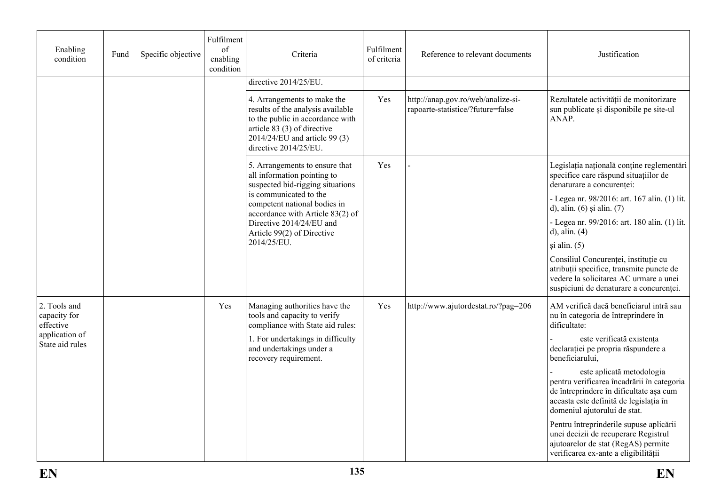| Enabling<br>condition                     | Fund | Specific objective | Fulfilment<br>of<br>enabling<br>condition                                                         | Criteria                                                                                                                                                                                      | Fulfilment<br>of criteria | Reference to relevant documents                                                                                 | Justification                                                                                                                                                                                |
|-------------------------------------------|------|--------------------|---------------------------------------------------------------------------------------------------|-----------------------------------------------------------------------------------------------------------------------------------------------------------------------------------------------|---------------------------|-----------------------------------------------------------------------------------------------------------------|----------------------------------------------------------------------------------------------------------------------------------------------------------------------------------------------|
|                                           |      |                    |                                                                                                   | directive 2014/25/EU.                                                                                                                                                                         |                           |                                                                                                                 |                                                                                                                                                                                              |
|                                           |      |                    |                                                                                                   | 4. Arrangements to make the<br>results of the analysis available<br>to the public in accordance with<br>article 83 (3) of directive<br>2014/24/EU and article 99 (3)<br>directive 2014/25/EU. | Yes                       | http://anap.gov.ro/web/analize-si-<br>rapoarte-statistice/?future=false                                         | Rezultatele activității de monitorizare<br>sun publicate și disponibile pe site-ul<br>ANAP.                                                                                                  |
|                                           |      |                    | 5. Arrangements to ensure that<br>all information pointing to<br>suspected bid-rigging situations | Yes                                                                                                                                                                                           |                           | Legislația națională conține reglementări<br>specifice care răspund situațiilor de<br>denaturare a concurenței: |                                                                                                                                                                                              |
|                                           |      |                    |                                                                                                   | is communicated to the<br>competent national bodies in<br>accordance with Article 83(2) of<br>Directive 2014/24/EU and<br>Article 99(2) of Directive                                          |                           |                                                                                                                 | - Legea nr. 98/2016: art. 167 alin. (1) lit.<br>d), alin. $(6)$ și alin. $(7)$                                                                                                               |
|                                           |      |                    |                                                                                                   |                                                                                                                                                                                               |                           |                                                                                                                 | - Legea nr. 99/2016: art. 180 alin. (1) lit.<br>$d$ ), alin. $(4)$                                                                                                                           |
|                                           |      |                    |                                                                                                   | 2014/25/EU.                                                                                                                                                                                   |                           |                                                                                                                 | și alin. (5)                                                                                                                                                                                 |
|                                           |      |                    |                                                                                                   |                                                                                                                                                                                               |                           |                                                                                                                 | Consiliul Concurenței, instituție cu<br>atribuții specifice, transmite puncte de<br>vedere la solicitarea AC urmare a unei<br>suspiciuni de denaturare a concurenței.                        |
| 2. Tools and<br>capacity for<br>effective |      |                    | Yes                                                                                               | Managing authorities have the<br>tools and capacity to verify<br>compliance with State aid rules:                                                                                             | Yes                       | http://www.ajutordestat.ro/?pag=206                                                                             | AM verifică dacă beneficiarul intră sau<br>nu în categoria de întreprindere în<br>dificultate:                                                                                               |
| application of<br>State aid rules         |      |                    |                                                                                                   | 1. For undertakings in difficulty<br>and undertakings under a<br>recovery requirement.                                                                                                        |                           |                                                                                                                 | este verificată existența<br>declarației pe propria răspundere a<br>beneficiarului,                                                                                                          |
|                                           |      |                    |                                                                                                   |                                                                                                                                                                                               |                           |                                                                                                                 | este aplicată metodologia<br>pentru verificarea încadrării în categoria<br>de întreprindere în dificultate așa cum<br>aceasta este definită de legislația în<br>domeniul ajutorului de stat. |
|                                           |      |                    |                                                                                                   |                                                                                                                                                                                               |                           |                                                                                                                 | Pentru întreprinderile supuse aplicării<br>unei decizii de recuperare Registrul<br>ajutoarelor de stat (RegAS) permite<br>verificarea ex-ante a eligibilității                               |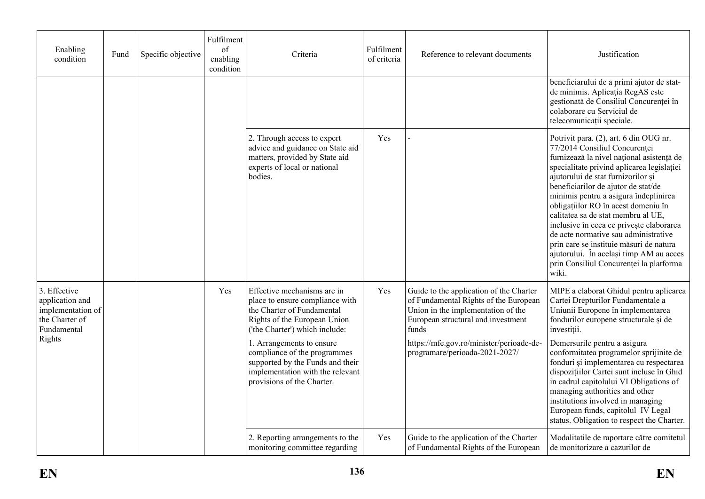| Enabling<br>condition                                                                           | Fund | Specific objective | Fulfilment<br>of<br>enabling<br>condition | Criteria                                                                                                                                                                                                                                                                                                                          | Fulfilment<br>of criteria | Reference to relevant documents                                                                                                                                                                                                                     | Justification                                                                                                                                                                                                                                                                                                                                                                                                                                                                                                                                                                                       |
|-------------------------------------------------------------------------------------------------|------|--------------------|-------------------------------------------|-----------------------------------------------------------------------------------------------------------------------------------------------------------------------------------------------------------------------------------------------------------------------------------------------------------------------------------|---------------------------|-----------------------------------------------------------------------------------------------------------------------------------------------------------------------------------------------------------------------------------------------------|-----------------------------------------------------------------------------------------------------------------------------------------------------------------------------------------------------------------------------------------------------------------------------------------------------------------------------------------------------------------------------------------------------------------------------------------------------------------------------------------------------------------------------------------------------------------------------------------------------|
|                                                                                                 |      |                    |                                           |                                                                                                                                                                                                                                                                                                                                   |                           |                                                                                                                                                                                                                                                     | beneficiarului de a primi ajutor de stat-<br>de minimis. Aplicația RegAS este<br>gestionată de Consiliul Concurenței în<br>colaborare cu Serviciul de<br>telecomunicații speciale.                                                                                                                                                                                                                                                                                                                                                                                                                  |
|                                                                                                 |      |                    |                                           | 2. Through access to expert<br>advice and guidance on State aid<br>matters, provided by State aid<br>experts of local or national<br>bodies.                                                                                                                                                                                      | Yes                       |                                                                                                                                                                                                                                                     | Potrivit para. (2), art. 6 din OUG nr.<br>77/2014 Consiliul Concurenței<br>furnizează la nivel național asistență de<br>specialitate privind aplicarea legislației<br>ajutorului de stat furnizorilor și<br>beneficiarilor de ajutor de stat/de<br>minimis pentru a asigura îndeplinirea<br>obligațiilor RO în acest domeniu în<br>calitatea sa de stat membru al UE,<br>inclusive în ceea ce privește elaborarea<br>de acte normative sau administrative<br>prin care se instituie măsuri de natura<br>ajutorului. În același timp AM au acces<br>prin Consiliul Concurenței la platforma<br>wiki. |
| 3. Effective<br>application and<br>implementation of<br>the Charter of<br>Fundamental<br>Rights |      |                    | Yes                                       | Effective mechanisms are in<br>place to ensure compliance with<br>the Charter of Fundamental<br>Rights of the European Union<br>('the Charter') which include:<br>1. Arrangements to ensure<br>compliance of the programmes<br>supported by the Funds and their<br>implementation with the relevant<br>provisions of the Charter. | Yes                       | Guide to the application of the Charter<br>of Fundamental Rights of the European<br>Union in the implementation of the<br>European structural and investment<br>funds<br>https://mfe.gov.ro/minister/perioade-de-<br>programare/perioada-2021-2027/ | MIPE a elaborat Ghidul pentru aplicarea<br>Cartei Drepturilor Fundamentale a<br>Uniunii Europene în implementarea<br>fondurilor europene structurale și de<br>investiții.<br>Demersurile pentru a asigura<br>conformitatea programelor sprijinite de<br>fonduri și implementarea cu respectarea<br>dispozițiilor Cartei sunt incluse în Ghid<br>in cadrul capitolului VI Obligations of<br>managing authorities and other<br>institutions involved in managing<br>European funds, capitolul IV Legal<br>status. Obligation to respect the Charter.                                                  |
|                                                                                                 |      |                    |                                           | 2. Reporting arrangements to the<br>monitoring committee regarding                                                                                                                                                                                                                                                                | Yes                       | Guide to the application of the Charter<br>of Fundamental Rights of the European                                                                                                                                                                    | Modalitatile de raportare către comitetul<br>de monitorizare a cazurilor de                                                                                                                                                                                                                                                                                                                                                                                                                                                                                                                         |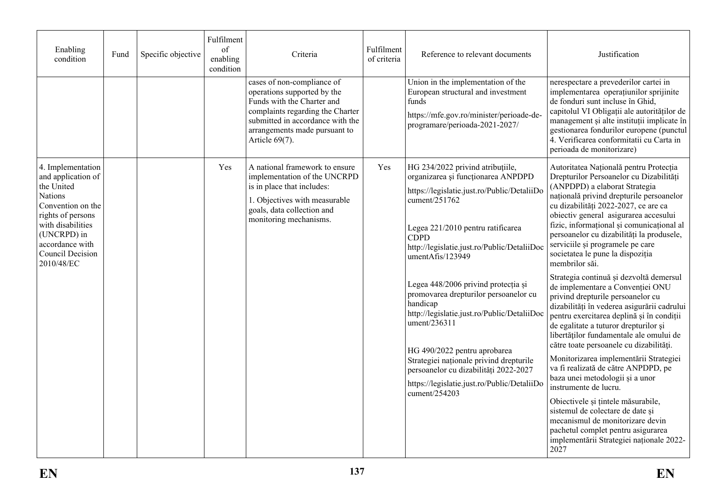| Enabling<br>condition                                                                                                                                                                                      | Fund | Specific objective | Fulfilment<br>of<br>enabling<br>condition | Criteria                                                                                                                                                                                                              | Fulfilment<br>of criteria | Reference to relevant documents                                                                                                                                                                                                                                                                                                                                                                                                                                                                                                                                                                              | Justification                                                                                                                                                                                                                                                                                                                                                                                                                                                                                                                                                                                                                                                                                                                                                                                                                                                                                                                                                                                                                                                                                                                   |
|------------------------------------------------------------------------------------------------------------------------------------------------------------------------------------------------------------|------|--------------------|-------------------------------------------|-----------------------------------------------------------------------------------------------------------------------------------------------------------------------------------------------------------------------|---------------------------|--------------------------------------------------------------------------------------------------------------------------------------------------------------------------------------------------------------------------------------------------------------------------------------------------------------------------------------------------------------------------------------------------------------------------------------------------------------------------------------------------------------------------------------------------------------------------------------------------------------|---------------------------------------------------------------------------------------------------------------------------------------------------------------------------------------------------------------------------------------------------------------------------------------------------------------------------------------------------------------------------------------------------------------------------------------------------------------------------------------------------------------------------------------------------------------------------------------------------------------------------------------------------------------------------------------------------------------------------------------------------------------------------------------------------------------------------------------------------------------------------------------------------------------------------------------------------------------------------------------------------------------------------------------------------------------------------------------------------------------------------------|
|                                                                                                                                                                                                            |      |                    |                                           | cases of non-compliance of<br>operations supported by the<br>Funds with the Charter and<br>complaints regarding the Charter<br>submitted in accordance with the<br>arrangements made pursuant to<br>Article $69(7)$ . |                           | Union in the implementation of the<br>European structural and investment<br>funds<br>https://mfe.gov.ro/minister/perioade-de-<br>programare/perioada-2021-2027/                                                                                                                                                                                                                                                                                                                                                                                                                                              | nerespectare a prevederilor cartei in<br>implementarea operațiunilor sprijinite<br>de fonduri sunt incluse în Ghid,<br>capitolul VI Obligații ale autorităților de<br>management și alte instituții implicate în<br>gestionarea fondurilor europene (punctul<br>4. Verificarea conformitatii cu Carta in<br>perioada de monitorizare)                                                                                                                                                                                                                                                                                                                                                                                                                                                                                                                                                                                                                                                                                                                                                                                           |
| 4. Implementation<br>and application of<br>the United<br><b>Nations</b><br>Convention on the<br>rights of persons<br>with disabilities<br>(UNCRPD) in<br>accordance with<br>Council Decision<br>2010/48/EC |      |                    | Yes                                       | A national framework to ensure<br>implementation of the UNCRPD<br>is in place that includes:<br>1. Objectives with measurable<br>goals, data collection and<br>monitoring mechanisms.                                 | Yes                       | HG 234/2022 privind atribuțiile,<br>organizarea și funcționarea ANPDPD<br>https://legislatie.just.ro/Public/DetaliiDo<br>cument/251762<br>Legea 221/2010 pentru ratificarea<br><b>CDPD</b><br>http://legislatie.just.ro/Public/DetaliiDoc<br>umentAfis/123949<br>Legea 448/2006 privind protecția și<br>promovarea drepturilor persoanelor cu<br>handicap<br>http://legislatie.just.ro/Public/DetaliiDoc<br>ument/236311<br>HG 490/2022 pentru aprobarea<br>Strategiei naționale privind drepturile<br>persoanelor cu dizabilități 2022-2027<br>https://legislatie.just.ro/Public/DetaliiDo<br>cument/254203 | Autoritatea Națională pentru Protecția<br>Drepturilor Persoanelor cu Dizabilități<br>(ANPDPD) a elaborat Strategia<br>națională privind drepturile persoanelor<br>cu dizabilități 2022-2027, ce are ca<br>obiectiv general asigurarea accesului<br>fizic, informational și comunicațional al<br>persoanelor cu dizabilități la produsele,<br>serviciile și programele pe care<br>societatea le pune la dispoziția<br>membrilor săi.<br>Strategia continuă și dezvoltă demersul<br>de implementare a Convenției ONU<br>privind drepturile persoanelor cu<br>dizabilități în vederea asigurării cadrului<br>pentru exercitarea deplină și în condiții<br>de egalitate a tuturor drepturilor și<br>libertăților fundamentale ale omului de<br>către toate persoanele cu dizabilități.<br>Monitorizarea implementării Strategiei<br>va fi realizată de către ANPDPD, pe<br>baza unei metodologii și a unor<br>instrumente de lucru.<br>Obiectivele și țintele măsurabile,<br>sistemul de colectare de date și<br>mecanismul de monitorizare devin<br>pachetul complet pentru asigurarea<br>implementării Strategiei naționale 2022- |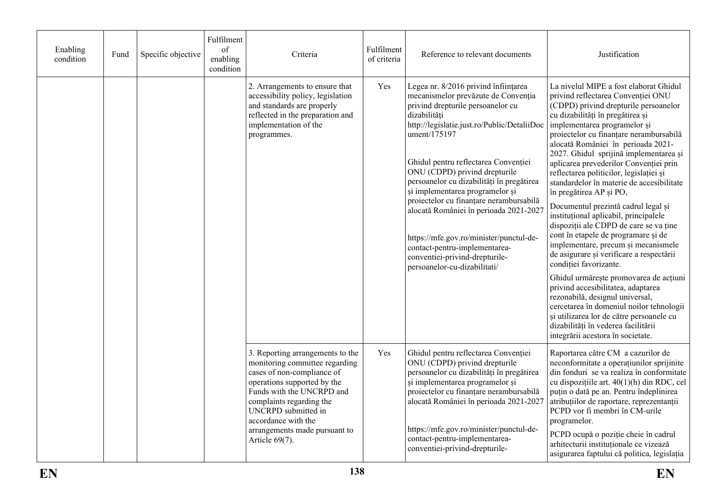| Enabling<br>condition | Fund | Specific objective | Fulfilment<br>of<br>enabling<br>condition | Criteria                                                                                                                                                                                                                                                                                  | Fulfilment<br>of criteria | Reference to relevant documents                                                                                                                                                                                                                                                                                                                                                                                                                                                                                                                                                             | Justification                                                                                                                                                                                                                                                                                                                                                                                                                                                                                                                                                                                                                                                                                                                                                                                                                                                                                                                                                                                                                                          |
|-----------------------|------|--------------------|-------------------------------------------|-------------------------------------------------------------------------------------------------------------------------------------------------------------------------------------------------------------------------------------------------------------------------------------------|---------------------------|---------------------------------------------------------------------------------------------------------------------------------------------------------------------------------------------------------------------------------------------------------------------------------------------------------------------------------------------------------------------------------------------------------------------------------------------------------------------------------------------------------------------------------------------------------------------------------------------|--------------------------------------------------------------------------------------------------------------------------------------------------------------------------------------------------------------------------------------------------------------------------------------------------------------------------------------------------------------------------------------------------------------------------------------------------------------------------------------------------------------------------------------------------------------------------------------------------------------------------------------------------------------------------------------------------------------------------------------------------------------------------------------------------------------------------------------------------------------------------------------------------------------------------------------------------------------------------------------------------------------------------------------------------------|
|                       |      |                    |                                           | 2. Arrangements to ensure that<br>accessibility policy, legislation<br>and standards are properly<br>reflected in the preparation and<br>implementation of the<br>programmes.                                                                                                             | Yes                       | Legea nr. 8/2016 privind înființarea<br>mecanismelor prevăzute de Convenția<br>privind drepturile persoanelor cu<br>dizabilități<br>http://legislatie.just.ro/Public/DetaliiDoc<br>ument/175197<br>Ghidul pentru reflectarea Convenției<br>ONU (CDPD) privind drepturile<br>persoanelor cu dizabilități în pregătirea<br>și implementarea programelor și<br>proiectelor cu finanțare nerambursabilă<br>alocată României în perioada 2021-2027<br>https://mfe.gov.ro/minister/punctul-de-<br>contact-pentru-implementarea-<br>conventiei-privind-drepturile-<br>persoanelor-cu-dizabilitati/ | La nivelul MIPE a fost elaborat Ghidul<br>privind reflectarea Convenției ONU<br>(CDPD) privind drepturile persoanelor<br>cu dizabilități în pregătirea și<br>implementarea programelor și<br>proiectelor cu finanțare nerambursabilă<br>alocată României în perioada 2021-<br>2027. Ghidul sprijină implementarea și<br>aplicarea prevederilor Convenției prin<br>reflectarea politicilor, legislației și<br>standardelor în materie de accesibilitate<br>în pregătirea AP și PO,<br>Documentul prezintă cadrul legal și<br>instituțional aplicabil, principalele<br>dispoziții ale CDPD de care se va ține<br>cont în etapele de programare și de<br>implementare, precum și mecanismele<br>de asigurare și verificare a respectării<br>condiției favorizante.<br>Ghidul urmărește promovarea de acțiuni<br>privind accesibilitatea, adaptarea<br>rezonabilă, designul universal,<br>cercetarea în domeniul noilor tehnologii<br>și utilizarea lor de către persoanele cu<br>dizabilități în vederea facilitării<br>integrării acestora în societate. |
|                       |      |                    |                                           | 3. Reporting arrangements to the<br>monitoring committee regarding<br>cases of non-compliance of<br>operations supported by the<br>Funds with the UNCRPD and<br>complaints regarding the<br>UNCRPD submitted in<br>accordance with the<br>arrangements made pursuant to<br>Article 69(7). | Yes                       | Ghidul pentru reflectarea Convenției<br>ONU (CDPD) privind drepturile<br>persoanelor cu dizabilități în pregătirea<br>și implementarea programelor și<br>proiectelor cu finanțare nerambursabilă<br>alocată României în perioada 2021-2027<br>https://mfe.gov.ro/minister/punctul-de-<br>contact-pentru-implementarea-<br>conventiei-privind-drepturile-                                                                                                                                                                                                                                    | Raportarea către CM a cazurilor de<br>neconformitate a operațiunilor sprijinite<br>din fonduri se va realiza în conformitate<br>cu dispozițiile art. 40(1)(h) din RDC, cel<br>puțin o dată pe an. Pentru îndeplinirea<br>atribuțiilor de raportare, reprezentanții<br>PCPD vor fi membri în CM-urile<br>programelor.<br>PCPD ocupă o poziție cheie în cadrul<br>arhitecturii instituționale ce vizează<br>asigurarea faptului că politica, legislația                                                                                                                                                                                                                                                                                                                                                                                                                                                                                                                                                                                                  |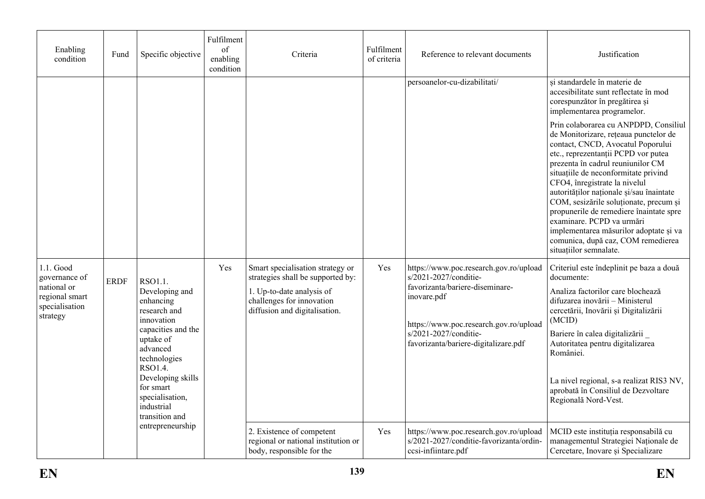| Enabling<br>condition                                                                     | Fund        | Specific objective                                                                                                                                                                                                                  | Fulfilment<br>of<br>enabling<br>condition | Criteria                                                                                                                                                         | Fulfilment<br>of criteria | Reference to relevant documents                                                                                                                                                                                              | Justification                                                                                                                                                                                                                                                                                                                                                                                                                                                                                                                                    |
|-------------------------------------------------------------------------------------------|-------------|-------------------------------------------------------------------------------------------------------------------------------------------------------------------------------------------------------------------------------------|-------------------------------------------|------------------------------------------------------------------------------------------------------------------------------------------------------------------|---------------------------|------------------------------------------------------------------------------------------------------------------------------------------------------------------------------------------------------------------------------|--------------------------------------------------------------------------------------------------------------------------------------------------------------------------------------------------------------------------------------------------------------------------------------------------------------------------------------------------------------------------------------------------------------------------------------------------------------------------------------------------------------------------------------------------|
|                                                                                           |             |                                                                                                                                                                                                                                     |                                           |                                                                                                                                                                  |                           | persoanelor-cu-dizabilitati/                                                                                                                                                                                                 | și standardele în materie de<br>accesibilitate sunt reflectate în mod<br>corespunzător în pregătirea și<br>implementarea programelor.                                                                                                                                                                                                                                                                                                                                                                                                            |
|                                                                                           |             |                                                                                                                                                                                                                                     |                                           |                                                                                                                                                                  |                           |                                                                                                                                                                                                                              | Prin colaborarea cu ANPDPD, Consiliul<br>de Monitorizare, rețeaua punctelor de<br>contact, CNCD, Avocatul Poporului<br>etc., reprezentanții PCPD vor putea<br>prezenta în cadrul reuniunilor CM<br>situatiile de neconformitate privind<br>CFO4, înregistrate la nivelul<br>autorităților naționale și/sau înaintate<br>COM, sesizările soluționate, precum și<br>propunerile de remediere înaintate spre<br>examinare. PCPD va urmări<br>implementarea măsurilor adoptate și va<br>comunica, după caz, COM remedierea<br>situatiilor semnalate. |
| 1.1. Good<br>governance of<br>national or<br>regional smart<br>specialisation<br>strategy | <b>ERDF</b> | RSO1.1.<br>Developing and<br>enhancing<br>research and<br>innovation<br>capacities and the<br>uptake of<br>advanced<br>technologies<br>RSO1.4.<br>Developing skills<br>for smart<br>specialisation,<br>industrial<br>transition and | Yes                                       | Smart specialisation strategy or<br>strategies shall be supported by:<br>1. Up-to-date analysis of<br>challenges for innovation<br>diffusion and digitalisation. | Yes                       | https://www.poc.research.gov.ro/upload<br>s/2021-2027/conditie-<br>favorizanta/bariere-diseminare-<br>inovare.pdf<br>https://www.poc.research.gov.ro/upload<br>s/2021-2027/conditie-<br>favorizanta/bariere-digitalizare.pdf | Criteriul este îndeplinit pe baza a două<br>documente:<br>Analiza factorilor care blochează<br>difuzarea inovării - Ministerul<br>cercetării, Inovării și Digitalizării<br>(MCID)<br>Bariere în calea digitalizării<br>Autoritatea pentru digitalizarea<br>României.<br>La nivel regional, s-a realizat RIS3 NV,<br>aprobată în Consiliul de Dezvoltare<br>Regională Nord-Vest.                                                                                                                                                                  |
|                                                                                           |             | entrepreneurship                                                                                                                                                                                                                    |                                           | 2. Existence of competent<br>regional or national institution or<br>body, responsible for the                                                                    | Yes                       | https://www.poc.research.gov.ro/upload<br>s/2021-2027/conditie-favorizanta/ordin-<br>ccsi-infiintare.pdf                                                                                                                     | MCID este instituția responsabilă cu<br>managementul Strategiei Naționale de<br>Cercetare, Inovare și Specializare                                                                                                                                                                                                                                                                                                                                                                                                                               |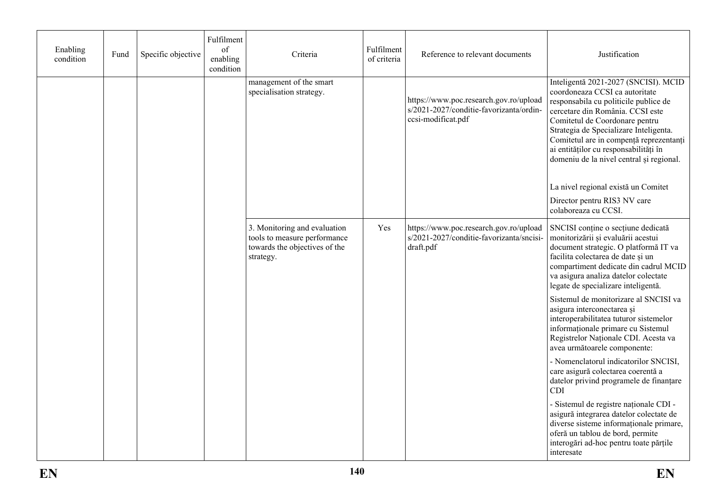| Enabling<br>condition | Fund | Specific objective | Fulfilment<br>of<br>enabling<br>condition | Criteria                                                                                                   | Fulfilment<br>of criteria | Reference to relevant documents                                                                         | Justification                                                                                                                                                                                                                                                                                                                                                   |
|-----------------------|------|--------------------|-------------------------------------------|------------------------------------------------------------------------------------------------------------|---------------------------|---------------------------------------------------------------------------------------------------------|-----------------------------------------------------------------------------------------------------------------------------------------------------------------------------------------------------------------------------------------------------------------------------------------------------------------------------------------------------------------|
|                       |      |                    |                                           | management of the smart<br>specialisation strategy.                                                        |                           | https://www.poc.research.gov.ro/upload<br>s/2021-2027/conditie-favorizanta/ordin-<br>ccsi-modificat.pdf | Inteligentă 2021-2027 (SNCISI). MCID<br>coordoneaza CCSI ca autoritate<br>responsabila cu politicile publice de<br>cercetare din România. CCSI este<br>Comitetul de Coordonare pentru<br>Strategia de Specializare Inteligenta.<br>Comitetul are in compență reprezentanți<br>ai entităților cu responsabilități în<br>domeniu de la nivel central și regional. |
|                       |      |                    |                                           |                                                                                                            |                           |                                                                                                         | La nivel regional există un Comitet                                                                                                                                                                                                                                                                                                                             |
|                       |      |                    |                                           |                                                                                                            |                           |                                                                                                         | Director pentru RIS3 NV care<br>colaboreaza cu CCSI.                                                                                                                                                                                                                                                                                                            |
|                       |      |                    |                                           | 3. Monitoring and evaluation<br>tools to measure performance<br>towards the objectives of the<br>strategy. | Yes                       | https://www.poc.research.gov.ro/upload<br>s/2021-2027/conditie-favorizanta/sncisi-<br>draft.pdf         | SNCISI conține o secțiune dedicată<br>monitorizării și evaluării acestui<br>document strategic. O platformă IT va<br>facilita colectarea de date și un<br>compartiment dedicate din cadrul MCID<br>va asigura analiza datelor colectate<br>legate de specializare inteligentă.                                                                                  |
|                       |      |                    |                                           |                                                                                                            |                           |                                                                                                         | Sistemul de monitorizare al SNCISI va<br>asigura interconectarea și<br>interoperabilitatea tuturor sistemelor<br>informationale primare cu Sistemul<br>Registrelor Naționale CDI. Acesta va<br>avea următoarele componente:                                                                                                                                     |
|                       |      |                    |                                           |                                                                                                            |                           |                                                                                                         | - Nomenclatorul indicatorilor SNCISI,<br>care asigură colectarea coerentă a<br>datelor privind programele de finanțare<br><b>CDI</b>                                                                                                                                                                                                                            |
|                       |      |                    |                                           |                                                                                                            |                           |                                                                                                         | - Sistemul de registre naționale CDI -<br>asigură integrarea datelor colectate de<br>diverse sisteme informationale primare,<br>oferă un tablou de bord, permite<br>interogări ad-hoc pentru toate părțile<br>interesate                                                                                                                                        |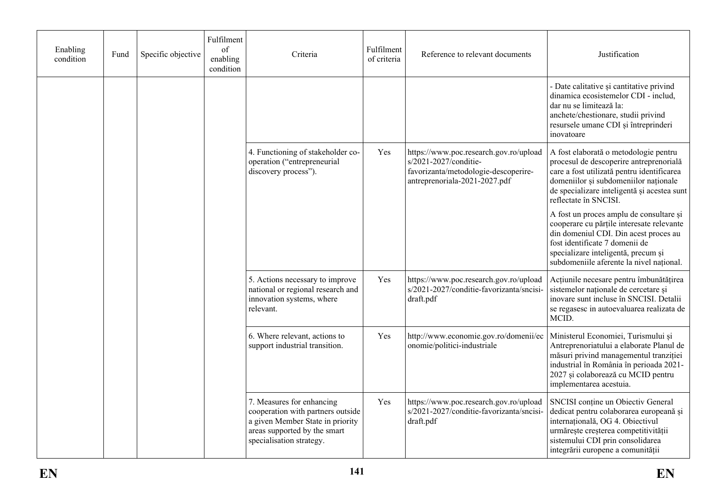| Enabling<br>condition | Fund | Specific objective | Fulfilment<br>of<br>enabling<br>condition | Criteria                                                                                                                                                       | Fulfilment<br>of criteria | Reference to relevant documents                                                                                                          | Justification                                                                                                                                                                                                                                      |
|-----------------------|------|--------------------|-------------------------------------------|----------------------------------------------------------------------------------------------------------------------------------------------------------------|---------------------------|------------------------------------------------------------------------------------------------------------------------------------------|----------------------------------------------------------------------------------------------------------------------------------------------------------------------------------------------------------------------------------------------------|
|                       |      |                    |                                           |                                                                                                                                                                |                           |                                                                                                                                          | - Date calitative și cantitative privind<br>dinamica ecosistemelor CDI - includ,<br>dar nu se limitează la:<br>anchete/chestionare, studii privind<br>resursele umane CDI și întreprinderi<br>inovatoare                                           |
|                       |      |                    |                                           | 4. Functioning of stakeholder co-<br>operation ("entrepreneurial<br>discovery process").                                                                       | Yes                       | https://www.poc.research.gov.ro/upload<br>s/2021-2027/conditie-<br>favorizanta/metodologie-descoperire-<br>antreprenoriala-2021-2027.pdf | A fost elaborată o metodologie pentru<br>procesul de descoperire antreprenorială<br>care a fost utilizată pentru identificarea<br>domeniilor și subdomeniilor naționale<br>de specializare inteligentă și acestea sunt<br>reflectate în SNCISI.    |
|                       |      |                    |                                           |                                                                                                                                                                |                           |                                                                                                                                          | A fost un proces amplu de consultare și<br>cooperare cu părțile interesate relevante<br>din domeniul CDI. Din acest proces au<br>fost identificate 7 domenii de<br>specializare inteligentă, precum și<br>subdomeniile aferente la nivel național. |
|                       |      |                    |                                           | 5. Actions necessary to improve<br>national or regional research and<br>innovation systems, where<br>relevant.                                                 | Yes                       | https://www.poc.research.gov.ro/upload<br>s/2021-2027/conditie-favorizanta/sncisi-<br>draft.pdf                                          | Acțiunile necesare pentru îmbunătățirea<br>sistemelor naționale de cercetare și<br>inovare sunt incluse în SNCISI. Detalii<br>se regasesc in autoevaluarea realizata de<br>MCID.                                                                   |
|                       |      |                    |                                           | 6. Where relevant, actions to<br>support industrial transition.                                                                                                | Yes                       | http://www.economie.gov.ro/domenii/ec<br>onomie/politici-industriale                                                                     | Ministerul Economiei, Turismului și<br>Antreprenoriatului a elaborate Planul de<br>măsuri privind managementul tranziției<br>industrial în România în perioada 2021-<br>2027 și colaborează cu MCID pentru<br>implementarea acestuia.              |
|                       |      |                    |                                           | 7. Measures for enhancing<br>cooperation with partners outside<br>a given Member State in priority<br>areas supported by the smart<br>specialisation strategy. | Yes                       | https://www.poc.research.gov.ro/upload<br>s/2021-2027/conditie-favorizanta/sncisi-<br>draft.pdf                                          | SNCISI conține un Obiectiv General<br>dedicat pentru colaborarea europeană și<br>internațională, OG 4. Obiectivul<br>urmărește creșterea competitivității<br>sistemului CDI prin consolidarea<br>integrării europene a comunității                 |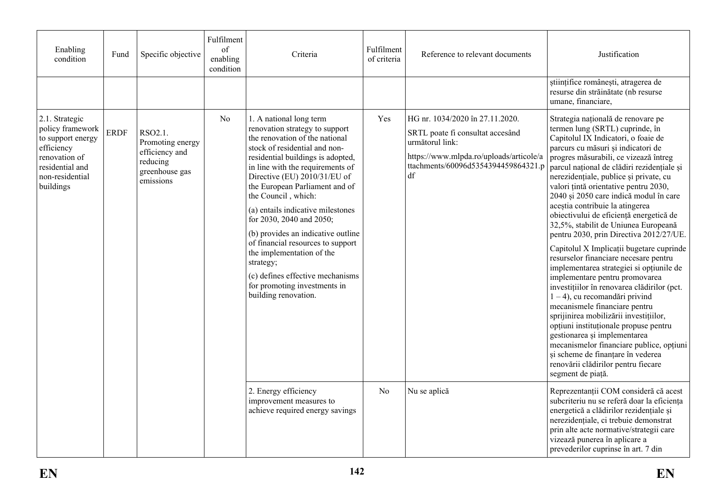| Enabling<br>condition                                                                                                                     | Fund        | Specific objective                                                                       | Fulfilment<br>of<br>enabling<br>condition | Criteria                                                                                                                                                                                                                                                                                                                                                                                                                                                                                                                                                                         | Fulfilment<br>of criteria | Reference to relevant documents                                                                                                                                                | Justification                                                                                                                                                                                                                                                                                                                                                                                                                                                                                                                                                                                                                                                                                                                                                                                                                                                                                                                                                                                                                                                                                   |
|-------------------------------------------------------------------------------------------------------------------------------------------|-------------|------------------------------------------------------------------------------------------|-------------------------------------------|----------------------------------------------------------------------------------------------------------------------------------------------------------------------------------------------------------------------------------------------------------------------------------------------------------------------------------------------------------------------------------------------------------------------------------------------------------------------------------------------------------------------------------------------------------------------------------|---------------------------|--------------------------------------------------------------------------------------------------------------------------------------------------------------------------------|-------------------------------------------------------------------------------------------------------------------------------------------------------------------------------------------------------------------------------------------------------------------------------------------------------------------------------------------------------------------------------------------------------------------------------------------------------------------------------------------------------------------------------------------------------------------------------------------------------------------------------------------------------------------------------------------------------------------------------------------------------------------------------------------------------------------------------------------------------------------------------------------------------------------------------------------------------------------------------------------------------------------------------------------------------------------------------------------------|
|                                                                                                                                           |             |                                                                                          |                                           |                                                                                                                                                                                                                                                                                                                                                                                                                                                                                                                                                                                  |                           |                                                                                                                                                                                | științifice românești, atragerea de<br>resurse din străinătate (nb resurse<br>umane, financiare,                                                                                                                                                                                                                                                                                                                                                                                                                                                                                                                                                                                                                                                                                                                                                                                                                                                                                                                                                                                                |
| 2.1. Strategic<br>policy framework<br>to support energy<br>efficiency<br>renovation of<br>residential and<br>non-residential<br>buildings | <b>ERDF</b> | RSO2.1.<br>Promoting energy<br>efficiency and<br>reducing<br>greenhouse gas<br>emissions | No                                        | 1. A national long term<br>renovation strategy to support<br>the renovation of the national<br>stock of residential and non-<br>residential buildings is adopted,<br>in line with the requirements of<br>Directive (EU) 2010/31/EU of<br>the European Parliament and of<br>the Council, which:<br>(a) entails indicative milestones<br>for 2030, 2040 and 2050;<br>(b) provides an indicative outline<br>of financial resources to support<br>the implementation of the<br>strategy;<br>(c) defines effective mechanisms<br>for promoting investments in<br>building renovation. | Yes                       | HG nr. 1034/2020 în 27.11.2020.<br>SRTL poate fi consultat accesând<br>următorul link:<br>https://www.mlpda.ro/uploads/articole/a<br>ttachments/60096d5354394459864321.p<br>df | Strategia națională de renovare pe<br>termen lung (SRTL) cuprinde, în<br>Capitolul IX Indicatori, o foaie de<br>parcurs cu măsuri și indicatori de<br>progres măsurabili, ce vizează întreg<br>parcul național de clădiri rezidențiale și<br>nerezidențiale, publice și private, cu<br>valori țintă orientative pentru 2030,<br>2040 și 2050 care indică modul în care<br>aceștia contribuie la atingerea<br>obiectivului de eficiență energetică de<br>32,5%, stabilit de Uniunea Europeană<br>pentru 2030, prin Directiva 2012/27/UE.<br>Capitolul X Implicații bugetare cuprinde<br>resurselor financiare necesare pentru<br>implementarea strategiei si opțiunile de<br>implementare pentru promovarea<br>investițiilor în renovarea clădirilor (pct.<br>$1 - 4$ ), cu recomandări privind<br>mecanismele financiare pentru<br>sprijinirea mobilizării investițiilor,<br>opțiuni instituționale propuse pentru<br>gestionarea și implementarea<br>mecanismelor financiare publice, opțiuni<br>și scheme de finanțare în vederea<br>renovării clădirilor pentru fiecare<br>segment de piață. |
|                                                                                                                                           |             |                                                                                          |                                           | 2. Energy efficiency<br>improvement measures to<br>achieve required energy savings                                                                                                                                                                                                                                                                                                                                                                                                                                                                                               | N <sub>0</sub>            | Nu se aplică                                                                                                                                                                   | Reprezentanții COM consideră că acest<br>subcriteriu nu se referă doar la eficiența<br>energetică a clădirilor rezidențiale și<br>nerezidențiale, ci trebuie demonstrat<br>prin alte acte normative/strategii care<br>vizează punerea în aplicare a<br>prevederilor cuprinse în art. 7 din                                                                                                                                                                                                                                                                                                                                                                                                                                                                                                                                                                                                                                                                                                                                                                                                      |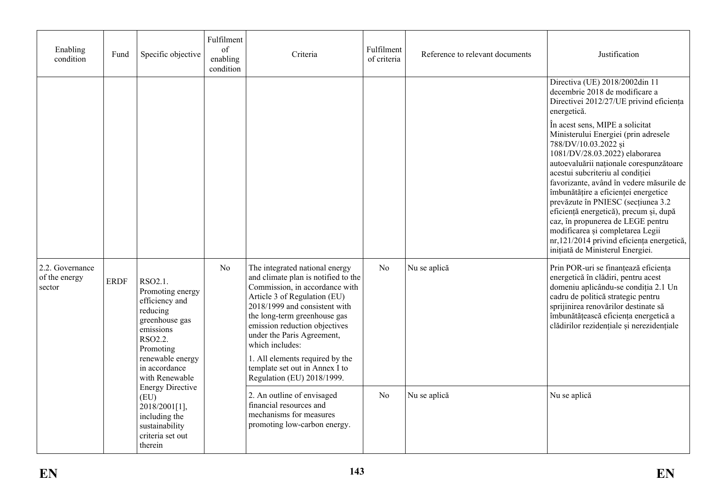| Enabling<br>condition                      | Fund                                                                                                                                                        | Specific objective                                                                                                 | Fulfilment<br>of<br>enabling<br>condition | Criteria                                                                                                                                                                                                                                                                                                                                                                                      | Fulfilment<br>of criteria | Reference to relevant documents | Justification                                                                                                                                                                                                                                                                                                                                                                                                                                                                                                                                   |
|--------------------------------------------|-------------------------------------------------------------------------------------------------------------------------------------------------------------|--------------------------------------------------------------------------------------------------------------------|-------------------------------------------|-----------------------------------------------------------------------------------------------------------------------------------------------------------------------------------------------------------------------------------------------------------------------------------------------------------------------------------------------------------------------------------------------|---------------------------|---------------------------------|-------------------------------------------------------------------------------------------------------------------------------------------------------------------------------------------------------------------------------------------------------------------------------------------------------------------------------------------------------------------------------------------------------------------------------------------------------------------------------------------------------------------------------------------------|
|                                            |                                                                                                                                                             |                                                                                                                    |                                           |                                                                                                                                                                                                                                                                                                                                                                                               |                           |                                 | Directiva (UE) 2018/2002din 11<br>decembrie 2018 de modificare a<br>Directivei 2012/27/UE privind eficiența<br>energetică.                                                                                                                                                                                                                                                                                                                                                                                                                      |
|                                            |                                                                                                                                                             |                                                                                                                    |                                           |                                                                                                                                                                                                                                                                                                                                                                                               |                           |                                 | În acest sens, MIPE a solicitat<br>Ministerului Energiei (prin adresele<br>788/DV/10.03.2022 și<br>1081/DV/28.03.2022) elaborarea<br>autoevaluării naționale corespunzătoare<br>acestui subcriteriu al condiției<br>favorizante, având în vedere măsurile de<br>îmbunătățire a eficienței energetice<br>prevăzute în PNIESC (secțiunea 3.2<br>eficiență energetică), precum și, după<br>caz, în propunerea de LEGE pentru<br>modificarea și completarea Legii<br>nr, 121/2014 privind eficiența energetică,<br>inițiată de Ministerul Energiei. |
| 2.2. Governance<br>of the energy<br>sector | RSO <sub>2.1</sub> .<br><b>ERDF</b><br>efficiency and<br>reducing<br>greenhouse gas<br>emissions<br>RSO2.2.<br>Promoting<br>in accordance<br>with Renewable | Promoting energy<br>renewable energy                                                                               | No                                        | The integrated national energy<br>and climate plan is notified to the<br>Commission, in accordance with<br>Article 3 of Regulation (EU)<br>2018/1999 and consistent with<br>the long-term greenhouse gas<br>emission reduction objectives<br>under the Paris Agreement,<br>which includes:<br>1. All elements required by the<br>template set out in Annex I to<br>Regulation (EU) 2018/1999. | N <sub>o</sub>            | Nu se aplică                    | Prin POR-uri se finanțează eficiența<br>energetică în clădiri, pentru acest<br>domeniu aplicându-se condiția 2.1 Un<br>cadru de politică strategic pentru<br>sprijinirea renovărilor destinate să<br>îmbunătățească eficiența energetică a<br>clădirilor rezidențiale și nerezidențiale                                                                                                                                                                                                                                                         |
|                                            |                                                                                                                                                             | <b>Energy Directive</b><br>(EU)<br>2018/2001[1],<br>including the<br>sustainability<br>criteria set out<br>therein |                                           | 2. An outline of envisaged<br>financial resources and<br>mechanisms for measures<br>promoting low-carbon energy.                                                                                                                                                                                                                                                                              | N <sub>0</sub>            | Nu se aplică                    | Nu se aplică                                                                                                                                                                                                                                                                                                                                                                                                                                                                                                                                    |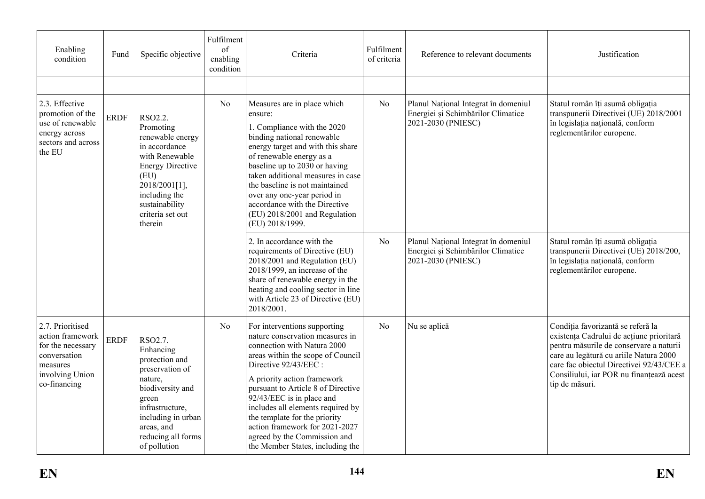| Enabling<br>condition                                                                                                    | Fund                           | Specific objective                                                                                                                                                                             | Fulfilment<br>of<br>enabling<br>condition | Criteria                                                                                                                                                                                                                                                                                                                                                                                                                                   | Fulfilment<br>of criteria | Reference to relevant documents                                                                  | Justification                                                                                                                                                                                                                                                                |
|--------------------------------------------------------------------------------------------------------------------------|--------------------------------|------------------------------------------------------------------------------------------------------------------------------------------------------------------------------------------------|-------------------------------------------|--------------------------------------------------------------------------------------------------------------------------------------------------------------------------------------------------------------------------------------------------------------------------------------------------------------------------------------------------------------------------------------------------------------------------------------------|---------------------------|--------------------------------------------------------------------------------------------------|------------------------------------------------------------------------------------------------------------------------------------------------------------------------------------------------------------------------------------------------------------------------------|
|                                                                                                                          |                                |                                                                                                                                                                                                |                                           |                                                                                                                                                                                                                                                                                                                                                                                                                                            |                           |                                                                                                  |                                                                                                                                                                                                                                                                              |
| 2.3. Effective<br>promotion of the<br>use of renewable<br>energy across<br>sectors and across<br>the EU                  | <b>ERDF</b><br>(EU)<br>therein | RSO2.2.<br>Promoting<br>renewable energy<br>in accordance<br>with Renewable<br><b>Energy Directive</b><br>2018/2001[1],<br>including the<br>sustainability<br>criteria set out                 | No                                        | Measures are in place which<br>ensure:<br>1. Compliance with the 2020<br>binding national renewable<br>energy target and with this share<br>of renewable energy as a<br>baseline up to 2030 or having<br>taken additional measures in case<br>the baseline is not maintained<br>over any one-year period in<br>accordance with the Directive<br>(EU) 2018/2001 and Regulation<br>(EU) 2018/1999.                                           | N <sub>0</sub>            | Planul Național Integrat în domeniul<br>Energiei și Schimbărilor Climatice<br>2021-2030 (PNIESC) | Statul român îți asumă obligația<br>transpunerii Directivei (UE) 2018/2001<br>în legislația națională, conform<br>reglementărilor europene.                                                                                                                                  |
|                                                                                                                          |                                |                                                                                                                                                                                                |                                           | 2. In accordance with the<br>requirements of Directive (EU)<br>2018/2001 and Regulation (EU)<br>2018/1999, an increase of the<br>share of renewable energy in the<br>heating and cooling sector in line<br>with Article 23 of Directive (EU)<br>2018/2001.                                                                                                                                                                                 | N <sub>0</sub>            | Planul Național Integrat în domeniul<br>Energiei și Schimbărilor Climatice<br>2021-2030 (PNIESC) | Statul român îți asumă obligația<br>transpunerii Directivei (UE) 2018/200,<br>în legislația națională, conform<br>reglementărilor europene.                                                                                                                                  |
| 2.7. Prioritised<br>action framework<br>for the necessary<br>conversation<br>measures<br>involving Union<br>co-financing | <b>ERDF</b>                    | RSO2.7.<br>Enhancing<br>protection and<br>preservation of<br>nature,<br>biodiversity and<br>green<br>infrastructure,<br>including in urban<br>areas, and<br>reducing all forms<br>of pollution | No                                        | For interventions supporting<br>nature conservation measures in<br>connection with Natura 2000<br>areas within the scope of Council<br>Directive 92/43/EEC :<br>A priority action framework<br>pursuant to Article 8 of Directive<br>92/43/EEC is in place and<br>includes all elements required by<br>the template for the priority<br>action framework for 2021-2027<br>agreed by the Commission and<br>the Member States, including the | N <sub>0</sub>            | Nu se aplică                                                                                     | Condiția favorizantă se referă la<br>existența Cadrului de acțiune prioritară<br>pentru măsurile de conservare a naturii<br>care au legătură cu ariile Natura 2000<br>care fac objectul Directivei 92/43/CEE a<br>Consiliului, iar POR nu finanțează acest<br>tip de măsuri. |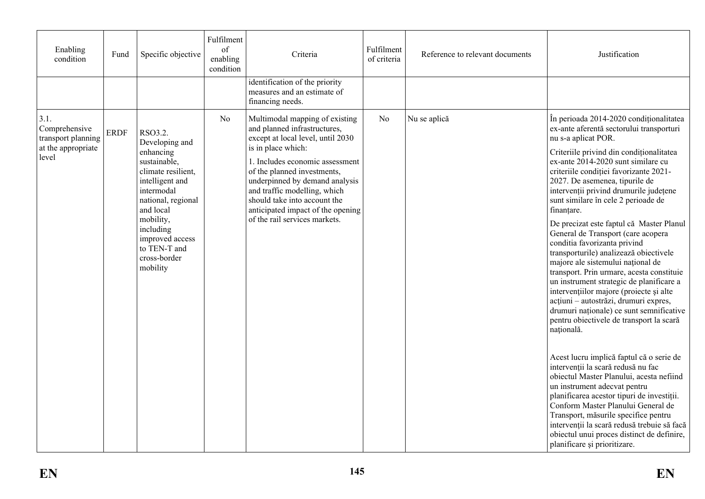| Enabling<br>condition                                                      | Fund        | Specific objective                                                                                                                                                                                                                        | Fulfilment<br>of<br>enabling<br>condition | Criteria                                                                                                                                                                                                                                                                                                                                                            | Fulfilment<br>of criteria | Reference to relevant documents | Justification                                                                                                                                                                                                                                                                                                                                                                                                                                                                                                                                                                                                                                                                                                                                                                                                                                                                                                                                                                                                                                                                                                                                                                                                                                                                      |
|----------------------------------------------------------------------------|-------------|-------------------------------------------------------------------------------------------------------------------------------------------------------------------------------------------------------------------------------------------|-------------------------------------------|---------------------------------------------------------------------------------------------------------------------------------------------------------------------------------------------------------------------------------------------------------------------------------------------------------------------------------------------------------------------|---------------------------|---------------------------------|------------------------------------------------------------------------------------------------------------------------------------------------------------------------------------------------------------------------------------------------------------------------------------------------------------------------------------------------------------------------------------------------------------------------------------------------------------------------------------------------------------------------------------------------------------------------------------------------------------------------------------------------------------------------------------------------------------------------------------------------------------------------------------------------------------------------------------------------------------------------------------------------------------------------------------------------------------------------------------------------------------------------------------------------------------------------------------------------------------------------------------------------------------------------------------------------------------------------------------------------------------------------------------|
|                                                                            |             |                                                                                                                                                                                                                                           |                                           | identification of the priority<br>measures and an estimate of<br>financing needs.                                                                                                                                                                                                                                                                                   |                           |                                 |                                                                                                                                                                                                                                                                                                                                                                                                                                                                                                                                                                                                                                                                                                                                                                                                                                                                                                                                                                                                                                                                                                                                                                                                                                                                                    |
| 3.1.<br>Comprehensive<br>transport planning<br>at the appropriate<br>level | <b>ERDF</b> | RSO3.2.<br>Developing and<br>enhancing<br>sustainable,<br>climate resilient,<br>intelligent and<br>intermodal<br>national, regional<br>and local<br>mobility,<br>including<br>improved access<br>to TEN-T and<br>cross-border<br>mobility | N <sub>o</sub>                            | Multimodal mapping of existing<br>and planned infrastructures,<br>except at local level, until 2030<br>is in place which:<br>1. Includes economic assessment<br>of the planned investments,<br>underpinned by demand analysis<br>and traffic modelling, which<br>should take into account the<br>anticipated impact of the opening<br>of the rail services markets. | N <sub>o</sub>            | Nu se aplică                    | În perioada 2014-2020 condiționalitatea<br>ex-ante aferentă sectorului transporturi<br>nu s-a aplicat POR.<br>Criteriile privind din condiționalitatea<br>ex-ante 2014-2020 sunt similare cu<br>criteriile conditiei favorizante 2021-<br>2027. De asemenea, tipurile de<br>intervenții privind drumurile județene<br>sunt similare în cele 2 perioade de<br>finanțare.<br>De precizat este faptul că Master Planul<br>General de Transport (care acopera<br>conditia favorizanta privind<br>transporturile) analizează obiectivele<br>majore ale sistemului național de<br>transport. Prin urmare, acesta constituie<br>un instrument strategic de planificare a<br>intervențiilor majore (proiecte și alte<br>acțiuni - autostrăzi, drumuri expres,<br>drumuri naționale) ce sunt semnificative<br>pentru obiectivele de transport la scară<br>națională.<br>Acest lucru implică faptul că o serie de<br>intervenții la scară redusă nu fac<br>obiectul Master Planului, acesta nefiind<br>un instrument adecvat pentru<br>planificarea acestor tipuri de investiții.<br>Conform Master Planului General de<br>Transport, măsurile specifice pentru<br>intervenții la scară redusă trebuie să facă<br>obiectul unui proces distinct de definire,<br>planificare și prioritizare. |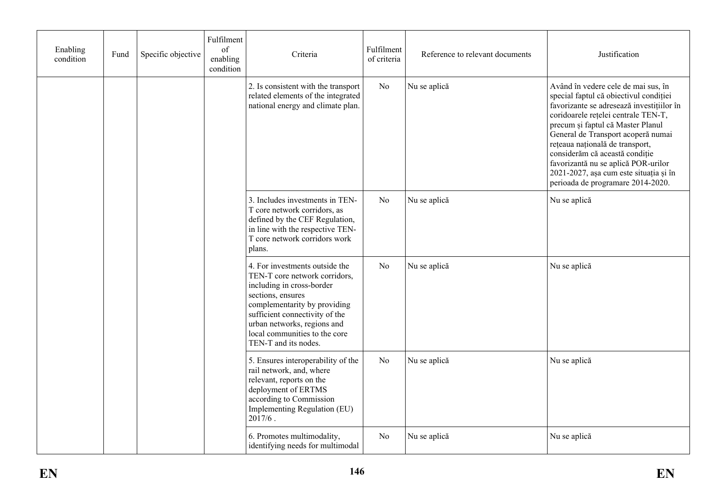| Enabling<br>condition | Fund                                                                                                                                                                                                                                                                                              | Specific objective | Fulfilment<br>of<br>enabling<br>condition | Criteria                                                                                                                                                                                               | Fulfilment<br>of criteria | Reference to relevant documents | Justification                                                                                                                                                                                                                                                                                                                                                                                                                           |
|-----------------------|---------------------------------------------------------------------------------------------------------------------------------------------------------------------------------------------------------------------------------------------------------------------------------------------------|--------------------|-------------------------------------------|--------------------------------------------------------------------------------------------------------------------------------------------------------------------------------------------------------|---------------------------|---------------------------------|-----------------------------------------------------------------------------------------------------------------------------------------------------------------------------------------------------------------------------------------------------------------------------------------------------------------------------------------------------------------------------------------------------------------------------------------|
|                       |                                                                                                                                                                                                                                                                                                   |                    |                                           | 2. Is consistent with the transport<br>related elements of the integrated<br>national energy and climate plan.                                                                                         | No                        | Nu se aplică                    | Având în vedere cele de mai sus, în<br>special faptul că obiectivul condiției<br>favorizante se adresează investițiilor în<br>coridoarele rețelei centrale TEN-T,<br>precum și faptul că Master Planul<br>General de Transport acoperă numai<br>rețeaua națională de transport,<br>considerăm că această condiție<br>favorizantă nu se aplică POR-urilor<br>2021-2027, așa cum este situația și în<br>perioada de programare 2014-2020. |
|                       |                                                                                                                                                                                                                                                                                                   |                    |                                           | 3. Includes investments in TEN-<br>No<br>Nu se aplică<br>T core network corridors, as<br>defined by the CEF Regulation,<br>in line with the respective TEN-<br>T core network corridors work<br>plans. |                           | Nu se aplică                    |                                                                                                                                                                                                                                                                                                                                                                                                                                         |
|                       | 4. For investments outside the<br>Nu se aplică<br>No<br>TEN-T core network corridors,<br>including in cross-border<br>sections, ensures<br>complementarity by providing<br>sufficient connectivity of the<br>urban networks, regions and<br>local communities to the core<br>TEN-T and its nodes. |                    |                                           | Nu se aplică                                                                                                                                                                                           |                           |                                 |                                                                                                                                                                                                                                                                                                                                                                                                                                         |
|                       |                                                                                                                                                                                                                                                                                                   |                    |                                           | 5. Ensures interoperability of the<br>rail network, and, where<br>relevant, reports on the<br>deployment of ERTMS<br>according to Commission<br>Implementing Regulation (EU)<br>$2017/6$ .             | No                        | Nu se aplică                    | Nu se aplică                                                                                                                                                                                                                                                                                                                                                                                                                            |
|                       |                                                                                                                                                                                                                                                                                                   |                    |                                           | 6. Promotes multimodality,<br>identifying needs for multimodal                                                                                                                                         | No                        | Nu se aplică                    | Nu se aplică                                                                                                                                                                                                                                                                                                                                                                                                                            |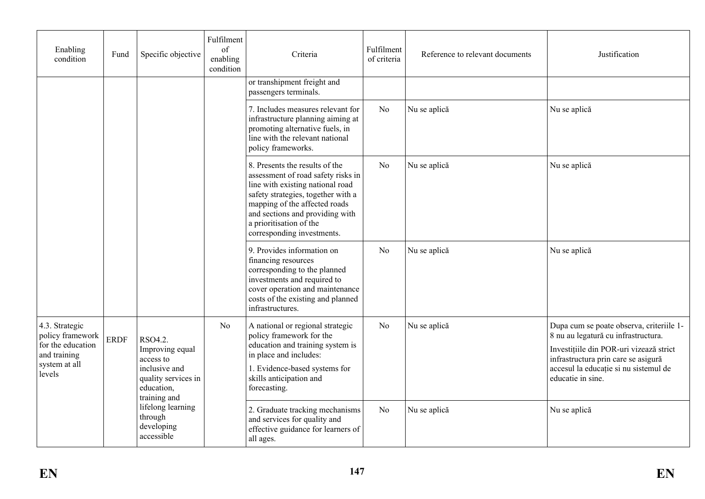| Enabling<br>condition                                                                              | Fund                                                                                                                                           | Specific objective                                       | Fulfilment<br>of<br>enabling<br>condition                                                                                                                                                              | Criteria                                                                                                                                                                                                                                                                    | Fulfilment<br>of criteria | Reference to relevant documents                                                                                                                                                                                                 | Justification |
|----------------------------------------------------------------------------------------------------|------------------------------------------------------------------------------------------------------------------------------------------------|----------------------------------------------------------|--------------------------------------------------------------------------------------------------------------------------------------------------------------------------------------------------------|-----------------------------------------------------------------------------------------------------------------------------------------------------------------------------------------------------------------------------------------------------------------------------|---------------------------|---------------------------------------------------------------------------------------------------------------------------------------------------------------------------------------------------------------------------------|---------------|
|                                                                                                    |                                                                                                                                                |                                                          |                                                                                                                                                                                                        | or transhipment freight and<br>passengers terminals.                                                                                                                                                                                                                        |                           |                                                                                                                                                                                                                                 |               |
|                                                                                                    |                                                                                                                                                |                                                          |                                                                                                                                                                                                        | 7. Includes measures relevant for<br>infrastructure planning aiming at<br>promoting alternative fuels, in<br>line with the relevant national<br>policy frameworks.                                                                                                          | No                        | Nu se aplică                                                                                                                                                                                                                    | Nu se aplică  |
|                                                                                                    |                                                                                                                                                |                                                          |                                                                                                                                                                                                        | 8. Presents the results of the<br>assessment of road safety risks in<br>line with existing national road<br>safety strategies, together with a<br>mapping of the affected roads<br>and sections and providing with<br>a prioritisation of the<br>corresponding investments. | N <sub>o</sub>            | Nu se aplică                                                                                                                                                                                                                    | Nu se aplică  |
|                                                                                                    |                                                                                                                                                |                                                          |                                                                                                                                                                                                        | 9. Provides information on<br>financing resources<br>corresponding to the planned<br>investments and required to<br>cover operation and maintenance<br>costs of the existing and planned<br>infrastructures.                                                                | N <sub>o</sub>            | Nu se aplică                                                                                                                                                                                                                    | Nu se aplică  |
| 4.3. Strategic<br>policy framework<br>for the education<br>and training<br>system at all<br>levels | N <sub>o</sub><br><b>ERDF</b><br>RSO4.2.<br>Improving equal<br>access to<br>inclusive and<br>quality services in<br>education,<br>training and |                                                          | A national or regional strategic<br>policy framework for the<br>education and training system is<br>in place and includes:<br>1. Evidence-based systems for<br>skills anticipation and<br>forecasting. | N <sub>o</sub>                                                                                                                                                                                                                                                              | Nu se aplică              | Dupa cum se poate observa, criteriile 1-<br>8 nu au legatură cu infrastructura.<br>Investițiile din POR-uri vizează strict<br>infrastructura prin care se asigură<br>accesul la educație si nu sistemul de<br>educatie in sine. |               |
|                                                                                                    |                                                                                                                                                | lifelong learning<br>through<br>developing<br>accessible |                                                                                                                                                                                                        | 2. Graduate tracking mechanisms<br>and services for quality and<br>effective guidance for learners of<br>all ages.                                                                                                                                                          | N <sub>o</sub>            | Nu se aplică                                                                                                                                                                                                                    | Nu se aplică  |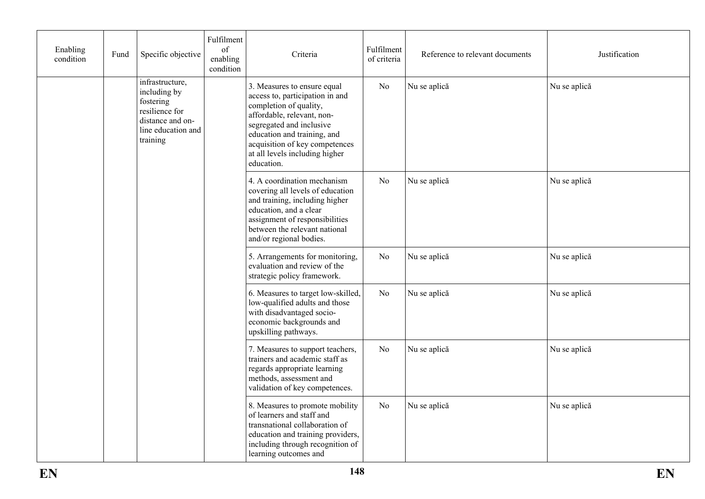| Enabling<br>condition | Fund                                                                                                                 | Specific objective | Fulfilment<br>of<br>enabling<br>condition                                                                                                                                                                                                                           | Criteria                                                                                                                                                                                                                  | Fulfilment<br>of criteria | Reference to relevant documents | Justification |
|-----------------------|----------------------------------------------------------------------------------------------------------------------|--------------------|---------------------------------------------------------------------------------------------------------------------------------------------------------------------------------------------------------------------------------------------------------------------|---------------------------------------------------------------------------------------------------------------------------------------------------------------------------------------------------------------------------|---------------------------|---------------------------------|---------------|
|                       | infrastructure,<br>including by<br>fostering<br>resilience for<br>distance and on-<br>line education and<br>training |                    | 3. Measures to ensure equal<br>access to, participation in and<br>completion of quality,<br>affordable, relevant, non-<br>segregated and inclusive<br>education and training, and<br>acquisition of key competences<br>at all levels including higher<br>education. | N <sub>o</sub>                                                                                                                                                                                                            | Nu se aplică              | Nu se aplică                    |               |
|                       |                                                                                                                      |                    |                                                                                                                                                                                                                                                                     | 4. A coordination mechanism<br>covering all levels of education<br>and training, including higher<br>education, and a clear<br>assignment of responsibilities<br>between the relevant national<br>and/or regional bodies. | No                        | Nu se aplică                    | Nu se aplică  |
|                       |                                                                                                                      |                    |                                                                                                                                                                                                                                                                     | 5. Arrangements for monitoring,<br>evaluation and review of the<br>strategic policy framework.                                                                                                                            | N <sub>0</sub>            | Nu se aplică                    | Nu se aplică  |
|                       |                                                                                                                      |                    |                                                                                                                                                                                                                                                                     | 6. Measures to target low-skilled,<br>low-qualified adults and those<br>with disadvantaged socio-<br>economic backgrounds and<br>upskilling pathways.                                                                     | N <sub>0</sub>            | Nu se aplică                    | Nu se aplică  |
|                       |                                                                                                                      |                    |                                                                                                                                                                                                                                                                     | 7. Measures to support teachers,<br>trainers and academic staff as<br>regards appropriate learning<br>methods, assessment and<br>validation of key competences.                                                           | N <sub>0</sub>            | Nu se aplică                    | Nu se aplică  |
|                       |                                                                                                                      |                    |                                                                                                                                                                                                                                                                     | 8. Measures to promote mobility<br>of learners and staff and<br>transnational collaboration of<br>education and training providers,<br>including through recognition of<br>learning outcomes and                          | No                        | Nu se aplică                    | Nu se aplică  |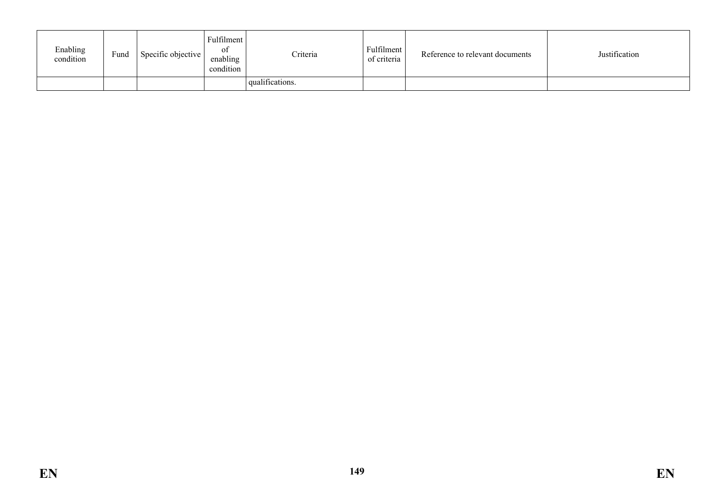| Enabling<br>condition | Fund | Specific objective | Fulfilment<br>0İ<br>enabling<br>condition | Criteria        | Fulfilment<br>of criteria | Reference to relevant documents | Justification |
|-----------------------|------|--------------------|-------------------------------------------|-----------------|---------------------------|---------------------------------|---------------|
|                       |      |                    |                                           | qualifications. |                           |                                 |               |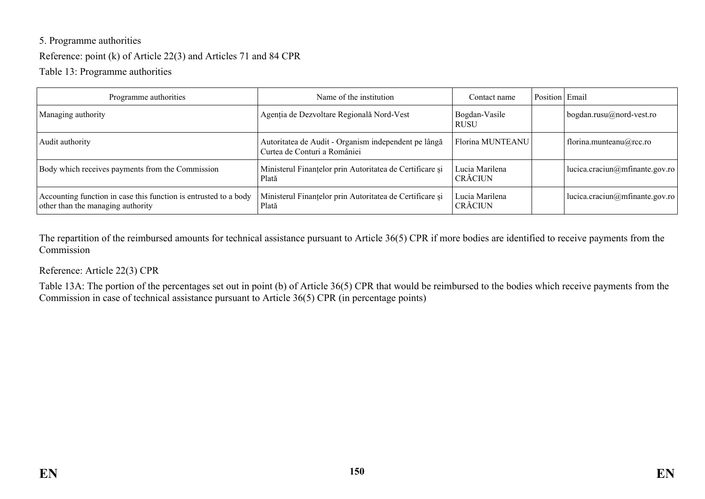# 5. Programme authorities Reference: point (k) of Article 22(3) and Articles 71 and 84 CPR

Table 13: Programme authorities

| Programme authorities                                                                                 | Name of the institution                                                              | Contact name                     | Position Email |                                |
|-------------------------------------------------------------------------------------------------------|--------------------------------------------------------------------------------------|----------------------------------|----------------|--------------------------------|
| Managing authority                                                                                    | Agenția de Dezvoltare Regională Nord-Vest                                            | Bogdan-Vasile<br><b>RUSU</b>     |                | $bogdan.rusu@nord-vest-ro$     |
| Audit authority                                                                                       | Autoritatea de Audit - Organism independent pe lângă<br>Curtea de Conturi a României | Florina MUNTEANU                 |                | florina.munteanu@rcc.ro        |
| Body which receives payments from the Commission                                                      | Ministerul Finanțelor prin Autoritatea de Certificare și<br>Plată                    | Lucia Marilena<br><b>CRĂCIUN</b> |                | lucica.craciun@mfinante.gov.ro |
| Accounting function in case this function is entrusted to a body<br>other than the managing authority | Ministerul Finanțelor prin Autoritatea de Certificare și<br>Plată                    | Lucia Marilena<br><b>CRĂCIUN</b> |                | lucica.craciun@mfinante.gov.ro |

The repartition of the reimbursed amounts for technical assistance pursuant to Article 36(5) CPR if more bodies are identified to receive payments from the Commission

#### Reference: Article 22(3) CPR

Table 13A: The portion of the percentages set out in point (b) of Article 36(5) CPR that would be reimbursed to the bodies which receive payments from the Commission in case of technical assistance pursuant to Article 36(5) CPR (in percentage points)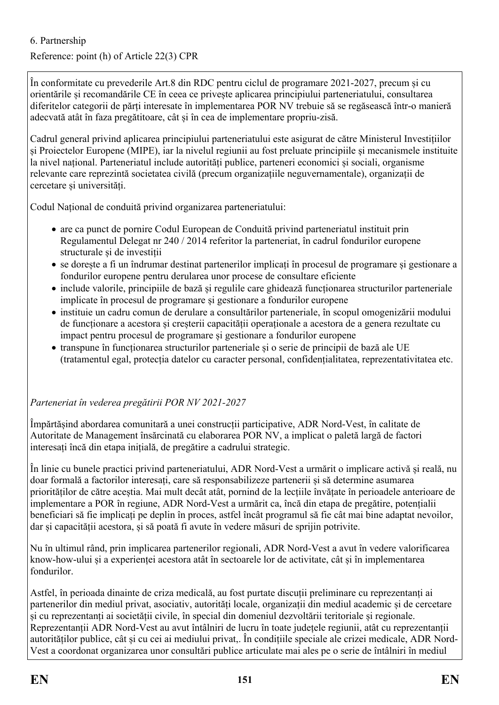### 6. Partnership

### Reference: point (h) of Article 22(3) CPR

În conformitate cu prevederile Art.8 din RDC pentru ciclul de programare 2021-2027, precum și cu orientările și recomandările CE în ceea ce privește aplicarea principiului parteneriatului, consultarea diferitelor categorii de părți interesate în implementarea POR NV trebuie să se regăsească într-o manieră adecvată atât în faza pregătitoare, cât și în cea de implementare propriu-zisă.

Cadrul general privind aplicarea principiului parteneriatului este asigurat de către Ministerul Investițiilor și Proiectelor Europene (MIPE), iar la nivelul regiunii au fost preluate principiile și mecanismele instituite la nivel național. Parteneriatul include autorități publice, parteneri economici și sociali, organisme relevante care reprezintă societatea civilă (precum organizațiile neguvernamentale), organizații de cercetare și universități.

Codul Național de conduită privind organizarea parteneriatului:

- are ca punct de pornire Codul European de Conduită privind parteneriatul instituit prin Regulamentul Delegat nr 240 / 2014 referitor la parteneriat, în cadrul fondurilor europene structurale și de investiții
- se dorește a fi un îndrumar destinat partenerilor implicați în procesul de programare și gestionare a fondurilor europene pentru derularea unor procese de consultare eficiente
- include valorile, principiile de bază și regulile care ghidează funcționarea structurilor parteneriale implicate în procesul de programare și gestionare a fondurilor europene
- instituie un cadru comun de derulare a consultărilor parteneriale, în scopul omogenizării modului de funcționare a acestora și creșterii capacității operaționale a acestora de a genera rezultate cu impact pentru procesul de programare și gestionare a fondurilor europene
- transpune în funcționarea structurilor parteneriale și o serie de principii de bază ale UE (tratamentul egal, protecția datelor cu caracter personal, confidențialitatea, reprezentativitatea etc.

*Parteneriat în vederea pregătirii POR NV 2021-2027*

Împărtășind abordarea comunitară a unei construcții participative, ADR Nord-Vest, în calitate de Autoritate de Management însărcinată cu elaborarea POR NV, a implicat o paletă largă de factori interesați încă din etapa inițială, de pregătire a cadrului strategic.

În linie cu bunele practici privind parteneriatului, ADR Nord-Vest a urmărit o implicare activă și reală, nu doar formală a factorilor interesați, care să responsabilizeze partenerii și să determine asumarea priorităților de către aceștia. Mai mult decât atât, pornind de la lecțiile învățate în perioadele anterioare de implementare a POR în regiune, ADR Nord-Vest a urmărit ca, încă din etapa de pregătire, potențialii beneficiari să fie implicați pe deplin în proces, astfel încât programul să fie cât mai bine adaptat nevoilor, dar și capacității acestora, și să poată fi avute în vedere măsuri de sprijin potrivite.

Nu în ultimul rând, prin implicarea partenerilor regionali, ADR Nord-Vest a avut în vedere valorificarea know-how-ului și a experienței acestora atât în sectoarele lor de activitate, cât și în implementarea fondurilor.

Astfel, în perioada dinainte de criza medicală, au fost purtate discuții preliminare cu reprezentanți ai partenerilor din mediul privat, asociativ, autorități locale, organizații din mediul academic și de cercetare și cu reprezentanți ai societății civile, în special din domeniul dezvoltării teritoriale și regionale. Reprezentanții ADR Nord-Vest au avut întâlniri de lucru în toate județele regiunii, atât cu reprezentanții autorităților publice, cât și cu cei ai mediului privat,. În condițiile speciale ale crizei medicale, ADR Nord-Vest a coordonat organizarea unor consultări publice articulate mai ales pe o serie de întâlniri în mediul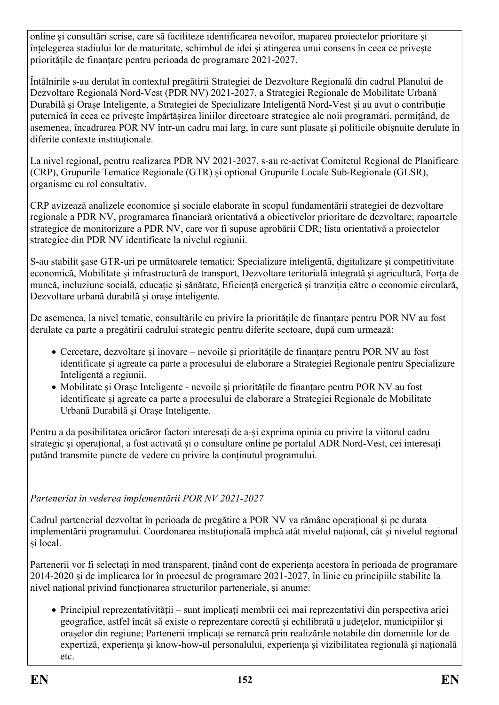online și consultări scrise, care să faciliteze identificarea nevoilor, maparea proiectelor prioritare și înțelegerea stadiului lor de maturitate, schimbul de idei și atingerea unui consens în ceea ce privește prioritățile de finanțare pentru perioada de programare 2021-2027.

Întâlnirile s-au derulat în contextul pregătirii Strategiei de Dezvoltare Regională din cadrul Planului de Dezvoltare Regională Nord-Vest (PDR NV) 2021-2027, a Strategiei Regionale de Mobilitate Urbană Durabilă și Orașe Inteligente, a Strategiei de Specializare Inteligentă Nord-Vest și au avut o contribuție puternică în ceea ce privește împărtășirea liniilor directoare strategice ale noii programări, permițând, de asemenea, încadrarea POR NV într-un cadru mai larg, în care sunt plasate și politicile obișnuite derulate în diferite contexte instituționale.

La nivel regional, pentru realizarea PDR NV 2021-2027, s-au re-activat Comitetul Regional de Planificare (CRP), Grupurile Tematice Regionale (GTR) și optional Grupurile Locale Sub-Regionale (GLSR), organisme cu rol consultativ.

CRP avizează analizele economice și sociale elaborate în scopul fundamentării strategiei de dezvoltare regionale a PDR NV, programarea financiară orientativă a obiectivelor prioritare de dezvoltare; rapoartele strategice de monitorizare a PDR NV, care vor fi supuse aprobării CDR; lista orientativă a proiectelor strategice din PDR NV identificate la nivelul regiunii.

S-au stabilit șase GTR-uri pe următoarele tematici: Specializare inteligentă, digitalizare și competitivitate economică, Mobilitate și infrastructură de transport, Dezvoltare teritorială integrată și agricultură, Forța de muncă, incluziune socială, educație și sănătate, Eficiență energetică și tranziția către o economie circulară, Dezvoltare urbană durabilă și orașe inteligente.

De asemenea, la nivel tematic, consultările cu privire la prioritățile de finanțare pentru POR NV au fost derulate ca parte a pregătirii cadrului strategic pentru diferite sectoare, după cum urmează:

- Cercetare, dezvoltare și inovare nevoile și prioritățile de finanțare pentru POR NV au fost identificate și agreate ca parte a procesului de elaborare a Strategiei Regionale pentru Specializare Inteligentă a regiunii.
- Mobilitate și Orașe Inteligente nevoile și prioritățile de finanțare pentru POR NV au fost identificate și agreate ca parte a procesului de elaborare a Strategiei Regionale de Mobilitate Urbană Durabilă și Orașe Inteligente.

Pentru a da posibilitatea oricăror factori interesați de a-și exprima opinia cu privire la viitorul cadru strategic și operațional, a fost activată și o consultare online pe portalul ADR Nord-Vest, cei interesați putând transmite puncte de vedere cu privire la conținutul programului.

*Parteneriat în vederea implementării POR NV 2021-2027*

Cadrul partenerial dezvoltat în perioada de pregătire a POR NV va rămâne operațional și pe durata implementării programului. Coordonarea instituțională implică atât nivelul național, cât și nivelul regional și local.

Partenerii vor fi selectați în mod transparent, ținând cont de experiența acestora în perioada de programare 2014-2020 și de implicarea lor în procesul de programare 2021-2027, în linie cu principiile stabilite la nivel național privind funcționarea structurilor parteneriale, și anume:

 Principiul reprezentativității – sunt implicați membrii cei mai reprezentativi din perspectiva ariei geografice, astfel încât să existe o reprezentare corectă și echilibrată a județelor, municipiilor și orașelor din regiune; Partenerii implicați se remarcă prin realizările notabile din domeniile lor de expertiză, experiența și know-how-ul personalului, experiența și vizibilitatea regională și națională etc.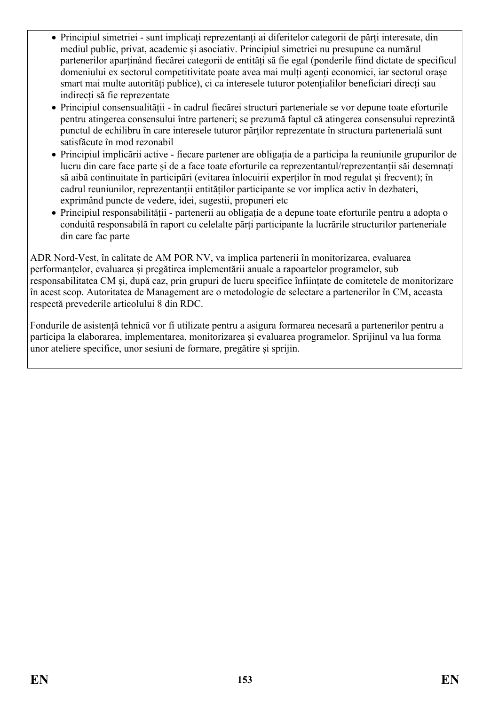- Principiul simetriei sunt implicați reprezentanți ai diferitelor categorii de părți interesate, din mediul public, privat, academic și asociativ. Principiul simetriei nu presupune ca numărul partenerilor aparținând fiecărei categorii de entități să fie egal (ponderile fiind dictate de specificul domeniului ex sectorul competitivitate poate avea mai mulți agenți economici, iar sectorul orașe smart mai multe autorități publice), ci ca interesele tuturor potențialilor beneficiari direcți sau indirecți să fie reprezentate
- Principiul consensualității în cadrul fiecărei structuri parteneriale se vor depune toate eforturile pentru atingerea consensului între parteneri; se prezumă faptul că atingerea consensului reprezintă punctul de echilibru în care interesele tuturor părților reprezentate în structura partenerială sunt satisfăcute în mod rezonabil
- Principiul implicării active fiecare partener are obligația de a participa la reuniunile grupurilor de lucru din care face parte și de a face toate eforturile ca reprezentantul/reprezentanții săi desemnați să aibă continuitate în participări (evitarea înlocuirii experților în mod regulat și frecvent); în cadrul reuniunilor, reprezentanții entităților participante se vor implica activ în dezbateri, exprimând puncte de vedere, idei, sugestii, propuneri etc
- Principiul responsabilității partenerii au obligația de a depune toate eforturile pentru a adopta o conduită responsabilă în raport cu celelalte părți participante la lucrările structurilor parteneriale din care fac parte

ADR Nord-Vest, în calitate de AM POR NV, va implica partenerii în monitorizarea, evaluarea performanțelor, evaluarea și pregătirea implementării anuale a rapoartelor programelor, sub responsabilitatea CM și, după caz, prin grupuri de lucru specifice înființate de comitetele de monitorizare în acest scop. Autoritatea de Management are o metodologie de selectare a partenerilor în CM, aceasta respectă prevederile articolului 8 din RDC.

Fondurile de asistență tehnică vor fi utilizate pentru a asigura formarea necesară a partenerilor pentru a participa la elaborarea, implementarea, monitorizarea și evaluarea programelor. Sprijinul va lua forma unor ateliere specifice, unor sesiuni de formare, pregătire și sprijin.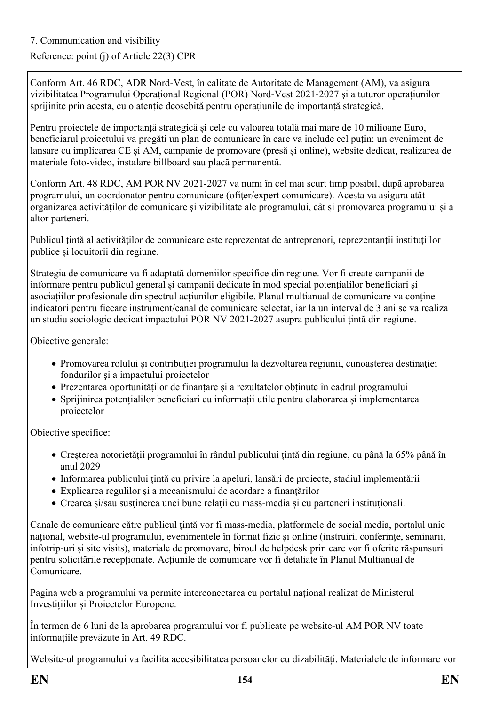### Reference: point (j) of Article 22(3) CPR

Conform Art. 46 RDC, ADR Nord-Vest, în calitate de Autoritate de Management (AM), va asigura vizibilitatea Programului Operaţional Regional (POR) Nord-Vest 2021-2027 şi a tuturor operațiunilor sprijinite prin acesta, cu o atenție deosebită pentru operațiunile de importanță strategică.

Pentru proiectele de importanță strategică și cele cu valoarea totală mai mare de 10 milioane Euro, beneficiarul proiectului va pregăti un plan de comunicare în care va include cel puțin: un eveniment de lansare cu implicarea CE și AM, campanie de promovare (presă și online), website dedicat, realizarea de materiale foto-video, instalare billboard sau placă permanentă.

Conform Art. 48 RDC, AM POR NV 2021-2027 va numi în cel mai scurt timp posibil, după aprobarea programului, un coordonator pentru comunicare (ofiţer/expert comunicare). Acesta va asigura atât organizarea activităţilor de comunicare şi vizibilitate ale programului, cât și promovarea programului şi a altor parteneri.

Publicul țintă al activităților de comunicare este reprezentat de antreprenori, reprezentanții instituțiilor publice și locuitorii din regiune.

Strategia de comunicare va fi adaptată domeniilor specifice din regiune. Vor fi create campanii de informare pentru publicul general și campanii dedicate în mod special potențialilor beneficiari și asociațiilor profesionale din spectrul acțiunilor eligibile. Planul multianual de comunicare va conține indicatori pentru fiecare instrument/canal de comunicare selectat, iar la un interval de 3 ani se va realiza un studiu sociologic dedicat impactului POR NV 2021-2027 asupra publicului țintă din regiune.

Obiective generale:

- Promovarea rolului și contribuției programului la dezvoltarea regiunii, cunoașterea destinației fondurilor şi a impactului proiectelor
- Prezentarea oportunităților de finanțare și a rezultatelor obținute în cadrul programului
- Sprijinirea potențialilor beneficiari cu informații utile pentru elaborarea și implementarea proiectelor

Obiective specifice:

- Creșterea notorietății programului în rândul publicului țintă din regiune, cu până la 65% până în anul 2029
- Informarea publicului țintă cu privire la apeluri, lansări de proiecte, stadiul implementării
- Explicarea regulilor și a mecanismului de acordare a finanțărilor
- Crearea și/sau sustinerea unei bune relații cu mass-media și cu parteneri instituționali.

Canale de comunicare către publicul țintă vor fi mass-media, platformele de social media, portalul unic național, website-ul programului, evenimentele în format fizic și online (instruiri, conferințe, seminarii, infotrip-uri și site visits), materiale de promovare, biroul de helpdesk prin care vor fi oferite răspunsuri pentru solicitările recepționate. Acțiunile de comunicare vor fi detaliate în Planul Multianual de Comunicare.

Pagina web a programului va permite interconectarea cu portalul național realizat de Ministerul Investițiilor și Proiectelor Europene.

În termen de 6 luni de la aprobarea programului vor fi publicate pe website-ul AM POR NV toate informațiile prevăzute în Art. 49 RDC.

Website-ul programului va facilita accesibilitatea persoanelor cu dizabilități. Materialele de informare vor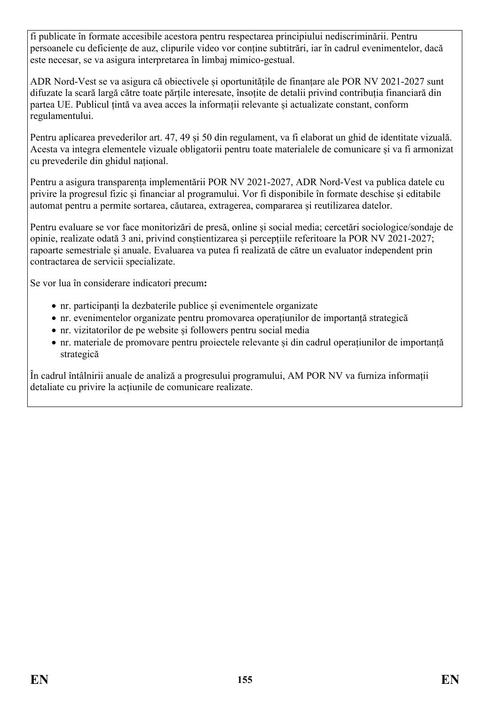fi publicate în formate accesibile acestora pentru respectarea principiului nediscriminării. Pentru persoanele cu deficiențe de auz, clipurile video vor conține subtitrări, iar în cadrul evenimentelor, dacă este necesar, se va asigura interpretarea în limbaj mimico-gestual.

ADR Nord-Vest se va asigura că obiectivele și oportunitățile de finanțare ale POR NV 2021-2027 sunt difuzate la scară largă către toate părțile interesate, însoțite de detalii privind contribuția financiară din partea UE. Publicul țintă va avea acces la informații relevante și actualizate constant, conform regulamentului.

Pentru aplicarea prevederilor art. 47, 49 și 50 din regulament, va fi elaborat un ghid de identitate vizuală. Acesta va integra elementele vizuale obligatorii pentru toate materialele de comunicare și va fi armonizat cu prevederile din ghidul național.

Pentru a asigura transparența implementării POR NV 2021-2027, ADR Nord-Vest va publica datele cu privire la progresul fizic și financiar al programului. Vor fi disponibile în formate deschise și editabile automat pentru a permite sortarea, căutarea, extragerea, compararea și reutilizarea datelor.

Pentru evaluare se vor face monitorizări de presă, online și social media; cercetări sociologice/sondaje de opinie, realizate odată 3 ani, privind conștientizarea și percepțiile referitoare la POR NV 2021-2027; rapoarte semestriale și anuale. Evaluarea va putea fi realizată de către un evaluator independent prin contractarea de servicii specializate.

Se vor lua în considerare indicatori precum**:** 

- nr. participanți la dezbaterile publice și evenimentele organizate
- nr. evenimentelor organizate pentru promovarea operațiunilor de importanță strategică
- nr. vizitatorilor de pe website și followers pentru social media
- nr. materiale de promovare pentru proiectele relevante și din cadrul operațiunilor de importanță strategică

În cadrul întâlnirii anuale de analiză a progresului programului, AM POR NV va furniza informații detaliate cu privire la acțiunile de comunicare realizate.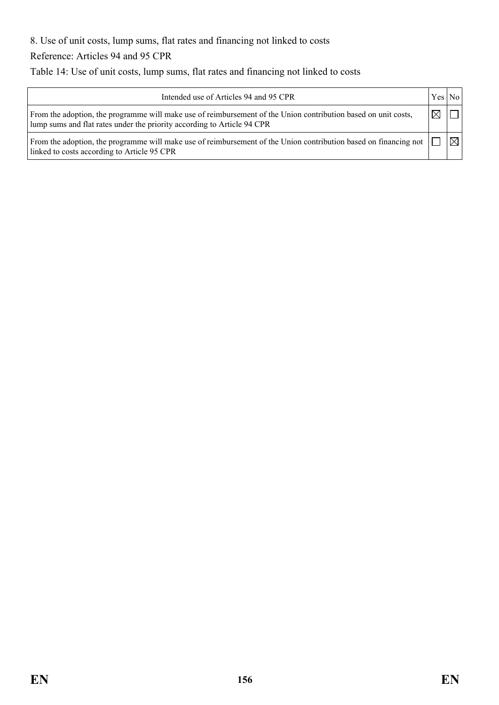8. Use of unit costs, lump sums, flat rates and financing not linked to costs

Reference: Articles 94 and 95 CPR

Table 14: Use of unit costs, lump sums, flat rates and financing not linked to costs

| Intended use of Articles 94 and 95 CPR                                                                                                                                                    | Yes No    |   |
|-------------------------------------------------------------------------------------------------------------------------------------------------------------------------------------------|-----------|---|
| From the adoption, the programme will make use of reimbursement of the Union contribution based on unit costs,<br>lump sums and flat rates under the priority according to Article 94 CPR | $\bowtie$ |   |
| From the adoption, the programme will make use of reimbursement of the Union contribution based on financing not<br>linked to costs according to Article 95 CPR                           |           | ⊠ |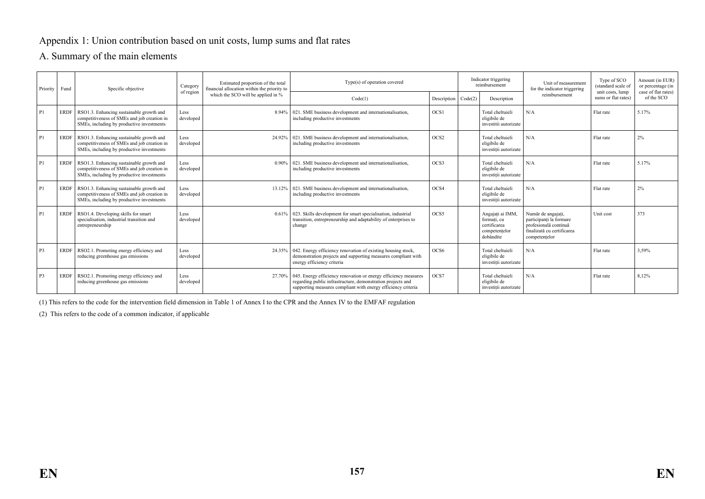#### Appendix 1: Union contribution based on unit costs, lump sums and flat rates

#### A. Summary of the main elements

| Priority Fund  |             | Specific objective                                                                                                                   | Category          | Estimated proportion of the total<br>financial allocation within the priority to | Type(s) of operation covered                                                                                                                                                                             |                             | Indicator triggering<br>reimbursement                                         | Unit of measurement<br>for the indicator triggering                                                                   | Type of SCO<br>(standard scale of       | Amount (in EUR)<br>or percentage (in<br>case of flat rates) |
|----------------|-------------|--------------------------------------------------------------------------------------------------------------------------------------|-------------------|----------------------------------------------------------------------------------|----------------------------------------------------------------------------------------------------------------------------------------------------------------------------------------------------------|-----------------------------|-------------------------------------------------------------------------------|-----------------------------------------------------------------------------------------------------------------------|-----------------------------------------|-------------------------------------------------------------|
|                |             |                                                                                                                                      | of region         | which the SCO will be applied in %                                               | Code(1)                                                                                                                                                                                                  | Description $\vert$ Code(2) | Description                                                                   | reimbursement                                                                                                         | unit costs, lump<br>sums or flat rates) | of the SCO                                                  |
| P <sub>1</sub> | <b>ERDF</b> | RSO1.3. Enhancing sustainable growth and<br>competitiveness of SMEs and job creation in<br>SMEs, including by productive investments | Less<br>developed |                                                                                  | 8.94%   021. SME business development and internationalisation,<br>including productive investments                                                                                                      | OCS1                        | Total cheltuieli<br>eligibile de<br>investitii autorizate                     | N/A                                                                                                                   | Flat rate                               | 5.17%                                                       |
| P <sub>1</sub> | <b>ERDF</b> | RSO1.3. Enhancing sustainable growth and<br>competitiveness of SMEs and job creation in<br>SMEs, including by productive investments | Less<br>developed | 24 92%                                                                           | 021. SME business development and internationalisation,<br>including productive investments                                                                                                              | OCS <sub>2</sub>            | Total cheltuieli<br>eligibile de<br>investitii autorizate                     | N/A                                                                                                                   | Flat rate                               | 2%                                                          |
| P <sub>1</sub> | <b>ERDF</b> | RSO1.3. Enhancing sustainable growth and<br>competitiveness of SMEs and job creation in<br>SMEs, including by productive investments | Less<br>developed |                                                                                  | 0.90%   021. SME business development and internationalisation,<br>including productive investments                                                                                                      | OCS3                        | Total cheltuieli<br>eligibile de<br>investitii autorizate                     | N/A                                                                                                                   | Flat rate                               | 5.17%                                                       |
| P <sub>1</sub> | <b>ERDF</b> | RSO1.3. Enhancing sustainable growth and<br>competitiveness of SMEs and job creation in<br>SMEs, including by productive investments | Less<br>developed |                                                                                  | 13.12%   021. SME business development and internationalisation,<br>including productive investments                                                                                                     | OCS4                        | Total cheltuieli<br>eligibile de<br>investitii autorizate                     | N/A                                                                                                                   | Flat rate                               | 2%                                                          |
| P <sub>1</sub> | <b>ERDF</b> | RSO1.4. Developing skills for smart<br>specialisation, industrial transition and<br>entrepreneurship                                 | Less<br>developed |                                                                                  | 0.61%   023. Skills development for smart specialisation, industrial<br>transition, entrepreneurship and adaptability of enterprises to<br>change                                                        | OCS5                        | Angajati ai IMM.<br>formati, cu<br>certificarea<br>competentelor<br>dobândite | Număr de angajati,<br>participanti la formare<br>profesională continuă<br>finalizată cu certificarea<br>competentelor | Unit cost                               | 373                                                         |
| P <sub>3</sub> | <b>ERDF</b> | RSO2.1. Promoting energy efficiency and<br>reducing greenhouse gas emissions                                                         | Less<br>developed |                                                                                  | 24.35%   042. Energy efficiency renovation of existing housing stock,<br>demonstration projects and supporting measures compliant with<br>energy efficiency criteria                                     | OCS <sub>6</sub>            | Total cheltuieli<br>eligibile de<br>investitii autorizate                     | N/A                                                                                                                   | Flat rate                               | 3.59%                                                       |
| P <sub>3</sub> | <b>ERDF</b> | RSO2.1. Promoting energy efficiency and<br>reducing greenhouse gas emissions                                                         | Less<br>developed |                                                                                  | 27.70%   045. Energy efficiency renovation or energy efficiency measures<br>regarding public infrastructure, demonstration projects and<br>supporting measures compliant with energy efficiency criteria | OCS7                        | Total cheltuieli<br>eligibile de<br>investitii autorizate                     | N/A                                                                                                                   | Flat rate                               | 8.12%                                                       |

(1) This refers to the code for the intervention field dimension in Table 1 of Annex I to the CPR and the Annex IV to the EMFAF regulation

(2) This refers to the code of a common indicator, if applicable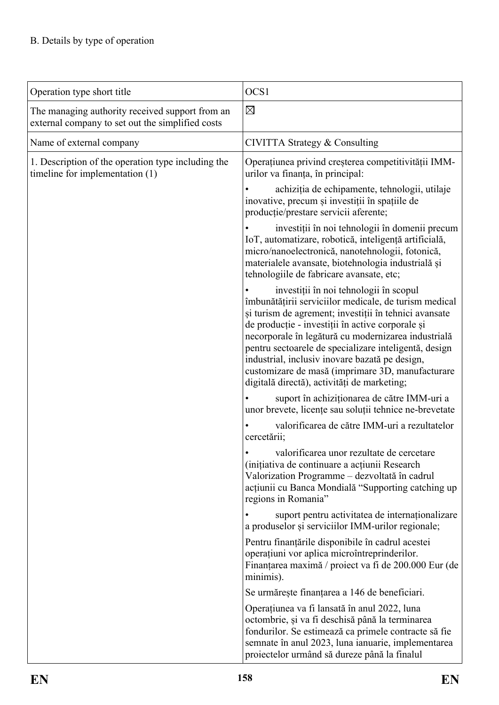| Operation type short title                                                                          | OCS1                                                                                                                                                                                                                                                                                                                                                                                                                                                                              |
|-----------------------------------------------------------------------------------------------------|-----------------------------------------------------------------------------------------------------------------------------------------------------------------------------------------------------------------------------------------------------------------------------------------------------------------------------------------------------------------------------------------------------------------------------------------------------------------------------------|
| The managing authority received support from an<br>external company to set out the simplified costs | $\boxtimes$                                                                                                                                                                                                                                                                                                                                                                                                                                                                       |
| Name of external company                                                                            | CIVITTA Strategy & Consulting                                                                                                                                                                                                                                                                                                                                                                                                                                                     |
| 1. Description of the operation type including the<br>timeline for implementation (1)               | Operațiunea privind creșterea competitivității IMM-<br>urilor va finanța, în principal:                                                                                                                                                                                                                                                                                                                                                                                           |
|                                                                                                     | achiziția de echipamente, tehnologii, utilaje<br>inovative, precum și investiții în spațiile de<br>producție/prestare servicii aferente;                                                                                                                                                                                                                                                                                                                                          |
|                                                                                                     | investiții în noi tehnologii în domenii precum<br>IoT, automatizare, robotică, inteligență artificială,<br>micro/nanoelectronică, nanotehnologii, fotonică,<br>materialele avansate, biotehnologia industrială și<br>tehnologiile de fabricare avansate, etc;                                                                                                                                                                                                                     |
|                                                                                                     | investiții în noi tehnologii în scopul<br>îmbunătățirii serviciilor medicale, de turism medical<br>și turism de agrement; investiții în tehnici avansate<br>de producție - investiții în active corporale și<br>necorporale în legătură cu modernizarea industrială<br>pentru sectoarele de specializare inteligentă, design<br>industrial, inclusiv inovare bazată pe design,<br>customizare de masă (imprimare 3D, manufacturare<br>digitală directă), activități de marketing; |
|                                                                                                     | suport în achiziționarea de către IMM-uri a<br>unor brevete, licențe sau soluții tehnice ne-brevetate                                                                                                                                                                                                                                                                                                                                                                             |
|                                                                                                     | valorificarea de către IMM-uri a rezultatelor<br>cercetării;                                                                                                                                                                                                                                                                                                                                                                                                                      |
|                                                                                                     | valorificarea unor rezultate de cercetare<br>(inițiativa de continuare a acțiunii Research<br>Valorization Programme – dezvoltată în cadrul<br>acțiunii cu Banca Mondială "Supporting catching up<br>regions in Romania"                                                                                                                                                                                                                                                          |
|                                                                                                     | suport pentru activitatea de internaționalizare<br>a produselor și serviciilor IMM-urilor regionale;                                                                                                                                                                                                                                                                                                                                                                              |
|                                                                                                     | Pentru finanțările disponibile în cadrul acestei<br>operațiuni vor aplica microîntreprinderilor.<br>Finanțarea maximă / proiect va fi de 200.000 Eur (de<br>minimis).                                                                                                                                                                                                                                                                                                             |
|                                                                                                     | Se urmărește finanțarea a 146 de beneficiari.                                                                                                                                                                                                                                                                                                                                                                                                                                     |
|                                                                                                     | Operațiunea va fi lansată în anul 2022, luna<br>octombrie, și va fi deschisă până la terminarea<br>fondurilor. Se estimează ca primele contracte să fie<br>semnate în anul 2023, luna ianuarie, implementarea<br>proiectelor urmând să dureze până la finalul                                                                                                                                                                                                                     |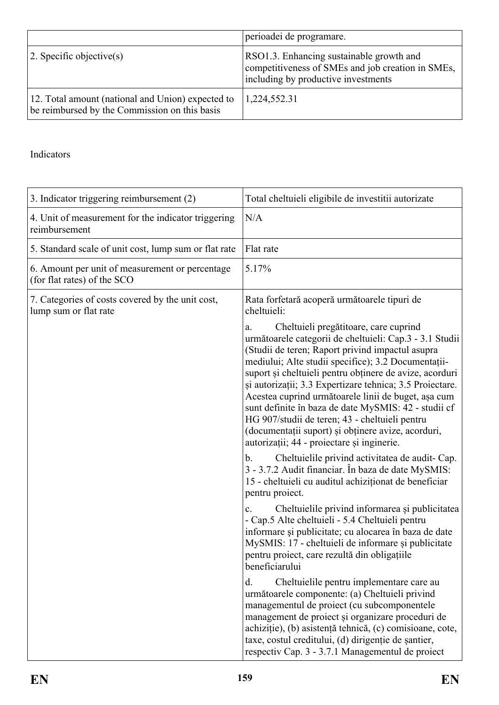|                                                                                                    | perioadei de programare.                                                                                                             |
|----------------------------------------------------------------------------------------------------|--------------------------------------------------------------------------------------------------------------------------------------|
| $ 2$ . Specific objective(s)                                                                       | RSO1.3. Enhancing sustainable growth and<br>competitiveness of SMEs and job creation in SMEs,<br>including by productive investments |
| 12. Total amount (national and Union) expected to<br>be reimbursed by the Commission on this basis | 1,224,552.31                                                                                                                         |

| 3. Indicator triggering reimbursement (2)                                      | Total cheltuieli eligibile de investitii autorizate                                                                                                                                                                                                                                                                                                                                                                                                                                                                                                                                                                                                                   |
|--------------------------------------------------------------------------------|-----------------------------------------------------------------------------------------------------------------------------------------------------------------------------------------------------------------------------------------------------------------------------------------------------------------------------------------------------------------------------------------------------------------------------------------------------------------------------------------------------------------------------------------------------------------------------------------------------------------------------------------------------------------------|
| 4. Unit of measurement for the indicator triggering<br>reimbursement           | N/A                                                                                                                                                                                                                                                                                                                                                                                                                                                                                                                                                                                                                                                                   |
| 5. Standard scale of unit cost, lump sum or flat rate                          | Flat rate                                                                                                                                                                                                                                                                                                                                                                                                                                                                                                                                                                                                                                                             |
| 6. Amount per unit of measurement or percentage<br>(for flat rates) of the SCO | 5.17%                                                                                                                                                                                                                                                                                                                                                                                                                                                                                                                                                                                                                                                                 |
| 7. Categories of costs covered by the unit cost,<br>lump sum or flat rate      | Rata forfetară acoperă următoarele tipuri de<br>cheltuieli:                                                                                                                                                                                                                                                                                                                                                                                                                                                                                                                                                                                                           |
|                                                                                | Cheltuieli pregătitoare, care cuprind<br>a.<br>următoarele categorii de cheltuieli: Cap.3 - 3.1 Studii<br>(Studii de teren; Raport privind impactul asupra<br>mediului; Alte studii specifice); 3.2 Documentații-<br>suport și cheltuieli pentru obținere de avize, acorduri<br>și autorizații; 3.3 Expertizare tehnica; 3.5 Proiectare.<br>Acestea cuprind următoarele linii de buget, așa cum<br>sunt definite în baza de date MySMIS: 42 - studii cf<br>HG 907/studii de teren; 43 - cheltuieli pentru<br>(documentații suport) și obținere avize, acorduri,<br>autorizații; 44 - proiectare și inginerie.<br>Cheltuielile privind activitatea de audit-Cap.<br>b. |
|                                                                                | 3 - 3.7.2 Audit financiar. În baza de date MySMIS:<br>15 - cheltuieli cu auditul achiziționat de beneficiar<br>pentru proiect.                                                                                                                                                                                                                                                                                                                                                                                                                                                                                                                                        |
|                                                                                | Cheltuielile privind informarea și publicitatea<br>$\mathbf{c}$ .<br>- Cap.5 Alte cheltuieli - 5.4 Cheltuieli pentru<br>informare și publicitate; cu alocarea în baza de date<br>MySMIS: 17 - cheltuieli de informare și publicitate<br>pentru proiect, care rezultă din obligațiile<br>beneficiarului                                                                                                                                                                                                                                                                                                                                                                |
|                                                                                | Cheltuielile pentru implementare care au<br>d.<br>următoarele componente: (a) Cheltuieli privind<br>managementul de proiect (cu subcomponentele<br>management de proiect și organizare proceduri de<br>achiziție), (b) asistență tehnică, (c) comisioane, cote,<br>taxe, costul creditului, (d) dirigentie de santier,<br>respectiv Cap. 3 - 3.7.1 Managementul de proiect                                                                                                                                                                                                                                                                                            |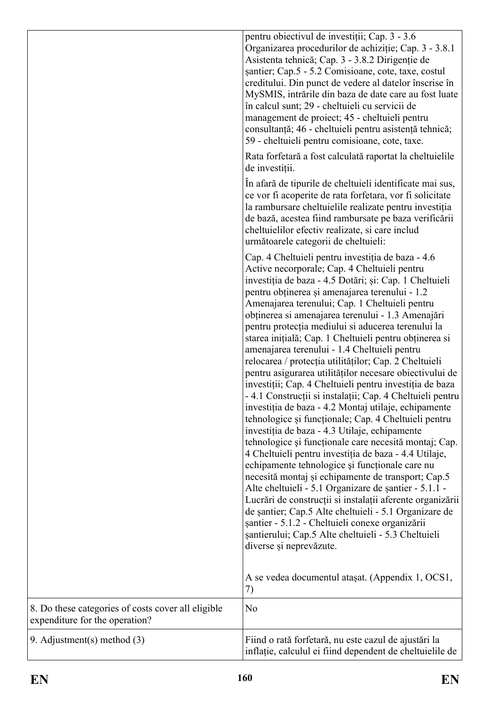|                                                                                      | pentru obiectivul de investiții; Cap. 3 - 3.6<br>Organizarea procedurilor de achiziție; Cap. 3 - 3.8.1<br>Asistenta tehnică; Cap. 3 - 3.8.2 Dirigenție de<br>santier; Cap.5 - 5.2 Comisioane, cote, taxe, costul<br>creditului. Din punct de vedere al datelor înscrise în<br>MySMIS, intrările din baza de date care au fost luate<br>în calcul sunt; 29 - cheltuieli cu servicii de<br>management de proiect; 45 - cheltuieli pentru<br>consultanță; 46 - cheltuieli pentru asistență tehnică;<br>59 - cheltuieli pentru comisioane, cote, taxe.                                                                                                                                                                                                                                                                                                                                                                                                                                                                                                                                                                                                                                                                                                                                                                                                                                                                                              |
|--------------------------------------------------------------------------------------|-------------------------------------------------------------------------------------------------------------------------------------------------------------------------------------------------------------------------------------------------------------------------------------------------------------------------------------------------------------------------------------------------------------------------------------------------------------------------------------------------------------------------------------------------------------------------------------------------------------------------------------------------------------------------------------------------------------------------------------------------------------------------------------------------------------------------------------------------------------------------------------------------------------------------------------------------------------------------------------------------------------------------------------------------------------------------------------------------------------------------------------------------------------------------------------------------------------------------------------------------------------------------------------------------------------------------------------------------------------------------------------------------------------------------------------------------|
|                                                                                      | Rata forfetară a fost calculată raportat la cheltuielile<br>de investiții.                                                                                                                                                                                                                                                                                                                                                                                                                                                                                                                                                                                                                                                                                                                                                                                                                                                                                                                                                                                                                                                                                                                                                                                                                                                                                                                                                                      |
|                                                                                      | In a fară de tipurile de cheltuieli identificate mai sus,<br>ce vor fi acoperite de rata forfetara, vor fi solicitate<br>la rambursare cheltuielile realizate pentru investiția<br>de bază, acestea fiind rambursate pe baza verificării<br>cheltuielilor efectiv realizate, si care includ<br>următoarele categorii de cheltuieli:                                                                                                                                                                                                                                                                                                                                                                                                                                                                                                                                                                                                                                                                                                                                                                                                                                                                                                                                                                                                                                                                                                             |
|                                                                                      | Cap. 4 Cheltuieli pentru investiția de baza - 4.6<br>Active necorporale; Cap. 4 Cheltuieli pentru<br>investiția de baza - 4.5 Dotări; și: Cap. 1 Cheltuieli<br>pentru obținerea și amenajarea terenului - 1.2<br>Amenajarea terenului; Cap. 1 Cheltuieli pentru<br>obținerea si amenajarea terenului - 1.3 Amenajări<br>pentru protecția mediului si aducerea terenului la<br>starea inițială; Cap. 1 Cheltuieli pentru obținerea si<br>amenajarea terenului - 1.4 Cheltuieli pentru<br>relocarea / protecția utilităților; Cap. 2 Cheltuieli<br>pentru asigurarea utilităților necesare obiectivului de<br>investiții; Cap. 4 Cheltuieli pentru investiția de baza<br>- 4.1 Construcții și instalații; Cap. 4 Cheltuieli pentru<br>investiția de baza - 4.2 Montaj utilaje, echipamente<br>tehnologice și funcționale; Cap. 4 Cheltuieli pentru<br>investiția de baza - 4.3 Utilaje, echipamente<br>tehnologice și funcționale care necesită montaj; Cap.<br>4 Cheltuieli pentru investiția de baza - 4.4 Utilaje,<br>echipamente tehnologice și funcționale care nu<br>necesită montaj și echipamente de transport; Cap.5<br>Alte cheltuieli - 5.1 Organizare de șantier - 5.1.1 -<br>Lucrări de construcții si instalații aferente organizării<br>de santier; Cap.5 Alte cheltuieli - 5.1 Organizare de<br>șantier - 5.1.2 - Cheltuieli conexe organizării<br>șantierului; Cap.5 Alte cheltuieli - 5.3 Cheltuieli<br>diverse și neprevăzute. |
|                                                                                      | A se vedea documentul ataşat. (Appendix 1, OCS1,<br>7)                                                                                                                                                                                                                                                                                                                                                                                                                                                                                                                                                                                                                                                                                                                                                                                                                                                                                                                                                                                                                                                                                                                                                                                                                                                                                                                                                                                          |
| 8. Do these categories of costs cover all eligible<br>expenditure for the operation? | N <sub>o</sub>                                                                                                                                                                                                                                                                                                                                                                                                                                                                                                                                                                                                                                                                                                                                                                                                                                                                                                                                                                                                                                                                                                                                                                                                                                                                                                                                                                                                                                  |
| 9. Adjustment(s) method $(3)$                                                        | Fiind o rată forfetară, nu este cazul de ajustări la<br>inflatie, calculul ei fiind dependent de cheltuielile de                                                                                                                                                                                                                                                                                                                                                                                                                                                                                                                                                                                                                                                                                                                                                                                                                                                                                                                                                                                                                                                                                                                                                                                                                                                                                                                                |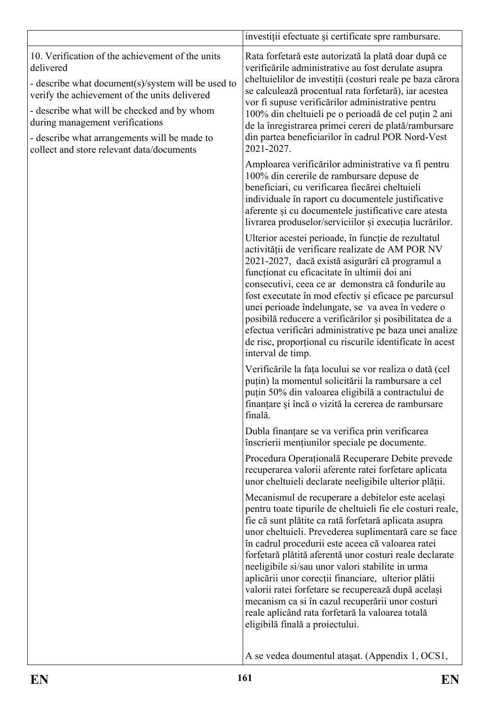|                                                                                                                                                                                                                                                                                                                                                     | investiții efectuate și certificate spre rambursare.                                                                                                                                                                                                                                                                                                                                                                                                                                                                                                                                                                                                           |
|-----------------------------------------------------------------------------------------------------------------------------------------------------------------------------------------------------------------------------------------------------------------------------------------------------------------------------------------------------|----------------------------------------------------------------------------------------------------------------------------------------------------------------------------------------------------------------------------------------------------------------------------------------------------------------------------------------------------------------------------------------------------------------------------------------------------------------------------------------------------------------------------------------------------------------------------------------------------------------------------------------------------------------|
| 10. Verification of the achievement of the units<br>delivered<br>- describe what document(s)/system will be used to<br>verify the achievement of the units delivered<br>- describe what will be checked and by whom<br>during management verifications<br>- describe what arrangements will be made to<br>collect and store relevant data/documents | Rata forfetară este autorizată la plată doar după ce<br>verificările administrative au fost derulate asupra<br>cheltuielilor de investiții (costuri reale pe baza cărora<br>se calculează procentual rata forfetară), iar acestea<br>vor fi supuse verificărilor administrative pentru<br>100% din cheltuieli pe o perioadă de cel puțin 2 ani<br>de la înregistrarea primei cereri de plată/rambursare<br>din partea beneficiarilor în cadrul POR Nord-Vest<br>2021-2027.                                                                                                                                                                                     |
|                                                                                                                                                                                                                                                                                                                                                     | Amploarea verificărilor administrative va fi pentru<br>100% din cererile de rambursare depuse de<br>beneficiari, cu verificarea fiecărei cheltuieli<br>individuale în raport cu documentele justificative<br>aferente și cu documentele justificative care atesta<br>livrarea produselor/serviciilor și execuția lucrărilor.                                                                                                                                                                                                                                                                                                                                   |
|                                                                                                                                                                                                                                                                                                                                                     | Ulterior acestei perioade, în funcție de rezultatul<br>activității de verificare realizate de AM POR NV<br>2021-2027, dacă există asigurări că programul a<br>funcționat cu eficacitate în ultimii doi ani<br>consecutivi, ceea ce ar demonstra că fondurile au<br>fost executate în mod efectiv și eficace pe parcursul<br>unei perioade îndelungate, se va avea în vedere o<br>posibilă reducere a verificărilor și posibilitatea de a<br>efectua verificări administrative pe baza unei analize<br>de risc, proportional cu riscurile identificate în acest<br>interval de timp.                                                                            |
|                                                                                                                                                                                                                                                                                                                                                     | Verificările la fața locului se vor realiza o dată (cel<br>puțin) la momentul solicitării la rambursare a cel<br>puțin 50% din valoarea eligibilă a contractului de<br>finanțare și încă o vizită la cererea de rambursare<br>finală.                                                                                                                                                                                                                                                                                                                                                                                                                          |
|                                                                                                                                                                                                                                                                                                                                                     | Dubla finanțare se va verifica prin verificarea<br>înscrierii mențiunilor speciale pe documente.                                                                                                                                                                                                                                                                                                                                                                                                                                                                                                                                                               |
|                                                                                                                                                                                                                                                                                                                                                     | Procedura Operațională Recuperare Debite prevede<br>recuperarea valorii aferente ratei forfetare aplicata<br>unor cheltuieli declarate neeligibile ulterior plății.                                                                                                                                                                                                                                                                                                                                                                                                                                                                                            |
|                                                                                                                                                                                                                                                                                                                                                     | Mecanismul de recuperare a debitelor este același<br>pentru toate tipurile de cheltuieli fie ele costuri reale,<br>fie că sunt plătite ca rată forfetară aplicata asupra<br>unor cheltuieli. Prevederea suplimentară care se face<br>în cadrul procedurii este aceea că valoarea ratei<br>forfetară plătită aferentă unor costuri reale declarate<br>neeligibile si/sau unor valori stabilite in urma<br>aplicării unor corecții financiare, ulterior plătii<br>valorii ratei forfetare se recuperează după același<br>mecanism ca si în cazul recuperării unor costuri<br>reale aplicând rata forfetară la valoarea totală<br>eligibilă finală a proiectului. |
|                                                                                                                                                                                                                                                                                                                                                     | A se vedea doumentul ataşat. (Appendix 1, OCS1,                                                                                                                                                                                                                                                                                                                                                                                                                                                                                                                                                                                                                |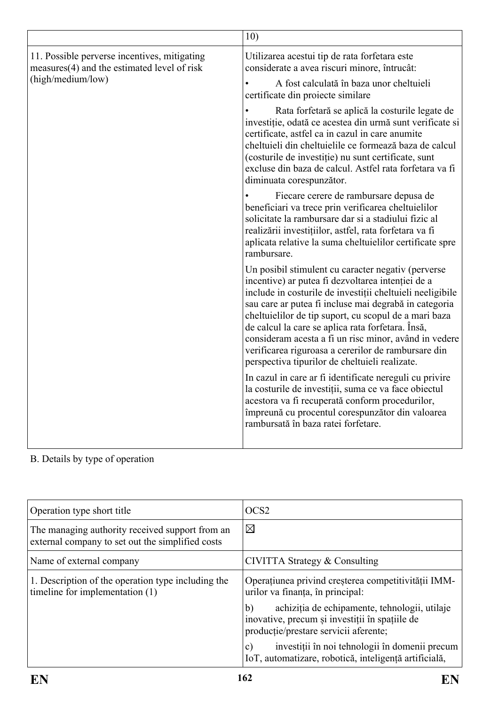|                                                                                                                    | 10)                                                                                                                                                                                                                                                                                                                                                                                                                                                                                                           |
|--------------------------------------------------------------------------------------------------------------------|---------------------------------------------------------------------------------------------------------------------------------------------------------------------------------------------------------------------------------------------------------------------------------------------------------------------------------------------------------------------------------------------------------------------------------------------------------------------------------------------------------------|
| 11. Possible perverse incentives, mitigating<br>$measures(4)$ and the estimated level of risk<br>(high/medium/low) | Utilizarea acestui tip de rata forfetara este<br>considerate a avea riscuri minore, întrucât:                                                                                                                                                                                                                                                                                                                                                                                                                 |
|                                                                                                                    | A fost calculată în baza unor cheltuieli<br>certificate din proiecte similare                                                                                                                                                                                                                                                                                                                                                                                                                                 |
|                                                                                                                    | Rata forfetară se aplică la costurile legate de<br>investiție, odată ce acestea din urmă sunt verificate si<br>certificate, astfel ca in cazul in care anumite<br>cheltuieli din cheltuielile ce formează baza de calcul<br>(costurile de investiție) nu sunt certificate, sunt<br>excluse din baza de calcul. Astfel rata forfetara va fi<br>diminuata corespunzător.                                                                                                                                        |
|                                                                                                                    | Fiecare cerere de rambursare depusa de<br>beneficiari va trece prin verificarea cheltuielilor<br>solicitate la rambursare dar si a stadiului fizic al<br>realizării investițiilor, astfel, rata forfetara va fi<br>aplicata relative la suma cheltuielilor certificate spre<br>rambursare.                                                                                                                                                                                                                    |
|                                                                                                                    | Un posibil stimulent cu caracter negativ (perverse<br>incentive) ar putea fi dezvoltarea intenției de a<br>include in costurile de investiții cheltuieli neeligibile<br>sau care ar putea fi incluse mai degrabă in categoria<br>cheltuielilor de tip suport, cu scopul de a mari baza<br>de calcul la care se aplica rata forfetara. Însă,<br>consideram acesta a fi un risc minor, având in vedere<br>verificarea riguroasa a cererilor de rambursare din<br>perspectiva tipurilor de cheltuieli realizate. |
|                                                                                                                    | In cazul in care ar fi identificate nereguli cu privire<br>la costurile de investiții, suma ce va face obiectul<br>acestora va fi recuperată conform procedurilor,<br>împreună cu procentul corespunzător din valoarea<br>rambursată în baza ratei forfetare.                                                                                                                                                                                                                                                 |

| Operation type short title                                                                          | OCS <sub>2</sub>                                                                                                                               |
|-----------------------------------------------------------------------------------------------------|------------------------------------------------------------------------------------------------------------------------------------------------|
| The managing authority received support from an<br>external company to set out the simplified costs | $\boxtimes$                                                                                                                                    |
| Name of external company                                                                            | CIVITTA Strategy & Consulting                                                                                                                  |
| 1. Description of the operation type including the<br>timeline for implementation (1)               | Operațiunea privind creșterea competitivității IMM-<br>urilor va finanța, în principal:                                                        |
|                                                                                                     | achiziția de echipamente, tehnologii, utilaje<br>b)<br>inovative, precum și investiții în spațiile de<br>producție/prestare servicii aferente; |
|                                                                                                     | investiții în noi tehnologii în domenii precum<br>$\mathbf{c})$<br>IoT, automatizare, robotică, inteligență artificială,                       |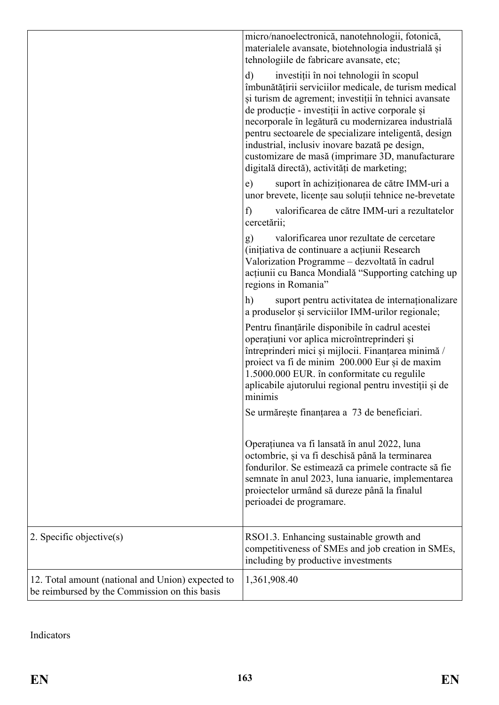|                                                                                                    | micro/nanoelectronică, nanotehnologii, fotonică,<br>materialele avansate, biotehnologia industrială și<br>tehnologiile de fabricare avansate, etc;                                                                                                                                                                                                                                                                                                                                                |
|----------------------------------------------------------------------------------------------------|---------------------------------------------------------------------------------------------------------------------------------------------------------------------------------------------------------------------------------------------------------------------------------------------------------------------------------------------------------------------------------------------------------------------------------------------------------------------------------------------------|
|                                                                                                    | investiții în noi tehnologii în scopul<br>$\mathbf{d}$<br>îmbunătățirii serviciilor medicale, de turism medical<br>și turism de agrement; investiții în tehnici avansate<br>de producție - investiții în active corporale și<br>necorporale în legătură cu modernizarea industrială<br>pentru sectoarele de specializare inteligentă, design<br>industrial, inclusiv inovare bazată pe design,<br>customizare de masă (imprimare 3D, manufacturare<br>digitală directă), activități de marketing; |
|                                                                                                    | suport în achiziționarea de către IMM-uri a<br>e)<br>unor brevete, licențe sau soluții tehnice ne-brevetate                                                                                                                                                                                                                                                                                                                                                                                       |
|                                                                                                    | valorificarea de către IMM-uri a rezultatelor<br>f)<br>cercetării;                                                                                                                                                                                                                                                                                                                                                                                                                                |
|                                                                                                    | valorificarea unor rezultate de cercetare<br>g)<br>(inițiativa de continuare a acțiunii Research<br>Valorization Programme - dezvoltată în cadrul<br>acțiunii cu Banca Mondială "Supporting catching up<br>regions in Romania"                                                                                                                                                                                                                                                                    |
|                                                                                                    | h)<br>suport pentru activitatea de internaționalizare<br>a produselor și serviciilor IMM-urilor regionale;                                                                                                                                                                                                                                                                                                                                                                                        |
|                                                                                                    | Pentru finanțările disponibile în cadrul acestei<br>operațiuni vor aplica microîntreprinderi și<br>întreprinderi mici și mijlocii. Finanțarea minimă /<br>proiect va fi de minim 200.000 Eur și de maxim<br>1.5000.000 EUR. în conformitate cu regulile<br>aplicabile ajutorului regional pentru investiții și de<br>minimis                                                                                                                                                                      |
|                                                                                                    | Se urmărește finanțarea a 73 de beneficiari.                                                                                                                                                                                                                                                                                                                                                                                                                                                      |
|                                                                                                    | Operațiunea va fi lansată în anul 2022, luna<br>octombrie, și va fi deschisă până la terminarea<br>fondurilor. Se estimează ca primele contracte să fie<br>semnate în anul 2023, luna ianuarie, implementarea<br>proiectelor urmând să dureze până la finalul<br>perioadei de programare.                                                                                                                                                                                                         |
| 2. Specific objective $(s)$                                                                        | RSO1.3. Enhancing sustainable growth and<br>competitiveness of SMEs and job creation in SMEs,<br>including by productive investments                                                                                                                                                                                                                                                                                                                                                              |
| 12. Total amount (national and Union) expected to<br>be reimbursed by the Commission on this basis | 1,361,908.40                                                                                                                                                                                                                                                                                                                                                                                                                                                                                      |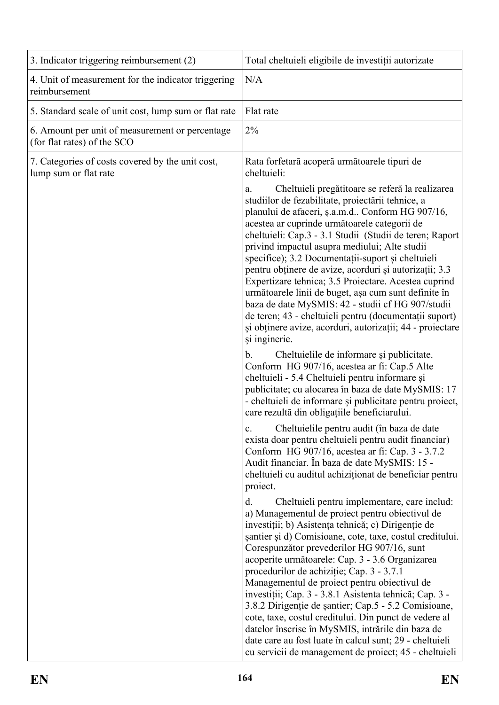| 3. Indicator triggering reimbursement (2)                                      | Total cheltuieli eligibile de investiții autorizate                                                                                                                                                                                                                                                                                                                                                                                                                                                                                                                                                                                                                                                                                                                       |
|--------------------------------------------------------------------------------|---------------------------------------------------------------------------------------------------------------------------------------------------------------------------------------------------------------------------------------------------------------------------------------------------------------------------------------------------------------------------------------------------------------------------------------------------------------------------------------------------------------------------------------------------------------------------------------------------------------------------------------------------------------------------------------------------------------------------------------------------------------------------|
| 4. Unit of measurement for the indicator triggering<br>reimbursement           | N/A                                                                                                                                                                                                                                                                                                                                                                                                                                                                                                                                                                                                                                                                                                                                                                       |
| 5. Standard scale of unit cost, lump sum or flat rate                          | Flat rate                                                                                                                                                                                                                                                                                                                                                                                                                                                                                                                                                                                                                                                                                                                                                                 |
| 6. Amount per unit of measurement or percentage<br>(for flat rates) of the SCO | $2\%$                                                                                                                                                                                                                                                                                                                                                                                                                                                                                                                                                                                                                                                                                                                                                                     |
| 7. Categories of costs covered by the unit cost,<br>lump sum or flat rate      | Rata forfetară acoperă următoarele tipuri de<br>cheltuieli:                                                                                                                                                                                                                                                                                                                                                                                                                                                                                                                                                                                                                                                                                                               |
|                                                                                | Cheltuieli pregătitoare se referă la realizarea<br>a.<br>studiilor de fezabilitate, proiectării tehnice, a<br>planului de afaceri, ș.a.m.d Conform HG 907/16,<br>acestea ar cuprinde următoarele categorii de<br>cheltuieli: Cap.3 - 3.1 Studii (Studii de teren; Raport<br>privind impactul asupra mediului; Alte studii<br>specifice); 3.2 Documentații-suport și cheltuieli<br>pentru obținere de avize, acorduri și autorizații; 3.3<br>Expertizare tehnica; 3.5 Proiectare. Acestea cuprind<br>următoarele linii de buget, așa cum sunt definite în<br>baza de date MySMIS: 42 - studii cf HG 907/studii<br>de teren; 43 - cheltuieli pentru (documentații suport)<br>și obținere avize, acorduri, autorizații; 44 - proiectare<br>și inginerie.                     |
|                                                                                | Cheltuielile de informare și publicitate.<br>b.<br>Conform HG 907/16, acestea ar fi: Cap.5 Alte<br>cheltuieli - 5.4 Cheltuieli pentru informare și<br>publicitate; cu alocarea în baza de date MySMIS: 17<br>- cheltuieli de informare și publicitate pentru proiect,<br>care rezultă din obligațiile beneficiarului.                                                                                                                                                                                                                                                                                                                                                                                                                                                     |
|                                                                                | Cheltuielile pentru audit (în baza de date<br>$\mathbf{c}$ .<br>exista doar pentru cheltuieli pentru audit financiar)<br>Conform HG 907/16, acestea ar fi: Cap. 3 - 3.7.2<br>Audit financiar. În baza de date MySMIS: 15 -<br>cheltuieli cu auditul achiziționat de beneficiar pentru<br>proiect.                                                                                                                                                                                                                                                                                                                                                                                                                                                                         |
|                                                                                | d.<br>Cheltuieli pentru implementare, care includ:<br>a) Managementul de proiect pentru obiectivul de<br>investiții; b) Asistența tehnică; c) Dirigenție de<br>șantier și d) Comisioane, cote, taxe, costul creditului.<br>Corespunzător prevederilor HG 907/16, sunt<br>acoperite următoarele: Cap. 3 - 3.6 Organizarea<br>procedurilor de achiziție; Cap. 3 - 3.7.1<br>Managementul de proiect pentru obiectivul de<br>investiții; Cap. 3 - 3.8.1 Asistenta tehnică; Cap. 3 -<br>3.8.2 Dirigenție de șantier; Cap.5 - 5.2 Comisioane,<br>cote, taxe, costul creditului. Din punct de vedere al<br>datelor înscrise în MySMIS, intrările din baza de<br>date care au fost luate în calcul sunt; 29 - cheltuieli<br>cu servicii de management de proiect; 45 - cheltuieli |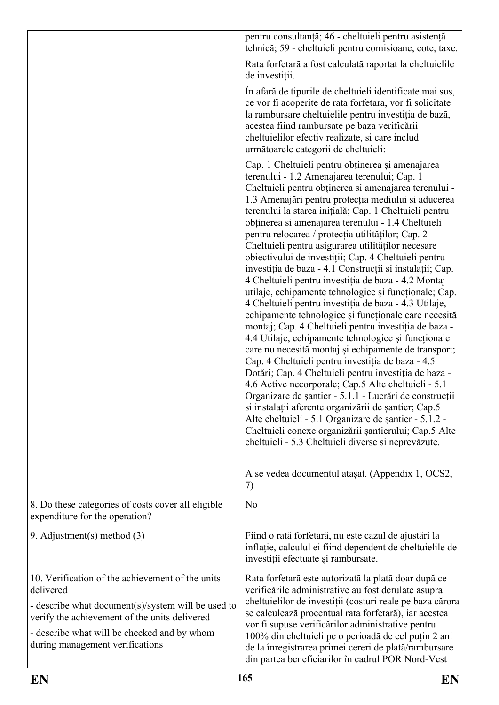|                                                                                                                                                                                                                                                        | pentru consultanță; 46 - cheltuieli pentru asistență<br>tehnică; 59 - cheltuieli pentru comisioane, cote, taxe.                                                                                                                                                                                                                                                                                                                                                                                                                                                                                                                                                                                                                                                                                                                                                                                                                                                                                                                                                                                                                                                                                                                                                                                                                                                                                                                          |
|--------------------------------------------------------------------------------------------------------------------------------------------------------------------------------------------------------------------------------------------------------|------------------------------------------------------------------------------------------------------------------------------------------------------------------------------------------------------------------------------------------------------------------------------------------------------------------------------------------------------------------------------------------------------------------------------------------------------------------------------------------------------------------------------------------------------------------------------------------------------------------------------------------------------------------------------------------------------------------------------------------------------------------------------------------------------------------------------------------------------------------------------------------------------------------------------------------------------------------------------------------------------------------------------------------------------------------------------------------------------------------------------------------------------------------------------------------------------------------------------------------------------------------------------------------------------------------------------------------------------------------------------------------------------------------------------------------|
|                                                                                                                                                                                                                                                        | Rata forfetară a fost calculată raportat la cheltuielile<br>de investiții.                                                                                                                                                                                                                                                                                                                                                                                                                                                                                                                                                                                                                                                                                                                                                                                                                                                                                                                                                                                                                                                                                                                                                                                                                                                                                                                                                               |
|                                                                                                                                                                                                                                                        | In afară de tipurile de cheltuieli identificate mai sus,<br>ce vor fi acoperite de rata forfetara, vor fi solicitate<br>la rambursare cheltuielile pentru investiția de bază,<br>acestea fiind rambursate pe baza verificării<br>cheltuielilor efectiv realizate, si care includ<br>următoarele categorii de cheltuieli:                                                                                                                                                                                                                                                                                                                                                                                                                                                                                                                                                                                                                                                                                                                                                                                                                                                                                                                                                                                                                                                                                                                 |
|                                                                                                                                                                                                                                                        | Cap. 1 Cheltuieli pentru obținerea și amenajarea<br>terenului - 1.2 Amenajarea terenului; Cap. 1<br>Cheltuieli pentru obținerea si amenajarea terenului -<br>1.3 Amenajări pentru protecția mediului si aducerea<br>terenului la starea inițială; Cap. 1 Cheltuieli pentru<br>obținerea si amenajarea terenului - 1.4 Cheltuieli<br>pentru relocarea / protecția utilităților; Cap. 2<br>Cheltuieli pentru asigurarea utilităților necesare<br>obiectivului de investiții; Cap. 4 Cheltuieli pentru<br>investiția de baza - 4.1 Construcții și instalații; Cap.<br>4 Cheltuieli pentru investiția de baza - 4.2 Montaj<br>utilaje, echipamente tehnologice și funcționale; Cap.<br>4 Cheltuieli pentru investiția de baza - 4.3 Utilaje,<br>echipamente tehnologice și funcționale care necesită<br>montaj; Cap. 4 Cheltuieli pentru investiția de baza -<br>4.4 Utilaje, echipamente tehnologice și funcționale<br>care nu necesită montaj și echipamente de transport;<br>Cap. 4 Cheltuieli pentru investiția de baza - 4.5<br>Dotări; Cap. 4 Cheltuieli pentru investiția de baza -<br>4.6 Active necorporale; Cap.5 Alte cheltuieli - 5.1<br>Organizare de șantier - 5.1.1 - Lucrări de construcții<br>si instalații aferente organizării de șantier; Cap.5<br>Alte cheltuieli - 5.1 Organizare de șantier - 5.1.2 -<br>Cheltuieli conexe organizării șantierului; Cap.5 Alte<br>cheltuieli - 5.3 Cheltuieli diverse și neprevăzute. |
|                                                                                                                                                                                                                                                        | A se vedea documentul ataşat. (Appendix 1, OCS2,<br>7)                                                                                                                                                                                                                                                                                                                                                                                                                                                                                                                                                                                                                                                                                                                                                                                                                                                                                                                                                                                                                                                                                                                                                                                                                                                                                                                                                                                   |
| 8. Do these categories of costs cover all eligible<br>expenditure for the operation?                                                                                                                                                                   | N <sub>0</sub>                                                                                                                                                                                                                                                                                                                                                                                                                                                                                                                                                                                                                                                                                                                                                                                                                                                                                                                                                                                                                                                                                                                                                                                                                                                                                                                                                                                                                           |
| 9. Adjustment(s) method $(3)$                                                                                                                                                                                                                          | Fiind o rată forfetară, nu este cazul de ajustări la<br>inflație, calculul ei fiind dependent de cheltuielile de<br>investiții efectuate și rambursate.                                                                                                                                                                                                                                                                                                                                                                                                                                                                                                                                                                                                                                                                                                                                                                                                                                                                                                                                                                                                                                                                                                                                                                                                                                                                                  |
| 10. Verification of the achievement of the units<br>delivered<br>- describe what document(s)/system will be used to<br>verify the achievement of the units delivered<br>- describe what will be checked and by whom<br>during management verifications | Rata forfetară este autorizată la plată doar după ce<br>verificările administrative au fost derulate asupra<br>cheltuielilor de investiții (costuri reale pe baza cărora<br>se calculează procentual rata forfetară), iar acestea<br>vor fi supuse verificărilor administrative pentru<br>100% din cheltuieli pe o perioadă de cel puțin 2 ani<br>de la înregistrarea primei cereri de plată/rambursare<br>din partea beneficiarilor în cadrul POR Nord-Vest                                                                                                                                                                                                                                                                                                                                                                                                                                                                                                                                                                                                                                                                                                                                                                                                                                                                                                                                                                             |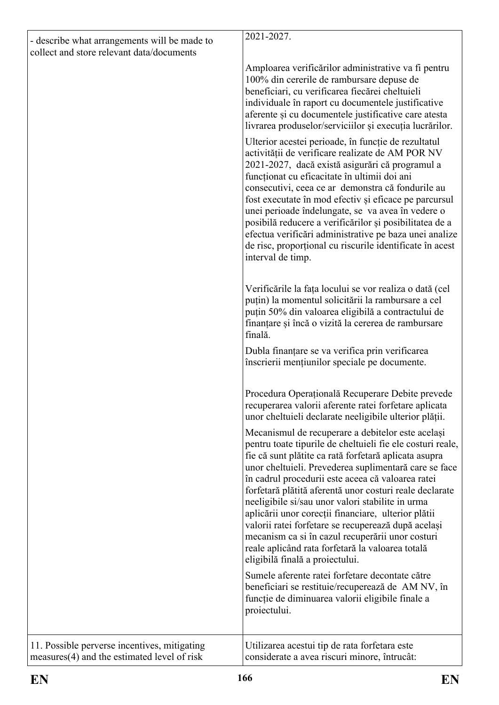| - describe what arrangements will be made to                                                  | 2021-2027.                                                                                                                                                                                                                                                                                                                                                                                                                                                                                                                                                                                                                                                     |
|-----------------------------------------------------------------------------------------------|----------------------------------------------------------------------------------------------------------------------------------------------------------------------------------------------------------------------------------------------------------------------------------------------------------------------------------------------------------------------------------------------------------------------------------------------------------------------------------------------------------------------------------------------------------------------------------------------------------------------------------------------------------------|
| collect and store relevant data/documents                                                     |                                                                                                                                                                                                                                                                                                                                                                                                                                                                                                                                                                                                                                                                |
|                                                                                               | Amploarea verificărilor administrative va fi pentru<br>100% din cererile de rambursare depuse de<br>beneficiari, cu verificarea fiecărei cheltuieli                                                                                                                                                                                                                                                                                                                                                                                                                                                                                                            |
|                                                                                               | individuale în raport cu documentele justificative<br>aferente și cu documentele justificative care atesta<br>livrarea produselor/serviciilor și execuția lucrărilor.                                                                                                                                                                                                                                                                                                                                                                                                                                                                                          |
|                                                                                               | Ulterior acestei perioade, în funcție de rezultatul<br>activității de verificare realizate de AM POR NV<br>2021-2027, dacă există asigurări că programul a<br>funcționat cu eficacitate în ultimii doi ani<br>consecutivi, ceea ce ar demonstra că fondurile au<br>fost executate în mod efectiv și eficace pe parcursul<br>unei perioade îndelungate, se va avea în vedere o<br>posibilă reducere a verificărilor și posibilitatea de a<br>efectua verificări administrative pe baza unei analize<br>de risc, proporțional cu riscurile identificate în acest<br>interval de timp.                                                                            |
|                                                                                               | Verificările la fața locului se vor realiza o dată (cel<br>puțin) la momentul solicitării la rambursare a cel<br>puțin 50% din valoarea eligibilă a contractului de<br>finanțare și încă o vizită la cererea de rambursare<br>finală.                                                                                                                                                                                                                                                                                                                                                                                                                          |
|                                                                                               | Dubla finanțare se va verifica prin verificarea<br>înscrierii mențiunilor speciale pe documente.                                                                                                                                                                                                                                                                                                                                                                                                                                                                                                                                                               |
|                                                                                               | Procedura Operațională Recuperare Debite prevede<br>recuperarea valorii aferente ratei forfetare aplicata<br>unor cheltuieli declarate neeligibile ulterior plății.                                                                                                                                                                                                                                                                                                                                                                                                                                                                                            |
|                                                                                               | Mecanismul de recuperare a debitelor este același<br>pentru toate tipurile de cheltuieli fie ele costuri reale,<br>fie că sunt plătite ca rată forfetară aplicata asupra<br>unor cheltuieli. Prevederea suplimentară care se face<br>în cadrul procedurii este aceea că valoarea ratei<br>forfetară plătită aferentă unor costuri reale declarate<br>neeligibile si/sau unor valori stabilite in urma<br>aplicării unor corecții financiare, ulterior plătii<br>valorii ratei forfetare se recuperează după același<br>mecanism ca si în cazul recuperării unor costuri<br>reale aplicând rata forfetară la valoarea totală<br>eligibilă finală a proiectului. |
|                                                                                               | Sumele aferente ratei forfetare decontate către<br>beneficiari se restituie/recuperează de AM NV, în<br>funcție de diminuarea valorii eligibile finale a<br>proiectului.                                                                                                                                                                                                                                                                                                                                                                                                                                                                                       |
| 11. Possible perverse incentives, mitigating<br>$measures(4)$ and the estimated level of risk | Utilizarea acestui tip de rata forfetara este<br>considerate a avea riscuri minore, întrucât:                                                                                                                                                                                                                                                                                                                                                                                                                                                                                                                                                                  |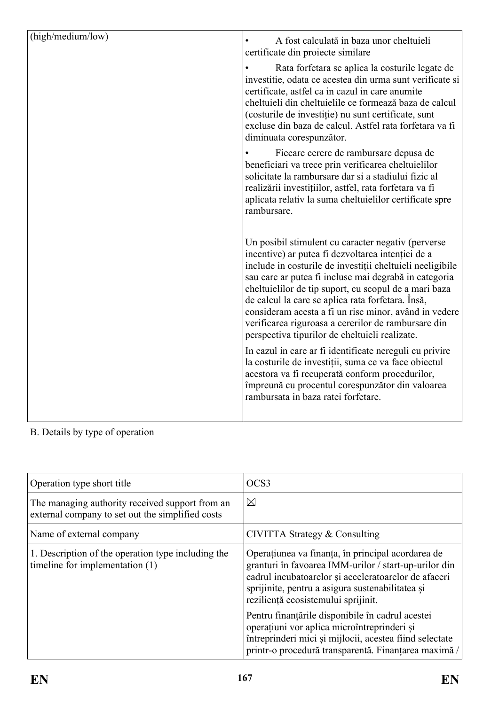| (high/medium/low) | A fost calculată in baza unor cheltuieli<br>certificate din projecte similare                                                                                                                                                                                                                                                                                                                                                                                                                                 |
|-------------------|---------------------------------------------------------------------------------------------------------------------------------------------------------------------------------------------------------------------------------------------------------------------------------------------------------------------------------------------------------------------------------------------------------------------------------------------------------------------------------------------------------------|
|                   | Rata forfetara se aplica la costurile legate de<br>investitie, odata ce acestea din urma sunt verificate si<br>certificate, astfel ca in cazul in care anumite<br>cheltuieli din cheltuielile ce formează baza de calcul<br>(costurile de investiție) nu sunt certificate, sunt<br>excluse din baza de calcul. Astfel rata forfetara va fi<br>diminuata corespunzător.                                                                                                                                        |
|                   | Fiecare cerere de rambursare depusa de<br>beneficiari va trece prin verificarea cheltuielilor<br>solicitate la rambursare dar si a stadiului fizic al<br>realizării investițiilor, astfel, rata forfetara va fi<br>aplicata relativ la suma cheltuielilor certificate spre<br>rambursare.                                                                                                                                                                                                                     |
|                   | Un posibil stimulent cu caracter negativ (perverse<br>incentive) ar putea fi dezvoltarea intenției de a<br>include in costurile de investiții cheltuieli neeligibile<br>sau care ar putea fi incluse mai degrabă in categoria<br>cheltuielilor de tip suport, cu scopul de a mari baza<br>de calcul la care se aplica rata forfetara. Însă,<br>consideram acesta a fi un risc minor, având in vedere<br>verificarea riguroasa a cererilor de rambursare din<br>perspectiva tipurilor de cheltuieli realizate. |
|                   | In cazul in care ar fi identificate nereguli cu privire<br>la costurile de investiții, suma ce va face obiectul<br>acestora va fi recuperată conform procedurilor,<br>împreună cu procentul corespunzător din valoarea<br>rambursata in baza ratei forfetare.                                                                                                                                                                                                                                                 |

| Operation type short title                                                                          | OCS <sub>3</sub>                                                                                                                                                                                                                                              |
|-----------------------------------------------------------------------------------------------------|---------------------------------------------------------------------------------------------------------------------------------------------------------------------------------------------------------------------------------------------------------------|
| The managing authority received support from an<br>external company to set out the simplified costs | $\boxtimes$                                                                                                                                                                                                                                                   |
| Name of external company                                                                            | CIVITTA Strategy & Consulting                                                                                                                                                                                                                                 |
| 1. Description of the operation type including the<br>timeline for implementation (1)               | Operatiunea va finanța, în principal acordarea de<br>granturi în favoarea IMM-urilor / start-up-urilor din<br>cadrul incubatoarelor și acceleratoarelor de afaceri<br>sprijinite, pentru a asigura sustenabilitatea și<br>reziliență ecosistemului sprijinit. |
|                                                                                                     | Pentru finanțările disponibile în cadrul acestei<br>operațiuni vor aplica microîntreprinderi și<br>întreprinderi mici și mijlocii, acestea fiind selectate<br>printr-o procedură transparentă. Finanțarea maximă /                                            |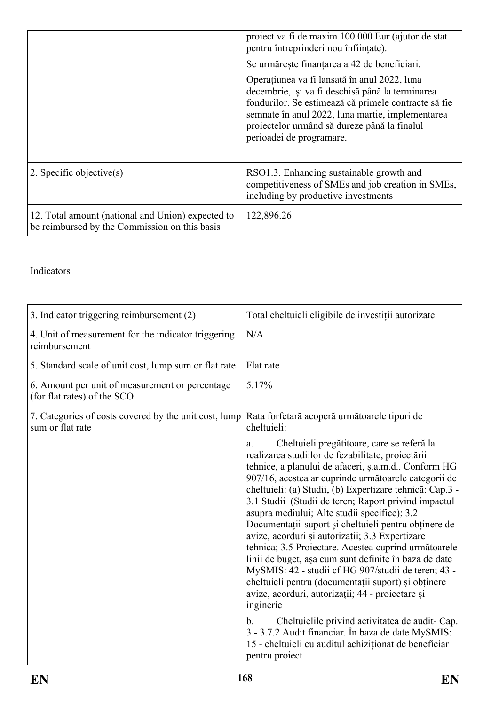|                                                                                                    | proiect va fi de maxim 100.000 Eur (ajutor de stat<br>pentru întreprinderi nou înființate).                                                                                                                                                                                                                                             |
|----------------------------------------------------------------------------------------------------|-----------------------------------------------------------------------------------------------------------------------------------------------------------------------------------------------------------------------------------------------------------------------------------------------------------------------------------------|
|                                                                                                    | Se urmărește finanțarea a 42 de beneficiari.<br>Operațiunea va fi lansată în anul 2022, luna<br>decembrie, și va fi deschisă până la terminarea<br>fondurilor. Se estimează că primele contracte să fie<br>semnate în anul 2022, luna martie, implementarea<br>proiectelor urmând să dureze până la finalul<br>perioadei de programare. |
| 2. Specific objective(s)                                                                           | RSO1.3. Enhancing sustainable growth and<br>competitiveness of SMEs and job creation in SMEs,<br>including by productive investments                                                                                                                                                                                                    |
| 12. Total amount (national and Union) expected to<br>be reimbursed by the Commission on this basis | 122,896.26                                                                                                                                                                                                                                                                                                                              |

| 3. Indicator triggering reimbursement (2)                                      | Total cheltuieli eligibile de investiții autorizate                                                                                                                                                                                                                                                                                                                                                                                                                                                                                                                                                                                                                                                                                                                                                                                                                                                                                                                                                    |
|--------------------------------------------------------------------------------|--------------------------------------------------------------------------------------------------------------------------------------------------------------------------------------------------------------------------------------------------------------------------------------------------------------------------------------------------------------------------------------------------------------------------------------------------------------------------------------------------------------------------------------------------------------------------------------------------------------------------------------------------------------------------------------------------------------------------------------------------------------------------------------------------------------------------------------------------------------------------------------------------------------------------------------------------------------------------------------------------------|
| 4. Unit of measurement for the indicator triggering<br>reimbursement           | N/A                                                                                                                                                                                                                                                                                                                                                                                                                                                                                                                                                                                                                                                                                                                                                                                                                                                                                                                                                                                                    |
| 5. Standard scale of unit cost, lump sum or flat rate                          | Flat rate                                                                                                                                                                                                                                                                                                                                                                                                                                                                                                                                                                                                                                                                                                                                                                                                                                                                                                                                                                                              |
| 6. Amount per unit of measurement or percentage<br>(for flat rates) of the SCO | 5.17%                                                                                                                                                                                                                                                                                                                                                                                                                                                                                                                                                                                                                                                                                                                                                                                                                                                                                                                                                                                                  |
| 7. Categories of costs covered by the unit cost, lump<br>sum or flat rate      | Rata forfetară acoperă următoarele tipuri de<br>cheltuieli:                                                                                                                                                                                                                                                                                                                                                                                                                                                                                                                                                                                                                                                                                                                                                                                                                                                                                                                                            |
|                                                                                | Cheltuieli pregătitoare, care se referă la<br>a.<br>realizarea studiilor de fezabilitate, proiectării<br>tehnice, a planului de afaceri, ș.a.m.d Conform HG<br>907/16, acestea ar cuprinde următoarele categorii de<br>cheltuieli: (a) Studii, (b) Expertizare tehnică: Cap.3 -<br>3.1 Studii (Studii de teren; Raport privind impactul<br>asupra mediului; Alte studii specifice); 3.2<br>Documentații-suport și cheltuieli pentru obținere de<br>avize, acorduri și autorizații; 3.3 Expertizare<br>tehnica; 3.5 Proiectare. Acestea cuprind următoarele<br>linii de buget, așa cum sunt definite în baza de date<br>MySMIS: 42 - studii cf HG 907/studii de teren; 43 -<br>cheltuieli pentru (documentații suport) și obținere<br>avize, acorduri, autorizații; 44 - proiectare și<br>inginerie<br>Cheltuielile privind activitatea de audit-Cap.<br>$\mathbf b$ .<br>3 - 3.7.2 Audit financiar. În baza de date MySMIS:<br>15 - cheltuieli cu auditul achiziționat de beneficiar<br>pentru proiect |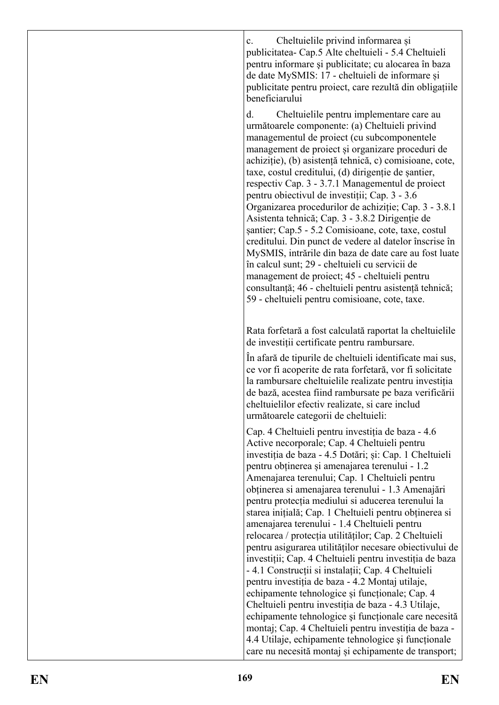c. Cheltuielile privind informarea și publicitatea- Cap.5 Alte cheltuieli - 5.4 Cheltuieli pentru informare şi publicitate; cu alocarea în baza de date MySMIS: 17 - cheltuieli de informare și publicitate pentru proiect, care rezultă din obligațiile beneficiarului

d. Cheltuielile pentru implementare care au următoarele componente: (a) Cheltuieli privind managementul de proiect (cu subcomponentele management de proiect și organizare proceduri de achiziție), (b) asistență tehnică, c) comisioane, cote, taxe, costul creditului, (d) dirigenție de șantier, respectiv Cap. 3 - 3.7.1 Managementul de proiect pentru obiectivul de investiții; Cap. 3 - 3.6 Organizarea procedurilor de achiziție; Cap. 3 - 3.8.1 Asistenta tehnică; Cap. 3 - 3.8.2 Dirigenție de șantier; Cap.5 - 5.2 Comisioane, cote, taxe, costul creditului. Din punct de vedere al datelor înscrise în MySMIS, intrările din baza de date care au fost luate în calcul sunt; 29 - cheltuieli cu servicii de management de proiect; 45 - cheltuieli pentru consultanță; 46 - cheltuieli pentru asistență tehnică; 59 - cheltuieli pentru comisioane, cote, taxe.

Rata forfetară a fost calculată raportat la cheltuielile de investiții certificate pentru rambursare.

În afară de tipurile de cheltuieli identificate mai sus, ce vor fi acoperite de rata forfetară, vor fi solicitate la rambursare cheltuielile realizate pentru investiția de bază, acestea fiind rambursate pe baza verificării cheltuielilor efectiv realizate, si care includ următoarele categorii de cheltuieli:

Cap. 4 Cheltuieli pentru investiția de baza - 4.6 Active necorporale; Cap. 4 Cheltuieli pentru investiția de baza - 4.5 Dotări; și: Cap. 1 Cheltuieli pentru obținerea și amenajarea terenului - 1.2 Amenajarea terenului; Cap. 1 Cheltuieli pentru obținerea si amenajarea terenului - 1.3 Amenajări pentru protecția mediului si aducerea terenului la starea inițială; Cap. 1 Cheltuieli pentru obținerea si amenajarea terenului - 1.4 Cheltuieli pentru relocarea / protecția utilităților; Cap. 2 Cheltuieli pentru asigurarea utilităților necesare obiectivului de investiții; Cap. 4 Cheltuieli pentru investiția de baza - 4.1 Construcții si instalații; Cap. 4 Cheltuieli pentru investiția de baza - 4.2 Montaj utilaje, echipamente tehnologice și funcționale; Cap. 4 Cheltuieli pentru investiția de baza - 4.3 Utilaje, echipamente tehnologice şi funcționale care necesită montaj; Cap. 4 Cheltuieli pentru investiția de baza - 4.4 Utilaje, echipamente tehnologice şi funcționale care nu necesită montaj și echipamente de transport;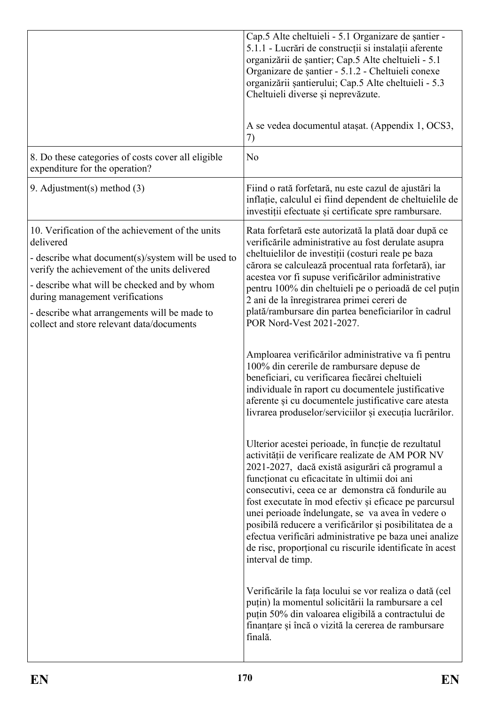|                                                                                                                                                                                                                                                                                                                                                     | Cap.5 Alte cheltuieli - 5.1 Organizare de santier -<br>5.1.1 - Lucrări de construcții si instalații aferente<br>organizării de șantier; Cap.5 Alte cheltuieli - 5.1<br>Organizare de șantier - 5.1.2 - Cheltuieli conexe<br>organizării șantierului; Cap.5 Alte cheltuieli - 5.3<br>Cheltuieli diverse și neprevăzute.<br>A se vedea documentul ataşat. (Appendix 1, OCS3,<br>7)                                                                                                                                                                                                    |
|-----------------------------------------------------------------------------------------------------------------------------------------------------------------------------------------------------------------------------------------------------------------------------------------------------------------------------------------------------|-------------------------------------------------------------------------------------------------------------------------------------------------------------------------------------------------------------------------------------------------------------------------------------------------------------------------------------------------------------------------------------------------------------------------------------------------------------------------------------------------------------------------------------------------------------------------------------|
| 8. Do these categories of costs cover all eligible<br>expenditure for the operation?                                                                                                                                                                                                                                                                | N <sub>o</sub>                                                                                                                                                                                                                                                                                                                                                                                                                                                                                                                                                                      |
| 9. Adjustment(s) method $(3)$                                                                                                                                                                                                                                                                                                                       | Fiind o rată forfetară, nu este cazul de ajustări la<br>inflatie, calculul ei fiind dependent de cheltuielile de<br>investiții efectuate și certificate spre rambursare.                                                                                                                                                                                                                                                                                                                                                                                                            |
| 10. Verification of the achievement of the units<br>delivered<br>- describe what document(s)/system will be used to<br>verify the achievement of the units delivered<br>- describe what will be checked and by whom<br>during management verifications<br>- describe what arrangements will be made to<br>collect and store relevant data/documents | Rata forfetară este autorizată la plată doar după ce<br>verificările administrative au fost derulate asupra<br>cheltuielilor de investiții (costuri reale pe baza<br>cărora se calculează procentual rata forfetară), iar<br>acestea vor fi supuse verificărilor administrative<br>pentru 100% din cheltuieli pe o perioadă de cel puțin<br>2 ani de la înregistrarea primei cereri de<br>plată/rambursare din partea beneficiarilor în cadrul<br>POR Nord-Vest 2021-2027.                                                                                                          |
|                                                                                                                                                                                                                                                                                                                                                     | Amploarea verificărilor administrative va fi pentru<br>100% din cererile de rambursare depuse de<br>beneficiari, cu verificarea fiecărei cheltuieli<br>individuale în raport cu documentele justificative<br>aferente și cu documentele justificative care atesta<br>livrarea produselor/serviciilor și execuția lucrărilor.                                                                                                                                                                                                                                                        |
|                                                                                                                                                                                                                                                                                                                                                     | Ulterior acestei perioade, în funcție de rezultatul<br>activității de verificare realizate de AM POR NV<br>2021-2027, dacă există asigurări că programul a<br>funcționat cu eficacitate în ultimii doi ani<br>consecutivi, ceea ce ar demonstra că fondurile au<br>fost executate în mod efectiv și eficace pe parcursul<br>unei perioade îndelungate, se va avea în vedere o<br>posibilă reducere a verificărilor și posibilitatea de a<br>efectua verificări administrative pe baza unei analize<br>de risc, proportional cu riscurile identificate în acest<br>interval de timp. |
|                                                                                                                                                                                                                                                                                                                                                     | Verificările la fața locului se vor realiza o dată (cel<br>puțin) la momentul solicitării la rambursare a cel<br>puțin 50% din valoarea eligibilă a contractului de<br>finanțare și încă o vizită la cererea de rambursare<br>finală.                                                                                                                                                                                                                                                                                                                                               |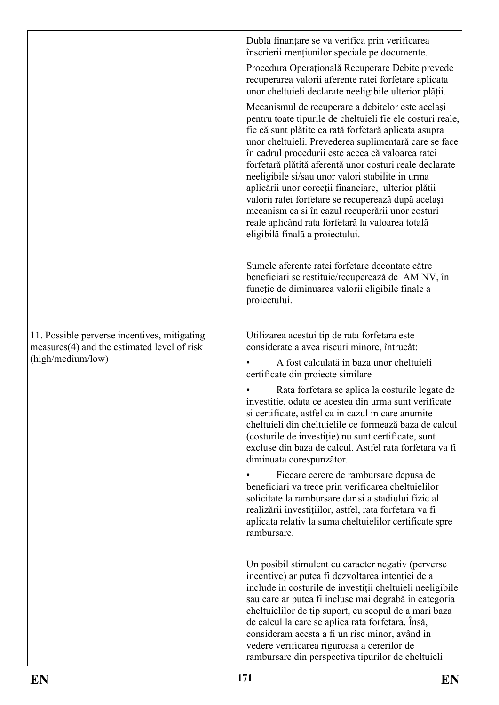|                                                                                               | Dubla finanțare se va verifica prin verificarea<br>înscrierii mențiunilor speciale pe documente.                                                                                                                                                                                                                                                                                                                                                                                                                                                                                                                                                               |
|-----------------------------------------------------------------------------------------------|----------------------------------------------------------------------------------------------------------------------------------------------------------------------------------------------------------------------------------------------------------------------------------------------------------------------------------------------------------------------------------------------------------------------------------------------------------------------------------------------------------------------------------------------------------------------------------------------------------------------------------------------------------------|
|                                                                                               | Procedura Operațională Recuperare Debite prevede<br>recuperarea valorii aferente ratei forfetare aplicata<br>unor cheltuieli declarate neeligibile ulterior plății.                                                                                                                                                                                                                                                                                                                                                                                                                                                                                            |
|                                                                                               | Mecanismul de recuperare a debitelor este același<br>pentru toate tipurile de cheltuieli fie ele costuri reale,<br>fie că sunt plătite ca rată forfetară aplicata asupra<br>unor cheltuieli. Prevederea suplimentară care se face<br>în cadrul procedurii este aceea că valoarea ratei<br>forfetară plătită aferentă unor costuri reale declarate<br>neeligibile si/sau unor valori stabilite in urma<br>aplicării unor corecții financiare, ulterior plătii<br>valorii ratei forfetare se recuperează după același<br>mecanism ca si în cazul recuperării unor costuri<br>reale aplicând rata forfetară la valoarea totală<br>eligibilă finală a proiectului. |
|                                                                                               | Sumele aferente ratei forfetare decontate către<br>beneficiari se restituie/recuperează de AM NV, în<br>funcție de diminuarea valorii eligibile finale a<br>proiectului.                                                                                                                                                                                                                                                                                                                                                                                                                                                                                       |
| 11. Possible perverse incentives, mitigating<br>$measures(4)$ and the estimated level of risk | Utilizarea acestui tip de rata forfetara este<br>considerate a avea riscuri minore, întrucât:                                                                                                                                                                                                                                                                                                                                                                                                                                                                                                                                                                  |
| (high/medium/low)                                                                             | A fost calculată in baza unor cheltuieli<br>certificate din projecte similare                                                                                                                                                                                                                                                                                                                                                                                                                                                                                                                                                                                  |
|                                                                                               | Rata forfetara se aplica la costurile legate de<br>investitie, odata ce acestea din urma sunt verificate<br>si certificate, astfel ca in cazul in care anumite<br>cheltuieli din cheltuielile ce formează baza de calcul<br>(costurile de investiție) nu sunt certificate, sunt<br>excluse din baza de calcul. Astfel rata forfetara va fi<br>diminuata corespunzător.                                                                                                                                                                                                                                                                                         |
|                                                                                               | Fiecare cerere de rambursare depusa de<br>beneficiari va trece prin verificarea cheltuielilor<br>solicitate la rambursare dar si a stadiului fizic al<br>realizării investițiilor, astfel, rata forfetara va fi<br>aplicata relativ la suma cheltuielilor certificate spre<br>rambursare.                                                                                                                                                                                                                                                                                                                                                                      |
|                                                                                               | Un posibil stimulent cu caracter negativ (perverse<br>incentive) ar putea fi dezvoltarea intenției de a<br>include in costurile de investiții cheltuieli neeligibile<br>sau care ar putea fi incluse mai degrabă in categoria<br>cheltuielilor de tip suport, cu scopul de a mari baza<br>de calcul la care se aplica rata forfetara. Însă,<br>consideram acesta a fi un risc minor, având in<br>vedere verificarea riguroasa a cererilor de<br>rambursare din perspectiva tipurilor de cheltuieli                                                                                                                                                             |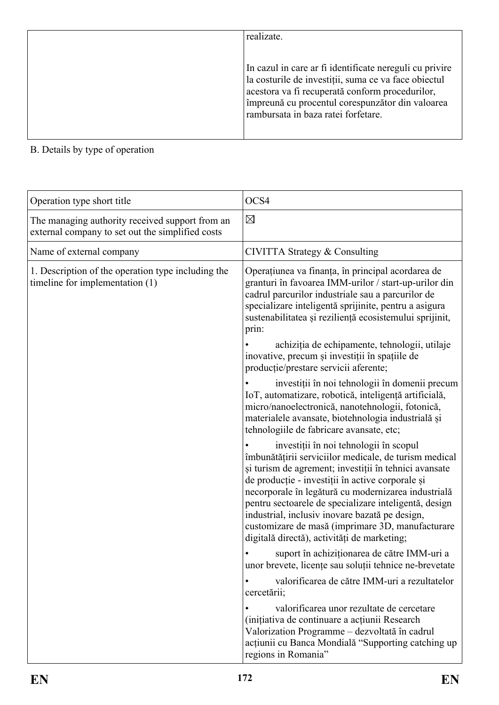| realizate.                                                                                                                                                                                                                                                    |
|---------------------------------------------------------------------------------------------------------------------------------------------------------------------------------------------------------------------------------------------------------------|
|                                                                                                                                                                                                                                                               |
| In cazul in care ar fi identificate nereguli cu privire<br>la costurile de investiții, suma ce va face obiectul<br>acestora va fi recuperată conform procedurilor,<br>împreună cu procentul corespunzător din valoarea<br>rambursata in baza ratei forfetare. |

| Operation type short title                                                                          | OCS4                                                                                                                                                                                                                                                                                                                                                                                                                                                                              |
|-----------------------------------------------------------------------------------------------------|-----------------------------------------------------------------------------------------------------------------------------------------------------------------------------------------------------------------------------------------------------------------------------------------------------------------------------------------------------------------------------------------------------------------------------------------------------------------------------------|
| The managing authority received support from an<br>external company to set out the simplified costs | $\boxtimes$                                                                                                                                                                                                                                                                                                                                                                                                                                                                       |
| Name of external company                                                                            | CIVITTA Strategy & Consulting                                                                                                                                                                                                                                                                                                                                                                                                                                                     |
| 1. Description of the operation type including the<br>timeline for implementation (1)               | Operațiunea va finanța, în principal acordarea de<br>granturi în favoarea IMM-urilor / start-up-urilor din<br>cadrul parcurilor industriale sau a parcurilor de<br>specializare inteligentă sprijinite, pentru a asigura<br>sustenabilitatea și reziliență ecosistemului sprijinit,<br>prin:                                                                                                                                                                                      |
|                                                                                                     | achiziția de echipamente, tehnologii, utilaje<br>inovative, precum și investiții în spațiile de<br>producție/prestare servicii aferente;                                                                                                                                                                                                                                                                                                                                          |
|                                                                                                     | investiții în noi tehnologii în domenii precum<br>IoT, automatizare, robotică, inteligență artificială,<br>micro/nanoelectronică, nanotehnologii, fotonică,<br>materialele avansate, biotehnologia industrială și<br>tehnologiile de fabricare avansate, etc;                                                                                                                                                                                                                     |
|                                                                                                     | investiții în noi tehnologii în scopul<br>îmbunătățirii serviciilor medicale, de turism medical<br>și turism de agrement; investiții în tehnici avansate<br>de producție - investiții în active corporale și<br>necorporale în legătură cu modernizarea industrială<br>pentru sectoarele de specializare inteligentă, design<br>industrial, inclusiv inovare bazată pe design,<br>customizare de masă (imprimare 3D, manufacturare<br>digitală directă), activități de marketing; |
|                                                                                                     | suport în achiziționarea de către IMM-uri a<br>unor brevete, licențe sau soluții tehnice ne-brevetate                                                                                                                                                                                                                                                                                                                                                                             |
|                                                                                                     | valorificarea de către IMM-uri a rezultatelor<br>cercetării;                                                                                                                                                                                                                                                                                                                                                                                                                      |
|                                                                                                     | valorificarea unor rezultate de cercetare<br>(initiativa de continuare a acțiunii Research<br>Valorization Programme – dezvoltată în cadrul<br>acțiunii cu Banca Mondială "Supporting catching up<br>regions in Romania"                                                                                                                                                                                                                                                          |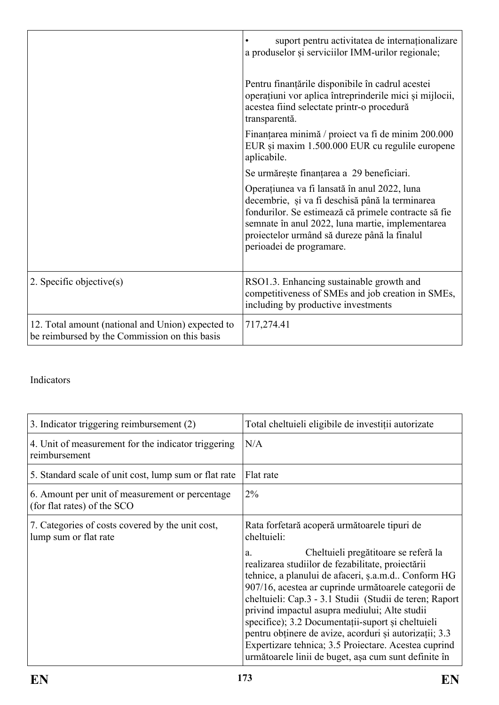|                                                                                                    | suport pentru activitatea de internaționalizare<br>a produselor și serviciilor IMM-urilor regionale;                                                                                                                                                                                    |
|----------------------------------------------------------------------------------------------------|-----------------------------------------------------------------------------------------------------------------------------------------------------------------------------------------------------------------------------------------------------------------------------------------|
|                                                                                                    | Pentru finanțările disponibile în cadrul acestei<br>operațiuni vor aplica întreprinderile mici și mijlocii,<br>acestea fiind selectate printr-o procedură<br>transparentă.                                                                                                              |
|                                                                                                    | Finanțarea minimă / proiect va fi de minim 200.000<br>EUR și maxim 1.500.000 EUR cu regulile europene<br>aplicabile.                                                                                                                                                                    |
|                                                                                                    | Se urmărește finanțarea a 29 beneficiari.                                                                                                                                                                                                                                               |
|                                                                                                    | Operațiunea va fi lansată în anul 2022, luna<br>decembrie, și va fi deschisă până la terminarea<br>fondurilor. Se estimează că primele contracte să fie<br>semnate în anul 2022, luna martie, implementarea<br>proiectelor urmând să dureze până la finalul<br>perioadei de programare. |
| 2. Specific objective $(s)$                                                                        | RSO1.3. Enhancing sustainable growth and<br>competitiveness of SMEs and job creation in SMEs,<br>including by productive investments                                                                                                                                                    |
| 12. Total amount (national and Union) expected to<br>be reimbursed by the Commission on this basis | 717,274.41                                                                                                                                                                                                                                                                              |

| 3. Indicator triggering reimbursement (2)                                      | Total cheltuieli eligibile de investiții autorizate                                                                                                                                                                                                                                                                                                                                                                                                                                                                                                       |
|--------------------------------------------------------------------------------|-----------------------------------------------------------------------------------------------------------------------------------------------------------------------------------------------------------------------------------------------------------------------------------------------------------------------------------------------------------------------------------------------------------------------------------------------------------------------------------------------------------------------------------------------------------|
| 4. Unit of measurement for the indicator triggering<br>reimbursement           | N/A                                                                                                                                                                                                                                                                                                                                                                                                                                                                                                                                                       |
| 5. Standard scale of unit cost, lump sum or flat rate                          | Flat rate                                                                                                                                                                                                                                                                                                                                                                                                                                                                                                                                                 |
| 6. Amount per unit of measurement or percentage<br>(for flat rates) of the SCO | 2%                                                                                                                                                                                                                                                                                                                                                                                                                                                                                                                                                        |
| 7. Categories of costs covered by the unit cost,<br>lump sum or flat rate      | Rata forfetară acoperă următoarele tipuri de<br>cheltuieli:                                                                                                                                                                                                                                                                                                                                                                                                                                                                                               |
|                                                                                | Cheltuieli pregătitoare se referă la<br>a.<br>realizarea studiilor de fezabilitate, proiectării<br>tehnice, a planului de afaceri, ș.a.m.d Conform HG<br>907/16, acestea ar cuprinde următoarele categorii de<br>cheltuieli: Cap.3 - 3.1 Studii (Studii de teren; Raport)<br>privind impactul asupra mediului; Alte studii<br>specifice); 3.2 Documentații-suport și cheltuieli<br>pentru obținere de avize, acorduri și autorizații; 3.3<br>Expertizare tehnica; 3.5 Proiectare. Acestea cuprind<br>următoarele linii de buget, așa cum sunt definite în |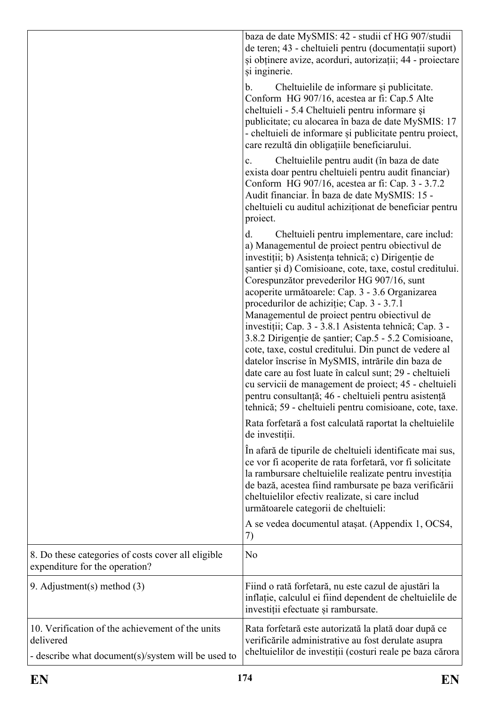|                                                                                                                     | baza de date MySMIS: 42 - studii cf HG 907/studii<br>de teren; 43 - cheltuieli pentru (documentații suport)<br>și obținere avize, acorduri, autorizații; 44 - proiectare<br>și inginerie.                                                                                                                                                                                                                                                                                                                                                                                                                                                                                                                                                                                                                                                                                                    |
|---------------------------------------------------------------------------------------------------------------------|----------------------------------------------------------------------------------------------------------------------------------------------------------------------------------------------------------------------------------------------------------------------------------------------------------------------------------------------------------------------------------------------------------------------------------------------------------------------------------------------------------------------------------------------------------------------------------------------------------------------------------------------------------------------------------------------------------------------------------------------------------------------------------------------------------------------------------------------------------------------------------------------|
|                                                                                                                     | Cheltuielile de informare și publicitate.<br>b.<br>Conform HG 907/16, acestea ar fi: Cap.5 Alte<br>cheltuieli - 5.4 Cheltuieli pentru informare și<br>publicitate; cu alocarea în baza de date MySMIS: 17<br>- cheltuieli de informare și publicitate pentru proiect,<br>care rezultă din obligațiile beneficiarului.                                                                                                                                                                                                                                                                                                                                                                                                                                                                                                                                                                        |
|                                                                                                                     | Cheltuielile pentru audit (în baza de date<br>$c_{\cdot}$<br>exista doar pentru cheltuieli pentru audit financiar)<br>Conform HG 907/16, acestea ar fi: Cap. 3 - 3.7.2<br>Audit financiar. În baza de date MySMIS: 15 -<br>cheltuieli cu auditul achiziționat de beneficiar pentru<br>project.                                                                                                                                                                                                                                                                                                                                                                                                                                                                                                                                                                                               |
|                                                                                                                     | Cheltuieli pentru implementare, care includ:<br>d.<br>a) Managementul de proiect pentru obiectivul de<br>investiții; b) Asistența tehnică; c) Dirigenție de<br>santier și d) Comisioane, cote, taxe, costul creditului.<br>Corespunzător prevederilor HG 907/16, sunt<br>acoperite următoarele: Cap. 3 - 3.6 Organizarea<br>procedurilor de achiziție; Cap. 3 - 3.7.1<br>Managementul de proiect pentru obiectivul de<br>investiții; Cap. 3 - 3.8.1 Asistenta tehnică; Cap. 3 -<br>3.8.2 Dirigenție de șantier; Cap.5 - 5.2 Comisioane,<br>cote, taxe, costul creditului. Din punct de vedere al<br>datelor înscrise în MySMIS, intrările din baza de<br>date care au fost luate în calcul sunt; 29 - cheltuieli<br>cu servicii de management de proiect; 45 - cheltuieli<br>pentru consultanță; 46 - cheltuieli pentru asistență<br>tehnică; 59 - cheltuieli pentru comisioane, cote, taxe. |
|                                                                                                                     | Rata forfetară a fost calculată raportat la cheltuielile<br>de investiții.<br>In afară de tipurile de cheltuieli identificate mai sus,<br>ce vor fi acoperite de rata forfetară, vor fi solicitate<br>la rambursare cheltuielile realizate pentru investiția<br>de bază, acestea fiind rambursate pe baza verificării<br>cheltuielilor efectiv realizate, si care includ<br>următoarele categorii de cheltuieli:                                                                                                                                                                                                                                                                                                                                                                                                                                                                             |
|                                                                                                                     | A se vedea documentul ataşat. (Appendix 1, OCS4,<br>7)                                                                                                                                                                                                                                                                                                                                                                                                                                                                                                                                                                                                                                                                                                                                                                                                                                       |
| 8. Do these categories of costs cover all eligible<br>expenditure for the operation?                                | No                                                                                                                                                                                                                                                                                                                                                                                                                                                                                                                                                                                                                                                                                                                                                                                                                                                                                           |
| 9. Adjustment(s) method $(3)$                                                                                       | Fiind o rată forfetară, nu este cazul de ajustări la<br>inflație, calculul ei fiind dependent de cheltuielile de<br>investiții efectuate și rambursate.                                                                                                                                                                                                                                                                                                                                                                                                                                                                                                                                                                                                                                                                                                                                      |
| 10. Verification of the achievement of the units<br>delivered<br>- describe what document(s)/system will be used to | Rata forfetară este autorizată la plată doar după ce<br>verificările administrative au fost derulate asupra<br>cheltuielilor de investiții (costuri reale pe baza cărora                                                                                                                                                                                                                                                                                                                                                                                                                                                                                                                                                                                                                                                                                                                     |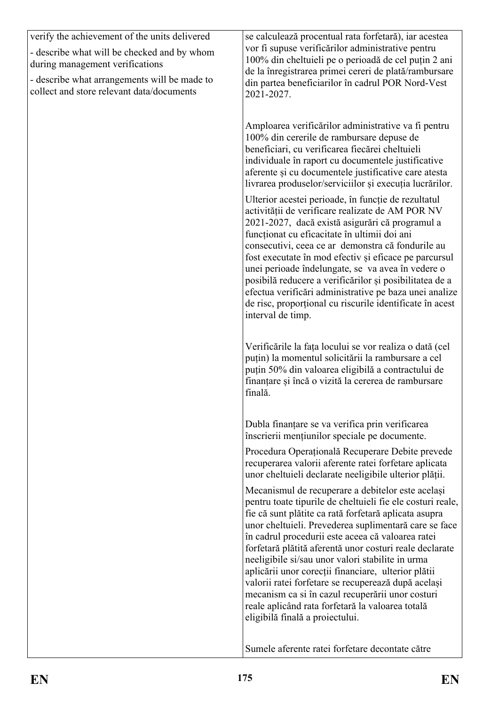| verify the achievement of the units delivered<br>- describe what will be checked and by whom<br>during management verifications<br>- describe what arrangements will be made to<br>collect and store relevant data/documents | se calculează procentual rata forfetară), iar acestea<br>vor fi supuse verificărilor administrative pentru<br>100% din cheltuieli pe o perioadă de cel puțin 2 ani<br>de la înregistrarea primei cereri de plată/rambursare<br>din partea beneficiarilor în cadrul POR Nord-Vest<br>2021-2027.                                                                                                                                                                                                                                                                                                                                                                 |
|------------------------------------------------------------------------------------------------------------------------------------------------------------------------------------------------------------------------------|----------------------------------------------------------------------------------------------------------------------------------------------------------------------------------------------------------------------------------------------------------------------------------------------------------------------------------------------------------------------------------------------------------------------------------------------------------------------------------------------------------------------------------------------------------------------------------------------------------------------------------------------------------------|
|                                                                                                                                                                                                                              | Amploarea verificărilor administrative va fi pentru<br>100% din cererile de rambursare depuse de<br>beneficiari, cu verificarea fiecărei cheltuieli<br>individuale în raport cu documentele justificative<br>aferente și cu documentele justificative care atesta<br>livrarea produselor/serviciilor și execuția lucrărilor.                                                                                                                                                                                                                                                                                                                                   |
|                                                                                                                                                                                                                              | Ulterior acestei perioade, în funcție de rezultatul<br>activității de verificare realizate de AM POR NV<br>2021-2027, dacă există asigurări că programul a<br>funcționat cu eficacitate în ultimii doi ani<br>consecutivi, ceea ce ar demonstra că fondurile au<br>fost executate în mod efectiv și eficace pe parcursul<br>unei perioade îndelungate, se va avea în vedere o<br>posibilă reducere a verificărilor și posibilitatea de a<br>efectua verificări administrative pe baza unei analize<br>de risc, proportional cu riscurile identificate în acest<br>interval de timp.                                                                            |
|                                                                                                                                                                                                                              | Verificările la fața locului se vor realiza o dată (cel<br>puțin) la momentul solicitării la rambursare a cel<br>puțin 50% din valoarea eligibilă a contractului de<br>finanțare și încă o vizită la cererea de rambursare<br>finală.                                                                                                                                                                                                                                                                                                                                                                                                                          |
|                                                                                                                                                                                                                              | Dubla finanțare se va verifica prin verificarea<br>înscrierii mențiunilor speciale pe documente.                                                                                                                                                                                                                                                                                                                                                                                                                                                                                                                                                               |
|                                                                                                                                                                                                                              | Procedura Operațională Recuperare Debite prevede<br>recuperarea valorii aferente ratei forfetare aplicata<br>unor cheltuieli declarate neeligibile ulterior plății.                                                                                                                                                                                                                                                                                                                                                                                                                                                                                            |
|                                                                                                                                                                                                                              | Mecanismul de recuperare a debitelor este același<br>pentru toate tipurile de cheltuieli fie ele costuri reale,<br>fie că sunt plătite ca rată forfetară aplicata asupra<br>unor cheltuieli. Prevederea suplimentară care se face<br>în cadrul procedurii este aceea că valoarea ratei<br>forfetară plătită aferentă unor costuri reale declarate<br>neeligibile si/sau unor valori stabilite in urma<br>aplicării unor corecții financiare, ulterior plătii<br>valorii ratei forfetare se recuperează după același<br>mecanism ca si în cazul recuperării unor costuri<br>reale aplicând rata forfetară la valoarea totală<br>eligibilă finală a proiectului. |
|                                                                                                                                                                                                                              | Sumele aferente ratei forfetare decontate către                                                                                                                                                                                                                                                                                                                                                                                                                                                                                                                                                                                                                |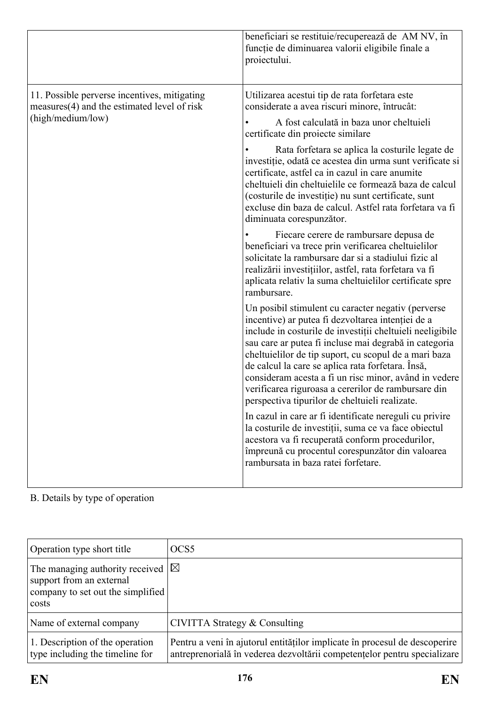|                                                                                             | beneficiari se restituie/recuperează de AM NV, în<br>funcție de diminuarea valorii eligibile finale a<br>proiectului.                                                                                                                                                                                                                                                                                                                                                                                         |
|---------------------------------------------------------------------------------------------|---------------------------------------------------------------------------------------------------------------------------------------------------------------------------------------------------------------------------------------------------------------------------------------------------------------------------------------------------------------------------------------------------------------------------------------------------------------------------------------------------------------|
| 11. Possible perverse incentives, mitigating<br>measures(4) and the estimated level of risk | Utilizarea acestui tip de rata forfetara este<br>considerate a avea riscuri minore, întrucât:                                                                                                                                                                                                                                                                                                                                                                                                                 |
| (high/medium/low)                                                                           | A fost calculată in baza unor cheltuieli<br>certificate din projecte similare                                                                                                                                                                                                                                                                                                                                                                                                                                 |
|                                                                                             | Rata forfetara se aplica la costurile legate de<br>investiție, odată ce acestea din urma sunt verificate si<br>certificate, astfel ca in cazul in care anumite<br>cheltuieli din cheltuielile ce formează baza de calcul<br>(costurile de investiție) nu sunt certificate, sunt<br>excluse din baza de calcul. Astfel rata forfetara va fi<br>diminuata corespunzător.                                                                                                                                        |
|                                                                                             | Fiecare cerere de rambursare depusa de<br>beneficiari va trece prin verificarea cheltuielilor<br>solicitate la rambursare dar si a stadiului fizic al<br>realizării investițiilor, astfel, rata forfetara va fi<br>aplicata relativ la suma cheltuielilor certificate spre<br>rambursare.                                                                                                                                                                                                                     |
|                                                                                             | Un posibil stimulent cu caracter negativ (perverse<br>incentive) ar putea fi dezvoltarea intenției de a<br>include in costurile de investiții cheltuieli neeligibile<br>sau care ar putea fi incluse mai degrabă in categoria<br>cheltuielilor de tip suport, cu scopul de a mari baza<br>de calcul la care se aplica rata forfetara. Insă,<br>consideram acesta a fi un risc minor, având in vedere<br>verificarea riguroasa a cererilor de rambursare din<br>perspectiva tipurilor de cheltuieli realizate. |
|                                                                                             | In cazul in care ar fi identificate nereguli cu privire<br>la costurile de investiții, suma ce va face obiectul<br>acestora va fi recuperată conform procedurilor,<br>împreună cu procentul corespunzător din valoarea<br>rambursata in baza ratei forfetare.                                                                                                                                                                                                                                                 |

B. Details by type of operation

| Operation type short title                                                                                             | OCS <sub>5</sub>                                                                                                                                       |
|------------------------------------------------------------------------------------------------------------------------|--------------------------------------------------------------------------------------------------------------------------------------------------------|
| The managing authority received $ \triangle$<br>support from an external<br>company to set out the simplified<br>costs |                                                                                                                                                        |
| Name of external company                                                                                               | CIVITTA Strategy & Consulting                                                                                                                          |
| 1. Description of the operation<br>type including the timeline for                                                     | Pentru a veni în ajutorul entităților implicate în procesul de descoperire<br>antreprenorială în vederea dezvoltării competențelor pentru specializare |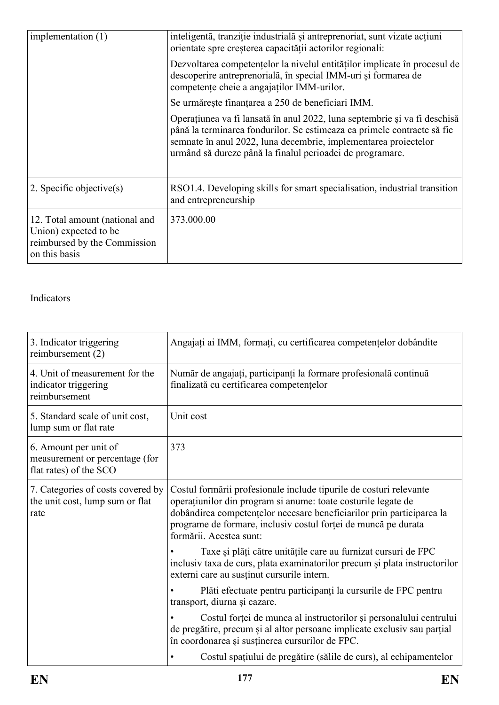| implementation (1)                                                                                       | inteligentă, tranziție industrială și antreprenoriat, sunt vizate acțiuni<br>orientate spre creșterea capacității actorilor regionali:                                                                                                                                               |
|----------------------------------------------------------------------------------------------------------|--------------------------------------------------------------------------------------------------------------------------------------------------------------------------------------------------------------------------------------------------------------------------------------|
|                                                                                                          | Dezvoltarea competentelor la nivelul entităților implicate în procesul de<br>descoperire antreprenorială, în special IMM-uri și formarea de<br>competențe cheie a angajaților IMM-urilor.                                                                                            |
|                                                                                                          | Se urmărește finanțarea a 250 de beneficiari IMM.                                                                                                                                                                                                                                    |
|                                                                                                          | Operațiunea va fi lansată în anul 2022, luna septembrie și va fi deschisă<br>până la terminarea fondurilor. Se estimeaza ca primele contracte să fie<br>semnate în anul 2022, luna decembrie, implementarea proiectelor<br>urmând să dureze până la finalul perioadei de programare. |
| 2. Specific objective $(s)$                                                                              | RSO1.4. Developing skills for smart specialisation, industrial transition<br>and entrepreneurship                                                                                                                                                                                    |
| 12. Total amount (national and<br>Union) expected to be<br>reimbursed by the Commission<br>on this basis | 373,000.00                                                                                                                                                                                                                                                                           |

| 3. Indicator triggering<br>reimbursement (2)                                      | Angajați ai IMM, formați, cu certificarea competențelor dobândite                                                                                                                                                                                                                                         |
|-----------------------------------------------------------------------------------|-----------------------------------------------------------------------------------------------------------------------------------------------------------------------------------------------------------------------------------------------------------------------------------------------------------|
| 4. Unit of measurement for the<br>indicator triggering<br>reimbursement           | Număr de angajați, participanți la formare profesională continuă<br>finalizată cu certificarea competențelor                                                                                                                                                                                              |
| 5. Standard scale of unit cost,<br>lump sum or flat rate                          | Unit cost                                                                                                                                                                                                                                                                                                 |
| 6. Amount per unit of<br>measurement or percentage (for<br>flat rates) of the SCO | 373                                                                                                                                                                                                                                                                                                       |
| 7. Categories of costs covered by<br>the unit cost, lump sum or flat<br>rate      | Costul formării profesionale include tipurile de costuri relevante<br>operațiunilor din program si anume: toate costurile legate de<br>dobândirea competențelor necesare beneficiarilor prin participarea la<br>programe de formare, inclusiv costul forței de muncă pe durata<br>formării. Acestea sunt: |
|                                                                                   | Taxe și plăți către unitățile care au furnizat cursuri de FPC<br>inclusiv taxa de curs, plata examinatorilor precum și plata instructorilor<br>externi care au susținut cursurile intern.                                                                                                                 |
|                                                                                   | Plăti efectuate pentru participanți la cursurile de FPC pentru<br>transport, diurna și cazare.                                                                                                                                                                                                            |
|                                                                                   | Costul forței de munca al instructorilor și personalului centrului<br>de pregătire, precum și al altor persoane implicate exclusiv sau parțial<br>în coordonarea și susținerea cursurilor de FPC.                                                                                                         |
|                                                                                   | Costul spațiului de pregătire (sălile de curs), al echipamentelor                                                                                                                                                                                                                                         |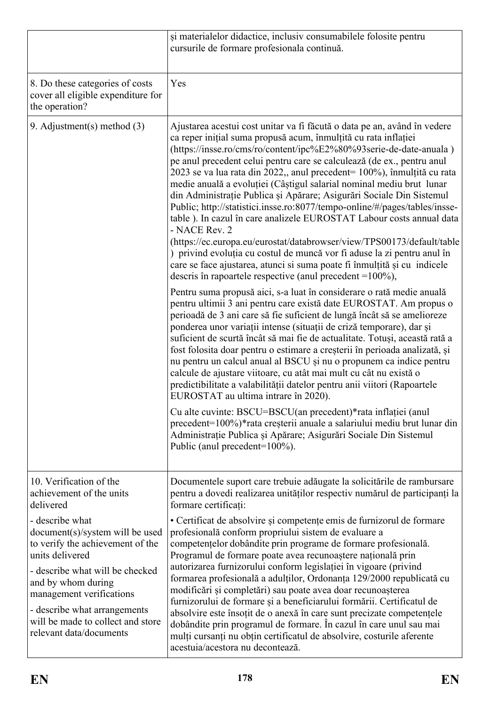|                                                                                                                                                                                                                                                                                                | și materialelor didactice, inclusiv consumabilele folosite pentru<br>cursurile de formare profesionala continuă.                                                                                                                                                                                                                                                                                                                                                                                                                                                                                                                                                                                                                                                                                                                                                                                                                                                                               |
|------------------------------------------------------------------------------------------------------------------------------------------------------------------------------------------------------------------------------------------------------------------------------------------------|------------------------------------------------------------------------------------------------------------------------------------------------------------------------------------------------------------------------------------------------------------------------------------------------------------------------------------------------------------------------------------------------------------------------------------------------------------------------------------------------------------------------------------------------------------------------------------------------------------------------------------------------------------------------------------------------------------------------------------------------------------------------------------------------------------------------------------------------------------------------------------------------------------------------------------------------------------------------------------------------|
| 8. Do these categories of costs<br>cover all eligible expenditure for<br>the operation?                                                                                                                                                                                                        | Yes                                                                                                                                                                                                                                                                                                                                                                                                                                                                                                                                                                                                                                                                                                                                                                                                                                                                                                                                                                                            |
| 9. Adjustment(s) method $(3)$                                                                                                                                                                                                                                                                  | Ajustarea acestui cost unitar va fi făcută o data pe an, având în vedere<br>ca reper inițial suma propusă acum, înmulțită cu rata inflației<br>(https://insse.ro/cms/ro/content/ipc%E2%80%93serie-de-date-anuala)<br>pe anul precedent celui pentru care se calculează (de ex., pentru anul<br>2023 se va lua rata din 2022,, anul precedent= 100%), înmulțită cu rata<br>medie anuală a evoluției (Câștigul salarial nominal mediu brut lunar<br>din Administrație Publica și Apărare; Asigurări Sociale Din Sistemul<br>Public; http://statistici.insse.ro:8077/tempo-online/#/pages/tables/insse-<br>table). In cazul în care analizele EUROSTAT Labour costs annual data<br>- NACE Rev. 2<br>(https://ec.europa.eu/eurostat/databrowser/view/TPS00173/default/table<br>) privind evoluția cu costul de muncă vor fi aduse la zi pentru anul în<br>care se face ajustarea, atunci si suma poate fi înmulțită și cu indicele<br>descris în rapoartele respective (anul precedent $=100\%$ ), |
|                                                                                                                                                                                                                                                                                                | Pentru suma propusă aici, s-a luat în considerare o rată medie anuală<br>pentru ultimii 3 ani pentru care există date EUROSTAT. Am propus o<br>perioadă de 3 ani care să fie suficient de lungă încât să se amelioreze<br>ponderea unor variații intense (situații de criză temporare), dar și<br>suficient de scurtă încât să mai fie de actualitate. Totuși, această rată a<br>fost folosita doar pentru o estimare a creșterii în perioada analizată, și<br>nu pentru un calcul anual al BSCU și nu o propunem ca indice pentru<br>calcule de ajustare viitoare, cu atât mai mult cu cât nu există o<br>predictibilitate a valabilității datelor pentru anii viitori (Rapoartele<br>EUROSTAT au ultima intrare în 2020).                                                                                                                                                                                                                                                                    |
|                                                                                                                                                                                                                                                                                                | Cu alte cuvinte: BSCU=BSCU(an precedent)*rata inflației (anul<br>precedent=100%)*rata creșterii anuale a salariului mediu brut lunar din<br>Administrație Publica și Apărare; Asigurări Sociale Din Sistemul<br>Public (anul precedent=100%).                                                                                                                                                                                                                                                                                                                                                                                                                                                                                                                                                                                                                                                                                                                                                  |
| 10. Verification of the<br>achievement of the units<br>delivered                                                                                                                                                                                                                               | Documentele suport care trebuie adăugate la solicitările de rambursare<br>pentru a dovedi realizarea unităților respectiv numărul de participanți la<br>formare certificați:                                                                                                                                                                                                                                                                                                                                                                                                                                                                                                                                                                                                                                                                                                                                                                                                                   |
| - describe what<br>document(s)/system will be used<br>to verify the achievement of the<br>units delivered<br>- describe what will be checked<br>and by whom during<br>management verifications<br>- describe what arrangements<br>will be made to collect and store<br>relevant data/documents | • Certificat de absolvire și competențe emis de furnizorul de formare<br>profesională conform propriului sistem de evaluare a<br>competențelor dobândite prin programe de formare profesională.<br>Programul de formare poate avea recunoaștere națională prin<br>autorizarea furnizorului conform legislației în vigoare (privind<br>formarea profesională a adulților, Ordonanța 129/2000 republicată cu<br>modificări și completări) sau poate avea doar recunoașterea<br>furnizorului de formare și a beneficiarului formării. Certificatul de<br>absolvire este însoțit de o anexă în care sunt precizate competențele<br>dobândite prin programul de formare. În cazul în care unul sau mai<br>mulți cursanți nu obțin certificatul de absolvire, costurile aferente<br>acestuia/acestora nu decontează.                                                                                                                                                                                 |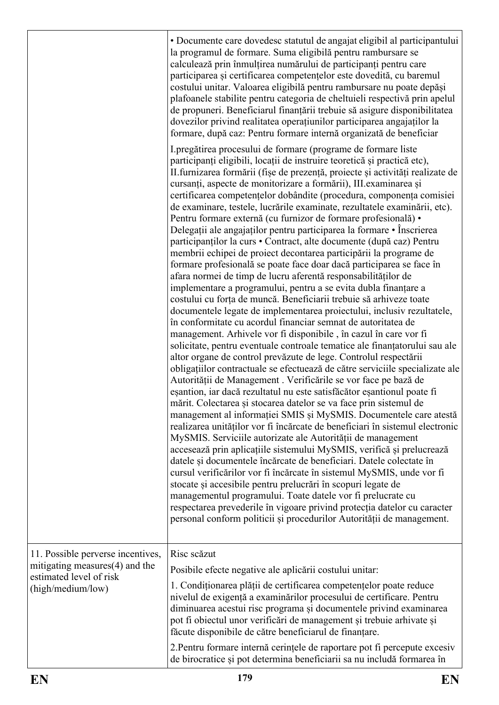|                                                                                                                     | • Documente care dovedesc statutul de angajat eligibil al participantului<br>la programul de formare. Suma eligibilă pentru rambursare se<br>calculează prin înmulțirea numărului de participanți pentru care<br>participarea și certificarea competențelor este dovedită, cu baremul<br>costului unitar. Valoarea eligibilă pentru rambursare nu poate depăși<br>plafoanele stabilite pentru categoria de cheltuieli respectivă prin apelul<br>de propuneri. Beneficiarul finanțării trebuie să asigure disponibilitatea<br>dovezilor privind realitatea operațiunilor participarea angajaților la<br>formare, după caz: Pentru formare internă organizată de beneficiar                                                                                                                                                                                                                                                                                                                                                                                                                                                                                                                                                                                                                                                                                                                                                                                                                                                                                                                                                                                                                                                                                                                                                                                                                                                                                                                                                                                                                                                                                                                                                                                                                                                                                                                                                        |
|---------------------------------------------------------------------------------------------------------------------|----------------------------------------------------------------------------------------------------------------------------------------------------------------------------------------------------------------------------------------------------------------------------------------------------------------------------------------------------------------------------------------------------------------------------------------------------------------------------------------------------------------------------------------------------------------------------------------------------------------------------------------------------------------------------------------------------------------------------------------------------------------------------------------------------------------------------------------------------------------------------------------------------------------------------------------------------------------------------------------------------------------------------------------------------------------------------------------------------------------------------------------------------------------------------------------------------------------------------------------------------------------------------------------------------------------------------------------------------------------------------------------------------------------------------------------------------------------------------------------------------------------------------------------------------------------------------------------------------------------------------------------------------------------------------------------------------------------------------------------------------------------------------------------------------------------------------------------------------------------------------------------------------------------------------------------------------------------------------------------------------------------------------------------------------------------------------------------------------------------------------------------------------------------------------------------------------------------------------------------------------------------------------------------------------------------------------------------------------------------------------------------------------------------------------------|
|                                                                                                                     | I pregătirea procesului de formare (programe de formare liste<br>participanți eligibili, locații de instruire teoretică și practică etc),<br>II furnizarea formării (fișe de prezență, proiecte și activități realizate de<br>cursanți, aspecte de monitorizare a formării), III examinarea și<br>certificarea competențelor dobândite (procedura, componența comisiei<br>de examinare, testele, lucrările examinate, rezultatele examinării, etc).<br>Pentru formare externă (cu furnizor de formare profesională) •<br>Delegații ale angajaților pentru participarea la formare • Înscrierea<br>participanților la curs • Contract, alte documente (după caz) Pentru<br>membrii echipei de proiect decontarea participării la programe de<br>formare profesională se poate face doar dacă participarea se face în<br>afara normei de timp de lucru aferentă responsabilităților de<br>implementare a programului, pentru a se evita dubla finanțare a<br>costului cu forța de muncă. Beneficiarii trebuie să arhiveze toate<br>documentele legate de implementarea proiectului, inclusiv rezultatele,<br>în conformitate cu acordul financiar semnat de autoritatea de<br>management. Arhivele vor fi disponibile, în cazul în care vor fi<br>solicitate, pentru eventuale controale tematice ale finanțatorului sau ale<br>altor organe de control prevăzute de lege. Controlul respectării<br>obligațiilor contractuale se efectuează de către serviciile specializate ale<br>Autorității de Management. Verificările se vor face pe bază de<br>eșantion, iar dacă rezultatul nu este satisfăcător eșantionul poate fi<br>mărit. Colectarea și stocarea datelor se va face prin sistemul de<br>management al informației SMIS și MySMIS. Documentele care atestă<br>realizarea unităților vor fi încărcate de beneficiari în sistemul electronic<br>MySMIS. Serviciile autorizate ale Autorității de management<br>accesează prin aplicațiile sistemului MySMIS, verifică și prelucrează<br>datele și documentele încărcate de beneficiari. Datele colectate în<br>cursul verificărilor vor fi încărcate în sistemul MySMIS, unde vor fi<br>stocate și accesibile pentru prelucrări în scopuri legate de<br>managementul programului. Toate datele vor fi prelucrate cu<br>respectarea prevederile în vigoare privind protecția datelor cu caracter<br>personal conform politicii și procedurilor Autorității de management. |
| 11. Possible perverse incentives,<br>mitigating measures(4) and the<br>estimated level of risk<br>(high/medium/low) | Risc scăzut                                                                                                                                                                                                                                                                                                                                                                                                                                                                                                                                                                                                                                                                                                                                                                                                                                                                                                                                                                                                                                                                                                                                                                                                                                                                                                                                                                                                                                                                                                                                                                                                                                                                                                                                                                                                                                                                                                                                                                                                                                                                                                                                                                                                                                                                                                                                                                                                                      |
|                                                                                                                     | Posibile efecte negative ale aplicării costului unitar:                                                                                                                                                                                                                                                                                                                                                                                                                                                                                                                                                                                                                                                                                                                                                                                                                                                                                                                                                                                                                                                                                                                                                                                                                                                                                                                                                                                                                                                                                                                                                                                                                                                                                                                                                                                                                                                                                                                                                                                                                                                                                                                                                                                                                                                                                                                                                                          |
|                                                                                                                     | 1. Condiționarea plății de certificarea competențelor poate reduce<br>nivelul de exigență a examinărilor procesului de certificare. Pentru<br>diminuarea acestui risc programa și documentele privind examinarea<br>pot fi obiectul unor verificări de management și trebuie arhivate și<br>făcute disponibile de către beneficiarul de finanțare.                                                                                                                                                                                                                                                                                                                                                                                                                                                                                                                                                                                                                                                                                                                                                                                                                                                                                                                                                                                                                                                                                                                                                                                                                                                                                                                                                                                                                                                                                                                                                                                                                                                                                                                                                                                                                                                                                                                                                                                                                                                                               |
|                                                                                                                     | 2. Pentru formare internă cerințele de raportare pot fi percepute excesiv<br>de birocratice și pot determina beneficiarii sa nu includă formarea în                                                                                                                                                                                                                                                                                                                                                                                                                                                                                                                                                                                                                                                                                                                                                                                                                                                                                                                                                                                                                                                                                                                                                                                                                                                                                                                                                                                                                                                                                                                                                                                                                                                                                                                                                                                                                                                                                                                                                                                                                                                                                                                                                                                                                                                                              |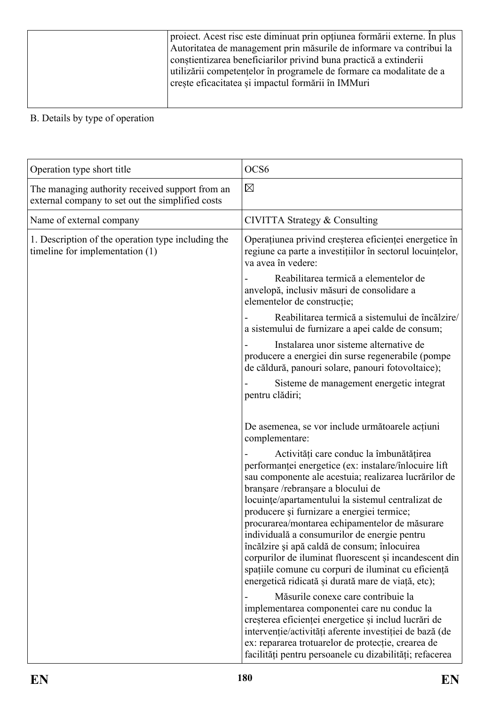| proiect. Acest risc este diminuat prin opțiunea formării externe. În plus |
|---------------------------------------------------------------------------|
| Autoritatea de management prin măsurile de informare va contribui la      |
| constientizarea beneficiarilor privind buna practică a extinderii         |
| utilizării competențelor în programele de formare ca modalitate de a      |
| crește eficacitatea și impactul formării în IMMuri                        |
|                                                                           |
|                                                                           |

| Operation type short title                                                                          | OCS <sub>6</sub>                                                                                                                                                                                                                                                                                                                                                                                                                                                                                                                                                                                                             |
|-----------------------------------------------------------------------------------------------------|------------------------------------------------------------------------------------------------------------------------------------------------------------------------------------------------------------------------------------------------------------------------------------------------------------------------------------------------------------------------------------------------------------------------------------------------------------------------------------------------------------------------------------------------------------------------------------------------------------------------------|
| The managing authority received support from an<br>external company to set out the simplified costs | $\boxtimes$                                                                                                                                                                                                                                                                                                                                                                                                                                                                                                                                                                                                                  |
| Name of external company                                                                            | CIVITTA Strategy & Consulting                                                                                                                                                                                                                                                                                                                                                                                                                                                                                                                                                                                                |
| 1. Description of the operation type including the<br>timeline for implementation (1)               | Operațiunea privind creșterea eficienței energetice în<br>regiune ca parte a investițiilor în sectorul locuințelor,<br>va avea în vedere:                                                                                                                                                                                                                                                                                                                                                                                                                                                                                    |
|                                                                                                     | Reabilitarea termică a elementelor de<br>anvelopă, inclusiv măsuri de consolidare a<br>elementelor de construcție;                                                                                                                                                                                                                                                                                                                                                                                                                                                                                                           |
|                                                                                                     | Reabilitarea termică a sistemului de încălzire/<br>a sistemului de furnizare a apei calde de consum;                                                                                                                                                                                                                                                                                                                                                                                                                                                                                                                         |
|                                                                                                     | Instalarea unor sisteme alternative de<br>producere a energiei din surse regenerabile (pompe<br>de căldură, panouri solare, panouri fotovoltaice);                                                                                                                                                                                                                                                                                                                                                                                                                                                                           |
|                                                                                                     | Sisteme de management energetic integrat<br>pentru clădiri;                                                                                                                                                                                                                                                                                                                                                                                                                                                                                                                                                                  |
|                                                                                                     | De asemenea, se vor include următoarele acțiuni<br>complementare:                                                                                                                                                                                                                                                                                                                                                                                                                                                                                                                                                            |
|                                                                                                     | Activități care conduc la îmbunătățirea<br>performanței energetice (ex: instalare/înlocuire lift<br>sau componente ale acestuia; realizarea lucrărilor de<br>branșare /rebranșare a blocului de<br>locuințe/apartamentului la sistemul centralizat de<br>producere și furnizare a energiei termice;<br>procurarea/montarea echipamentelor de măsurare<br>individuală a consumurilor de energie pentru<br>încălzire și apă caldă de consum; înlocuirea<br>corpurilor de iluminat fluorescent și incandescent din<br>spațiile comune cu corpuri de iluminat cu eficiență<br>energetică ridicată și durată mare de viață, etc); |
|                                                                                                     | Măsurile conexe care contribuie la<br>implementarea componentei care nu conduc la<br>creșterea eficienței energetice și includ lucrări de<br>intervenție/activități aferente investiției de bază (de<br>ex: repararea trotuarelor de protecție, crearea de<br>facilități pentru persoanele cu dizabilități; refacerea                                                                                                                                                                                                                                                                                                        |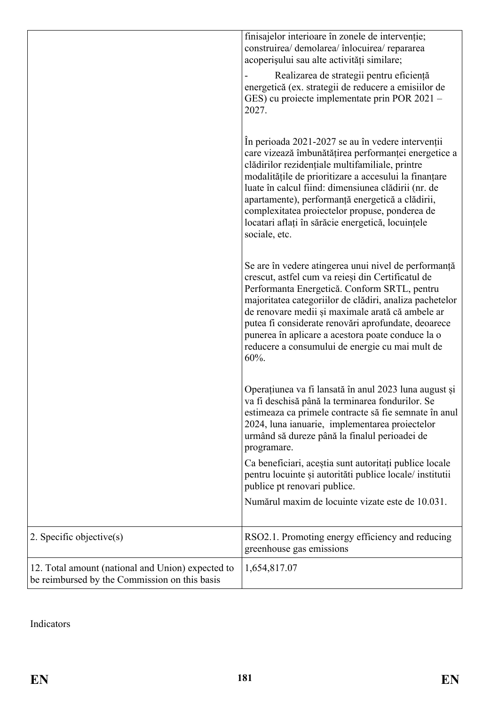|                                                                                                    | finisajelor interioare în zonele de intervenție;<br>construirea/ demolarea/ înlocuirea/ repararea<br>acoperișului sau alte activități similare;                                                                                                                                                                                                                                                                                                          |
|----------------------------------------------------------------------------------------------------|----------------------------------------------------------------------------------------------------------------------------------------------------------------------------------------------------------------------------------------------------------------------------------------------------------------------------------------------------------------------------------------------------------------------------------------------------------|
|                                                                                                    | Realizarea de strategii pentru eficiență<br>energetică (ex. strategii de reducere a emisiilor de<br>GES) cu proiecte implementate prin POR 2021 –<br>2027.                                                                                                                                                                                                                                                                                               |
|                                                                                                    | În perioada 2021-2027 se au în vedere intervenții<br>care vizează îmbunătățirea performanței energetice a<br>clădirilor rezidențiale multifamiliale, printre<br>modalitățile de prioritizare a accesului la finanțare<br>luate în calcul fiind: dimensiunea clădirii (nr. de<br>apartamente), performanță energetică a clădirii,<br>complexitatea projectelor propuse, ponderea de<br>locatari aflați în sărăcie energetică, locuințele<br>sociale, etc. |
|                                                                                                    | Se are în vedere atingerea unui nivel de performanță<br>crescut, astfel cum va reieși din Certificatul de<br>Performanta Energetică. Conform SRTL, pentru<br>majoritatea categoriilor de clădiri, analiza pachetelor<br>de renovare medii și maximale arată că ambele ar<br>putea fi considerate renovări aprofundate, deoarece<br>punerea în aplicare a acestora poate conduce la o<br>reducere a consumului de energie cu mai mult de<br>$60%$ .       |
|                                                                                                    | Operațiunea va fi lansată în anul 2023 luna august și<br>va fi deschisă până la terminarea fondurilor. Se<br>estimeaza ca primele contracte să fie semnate în anul<br>2024, luna ianuarie, implementarea proiectelor<br>urmând să dureze până la finalul perioadei de<br>programare.                                                                                                                                                                     |
|                                                                                                    | Ca beneficiari, aceștia sunt autoritați publice locale<br>pentru locuinte și autorități publice locale/ institutii<br>publice pt renovari publice.                                                                                                                                                                                                                                                                                                       |
|                                                                                                    | Numărul maxim de locuinte vizate este de 10.031.                                                                                                                                                                                                                                                                                                                                                                                                         |
| $\vert$ 2. Specific objective(s)                                                                   | RSO2.1. Promoting energy efficiency and reducing<br>greenhouse gas emissions                                                                                                                                                                                                                                                                                                                                                                             |
| 12. Total amount (national and Union) expected to<br>be reimbursed by the Commission on this basis | 1,654,817.07                                                                                                                                                                                                                                                                                                                                                                                                                                             |

Indicators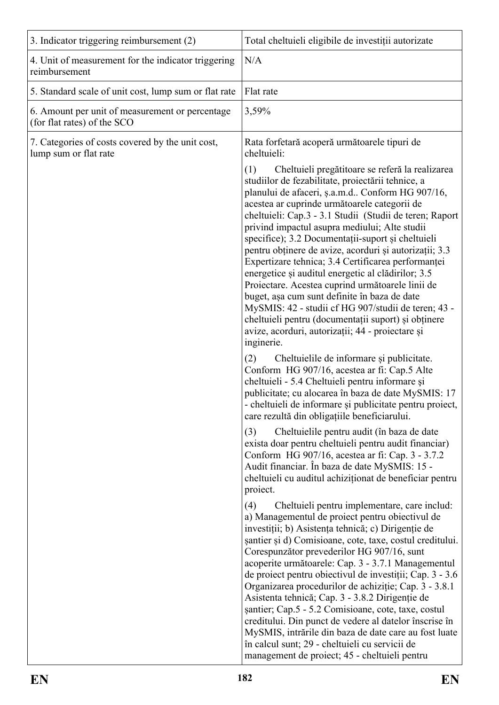| 3. Indicator triggering reimbursement (2)                                      | Total cheltuieli eligibile de investiții autorizate                                                                                                                                                                                                                                                                                                                                                                                                                                                                                                                                                                                                                                                                                                                                                                                                                                           |
|--------------------------------------------------------------------------------|-----------------------------------------------------------------------------------------------------------------------------------------------------------------------------------------------------------------------------------------------------------------------------------------------------------------------------------------------------------------------------------------------------------------------------------------------------------------------------------------------------------------------------------------------------------------------------------------------------------------------------------------------------------------------------------------------------------------------------------------------------------------------------------------------------------------------------------------------------------------------------------------------|
| 4. Unit of measurement for the indicator triggering<br>reimbursement           | N/A                                                                                                                                                                                                                                                                                                                                                                                                                                                                                                                                                                                                                                                                                                                                                                                                                                                                                           |
| 5. Standard scale of unit cost, lump sum or flat rate                          | Flat rate                                                                                                                                                                                                                                                                                                                                                                                                                                                                                                                                                                                                                                                                                                                                                                                                                                                                                     |
| 6. Amount per unit of measurement or percentage<br>(for flat rates) of the SCO | 3,59%                                                                                                                                                                                                                                                                                                                                                                                                                                                                                                                                                                                                                                                                                                                                                                                                                                                                                         |
| 7. Categories of costs covered by the unit cost,<br>lump sum or flat rate      | Rata forfetară acoperă următoarele tipuri de<br>cheltuieli:                                                                                                                                                                                                                                                                                                                                                                                                                                                                                                                                                                                                                                                                                                                                                                                                                                   |
|                                                                                | Cheltuieli pregătitoare se referă la realizarea<br>(1)<br>studiilor de fezabilitate, proiectării tehnice, a<br>planului de afaceri, ș.a.m.d Conform HG 907/16,<br>acestea ar cuprinde următoarele categorii de<br>cheltuieli: Cap.3 - 3.1 Studii (Studii de teren; Raport<br>privind impactul asupra mediului; Alte studii<br>specifice); 3.2 Documentații-suport și cheltuieli<br>pentru obținere de avize, acorduri și autorizații; 3.3<br>Expertizare tehnica; 3.4 Certificarea performanței<br>energetice și auditul energetic al clădirilor; 3.5<br>Proiectare. Acestea cuprind următoarele linii de<br>buget, așa cum sunt definite în baza de date<br>MySMIS: 42 - studii cf HG 907/studii de teren; 43 -<br>cheltuieli pentru (documentații suport) și obținere<br>avize, acorduri, autorizații; 44 - proiectare și<br>inginerie.<br>(2)<br>Cheltuielile de informare și publicitate. |
|                                                                                | Conform HG 907/16, acestea ar fi: Cap.5 Alte<br>cheltuieli - 5.4 Cheltuieli pentru informare și<br>publicitate; cu alocarea în baza de date MySMIS: 17<br>- cheltuieli de informare și publicitate pentru proiect,<br>care rezultă din obligațiile beneficiarului.                                                                                                                                                                                                                                                                                                                                                                                                                                                                                                                                                                                                                            |
|                                                                                | (3)<br>Cheltuielile pentru audit (în baza de date<br>exista doar pentru cheltuieli pentru audit financiar)<br>Conform HG 907/16, acestea ar fi: Cap. 3 - 3.7.2<br>Audit financiar. În baza de date MySMIS: 15 -<br>cheltuieli cu auditul achiziționat de beneficiar pentru<br>project.                                                                                                                                                                                                                                                                                                                                                                                                                                                                                                                                                                                                        |
|                                                                                | Cheltuieli pentru implementare, care includ:<br>(4)<br>a) Managementul de proiect pentru obiectivul de<br>investiții; b) Asistența tehnică; c) Dirigenție de<br>santier și d) Comisioane, cote, taxe, costul creditului.<br>Corespunzător prevederilor HG 907/16, sunt<br>acoperite următoarele: Cap. 3 - 3.7.1 Managementul<br>de proiect pentru obiectivul de investiții; Cap. 3 - 3.6<br>Organizarea procedurilor de achiziție; Cap. 3 - 3.8.1<br>Asistenta tehnică; Cap. 3 - 3.8.2 Dirigenție de<br>șantier; Cap.5 - 5.2 Comisioane, cote, taxe, costul<br>creditului. Din punct de vedere al datelor înscrise în<br>MySMIS, intrările din baza de date care au fost luate<br>în calcul sunt; 29 - cheltuieli cu servicii de<br>management de proiect; 45 - cheltuieli pentru                                                                                                             |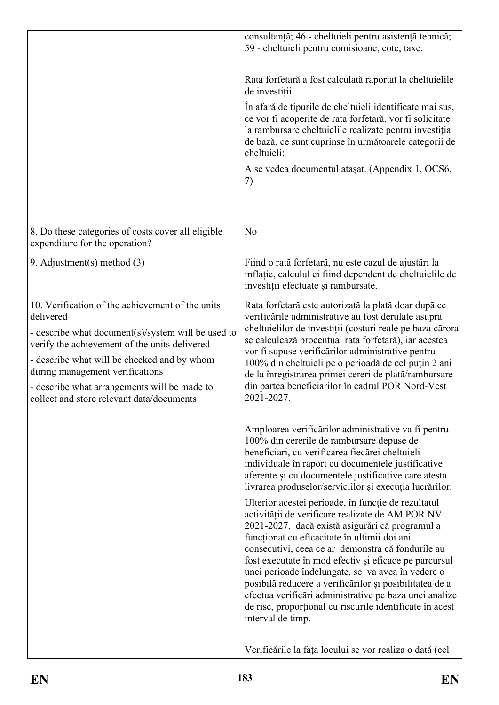|                                                                                                                                                                                                                                                                                                                                                     | consultanță; 46 - cheltuieli pentru asistență tehnică;<br>59 - cheltuieli pentru comisioane, cote, taxe.                                                                                                                                                                                                                                                                                                                                                                                                                                                                            |
|-----------------------------------------------------------------------------------------------------------------------------------------------------------------------------------------------------------------------------------------------------------------------------------------------------------------------------------------------------|-------------------------------------------------------------------------------------------------------------------------------------------------------------------------------------------------------------------------------------------------------------------------------------------------------------------------------------------------------------------------------------------------------------------------------------------------------------------------------------------------------------------------------------------------------------------------------------|
|                                                                                                                                                                                                                                                                                                                                                     |                                                                                                                                                                                                                                                                                                                                                                                                                                                                                                                                                                                     |
|                                                                                                                                                                                                                                                                                                                                                     | Rata forfetară a fost calculată raportat la cheltuielile<br>de investiții.                                                                                                                                                                                                                                                                                                                                                                                                                                                                                                          |
|                                                                                                                                                                                                                                                                                                                                                     | In afară de tipurile de cheltuieli identificate mai sus,<br>ce vor fi acoperite de rata forfetară, vor fi solicitate<br>la rambursare cheltuielile realizate pentru investiția<br>de bază, ce sunt cuprinse în următoarele categorii de<br>cheltuieli:                                                                                                                                                                                                                                                                                                                              |
|                                                                                                                                                                                                                                                                                                                                                     | A se vedea documentul ataşat. (Appendix 1, OCS6,<br>7)                                                                                                                                                                                                                                                                                                                                                                                                                                                                                                                              |
| 8. Do these categories of costs cover all eligible<br>expenditure for the operation?                                                                                                                                                                                                                                                                | N <sub>o</sub>                                                                                                                                                                                                                                                                                                                                                                                                                                                                                                                                                                      |
| 9. Adjustment(s) method $(3)$                                                                                                                                                                                                                                                                                                                       | Fiind o rată forfetară, nu este cazul de ajustări la<br>inflatie, calculul ei fiind dependent de cheltuielile de<br>investiții efectuate și rambursate.                                                                                                                                                                                                                                                                                                                                                                                                                             |
| 10. Verification of the achievement of the units<br>delivered<br>- describe what document(s)/system will be used to<br>verify the achievement of the units delivered<br>- describe what will be checked and by whom<br>during management verifications<br>- describe what arrangements will be made to<br>collect and store relevant data/documents | Rata forfetară este autorizată la plată doar după ce<br>verificările administrative au fost derulate asupra<br>cheltuielilor de investiții (costuri reale pe baza cărora<br>se calculează procentual rata forfetară), iar acestea<br>vor fi supuse verificărilor administrative pentru<br>100% din cheltuieli pe o perioadă de cel puțin 2 ani<br>de la înregistrarea primei cereri de plată/rambursare<br>din partea beneficiarilor în cadrul POR Nord-Vest<br>2021-2027.                                                                                                          |
|                                                                                                                                                                                                                                                                                                                                                     | Amploarea verificărilor administrative va fi pentru<br>100% din cererile de rambursare depuse de<br>beneficiari, cu verificarea fiecărei cheltuieli<br>individuale în raport cu documentele justificative<br>aferente și cu documentele justificative care atesta<br>livrarea produselor/serviciilor și execuția lucrărilor.                                                                                                                                                                                                                                                        |
|                                                                                                                                                                                                                                                                                                                                                     | Ulterior acestei perioade, în funcție de rezultatul<br>activității de verificare realizate de AM POR NV<br>2021-2027, dacă există asigurări că programul a<br>funcționat cu eficacitate în ultimii doi ani<br>consecutivi, ceea ce ar demonstra că fondurile au<br>fost executate în mod efectiv și eficace pe parcursul<br>unei perioade îndelungate, se va avea în vedere o<br>posibilă reducere a verificărilor și posibilitatea de a<br>efectua verificări administrative pe baza unei analize<br>de risc, proporțional cu riscurile identificate în acest<br>interval de timp. |
|                                                                                                                                                                                                                                                                                                                                                     | Verificările la fața locului se vor realiza o dată (cel                                                                                                                                                                                                                                                                                                                                                                                                                                                                                                                             |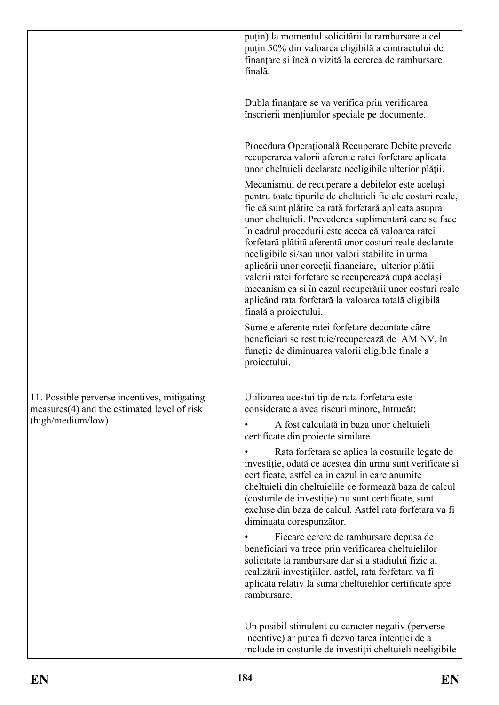|                                                                                             | puțin) la momentul solicitării la rambursare a cel<br>puțin 50% din valoarea eligibilă a contractului de<br>finanțare și încă o vizită la cererea de rambursare<br>finală.                                                                                                                                                                                                                                                                                                                                                                                                                                                                                     |
|---------------------------------------------------------------------------------------------|----------------------------------------------------------------------------------------------------------------------------------------------------------------------------------------------------------------------------------------------------------------------------------------------------------------------------------------------------------------------------------------------------------------------------------------------------------------------------------------------------------------------------------------------------------------------------------------------------------------------------------------------------------------|
|                                                                                             | Dubla finanțare se va verifica prin verificarea<br>înscrierii mențiunilor speciale pe documente.                                                                                                                                                                                                                                                                                                                                                                                                                                                                                                                                                               |
|                                                                                             | Procedura Operațională Recuperare Debite prevede<br>recuperarea valorii aferente ratei forfetare aplicata<br>unor cheltuieli declarate neeligibile ulterior plății.                                                                                                                                                                                                                                                                                                                                                                                                                                                                                            |
|                                                                                             | Mecanismul de recuperare a debitelor este același<br>pentru toate tipurile de cheltuieli fie ele costuri reale,<br>fie că sunt plătite ca rată forfetară aplicata asupra<br>unor cheltuieli. Prevederea suplimentară care se face<br>în cadrul procedurii este aceea că valoarea ratei<br>forfetară plătită aferentă unor costuri reale declarate<br>neeligibile si/sau unor valori stabilite in urma<br>aplicării unor corecții financiare, ulterior plătii<br>valorii ratei forfetare se recuperează după același<br>mecanism ca si în cazul recuperării unor costuri reale<br>aplicând rata forfetară la valoarea totală eligibilă<br>finală a proiectului. |
|                                                                                             | Sumele aferente ratei forfetare decontate către<br>beneficiari se restituie/recuperează de AM NV, în<br>funcție de diminuarea valorii eligibile finale a<br>proiectului.                                                                                                                                                                                                                                                                                                                                                                                                                                                                                       |
| 11. Possible perverse incentives, mitigating<br>measures(4) and the estimated level of risk | Utilizarea acestui tip de rata forfetara este<br>considerate a avea riscuri minore, întrucât:                                                                                                                                                                                                                                                                                                                                                                                                                                                                                                                                                                  |
| (high/medium/low)                                                                           | A fost calculată in baza unor cheltuieli<br>certificate din projecte similare                                                                                                                                                                                                                                                                                                                                                                                                                                                                                                                                                                                  |
|                                                                                             | Rata forfetara se aplica la costurile legate de<br>investiție, odată ce acestea din urma sunt verificate si<br>certificate, astfel ca in cazul in care anumite<br>cheltuieli din cheltuielile ce formează baza de calcul<br>(costurile de investiție) nu sunt certificate, sunt<br>excluse din baza de calcul. Astfel rata forfetara va fi<br>diminuata corespunzător.                                                                                                                                                                                                                                                                                         |
|                                                                                             | Fiecare cerere de rambursare depusa de<br>beneficiari va trece prin verificarea cheltuielilor<br>solicitate la rambursare dar si a stadiului fizic al<br>realizării investițiilor, astfel, rata forfetara va fi<br>aplicata relativ la suma cheltuielilor certificate spre<br>rambursare.                                                                                                                                                                                                                                                                                                                                                                      |
|                                                                                             | Un posibil stimulent cu caracter negativ (perverse<br>incentive) ar putea fi dezvoltarea intenției de a<br>include in costurile de investiții cheltuieli neeligibile                                                                                                                                                                                                                                                                                                                                                                                                                                                                                           |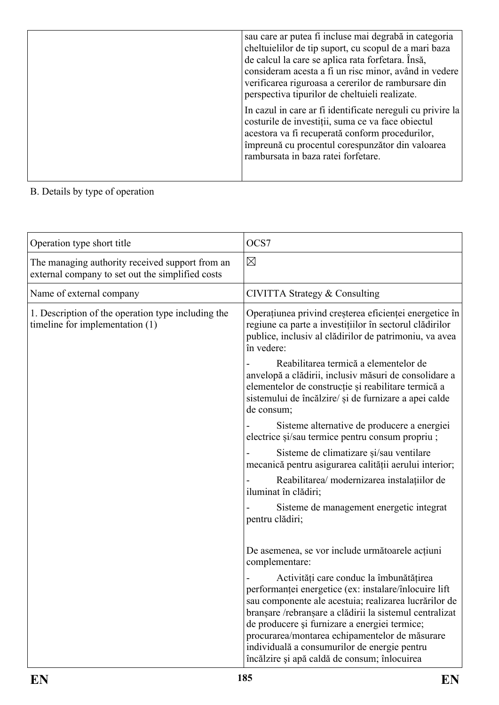| sau care ar putea fi incluse mai degrabă in categoria<br>cheltuielilor de tip suport, cu scopul de a mari baza<br>de calcul la care se aplica rata forfetara. Însă,<br>consideram acesta a fi un risc minor, având in vedere<br>verificarea riguroasa a cererilor de rambursare din<br>perspectiva tipurilor de cheltuieli realizate. |
|---------------------------------------------------------------------------------------------------------------------------------------------------------------------------------------------------------------------------------------------------------------------------------------------------------------------------------------|
| In cazul in care ar fi identificate nereguli cu privire la<br>costurile de investiții, suma ce va face obiectul<br>acestora va fi recuperată conform procedurilor,<br>împreună cu procentul corespunzător din valoarea<br>rambursata in baza ratei forfetare.                                                                         |

# B. Details by type of operation

| Operation type short title                                                                          | OCS7                                                                                                                                                                                                                                                                                                                                                                                                                    |
|-----------------------------------------------------------------------------------------------------|-------------------------------------------------------------------------------------------------------------------------------------------------------------------------------------------------------------------------------------------------------------------------------------------------------------------------------------------------------------------------------------------------------------------------|
| The managing authority received support from an<br>external company to set out the simplified costs | $\boxtimes$                                                                                                                                                                                                                                                                                                                                                                                                             |
| Name of external company                                                                            | CIVITTA Strategy & Consulting                                                                                                                                                                                                                                                                                                                                                                                           |
| 1. Description of the operation type including the<br>timeline for implementation $(1)$             | Operațiunea privind creșterea eficienței energetice în<br>regiune ca parte a investițiilor în sectorul clădirilor<br>publice, inclusiv al clădirilor de patrimoniu, va avea<br>în vedere:                                                                                                                                                                                                                               |
|                                                                                                     | Reabilitarea termică a elementelor de<br>anvelopă a clădirii, inclusiv măsuri de consolidare a<br>elementelor de construcție și reabilitare termică a<br>sistemului de încălzire/ și de furnizare a apei calde<br>de consum;                                                                                                                                                                                            |
|                                                                                                     | Sisteme alternative de producere a energiei<br>electrice și/sau termice pentru consum propriu ;                                                                                                                                                                                                                                                                                                                         |
|                                                                                                     | Sisteme de climatizare și/sau ventilare<br>mecanică pentru asigurarea calității aerului interior;                                                                                                                                                                                                                                                                                                                       |
|                                                                                                     | Reabilitarea/ modernizarea instalațiilor de<br>iluminat în clădiri;                                                                                                                                                                                                                                                                                                                                                     |
|                                                                                                     | Sisteme de management energetic integrat<br>pentru clădiri;                                                                                                                                                                                                                                                                                                                                                             |
|                                                                                                     | De asemenea, se vor include următoarele acțiuni<br>complementare:                                                                                                                                                                                                                                                                                                                                                       |
|                                                                                                     | Activități care conduc la îmbunătățirea<br>performanței energetice (ex: instalare/înlocuire lift<br>sau componente ale acestuia; realizarea lucrărilor de<br>branșare /rebranșare a clădirii la sistemul centralizat<br>de producere și furnizare a energiei termice;<br>procurarea/montarea echipamentelor de măsurare<br>individuală a consumurilor de energie pentru<br>încălzire și apă caldă de consum; înlocuirea |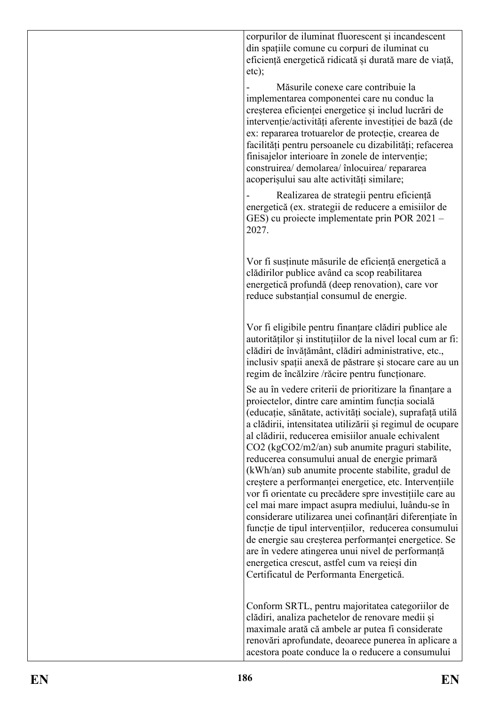corpurilor de iluminat fluorescent și incandescent din spațiile comune cu corpuri de iluminat cu eficiență energetică ridicată și durată mare de viață,

etc); - Măsurile conexe care contribuie la implementarea componentei care nu conduc la creșterea eficienței energetice și includ lucrări de intervenție/activități aferente investiției de bază (de ex: repararea trotuarelor de protecție, crearea de facilități pentru persoanele cu dizabilități; refacerea finisajelor interioare în zonele de intervenție; construirea/ demolarea/ înlocuirea/ repararea acoperișului sau alte activități similare;

Realizarea de strategii pentru eficiență energetică (ex. strategii de reducere a emisiilor de GES) cu proiecte implementate prin POR 2021 – 2027.

Vor fi susținute măsurile de eficiență energetică a clădirilor publice având ca scop reabilitarea energetică profundă (deep renovation), care vor reduce substanțial consumul de energie.

Vor fi eligibile pentru finanțare clădiri publice ale autorităților și instituțiilor de la nivel local cum ar fi: clădiri de învățământ, clădiri administrative, etc., inclusiv spatii anexă de păstrare și stocare care au un regim de încălzire /răcire pentru funcționare.

Se au în vedere criterii de prioritizare la finanțare a proiectelor, dintre care amintim funcția socială (educație, sănătate, activități sociale), suprafață utilă a clădirii, intensitatea utilizării și regimul de ocupare al clădirii, reducerea emisiilor anuale echivalent CO2 (kgCO2/m2/an) sub anumite praguri stabilite, reducerea consumului anual de energie primară (kWh/an) sub anumite procente stabilite, gradul de creștere a performanței energetice, etc. Intervențiile vor fi orientate cu precădere spre investițiile care au cel mai mare impact asupra mediului, luându-se în considerare utilizarea unei cofinanțări diferențiate în funcție de tipul intervențiilor, reducerea consumului de energie sau creșterea performanței energetice. Se are în vedere atingerea unui nivel de performanță energetica crescut, astfel cum va reieși din Certificatul de Performanta Energetică.

Conform SRTL, pentru majoritatea categoriilor de clădiri, analiza pachetelor de renovare medii și maximale arată că ambele ar putea fi considerate renovări aprofundate, deoarece punerea în aplicare a acestora poate conduce la o reducere a consumului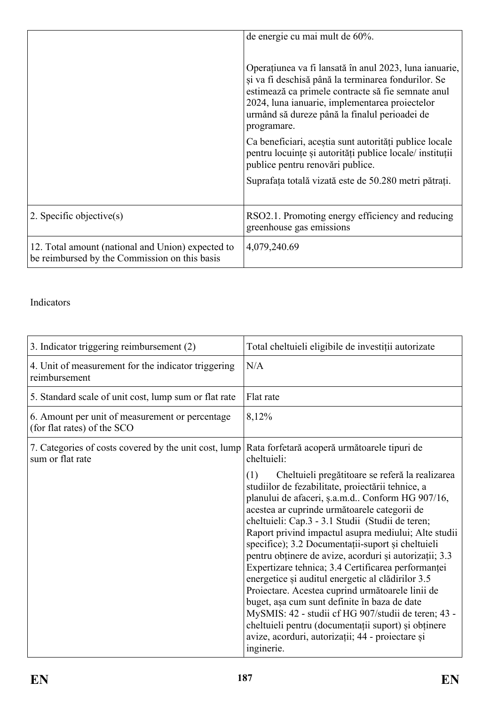|                                                                                                    | de energie cu mai mult de 60%.                                                                                                                                                                                                                                                        |
|----------------------------------------------------------------------------------------------------|---------------------------------------------------------------------------------------------------------------------------------------------------------------------------------------------------------------------------------------------------------------------------------------|
|                                                                                                    | Operațiunea va fi lansată în anul 2023, luna ianuarie,<br>și va fi deschisă până la terminarea fondurilor. Se<br>estimează ca primele contracte să fie semnate anul<br>2024, luna ianuarie, implementarea proiectelor<br>urmând să dureze până la finalul perioadei de<br>programare. |
|                                                                                                    | Ca beneficiari, aceștia sunt autorități publice locale<br>pentru locuințe și autorități publice locale/ instituții<br>publice pentru renovări publice.                                                                                                                                |
|                                                                                                    | Suprafața totală vizată este de 50.280 metri pătrați.                                                                                                                                                                                                                                 |
| 2. Specific objective $(s)$                                                                        | RSO2.1. Promoting energy efficiency and reducing<br>greenhouse gas emissions                                                                                                                                                                                                          |
| 12. Total amount (national and Union) expected to<br>be reimbursed by the Commission on this basis | 4,079,240.69                                                                                                                                                                                                                                                                          |

### Indicators

| 3. Indicator triggering reimbursement (2)                                      | Total cheltuieli eligibile de investiții autorizate                                                                                                                                                                                                                                                                                                                                                                                                                                                                                                                                                                                                                                                                                                                                                                                      |  |  |
|--------------------------------------------------------------------------------|------------------------------------------------------------------------------------------------------------------------------------------------------------------------------------------------------------------------------------------------------------------------------------------------------------------------------------------------------------------------------------------------------------------------------------------------------------------------------------------------------------------------------------------------------------------------------------------------------------------------------------------------------------------------------------------------------------------------------------------------------------------------------------------------------------------------------------------|--|--|
| 4. Unit of measurement for the indicator triggering<br>reimbursement           | N/A                                                                                                                                                                                                                                                                                                                                                                                                                                                                                                                                                                                                                                                                                                                                                                                                                                      |  |  |
| 5. Standard scale of unit cost, lump sum or flat rate                          | Flat rate                                                                                                                                                                                                                                                                                                                                                                                                                                                                                                                                                                                                                                                                                                                                                                                                                                |  |  |
| 6. Amount per unit of measurement or percentage<br>(for flat rates) of the SCO | 8,12%                                                                                                                                                                                                                                                                                                                                                                                                                                                                                                                                                                                                                                                                                                                                                                                                                                    |  |  |
| 7. Categories of costs covered by the unit cost, lump<br>sum or flat rate      | Rata forfetară acoperă următoarele tipuri de<br>cheltuieli:                                                                                                                                                                                                                                                                                                                                                                                                                                                                                                                                                                                                                                                                                                                                                                              |  |  |
|                                                                                | Cheltuieli pregătitoare se referă la realizarea<br>(1)<br>studiilor de fezabilitate, proiectării tehnice, a<br>planului de afaceri, ș.a.m.d Conform HG 907/16,<br>acestea ar cuprinde următoarele categorii de<br>cheltuieli: Cap.3 - 3.1 Studii (Studii de teren;<br>Raport privind impactul asupra mediului; Alte studii<br>specifice); 3.2 Documentații-suport și cheltuieli<br>pentru obținere de avize, acorduri și autorizații; 3.3<br>Expertizare tehnica; 3.4 Certificarea performanței<br>energetice și auditul energetic al clădirilor 3.5<br>Proiectare. Acestea cuprind următoarele linii de<br>buget, așa cum sunt definite în baza de date<br>MySMIS: 42 - studii cf HG 907/studii de teren; 43 -<br>cheltuieli pentru (documentații suport) și obținere<br>avize, acorduri, autorizații; 44 - proiectare și<br>inginerie. |  |  |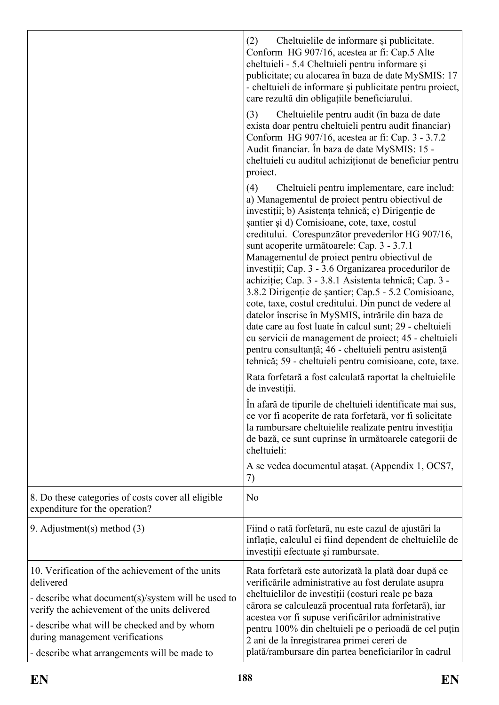|                                                                                                                                                                                                                                                                                                        | (2)<br>Cheltuielile de informare și publicitate.<br>Conform HG 907/16, acestea ar fi: Cap.5 Alte<br>cheltuieli - 5.4 Cheltuieli pentru informare și<br>publicitate; cu alocarea în baza de date MySMIS: 17<br>- cheltuieli de informare și publicitate pentru proiect,<br>care rezultă din obligațiile beneficiarului.                                                                                                                                                                                                                                                                                                                                                                                                                                                                                                                                                                        |
|--------------------------------------------------------------------------------------------------------------------------------------------------------------------------------------------------------------------------------------------------------------------------------------------------------|-----------------------------------------------------------------------------------------------------------------------------------------------------------------------------------------------------------------------------------------------------------------------------------------------------------------------------------------------------------------------------------------------------------------------------------------------------------------------------------------------------------------------------------------------------------------------------------------------------------------------------------------------------------------------------------------------------------------------------------------------------------------------------------------------------------------------------------------------------------------------------------------------|
|                                                                                                                                                                                                                                                                                                        | (3)<br>Cheltuielile pentru audit (în baza de date<br>exista doar pentru cheltuieli pentru audit financiar)<br>Conform HG 907/16, acestea ar fi: Cap. 3 - 3.7.2<br>Audit financiar. În baza de date MySMIS: 15 -<br>cheltuieli cu auditul achiziționat de beneficiar pentru<br>proiect.                                                                                                                                                                                                                                                                                                                                                                                                                                                                                                                                                                                                        |
|                                                                                                                                                                                                                                                                                                        | (4)<br>Cheltuieli pentru implementare, care includ:<br>a) Managementul de proiect pentru obiectivul de<br>investiții; b) Asistența tehnică; c) Dirigenție de<br>santier și d) Comisioane, cote, taxe, costul<br>creditului. Corespunzător prevederilor HG 907/16,<br>sunt acoperite următoarele: Cap. 3 - 3.7.1<br>Managementul de proiect pentru obiectivul de<br>investiții; Cap. 3 - 3.6 Organizarea procedurilor de<br>achiziție; Cap. 3 - 3.8.1 Asistenta tehnică; Cap. 3 -<br>3.8.2 Dirigenție de șantier; Cap.5 - 5.2 Comisioane,<br>cote, taxe, costul creditului. Din punct de vedere al<br>datelor înscrise în MySMIS, intrările din baza de<br>date care au fost luate în calcul sunt; 29 - cheltuieli<br>cu servicii de management de proiect; 45 - cheltuieli<br>pentru consultanță; 46 - cheltuieli pentru asistență<br>tehnică; 59 - cheltuieli pentru comisioane, cote, taxe. |
|                                                                                                                                                                                                                                                                                                        | Rata forfetară a fost calculată raportat la cheltuielile<br>de investiții.                                                                                                                                                                                                                                                                                                                                                                                                                                                                                                                                                                                                                                                                                                                                                                                                                    |
|                                                                                                                                                                                                                                                                                                        | În afară de tipurile de cheltuieli identificate mai sus,<br>ce vor fi acoperite de rata forfetară, vor fi solicitate<br>la rambursare cheltuielile realizate pentru investiția<br>de bază, ce sunt cuprinse în următoarele categorii de<br>cheltuieli:                                                                                                                                                                                                                                                                                                                                                                                                                                                                                                                                                                                                                                        |
|                                                                                                                                                                                                                                                                                                        | A se vedea documentul ataşat. (Appendix 1, OCS7,<br>7)                                                                                                                                                                                                                                                                                                                                                                                                                                                                                                                                                                                                                                                                                                                                                                                                                                        |
| 8. Do these categories of costs cover all eligible<br>expenditure for the operation?                                                                                                                                                                                                                   | N <sub>o</sub>                                                                                                                                                                                                                                                                                                                                                                                                                                                                                                                                                                                                                                                                                                                                                                                                                                                                                |
| 9. Adjustment(s) method (3)                                                                                                                                                                                                                                                                            | Fiind o rată forfetară, nu este cazul de ajustări la<br>inflatie, calculul ei fiind dependent de cheltuielile de<br>investiții efectuate și rambursate.                                                                                                                                                                                                                                                                                                                                                                                                                                                                                                                                                                                                                                                                                                                                       |
| 10. Verification of the achievement of the units<br>delivered<br>- describe what document(s)/system will be used to<br>verify the achievement of the units delivered<br>- describe what will be checked and by whom<br>during management verifications<br>- describe what arrangements will be made to | Rata forfetară este autorizată la plată doar după ce<br>verificările administrative au fost derulate asupra<br>cheltuielilor de investiții (costuri reale pe baza<br>cărora se calculează procentual rata forfetară), iar<br>acestea vor fi supuse verificărilor administrative<br>pentru 100% din cheltuieli pe o perioadă de cel puțin<br>2 ani de la înregistrarea primei cereri de<br>plată/rambursare din partea beneficiarilor în cadrul                                                                                                                                                                                                                                                                                                                                                                                                                                                |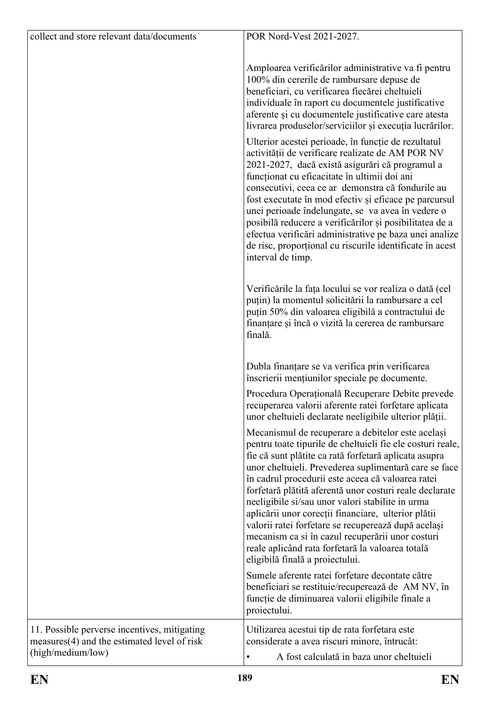| collect and store relevant data/documents                                                                        | POR Nord-Vest 2021-2027.                                                                                                                                                                                                                                                                                                                                                                                                                                                                                                                                                                                                                                                                                                                                                 |
|------------------------------------------------------------------------------------------------------------------|--------------------------------------------------------------------------------------------------------------------------------------------------------------------------------------------------------------------------------------------------------------------------------------------------------------------------------------------------------------------------------------------------------------------------------------------------------------------------------------------------------------------------------------------------------------------------------------------------------------------------------------------------------------------------------------------------------------------------------------------------------------------------|
|                                                                                                                  | Amploarea verificărilor administrative va fi pentru<br>100% din cererile de rambursare depuse de<br>beneficiari, cu verificarea fiecărei cheltuieli<br>individuale în raport cu documentele justificative<br>aferente și cu documentele justificative care atesta<br>livrarea produselor/serviciilor și execuția lucrărilor.<br>Ulterior acestei perioade, în funcție de rezultatul<br>activității de verificare realizate de AM POR NV<br>2021-2027, dacă există asigurări că programul a<br>funcționat cu eficacitate în ultimii doi ani<br>consecutivi, ceea ce ar demonstra că fondurile au<br>fost executate în mod efectiv și eficace pe parcursul<br>unei perioade îndelungate, se va avea în vedere o<br>posibilă reducere a verificărilor și posibilitatea de a |
|                                                                                                                  | efectua verificări administrative pe baza unei analize<br>de risc, proporțional cu riscurile identificate în acest<br>interval de timp.<br>Verificările la fața locului se vor realiza o dată (cel<br>puțin) la momentul solicitării la rambursare a cel<br>puțin 50% din valoarea eligibilă a contractului de<br>finanțare și încă o vizită la cererea de rambursare                                                                                                                                                                                                                                                                                                                                                                                                    |
|                                                                                                                  | finală.<br>Dubla finanțare se va verifica prin verificarea<br>înscrierii mențiunilor speciale pe documente.<br>Procedura Operațională Recuperare Debite prevede<br>recuperarea valorii aferente ratei forfetare aplicata                                                                                                                                                                                                                                                                                                                                                                                                                                                                                                                                                 |
|                                                                                                                  | unor cheltuieli declarate neeligibile ulterior plății.<br>Mecanismul de recuperare a debitelor este același<br>pentru toate tipurile de cheltuieli fie ele costuri reale,<br>fie că sunt plătite ca rată forfetară aplicata asupra<br>unor cheltuieli. Prevederea suplimentară care se face<br>în cadrul procedurii este aceea că valoarea ratei<br>forfetară plătită aferentă unor costuri reale declarate<br>neeligibile si/sau unor valori stabilite in urma<br>aplicării unor corecții financiare, ulterior plătii<br>valorii ratei forfetare se recuperează după același<br>mecanism ca si în cazul recuperării unor costuri<br>reale aplicând rata forfetară la valoarea totală<br>eligibilă finală a proiectului.                                                 |
|                                                                                                                  | Sumele aferente ratei forfetare decontate către<br>beneficiari se restituie/recuperează de AM NV, în<br>funcție de diminuarea valorii eligibile finale a<br>proiectului.                                                                                                                                                                                                                                                                                                                                                                                                                                                                                                                                                                                                 |
| 11. Possible perverse incentives, mitigating<br>measures(4) and the estimated level of risk<br>(high/medium/low) | Utilizarea acestui tip de rata forfetara este<br>considerate a avea riscuri minore, întrucât:<br>A fost calculată in baza unor cheltuieli                                                                                                                                                                                                                                                                                                                                                                                                                                                                                                                                                                                                                                |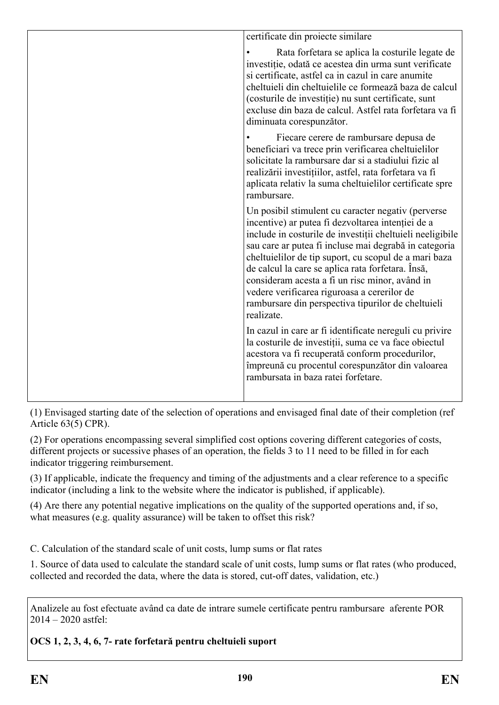| certificate din proiecte similare                                                                                                                                                                                                                                                                                                                                                                                                                                                                                |
|------------------------------------------------------------------------------------------------------------------------------------------------------------------------------------------------------------------------------------------------------------------------------------------------------------------------------------------------------------------------------------------------------------------------------------------------------------------------------------------------------------------|
| Rata forfetara se aplica la costurile legate de<br>investiție, odată ce acestea din urma sunt verificate<br>si certificate, astfel ca in cazul in care anumite<br>cheltuieli din cheltuielile ce formează baza de calcul<br>(costurile de investiție) nu sunt certificate, sunt<br>excluse din baza de calcul. Astfel rata forfetara va fi<br>diminuata corespunzător.                                                                                                                                           |
| Fiecare cerere de rambursare depusa de<br>beneficiari va trece prin verificarea cheltuielilor<br>solicitate la rambursare dar si a stadiului fizic al<br>realizării investițiilor, astfel, rata forfetara va fi<br>aplicata relativ la suma cheltuielilor certificate spre<br>rambursare.                                                                                                                                                                                                                        |
| Un posibil stimulent cu caracter negativ (perverse<br>incentive) ar putea fi dezvoltarea intenției de a<br>include in costurile de investiții cheltuieli neeligibile<br>sau care ar putea fi incluse mai degrabă in categoria<br>cheltuielilor de tip suport, cu scopul de a mari baza<br>de calcul la care se aplica rata forfetara. Însă,<br>consideram acesta a fi un risc minor, având in<br>vedere verificarea riguroasa a cererilor de<br>rambursare din perspectiva tipurilor de cheltuieli<br>realizate. |
| In cazul in care ar fi identificate nereguli cu privire<br>la costurile de investiții, suma ce va face obiectul<br>acestora va fi recuperată conform procedurilor,<br>împreună cu procentul corespunzător din valoarea<br>rambursata in baza ratei forfetare.                                                                                                                                                                                                                                                    |
|                                                                                                                                                                                                                                                                                                                                                                                                                                                                                                                  |

(1) Envisaged starting date of the selection of operations and envisaged final date of their completion (ref Article 63(5) CPR).

(2) For operations encompassing several simplified cost options covering different categories of costs, different projects or sucessive phases of an operation, the fields 3 to 11 need to be filled in for each indicator triggering reimbursement.

(3) If applicable, indicate the frequency and timing of the adjustments and a clear reference to a specific indicator (including a link to the website where the indicator is published, if applicable).

(4) Are there any potential negative implications on the quality of the supported operations and, if so, what measures (e.g. quality assurance) will be taken to offset this risk?

C. Calculation of the standard scale of unit costs, lump sums or flat rates

1. Source of data used to calculate the standard scale of unit costs, lump sums or flat rates (who produced, collected and recorded the data, where the data is stored, cut-off dates, validation, etc.)

Analizele au fost efectuate având ca date de intrare sumele certificate pentru rambursare aferente POR 2014 – 2020 astfel:

**OCS 1, 2, 3, 4, 6, 7- rate forfetară pentru cheltuieli suport**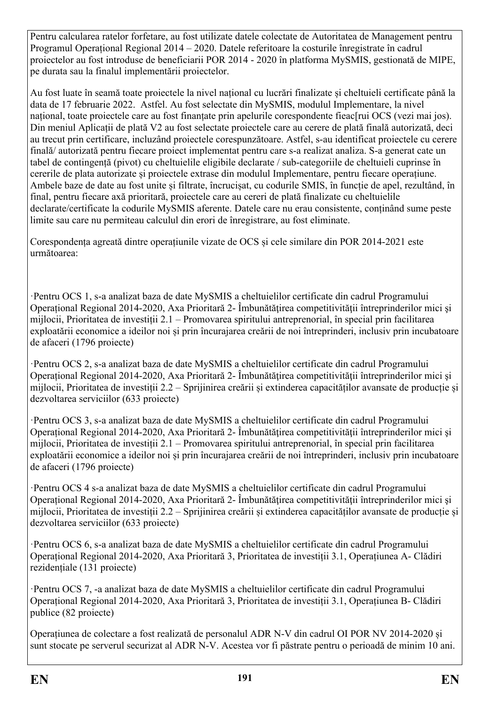Pentru calcularea ratelor forfetare, au fost utilizate datele colectate de Autoritatea de Management pentru Programul Operațional Regional 2014 – 2020. Datele referitoare la costurile înregistrate în cadrul proiectelor au fost introduse de beneficiarii POR 2014 - 2020 în platforma MySMIS, gestionată de MIPE, pe durata sau la finalul implementării proiectelor.

Au fost luate în seamă toate proiectele la nivel național cu lucrări finalizate și cheltuieli certificate până la data de 17 februarie 2022. Astfel. Au fost selectate din MySMIS, modulul Implementare, la nivel național, toate proiectele care au fost finanțate prin apelurile corespondente fieac[rui OCS (vezi mai jos). Din meniul Aplicații de plată V2 au fost selectate proiectele care au cerere de plată finală autorizată, deci au trecut prin certificare, incluzând proiectele corespunzătoare. Astfel, s-au identificat proiectele cu cerere finală/ autorizată pentru fiecare proiect implementat pentru care s-a realizat analiza. S-a generat cate un tabel de contingență (pivot) cu cheltuielile eligibile declarate / sub-categoriile de cheltuieli cuprinse în cererile de plata autorizate și proiectele extrase din modulul Implementare, pentru fiecare operațiune. Ambele baze de date au fost unite și filtrate, încrucișat, cu codurile SMIS, în funcție de apel, rezultând, în final, pentru fiecare axă prioritară, proiectele care au cereri de plată finalizate cu cheltuielile declarate/certificate la codurile MySMIS aferente. Datele care nu erau consistente, conținând sume peste limite sau care nu permiteau calculul din erori de înregistrare, au fost eliminate.

Corespondența agreată dintre operațiunile vizate de OCS și cele similare din POR 2014-2021 este următoarea:

·Pentru OCS 1, s-a analizat baza de date MySMIS a cheltuielilor certificate din cadrul Programului Operațional Regional 2014-2020, Axa Prioritară 2- Îmbunățățirea competitivității întreprinderilor mici și mijlocii, Prioritatea de investiții 2.1 – Promovarea spiritului antreprenorial, în special prin facilitarea exploatării economice a ideilor noi și prin încurajarea creării de noi întreprinderi, inclusiv prin incubatoare de afaceri (1796 proiecte)

·Pentru OCS 2, s-a analizat baza de date MySMIS a cheltuielilor certificate din cadrul Programului Operațional Regional 2014-2020, Axa Prioritară 2- Îmbunătățirea competitivității întreprinderilor mici și mijlocii, Prioritatea de investiții 2.2 – Sprijinirea creării și extinderea capacităților avansate de producție și dezvoltarea serviciilor (633 proiecte)

·Pentru OCS 3, s-a analizat baza de date MySMIS a cheltuielilor certificate din cadrul Programului Operațional Regional 2014-2020, Axa Prioritară 2- Îmbunătățirea competitivității întreprinderilor mici și mijlocii, Prioritatea de investiții 2.1 – Promovarea spiritului antreprenorial, în special prin facilitarea exploatării economice a ideilor noi și prin încurajarea creării de noi întreprinderi, inclusiv prin incubatoare de afaceri (1796 proiecte)

·Pentru OCS 4 s-a analizat baza de date MySMIS a cheltuielilor certificate din cadrul Programului Operațional Regional 2014-2020, Axa Prioritară 2- Îmbunătățirea competitivității întreprinderilor mici și mijlocii, Prioritatea de investiții 2.2 – Sprijinirea creării și extinderea capacităților avansate de producție și dezvoltarea serviciilor (633 proiecte)

·Pentru OCS 6, s-a analizat baza de date MySMIS a cheltuielilor certificate din cadrul Programului Operațional Regional 2014-2020, Axa Prioritară 3, Prioritatea de investiții 3.1, Operațiunea A- Clădiri rezidențiale (131 proiecte)

·Pentru OCS 7, -a analizat baza de date MySMIS a cheltuielilor certificate din cadrul Programului Operațional Regional 2014-2020, Axa Prioritară 3, Prioritatea de investiții 3.1, Operațiunea B- Clădiri publice (82 proiecte)

Operațiunea de colectare a fost realizată de personalul ADR N-V din cadrul OI POR NV 2014-2020 și sunt stocate pe serverul securizat al ADR N-V. Acestea vor fi păstrate pentru o perioadă de minim 10 ani.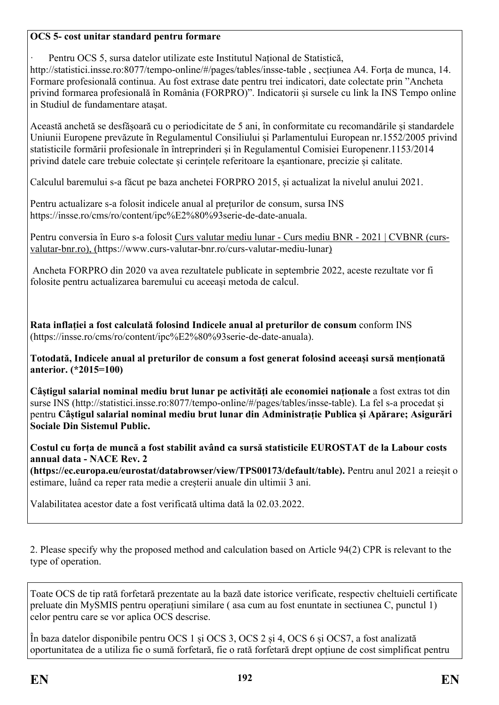#### **OCS 5- cost unitar standard pentru formare**

· Pentru OCS 5, sursa datelor utilizate este Institutul Național de Statistică,

http://statistici.insse.ro:8077/tempo-online/#/pages/tables/insse-table , sectiunea A4. Forta de munca, 14. Formare profesională continua. Au fost extrase date pentru trei indicatori, date colectate prin "Ancheta privind formarea profesională în România (FORPRO)". Indicatorii și sursele cu link la INS Tempo online in Studiul de fundamentare atașat.

Această anchetă se desfășoară cu o periodicitate de 5 ani, în conformitate cu recomandările și standardele Uniunii Europene prevăzute în Regulamentul Consiliului și Parlamentului European nr.1552/2005 privind statisticile formării profesionale în întreprinderi și în Regulamentul Comisiei Europenenr.1153/2014 privind datele care trebuie colectate și cerințele referitoare la eșantionare, precizie și calitate.

Calculul baremului s-a făcut pe baza anchetei FORPRO 2015, și actualizat la nivelul anului 2021.

Pentru actualizare s-a folosit indicele anual al prețurilor de consum, sursa INS https://insse.ro/cms/ro/content/ipc%E2%80%93serie-de-date-anuala.

Pentru conversia în Euro s-a folosit Curs valutar mediu lunar - Curs mediu BNR - 2021 | CVBNR (cursvalutar-bnr.ro), (https://www.curs-valutar-bnr.ro/curs-valutar-mediu-lunar)

 Ancheta FORPRO din 2020 va avea rezultatele publicate in septembrie 2022, aceste rezultate vor fi folosite pentru actualizarea baremului cu aceeași metoda de calcul.

**Rata inflației a fost calculată folosind Indicele anual al preturilor de consum** conform INS (https://insse.ro/cms/ro/content/ipc%E2%80%93serie-de-date-anuala).

**Totodată, Indicele anual al preturilor de consum a fost generat folosind aceeași sursă menționată anterior. (\*2015=100)**

**Câștigul salarial nominal mediu brut lunar pe activități ale economiei naționale** a fost extras tot din surse INS (http://statistici.insse.ro:8077/tempo-online/#/pages/tables/insse-table). La fel s-a procedat și pentru **Câștigul salarial nominal mediu brut lunar din Administrație Publica și Apărare; Asigurări Sociale Din Sistemul Public.** 

**Costul cu forța de muncă a fost stabilit având ca sursă statisticile EUROSTAT de la Labour costs annual data - NACE Rev. 2** 

**(https://ec.europa.eu/eurostat/databrowser/view/TPS00173/default/table).** Pentru anul 2021 a reieșit o estimare, luând ca reper rata medie a creșterii anuale din ultimii 3 ani.

Valabilitatea acestor date a fost verificată ultima dată la 02.03.2022.

2. Please specify why the proposed method and calculation based on Article 94(2) CPR is relevant to the type of operation.

Toate OCS de tip rată forfetară prezentate au la bază date istorice verificate, respectiv cheltuieli certificate preluate din MySMIS pentru operațiuni similare ( asa cum au fost enuntate in sectiunea C, punctul 1) celor pentru care se vor aplica OCS descrise.

În baza datelor disponibile pentru OCS 1 și OCS 3, OCS 2 și 4, OCS 6 și OCS7, a fost analizată oportunitatea de a utiliza fie o sumă forfetară, fie o rată forfetară drept opțiune de cost simplificat pentru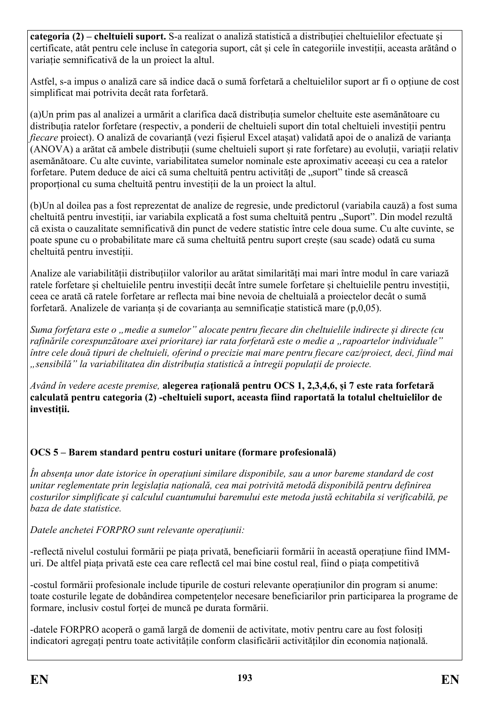**categoria (2) – cheltuieli suport.** S-a realizat o analiză statistică a distribuției cheltuielilor efectuate și certificate, atât pentru cele incluse în categoria suport, cât și cele în categoriile investiții, aceasta arătând o variație semnificativă de la un proiect la altul.

Astfel, s-a impus o analiză care să indice dacă o sumă forfetară a cheltuielilor suport ar fi o opțiune de cost simplificat mai potrivita decât rata forfetară.

(a)Un prim pas al analizei a urmărit a clarifica dacă distribuția sumelor cheltuite este asemănătoare cu distribuția ratelor forfetare (respectiv, a ponderii de cheltuieli suport din total cheltuieli investiții pentru *fiecare* proiect). O analiză de covarianță (vezi fișierul Excel atașat) validată apoi de o analiză de varianța (ANOVA) a arătat că ambele distribuții (sume cheltuieli suport și rate forfetare) au evoluții, variații relativ asemănătoare. Cu alte cuvinte, variabilitatea sumelor nominale este aproximativ aceeași cu cea a ratelor forfetare. Putem deduce de aici că suma cheltuită pentru activități de "suport" tinde să crească proporțional cu suma cheltuită pentru investiții de la un proiect la altul.

(b)Un al doilea pas a fost reprezentat de analize de regresie, unde predictorul (variabila cauză) a fost suma cheltuită pentru investiții, iar variabila explicată a fost suma cheltuită pentru "Suport". Din model rezultă că exista o cauzalitate semnificativă din punct de vedere statistic între cele doua sume. Cu alte cuvinte, se poate spune cu o probabilitate mare că suma cheltuită pentru suport crește (sau scade) odată cu suma cheltuită pentru investiții.

Analize ale variabilității distribuțiilor valorilor au arătat similarități mai mari între modul în care variază ratele forfetare și cheltuielile pentru investiții decât între sumele forfetare și cheltuielile pentru investiții, ceea ce arată că ratele forfetare ar reflecta mai bine nevoia de cheltuială a proiectelor decât o sumă forfetară. Analizele de varianța și de covarianța au semnificație statistică mare (p,0,05).

*Suma forfetara este o "medie a sumelor" alocate pentru fiecare din cheltuielile indirecte și directe (cu rafinările corespunzătoare axei prioritare) iar rata forfetară este o medie a "rapoartelor individuale" între cele două tipuri de cheltuieli, oferind o precizie mai mare pentru fiecare caz/proiect, deci, fiind mai "sensibilă" la variabilitatea din distribuția statistică a întregii populații de proiecte.*

*Având în vedere aceste premise,* **alegerea rațională pentru OCS 1, 2,3,4,6, și 7 este rata forfetară calculată pentru categoria (2) -cheltuieli suport, aceasta fiind raportată la totalul cheltuielilor de investiții.**

### **OCS 5 – Barem standard pentru costuri unitare (formare profesională)**

*În absența unor date istorice în operațiuni similare disponibile, sau a unor bareme standard de cost unitar reglementate prin legislația națională, cea mai potrivită metodă disponibilă pentru definirea costurilor simplificate și calculul cuantumului baremului este metoda justă echitabila si verificabilă, pe baza de date statistice.*

*Datele anchetei FORPRO sunt relevante operațiunii:*

-reflectă nivelul costului formării pe piața privată, beneficiarii formării în această operațiune fiind IMMuri. De altfel piața privată este cea care reflectă cel mai bine costul real, fiind o piața competitivă

-costul formării profesionale include tipurile de costuri relevante operațiunilor din program si anume: toate costurile legate de dobândirea competențelor necesare beneficiarilor prin participarea la programe de formare, inclusiv costul forței de muncă pe durata formării.

-datele FORPRO acoperă o gamă largă de domenii de activitate, motiv pentru care au fost folosiți indicatori agregați pentru toate activitățile conform clasificării activităților din economia națională.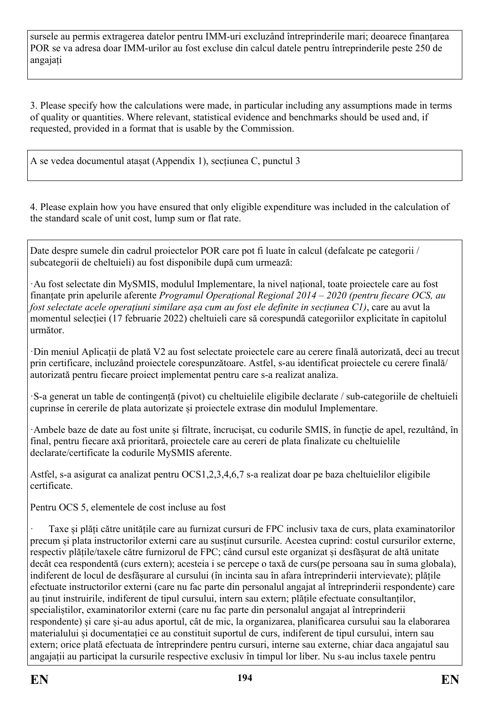sursele au permis extragerea datelor pentru IMM-uri excluzând întreprinderile mari; deoarece finanțarea POR se va adresa doar IMM-urilor au fost excluse din calcul datele pentru întreprinderile peste 250 de angajați

3. Please specify how the calculations were made, in particular including any assumptions made in terms of quality or quantities. Where relevant, statistical evidence and benchmarks should be used and, if requested, provided in a format that is usable by the Commission.

A se vedea documentul atașat (Appendix 1), secțiunea C, punctul 3

4. Please explain how you have ensured that only eligible expenditure was included in the calculation of the standard scale of unit cost, lump sum or flat rate.

Date despre sumele din cadrul proiectelor POR care pot fi luate în calcul (defalcate pe categorii / subcategorii de cheltuieli) au fost disponibile după cum urmează:

·Au fost selectate din MySMIS, modulul Implementare, la nivel național, toate proiectele care au fost finanțate prin apelurile aferente *Programul Operațional Regional 2014 – 2020 (pentru fiecare OCS, au fost selectate acele operațiuni similare așa cum au fost ele definite in secțiunea C1)*, care au avut la momentul selecției (17 februarie 2022) cheltuieli care să corespundă categoriilor explicitate în capitolul următor.

·Din meniul Aplicații de plată V2 au fost selectate proiectele care au cerere finală autorizată, deci au trecut prin certificare, incluzând proiectele corespunzătoare. Astfel, s-au identificat proiectele cu cerere finală/ autorizată pentru fiecare proiect implementat pentru care s-a realizat analiza.

·S-a generat un table de contingență (pivot) cu cheltuielile eligibile declarate / sub-categoriile de cheltuieli cuprinse în cererile de plata autorizate și proiectele extrase din modulul Implementare.

·Ambele baze de date au fost unite și filtrate, încrucișat, cu codurile SMIS, în funcție de apel, rezultând, în final, pentru fiecare axă prioritară, proiectele care au cereri de plata finalizate cu cheltuielile declarate/certificate la codurile MySMIS aferente.

Astfel, s-a asigurat ca analizat pentru OCS1,2,3,4,6,7 s-a realizat doar pe baza cheltuielilor eligibile certificate.

Pentru OCS 5, elementele de cost incluse au fost

· Taxe și plăți către unitățile care au furnizat cursuri de FPC inclusiv taxa de curs, plata examinatorilor precum și plata instructorilor externi care au susținut cursurile. Acestea cuprind: costul cursurilor externe, respectiv plățile/taxele către furnizorul de FPC; când cursul este organizat și desfășurat de altă unitate decât cea respondentă (curs extern); acesteia i se percepe o taxă de curs(pe persoana sau în suma globala), indiferent de locul de desfășurare al cursului (în incinta sau în afara întreprinderii intervievate); plățile efectuate instructorilor externi (care nu fac parte din personalul angajat al întreprinderii respondente) care au ținut instruirile, indiferent de tipul cursului, intern sau extern; plățile efectuate consultanților, specialiștilor, examinatorilor externi (care nu fac parte din personalul angajat al întreprinderii respondente) și care și-au adus aportul, cât de mic, la organizarea, planificarea cursului sau la elaborarea materialului și documentației ce au constituit suportul de curs, indiferent de tipul cursului, intern sau extern; orice plată efectuata de întreprindere pentru cursuri, interne sau externe, chiar daca angajatul sau angajații au participat la cursurile respective exclusiv în timpul lor liber. Nu s-au inclus taxele pentru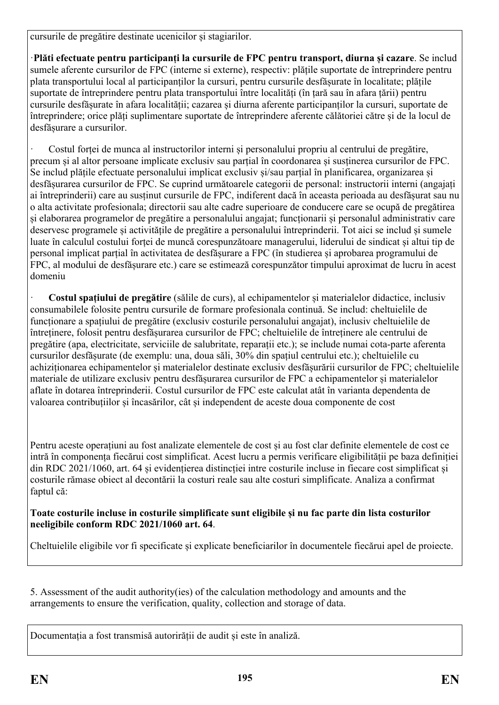cursurile de pregătire destinate ucenicilor și stagiarilor.

·**Plăti efectuate pentru participanți la cursurile de FPC pentru transport, diurna și cazare**. Se includ sumele aferente cursurilor de FPC (interne si externe), respectiv: plățile suportate de întreprindere pentru plata transportului local al participanților la cursuri, pentru cursurile desfășurate în localitate; plățile suportate de întreprindere pentru plata transportului între localități (în țară sau în afara țării) pentru cursurile desfășurate în afara localității; cazarea și diurna aferente participanților la cursuri, suportate de întreprindere; orice plăți suplimentare suportate de întreprindere aferente călătoriei către și de la locul de desfășurare a cursurilor.

· Costul forței de munca al instructorilor interni și personalului propriu al centrului de pregătire, precum și al altor persoane implicate exclusiv sau parțial în coordonarea și susținerea cursurilor de FPC. Se includ plățile efectuate personalului implicat exclusiv și/sau parțial în planificarea, organizarea și desfășurarea cursurilor de FPC. Se cuprind următoarele categorii de personal: instructorii interni (angajați ai întreprinderii) care au susținut cursurile de FPC, indiferent dacă în aceasta perioada au desfășurat sau nu o alta activitate profesionala; directorii sau alte cadre superioare de conducere care se ocupă de pregătirea și elaborarea programelor de pregătire a personalului angajat; funcționarii și personalul administrativ care deservesc programele și activitățile de pregătire a personalului întreprinderii. Tot aici se includ și sumele luate în calculul costului forței de muncă corespunzătoare managerului, liderului de sindicat și altui tip de personal implicat parțial în activitatea de desfășurare a FPC (în studierea și aprobarea programului de FPC, al modului de desfășurare etc.) care se estimează corespunzător timpului aproximat de lucru în acest domeniu

· **Costul spațiului de pregătire** (sălile de curs), al echipamentelor și materialelor didactice, inclusiv consumabilele folosite pentru cursurile de formare profesionala continuă. Se includ: cheltuielile de funcționare a spațiului de pregătire (exclusiv costurile personalului angajat), inclusiv cheltuielile de întreținere, folosit pentru desfășurarea cursurilor de FPC; cheltuielile de întreținere ale centrului de pregătire (apa, electricitate, serviciile de salubritate, reparații etc.); se include numai cota-parte aferenta cursurilor desfășurate (de exemplu: una, doua săli, 30% din spațiul centrului etc.); cheltuielile cu achiziționarea echipamentelor și materialelor destinate exclusiv desfășurării cursurilor de FPC; cheltuielile materiale de utilizare exclusiv pentru desfășurarea cursurilor de FPC a echipamentelor și materialelor aflate în dotarea întreprinderii. Costul cursurilor de FPC este calculat atât în varianta dependenta de valoarea contribuțiilor și încasărilor, cât și independent de aceste doua componente de cost

Pentru aceste operațiuni au fost analizate elementele de cost și au fost clar definite elementele de cost ce intră în componența fiecărui cost simplificat. Acest lucru a permis verificare eligibilității pe baza definiției din RDC 2021/1060, art. 64 și evidențierea distincției intre costurile incluse in fiecare cost simplificat și costurile rămase obiect al decontării la costuri reale sau alte costuri simplificate. Analiza a confirmat faptul că:

**Toate costurile incluse in costurile simplificate sunt eligibile și nu fac parte din lista costurilor neeligibile conform RDC 2021/1060 art. 64**.

Cheltuielile eligibile vor fi specificate și explicate beneficiarilor în documentele fiecărui apel de proiecte.

5. Assessment of the audit authority(ies) of the calculation methodology and amounts and the arrangements to ensure the verification, quality, collection and storage of data.

Documentația a fost transmisă autorirății de audit și este în analiză.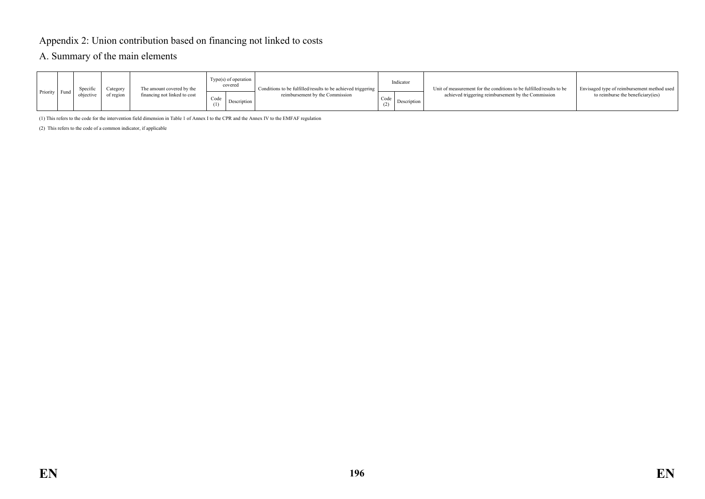## Appendix 2: Union contribution based on financing not linked to costs

#### A. Summary of the main elements

| Priority Fund | Specific<br>objective | Category<br>of region | The amount covered by the<br>financing not linked to cost | $Type(s)$ of operation<br>covered<br>Code<br>Description | Conditions to be fulfilled/results to be achieved triggering<br>reimbursement by the Commission | Indicator<br>Code<br>Description | Unit of measurement for the conditions to be fulfilled/results to be<br>achieved triggering reimbursement by the Commission | Envisaged type of reimbursement method used<br>to reimburse the beneficiary (ies) |
|---------------|-----------------------|-----------------------|-----------------------------------------------------------|----------------------------------------------------------|-------------------------------------------------------------------------------------------------|----------------------------------|-----------------------------------------------------------------------------------------------------------------------------|-----------------------------------------------------------------------------------|
|               |                       |                       |                                                           |                                                          |                                                                                                 |                                  |                                                                                                                             |                                                                                   |

(1) This refers to the code for the intervention field dimension in Table 1 of Annex I to the CPR and the Annex IV to the EMFAF regulation

(2) This refers to the code of a common indicator, if applicable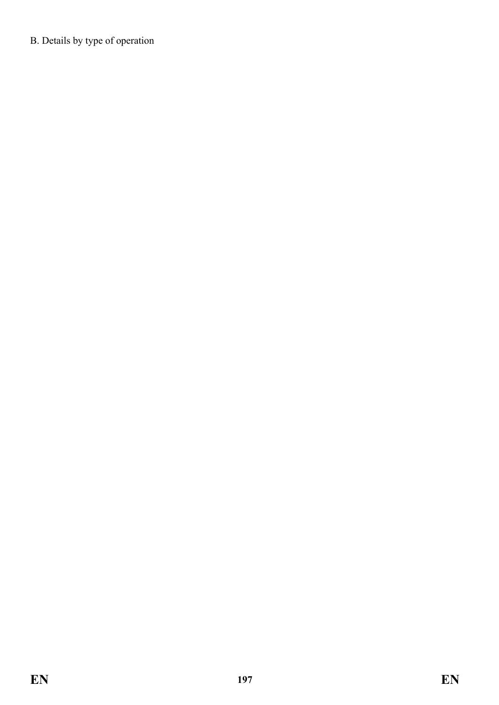B. Details by type of operation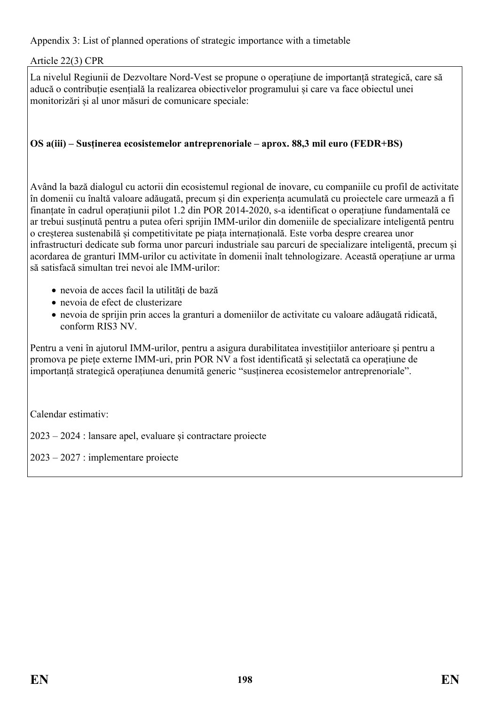Appendix 3: List of planned operations of strategic importance with a timetable

### Article 22(3) CPR

La nivelul Regiunii de Dezvoltare Nord-Vest se propune o operațiune de importanță strategică, care să aducă o contribuție esențială la realizarea obiectivelor programului și care va face obiectul unei monitorizări și al unor măsuri de comunicare speciale:

### **OS a(iii) – Susținerea ecosistemelor antreprenoriale – aprox. 88,3 mil euro (FEDR+BS)**

Având la bază dialogul cu actorii din ecosistemul regional de inovare, cu companiile cu profil de activitate în domenii cu înaltă valoare adăugată, precum și din experiența acumulată cu proiectele care urmează a fi finanțate în cadrul operațiunii pilot 1.2 din POR 2014-2020, s-a identificat o operațiune fundamentală ce ar trebui susținută pentru a putea oferi sprijin IMM-urilor din domeniile de specializare inteligentă pentru o creșterea sustenabilă și competitivitate pe piața internațională. Este vorba despre crearea unor infrastructuri dedicate sub forma unor parcuri industriale sau parcuri de specializare inteligentă, precum și acordarea de granturi IMM-urilor cu activitate în domenii înalt tehnologizare. Această operațiune ar urma să satisfacă simultan trei nevoi ale IMM-urilor:

- nevoia de acces facil la utilități de bază
- nevoia de efect de clusterizare
- nevoia de sprijin prin acces la granturi a domeniilor de activitate cu valoare adăugată ridicată, conform RIS3 NV.

Pentru a veni în ajutorul IMM-urilor, pentru a asigura durabilitatea investițiilor anterioare și pentru a promova pe piețe externe IMM-uri, prin POR NV a fost identificată și selectată ca operațiune de importanță strategică operațiunea denumită generic "susținerea ecosistemelor antreprenoriale".

Calendar estimativ:

2023 – 2024 : lansare apel, evaluare și contractare proiecte

2023 – 2027 : implementare proiecte